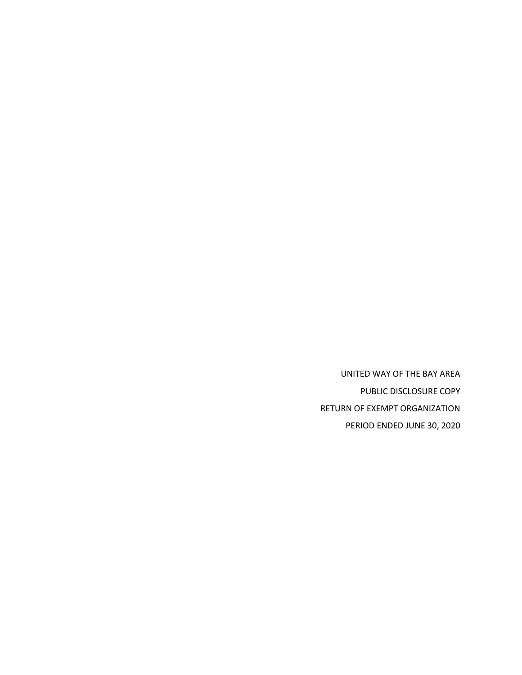UNITED WAY OF THE BAY AREA PUBLIC DISCLOSURE COPY RETURN OF EXEMPT ORGANIZATION PERIOD ENDED JUNE 30, 2020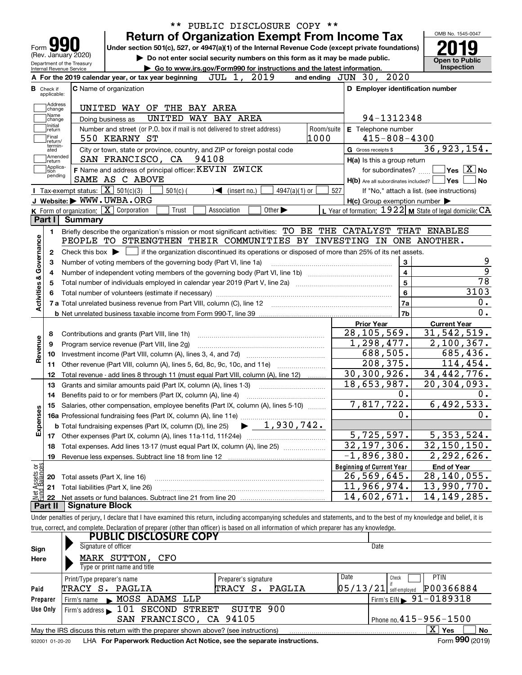| Form <b>M</b>             |                             | (Rev. January 2020)        |                                                                    | <b>Return of Organization Exempt From Income Tax</b><br>Under section 501(c), 527, or 4947(a)(1) of the Internal Revenue Code (except private foundations)                 |                        |                                                     | OMB No. 1545-0047                                           |
|---------------------------|-----------------------------|----------------------------|--------------------------------------------------------------------|----------------------------------------------------------------------------------------------------------------------------------------------------------------------------|------------------------|-----------------------------------------------------|-------------------------------------------------------------|
|                           |                             | Department of the Treasury |                                                                    | Do not enter social security numbers on this form as it may be made public.                                                                                                |                        |                                                     | <b>Open to Public</b><br><b>Inspection</b>                  |
|                           |                             | Internal Revenue Service   | A For the 2019 calendar year, or tax year beginning                | Go to www.irs.gov/Form990 for instructions and the latest information.<br>2019<br>JUL 1,                                                                                   | and ending $JUN$ 30,   | 2020                                                |                                                             |
|                           | <b>B</b> Check if           |                            | <b>C</b> Name of organization                                      |                                                                                                                                                                            |                        | D Employer identification number                    |                                                             |
|                           | applicable:                 |                            |                                                                    |                                                                                                                                                                            |                        |                                                     |                                                             |
|                           | Address<br> change          |                            | UNITED WAY OF                                                      | THE BAY AREA                                                                                                                                                               |                        |                                                     |                                                             |
|                           | Name<br>change              |                            | Doing business as                                                  | UNITED WAY BAY AREA                                                                                                                                                        |                        | 94-1312348                                          |                                                             |
|                           | Initial<br>return           |                            |                                                                    | Number and street (or P.O. box if mail is not delivered to street address)                                                                                                 | Room/suite             | E Telephone number                                  |                                                             |
|                           | Final<br>return/<br>termin- |                            | 550 KEARNY ST                                                      |                                                                                                                                                                            | 1000                   | $415 - 808 - 4300$                                  |                                                             |
|                           | ated<br>Amended             |                            |                                                                    | City or town, state or province, country, and ZIP or foreign postal code                                                                                                   |                        | G Gross receipts \$                                 | 36,923,154.                                                 |
|                           | return<br> Applica-         |                            | SAN FRANCISCO, CA 94108                                            |                                                                                                                                                                            |                        | H(a) Is this a group return                         |                                                             |
|                           | ition<br>pending            |                            | SAME AS C ABOVE                                                    | F Name and address of principal officer: KEVIN ZWICK                                                                                                                       |                        | for subordinates?                                   | $\sqrt{}$ Yes $\sqrt{}$ $\overline{\rm X}$ No<br>∣Yes<br>No |
|                           |                             |                            | Tax-exempt status: $\boxed{\mathbf{X}}$ 501(c)(3)<br>$501(c)$ (    | $\triangleleft$ (insert no.)                                                                                                                                               | $4947(a)(1)$ or<br>527 | H(b) Are all subordinates included?                 | If "No," attach a list. (see instructions)                  |
|                           |                             |                            | J Website: WWW.UWBA.ORG                                            |                                                                                                                                                                            |                        | $H(c)$ Group exemption number $\blacktriangleright$ |                                                             |
|                           |                             |                            | K Form of organization: X Corporation<br>Trust                     | Other $\blacktriangleright$<br>Association                                                                                                                                 |                        |                                                     | L Year of formation: $1922$ M State of legal domicile: CA   |
|                           | Part I                      | <b>Summary</b>             |                                                                    |                                                                                                                                                                            |                        |                                                     |                                                             |
|                           | 1.                          |                            |                                                                    | Briefly describe the organization's mission or most significant activities: TO BE THE CATALYST THAT ENABLES                                                                |                        |                                                     |                                                             |
| Activities & Governance   |                             |                            |                                                                    | PEOPLE TO STRENGTHEN THEIR COMMUNITIES BY INVESTING IN ONE ANOTHER.                                                                                                        |                        |                                                     |                                                             |
|                           | 2                           |                            |                                                                    | Check this box $\blacktriangleright \Box$ if the organization discontinued its operations or disposed of more than 25% of its net assets.                                  |                        |                                                     |                                                             |
|                           | З                           |                            | Number of voting members of the governing body (Part VI, line 1a)  |                                                                                                                                                                            |                        | 3                                                   | <u>و</u>                                                    |
|                           | 4                           |                            |                                                                    |                                                                                                                                                                            |                        | $\overline{\mathbf{4}}$                             | $\overline{9}$                                              |
|                           | 5                           |                            |                                                                    |                                                                                                                                                                            |                        | 5                                                   | $\overline{78}$                                             |
|                           |                             |                            |                                                                    |                                                                                                                                                                            |                        | 6                                                   | 3103                                                        |
|                           |                             |                            |                                                                    |                                                                                                                                                                            |                        | 7a                                                  | $0$ .                                                       |
|                           |                             |                            |                                                                    |                                                                                                                                                                            |                        | 7b                                                  | 0.                                                          |
|                           |                             |                            |                                                                    |                                                                                                                                                                            |                        | <b>Prior Year</b>                                   | <b>Current Year</b><br>31,542,519.                          |
| Revenue                   | 8                           |                            | Contributions and grants (Part VIII, line 1h)                      |                                                                                                                                                                            |                        | 28, 105, 569.<br>1,298,477.                         | 2,100,367.                                                  |
|                           | 9                           |                            | Program service revenue (Part VIII, line 2g)                       |                                                                                                                                                                            |                        | 688,505.                                            | 685,436.                                                    |
|                           | 10<br>11                    |                            |                                                                    | Other revenue (Part VIII, column (A), lines 5, 6d, 8c, 9c, 10c, and 11e)                                                                                                   |                        | 208,375.                                            | 114,454.                                                    |
|                           | 12                          |                            |                                                                    | Total revenue - add lines 8 through 11 (must equal Part VIII, column (A), line 12)                                                                                         |                        | 30, 300, 926.                                       | 34,442,776.                                                 |
|                           | 13                          |                            |                                                                    | Grants and similar amounts paid (Part IX, column (A), lines 1-3)                                                                                                           |                        | 18,653,987.                                         | 20,304,093.                                                 |
|                           | 14                          |                            |                                                                    |                                                                                                                                                                            |                        | 0.                                                  | 0.                                                          |
|                           |                             |                            |                                                                    | 15 Salaries, other compensation, employee benefits (Part IX, column (A), lines 5-10)                                                                                       |                        | 7,817,722.                                          | 6,492,533.                                                  |
| Expenses                  |                             |                            |                                                                    |                                                                                                                                                                            |                        | 0.                                                  | $0$ .                                                       |
|                           |                             |                            | <b>b</b> Total fundraising expenses (Part IX, column (D), line 25) | 1,930,742.                                                                                                                                                                 |                        |                                                     |                                                             |
|                           | 17                          |                            |                                                                    |                                                                                                                                                                            |                        | 5,725,597.                                          | 5, 353, 524.                                                |
|                           | 18                          |                            |                                                                    | Total expenses. Add lines 13-17 (must equal Part IX, column (A), line 25)                                                                                                  |                        | 32, 197, 306.                                       | 32, 150, 150.                                               |
|                           | 19                          |                            | Revenue less expenses. Subtract line 18 from line 12               |                                                                                                                                                                            |                        | $-1,896,380.$                                       | 2,292,626.                                                  |
| t Assets or<br>d Balances |                             |                            |                                                                    |                                                                                                                                                                            |                        | <b>Beginning of Current Year</b>                    | <b>End of Year</b>                                          |
|                           | 20                          |                            | Total assets (Part X, line 16)                                     |                                                                                                                                                                            |                        | 26,569,645.                                         | $\overline{28,140,055}$ .                                   |
| 혍                         | 21                          |                            | Total liabilities (Part X, line 26)                                |                                                                                                                                                                            |                        | 11,966,974.                                         | 13,990,770.                                                 |
|                           | 22<br>Part II               | <b>Signature Block</b>     |                                                                    |                                                                                                                                                                            |                        | 14,602,671.                                         | 14,149,285.                                                 |
|                           |                             |                            |                                                                    | Under penalties of perjury, I declare that I have examined this return, including accompanying schedules and statements, and to the best of my knowledge and belief, it is |                        |                                                     |                                                             |
|                           |                             |                            |                                                                    | true, correct, and complete. Declaration of preparer (other than officer) is based on all information of which preparer has any knowledge.                                 |                        |                                                     |                                                             |
|                           |                             |                            | <b>PUBLIC DISCLOSURE COPY</b>                                      |                                                                                                                                                                            |                        |                                                     |                                                             |
| Sign                      |                             |                            | Signature of officer                                               |                                                                                                                                                                            |                        | Date                                                |                                                             |
| Here                      |                             |                            | MARK SUTTON,<br>CFO                                                |                                                                                                                                                                            |                        |                                                     |                                                             |
|                           |                             |                            | Type or print name and title                                       |                                                                                                                                                                            |                        |                                                     |                                                             |
|                           |                             | Print/Type preparer's name |                                                                    | Preparer's signature                                                                                                                                                       |                        | Date<br>Check                                       | <b>PTIN</b>                                                 |
| Paid                      |                             |                            | TRACY S. PAGLIA                                                    | TRACY S. PAGLIA                                                                                                                                                            |                        | $05/13/21$ self-employed                            | P00366884                                                   |
|                           | Preparer                    | Firm's name                | MOSS ADAMS LLP                                                     |                                                                                                                                                                            |                        |                                                     | Firm's $EIN \triangleright 91 - 0189318$                    |
|                           | Use Only                    |                            | Firm's address 101 SECOND STREET                                   | SUITE 900                                                                                                                                                                  |                        |                                                     |                                                             |
|                           |                             |                            |                                                                    | SAN FRANCISCO, CA 94105                                                                                                                                                    |                        |                                                     | Phone no. 415-956-1500                                      |

|  | May the IRS discuss this return with the preparer shown above? (see instructions)      | Yes | No              |
|--|----------------------------------------------------------------------------------------|-----|-----------------|
|  | 932001 01-20-20 LHA For Paperwork Reduction Act Notice, see the separate instructions. |     | Form 990 (2019) |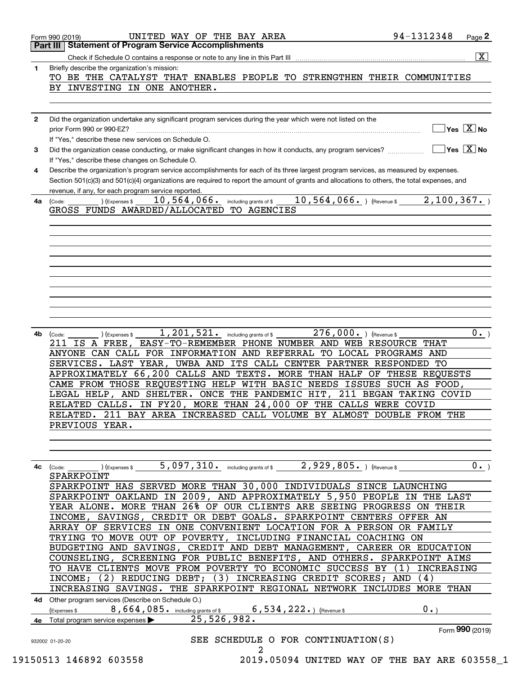| 1.           | $\overline{\mathbf{x}}$<br>Check if Schedule O contains a response or note to any line in this Part III [11] [12] [12] [12] Check if Schedule O contains a response or note to any line in this Part III<br>Briefly describe the organization's mission: |
|--------------|----------------------------------------------------------------------------------------------------------------------------------------------------------------------------------------------------------------------------------------------------------|
|              | TO BE THE CATALYST THAT ENABLES PEOPLE TO STRENGTHEN THEIR COMMUNITIES                                                                                                                                                                                   |
|              | BY INVESTING IN ONE ANOTHER.                                                                                                                                                                                                                             |
|              |                                                                                                                                                                                                                                                          |
|              |                                                                                                                                                                                                                                                          |
| $\mathbf{2}$ | Did the organization undertake any significant program services during the year which were not listed on the                                                                                                                                             |
|              | $\boxed{\phantom{1}}$ Yes $\boxed{\text{X}}$ No                                                                                                                                                                                                          |
| 3            | If "Yes." describe these new services on Schedule O.<br>$\boxed{\phantom{1}}$ Yes $\boxed{\text{X}}$ No<br>Did the organization cease conducting, or make significant changes in how it conducts, any program services?                                  |
|              | If "Yes," describe these changes on Schedule O.                                                                                                                                                                                                          |
| 4            | Describe the organization's program service accomplishments for each of its three largest program services, as measured by expenses.                                                                                                                     |
|              | Section 501(c)(3) and 501(c)(4) organizations are required to report the amount of grants and allocations to others, the total expenses, and                                                                                                             |
|              | revenue, if any, for each program service reported.                                                                                                                                                                                                      |
| 4a           | $_{\odot}$ ) (Expenses \$ $_{\odot}$ 10 , 564 , 066 $_{\circ}$ including grants of \$ $_{\odot}$ 10 , 564 , 066 $_{\circ}$ ) (Revenue \$ $_{\circ}$ 2 , 100 , 367 $_{\circ}$ )<br>(Code:                                                                 |
|              | GROSS FUNDS AWARDED/ALLOCATED TO AGENCIES                                                                                                                                                                                                                |
|              |                                                                                                                                                                                                                                                          |
|              |                                                                                                                                                                                                                                                          |
|              |                                                                                                                                                                                                                                                          |
|              |                                                                                                                                                                                                                                                          |
|              |                                                                                                                                                                                                                                                          |
|              |                                                                                                                                                                                                                                                          |
|              |                                                                                                                                                                                                                                                          |
|              |                                                                                                                                                                                                                                                          |
|              |                                                                                                                                                                                                                                                          |
|              |                                                                                                                                                                                                                                                          |
| 4b           | $\overline{1}$ , 201, 521. including grants of \$<br>$276$ , 000. ) (Revenue \$<br>$0 \cdot$ )<br>) (Expenses \$<br>(Code:                                                                                                                               |
|              | 211 IS A FREE, EASY-TO-REMEMBER PHONE NUMBER AND WEB RESOURCE THAT                                                                                                                                                                                       |
|              | ANYONE CAN CALL FOR INFORMATION AND REFERRAL TO LOCAL PROGRAMS AND                                                                                                                                                                                       |
|              | SERVICES. LAST YEAR, UWBA AND ITS CALL CENTER PARTNER RESPONDED TO                                                                                                                                                                                       |
|              | APPROXIMATELY 66,200 CALLS AND TEXTS. MORE THAN HALF OF THESE REQUESTS                                                                                                                                                                                   |
|              | CAME FROM THOSE REQUESTING HELP WITH BASIC NEEDS ISSUES SUCH AS FOOD,<br>LEGAL HELP, AND SHELTER. ONCE THE PANDEMIC HIT, 211 BEGAN TAKING COVID                                                                                                          |
|              | RELATED CALLS. IN FY20, MORE THAN 24,000 OF THE CALLS WERE COVID                                                                                                                                                                                         |
|              | RELATED. 211 BAY AREA INCREASED CALL VOLUME BY ALMOST DOUBLE FROM THE                                                                                                                                                                                    |
|              |                                                                                                                                                                                                                                                          |
|              |                                                                                                                                                                                                                                                          |
|              | PREVIOUS YEAR.                                                                                                                                                                                                                                           |
|              |                                                                                                                                                                                                                                                          |
|              |                                                                                                                                                                                                                                                          |
| 4с           | 5,097,310. including grants of \$2,929,805. ) (Revenue \$<br>(Code:<br>(Expenses \$                                                                                                                                                                      |
|              | SPARKPOINT                                                                                                                                                                                                                                               |
|              | SPARKPOINT HAS SERVED MORE THAN 30,000 INDIVIDUALS SINCE LAUNCHING                                                                                                                                                                                       |
|              | SPARKPOINT OAKLAND IN 2009, AND APPROXIMATELY 5,950 PEOPLE IN THE LAST                                                                                                                                                                                   |
|              | YEAR ALONE. MORE THAN 26% OF OUR CLIENTS ARE SEEING PROGRESS ON THEIR                                                                                                                                                                                    |
|              | INCOME, SAVINGS, CREDIT OR DEBT GOALS. SPARKPOINT CENTERS OFFER AN                                                                                                                                                                                       |
|              | $0$ .<br>ARRAY OF SERVICES IN ONE CONVENIENT LOCATION FOR A PERSON OR FAMILY                                                                                                                                                                             |
|              | TRYING TO MOVE OUT OF POVERTY, INCLUDING FINANCIAL COACHING ON                                                                                                                                                                                           |
|              | BUDGETING AND SAVINGS, CREDIT AND DEBT MANAGEMENT, CAREER OR EDUCATION                                                                                                                                                                                   |
|              | COUNSELING, SCREENING FOR PUBLIC BENEFITS, AND OTHERS. SPARKPOINT AIMS                                                                                                                                                                                   |
|              | TO HAVE CLIENTS MOVE FROM POVERTY TO ECONOMIC SUCCESS BY (1) INCREASING                                                                                                                                                                                  |
|              | INCOME; (2) REDUCING DEBT; (3) INCREASING CREDIT SCORES; AND (4)                                                                                                                                                                                         |
|              | INCREASING SAVINGS. THE SPARKPOINT REGIONAL NETWORK INCLUDES MORE THAN                                                                                                                                                                                   |
|              | 4d Other program services (Describe on Schedule O.)                                                                                                                                                                                                      |
|              | 6, 534, 222. ) (Revenue \$<br>$0 \cdot$<br>8,664,085. including grants of \$<br>(Expenses \$                                                                                                                                                             |
|              | 25,526,982.<br>4e Total program service expenses<br>Form 990 (2019)                                                                                                                                                                                      |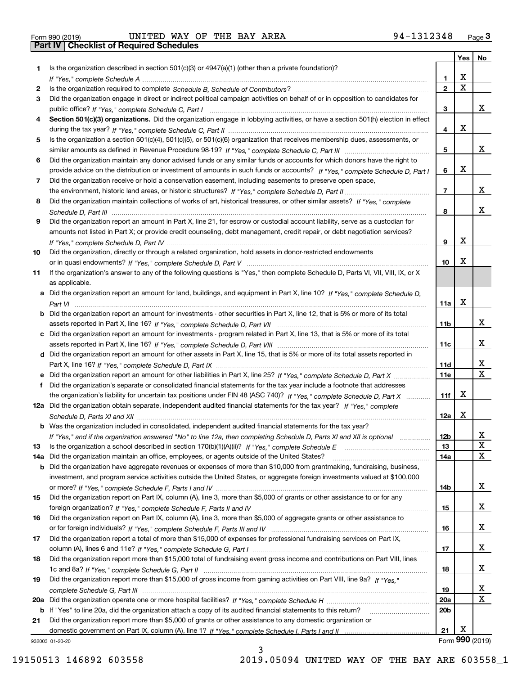| Form 990 (2019) |  |  |
|-----------------|--|--|

|     |                                                                                                                                                                                                                                                   |                 | Yes $ $     | No              |
|-----|---------------------------------------------------------------------------------------------------------------------------------------------------------------------------------------------------------------------------------------------------|-----------------|-------------|-----------------|
| 1   | Is the organization described in section $501(c)(3)$ or $4947(a)(1)$ (other than a private foundation)?                                                                                                                                           |                 |             |                 |
|     | If "Yes," complete Schedule A measured and the complete schedule A measured and the Schedule A measured and the                                                                                                                                   | 1               | х           |                 |
| 2   |                                                                                                                                                                                                                                                   | $\overline{2}$  | $\mathbf X$ |                 |
| 3   | Did the organization engage in direct or indirect political campaign activities on behalf of or in opposition to candidates for                                                                                                                   |                 |             |                 |
|     |                                                                                                                                                                                                                                                   | 3               |             | x               |
| 4   | Section 501(c)(3) organizations. Did the organization engage in lobbying activities, or have a section 501(h) election in effect                                                                                                                  |                 |             |                 |
|     |                                                                                                                                                                                                                                                   | 4               | х           |                 |
| 5   | Is the organization a section 501(c)(4), 501(c)(5), or 501(c)(6) organization that receives membership dues, assessments, or                                                                                                                      |                 |             |                 |
|     |                                                                                                                                                                                                                                                   | 5               |             | x               |
| 6   | Did the organization maintain any donor advised funds or any similar funds or accounts for which donors have the right to                                                                                                                         |                 |             |                 |
|     | provide advice on the distribution or investment of amounts in such funds or accounts? If "Yes," complete Schedule D, Part I                                                                                                                      | 6               | х           |                 |
| 7   | Did the organization receive or hold a conservation easement, including easements to preserve open space,                                                                                                                                         |                 |             |                 |
|     |                                                                                                                                                                                                                                                   | $\overline{7}$  |             | x               |
| 8   | Did the organization maintain collections of works of art, historical treasures, or other similar assets? If "Yes," complete                                                                                                                      |                 |             |                 |
|     |                                                                                                                                                                                                                                                   | 8               |             | x               |
| 9   | Did the organization report an amount in Part X, line 21, for escrow or custodial account liability, serve as a custodian for                                                                                                                     |                 |             |                 |
|     | amounts not listed in Part X; or provide credit counseling, debt management, credit repair, or debt negotiation services?                                                                                                                         |                 |             |                 |
|     |                                                                                                                                                                                                                                                   | 9               | х           |                 |
| 10  | Did the organization, directly or through a related organization, hold assets in donor-restricted endowments                                                                                                                                      |                 |             |                 |
|     |                                                                                                                                                                                                                                                   | 10              | х           |                 |
| 11  | If the organization's answer to any of the following questions is "Yes," then complete Schedule D, Parts VI, VII, VIII, IX, or X                                                                                                                  |                 |             |                 |
|     | as applicable.                                                                                                                                                                                                                                    |                 |             |                 |
|     | a Did the organization report an amount for land, buildings, and equipment in Part X, line 10? If "Yes," complete Schedule D.                                                                                                                     |                 |             |                 |
|     |                                                                                                                                                                                                                                                   | 11a             | х           |                 |
|     | Did the organization report an amount for investments - other securities in Part X, line 12, that is 5% or more of its total                                                                                                                      |                 |             | x               |
|     |                                                                                                                                                                                                                                                   | 11 <sub>b</sub> |             |                 |
|     | c Did the organization report an amount for investments - program related in Part X, line 13, that is 5% or more of its total                                                                                                                     |                 |             | x               |
|     |                                                                                                                                                                                                                                                   | 11c             |             |                 |
|     | d Did the organization report an amount for other assets in Part X, line 15, that is 5% or more of its total assets reported in                                                                                                                   |                 |             | x               |
|     |                                                                                                                                                                                                                                                   | 11d             |             | $\mathbf X$     |
|     |                                                                                                                                                                                                                                                   | <b>11e</b>      |             |                 |
| f   | Did the organization's separate or consolidated financial statements for the tax year include a footnote that addresses                                                                                                                           | 11f             | х           |                 |
|     | the organization's liability for uncertain tax positions under FIN 48 (ASC 740)? If "Yes," complete Schedule D, Part X<br>12a Did the organization obtain separate, independent audited financial statements for the tax year? If "Yes," complete |                 |             |                 |
|     |                                                                                                                                                                                                                                                   | 12a             | x           |                 |
|     | <b>b</b> Was the organization included in consolidated, independent audited financial statements for the tax year?                                                                                                                                |                 |             |                 |
|     |                                                                                                                                                                                                                                                   | 12 <sub>b</sub> |             |                 |
| 13  | If "Yes," and if the organization answered "No" to line 12a, then completing Schedule D, Parts XI and XII is optional                                                                                                                             | 13              |             | 47<br>X         |
| 14a | Did the organization maintain an office, employees, or agents outside of the United States?                                                                                                                                                       | 14a             |             | X               |
| b   | Did the organization have aggregate revenues or expenses of more than \$10,000 from grantmaking, fundraising, business,                                                                                                                           |                 |             |                 |
|     | investment, and program service activities outside the United States, or aggregate foreign investments valued at \$100,000                                                                                                                        |                 |             |                 |
|     |                                                                                                                                                                                                                                                   | 14b             |             | x               |
| 15  | Did the organization report on Part IX, column (A), line 3, more than \$5,000 of grants or other assistance to or for any                                                                                                                         |                 |             |                 |
|     |                                                                                                                                                                                                                                                   | 15              |             | x               |
| 16  | Did the organization report on Part IX, column (A), line 3, more than \$5,000 of aggregate grants or other assistance to                                                                                                                          |                 |             |                 |
|     |                                                                                                                                                                                                                                                   | 16              |             | x               |
| 17  | Did the organization report a total of more than \$15,000 of expenses for professional fundraising services on Part IX,                                                                                                                           |                 |             |                 |
|     |                                                                                                                                                                                                                                                   | 17              |             | x               |
| 18  | Did the organization report more than \$15,000 total of fundraising event gross income and contributions on Part VIII, lines                                                                                                                      |                 |             |                 |
|     |                                                                                                                                                                                                                                                   | 18              |             | x               |
| 19  | Did the organization report more than \$15,000 of gross income from gaming activities on Part VIII, line 9a? If "Yes."                                                                                                                            |                 |             |                 |
|     |                                                                                                                                                                                                                                                   | 19              |             | X               |
| 20a |                                                                                                                                                                                                                                                   | 20a             |             | X               |
|     | b If "Yes" to line 20a, did the organization attach a copy of its audited financial statements to this return?                                                                                                                                    | 20b             |             |                 |
| 21  | Did the organization report more than \$5,000 of grants or other assistance to any domestic organization or                                                                                                                                       |                 |             |                 |
|     |                                                                                                                                                                                                                                                   | 21              | х           |                 |
|     | 932003 01-20-20                                                                                                                                                                                                                                   |                 |             | Form 990 (2019) |

932003 01-20-20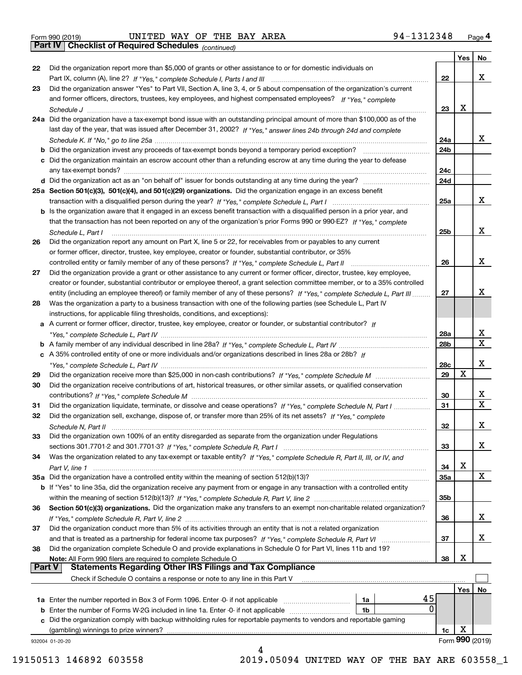*(continued)*

| 22            | Did the organization report more than \$5,000 of grants or other assistance to or for domestic individuals on                             |                 | Yes | No              |
|---------------|-------------------------------------------------------------------------------------------------------------------------------------------|-----------------|-----|-----------------|
|               |                                                                                                                                           | 22              |     | x               |
| 23            | Did the organization answer "Yes" to Part VII, Section A, line 3, 4, or 5 about compensation of the organization's current                |                 |     |                 |
|               | and former officers, directors, trustees, key employees, and highest compensated employees? If "Yes," complete                            |                 |     |                 |
|               |                                                                                                                                           |                 | X   |                 |
|               | Schedule J<br>24a Did the organization have a tax-exempt bond issue with an outstanding principal amount of more than \$100,000 as of the | 23              |     |                 |
|               |                                                                                                                                           |                 |     |                 |
|               | last day of the year, that was issued after December 31, 2002? If "Yes," answer lines 24b through 24d and complete                        |                 |     |                 |
|               |                                                                                                                                           | 24a             |     | x               |
|               | <b>b</b> Did the organization invest any proceeds of tax-exempt bonds beyond a temporary period exception?                                | 24b             |     |                 |
|               | c Did the organization maintain an escrow account other than a refunding escrow at any time during the year to defease                    |                 |     |                 |
|               |                                                                                                                                           | 24c             |     |                 |
|               |                                                                                                                                           | 24d             |     |                 |
|               | 25a Section 501(c)(3), 501(c)(4), and 501(c)(29) organizations. Did the organization engage in an excess benefit                          |                 |     |                 |
|               |                                                                                                                                           | 25a             |     | x               |
|               | b Is the organization aware that it engaged in an excess benefit transaction with a disqualified person in a prior year, and              |                 |     |                 |
|               | that the transaction has not been reported on any of the organization's prior Forms 990 or 990-EZ? If "Yes," complete                     |                 |     |                 |
|               | Schedule L. Part I                                                                                                                        | 25b             |     | x               |
| 26            | Did the organization report any amount on Part X, line 5 or 22, for receivables from or payables to any current                           |                 |     |                 |
|               | or former officer, director, trustee, key employee, creator or founder, substantial contributor, or 35%                                   |                 |     |                 |
|               |                                                                                                                                           | 26              |     | x               |
| 27            | Did the organization provide a grant or other assistance to any current or former officer, director, trustee, key employee,               |                 |     |                 |
|               | creator or founder, substantial contributor or employee thereof, a grant selection committee member, or to a 35% controlled               |                 |     |                 |
|               | entity (including an employee thereof) or family member of any of these persons? If "Yes," complete Schedule L, Part III                  | 27              |     | х               |
| 28            | Was the organization a party to a business transaction with one of the following parties (see Schedule L, Part IV                         |                 |     |                 |
|               | instructions, for applicable filing thresholds, conditions, and exceptions):                                                              |                 |     |                 |
|               | a A current or former officer, director, trustee, key employee, creator or founder, or substantial contributor? If                        |                 |     |                 |
|               |                                                                                                                                           | 28a             |     | x               |
|               |                                                                                                                                           | 28 <sub>b</sub> |     | X               |
|               | c A 35% controlled entity of one or more individuals and/or organizations described in lines 28a or 28b? If                               |                 |     |                 |
|               |                                                                                                                                           | 28c             |     | х               |
| 29            |                                                                                                                                           | 29              | X   |                 |
| 30            | Did the organization receive contributions of art, historical treasures, or other similar assets, or qualified conservation               |                 |     |                 |
|               |                                                                                                                                           | 30              |     | x               |
| 31            | Did the organization liquidate, terminate, or dissolve and cease operations? If "Yes," complete Schedule N, Part I                        | 31              |     | $\mathbf x$     |
| 32            | Did the organization sell, exchange, dispose of, or transfer more than 25% of its net assets? If "Yes," complete                          |                 |     |                 |
|               | Schedule N, Part II                                                                                                                       | 32              |     | х               |
| 33            | Did the organization own 100% of an entity disregarded as separate from the organization under Regulations                                |                 |     |                 |
|               |                                                                                                                                           | 33              |     | х               |
| 34            | Was the organization related to any tax-exempt or taxable entity? If "Yes," complete Schedule R, Part II, III, or IV, and                 |                 |     |                 |
|               |                                                                                                                                           | 34              | X   |                 |
|               | 35a Did the organization have a controlled entity within the meaning of section 512(b)(13)?                                               | <b>35a</b>      |     | X               |
|               | b If "Yes" to line 35a, did the organization receive any payment from or engage in any transaction with a controlled entity               |                 |     |                 |
|               |                                                                                                                                           | 35 <sub>b</sub> |     |                 |
| 36            | Section 501(c)(3) organizations. Did the organization make any transfers to an exempt non-charitable related organization?                |                 |     |                 |
|               |                                                                                                                                           | 36              |     | x               |
| 37            | Did the organization conduct more than 5% of its activities through an entity that is not a related organization                          |                 |     |                 |
|               |                                                                                                                                           | 37              |     | x               |
| 38            | Did the organization complete Schedule O and provide explanations in Schedule O for Part VI, lines 11b and 19?                            |                 |     |                 |
|               | Note: All Form 990 filers are required to complete Schedule O                                                                             | 38              | х   |                 |
| <b>Part V</b> | <b>Statements Regarding Other IRS Filings and Tax Compliance</b>                                                                          |                 |     |                 |
|               | Check if Schedule O contains a response or note to any line in this Part V                                                                |                 |     |                 |
|               |                                                                                                                                           |                 | Yes | No              |
|               | 45<br><b>1a</b> Enter the number reported in Box 3 of Form 1096. Enter -0- if not applicable <i>manumumumum</i><br>1a                     |                 |     |                 |
|               | 0<br><b>b</b> Enter the number of Forms W-2G included in line 1a. Enter -0- if not applicable<br>1b                                       |                 |     |                 |
|               | c Did the organization comply with backup withholding rules for reportable payments to vendors and reportable gaming                      |                 |     |                 |
|               | (gambling) winnings to prize winners?                                                                                                     | 1c              | х   |                 |
|               | 932004 01-20-20                                                                                                                           |                 |     | Form 990 (2019) |
|               |                                                                                                                                           |                 |     |                 |

19150513 146892 603558 2019.05094 UNITED WAY OF THE BAY ARE 603558\_1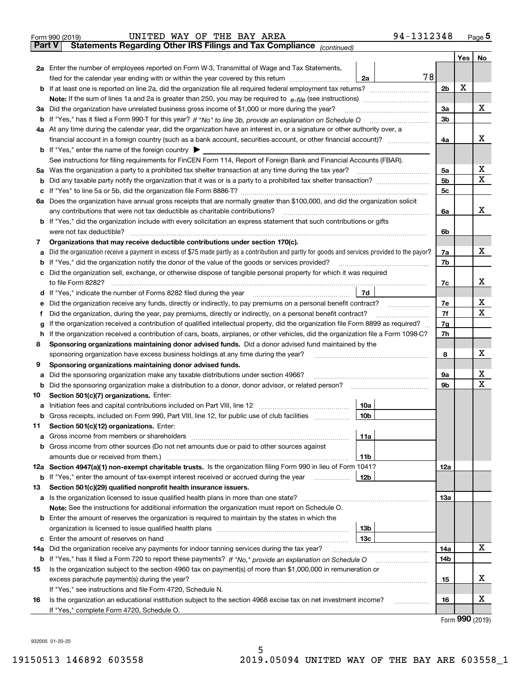| <b>Part V</b> | 94-1312348<br>UNITED WAY OF THE BAY AREA<br>Form 990 (2019)<br>Statements Regarding Other IRS Filings and Tax Compliance (continued)                                                                                                          |                |     | Page 5 |
|---------------|-----------------------------------------------------------------------------------------------------------------------------------------------------------------------------------------------------------------------------------------------|----------------|-----|--------|
|               |                                                                                                                                                                                                                                               |                |     |        |
|               |                                                                                                                                                                                                                                               |                | Yes | No     |
|               | 2a Enter the number of employees reported on Form W-3, Transmittal of Wage and Tax Statements,<br>78                                                                                                                                          |                |     |        |
|               | filed for the calendar year ending with or within the year covered by this return [11] [11] filed for the calendar year ending with or within the year covered by this return<br>2a                                                           | 2 <sub>b</sub> | х   |        |
|               |                                                                                                                                                                                                                                               |                |     |        |
|               |                                                                                                                                                                                                                                               | 3a             |     | x      |
|               | 3a Did the organization have unrelated business gross income of \$1,000 or more during the year?                                                                                                                                              | 3 <sub>b</sub> |     |        |
|               | b If "Yes," has it filed a Form 990-T for this year? If "No" to line 3b, provide an explanation on Schedule O<br>4a At any time during the calendar year, did the organization have an interest in, or a signature or other authority over, a |                |     |        |
|               | financial account in a foreign country (such as a bank account, securities account, or other financial account)?                                                                                                                              | 4a             |     | x      |
|               |                                                                                                                                                                                                                                               |                |     |        |
|               | <b>b</b> If "Yes," enter the name of the foreign country $\triangleright$<br>See instructions for filing requirements for FinCEN Form 114, Report of Foreign Bank and Financial Accounts (FBAR).                                              |                |     |        |
|               | 5a Was the organization a party to a prohibited tax shelter transaction at any time during the tax year?                                                                                                                                      | 5a             |     | x      |
|               |                                                                                                                                                                                                                                               | 5 <sub>b</sub> |     | X      |
| b             |                                                                                                                                                                                                                                               | 5 <sub>c</sub> |     |        |
| c             | 6a Does the organization have annual gross receipts that are normally greater than \$100,000, and did the organization solicit                                                                                                                |                |     |        |
|               | any contributions that were not tax deductible as charitable contributions?                                                                                                                                                                   | 6a             |     | x      |
|               | <b>b</b> If "Yes," did the organization include with every solicitation an express statement that such contributions or gifts                                                                                                                 |                |     |        |
|               | were not tax deductible?                                                                                                                                                                                                                      |                |     |        |
|               |                                                                                                                                                                                                                                               | 6b             |     |        |
| 7             | Organizations that may receive deductible contributions under section 170(c).<br>Did the organization receive a payment in excess of \$75 made partly as a contribution and partly for goods and services provided to the payor?              |                |     | x      |
| a             |                                                                                                                                                                                                                                               | 7a             |     |        |
| b             | If "Yes," did the organization notify the donor of the value of the goods or services provided?                                                                                                                                               | 7b             |     |        |
| c             | Did the organization sell, exchange, or otherwise dispose of tangible personal property for which it was required                                                                                                                             |                |     | х      |
|               | to file Form 8282?<br>7d                                                                                                                                                                                                                      | 7c             |     |        |
|               | d If "Yes," indicate the number of Forms 8282 filed during the year                                                                                                                                                                           |                |     | х      |
| е             | Did the organization receive any funds, directly or indirectly, to pay premiums on a personal benefit contract?                                                                                                                               | 7е             |     | X      |
| f             | Did the organization, during the year, pay premiums, directly or indirectly, on a personal benefit contract?                                                                                                                                  | 7f             |     |        |
| g             | If the organization received a contribution of qualified intellectual property, did the organization file Form 8899 as required?                                                                                                              | 7g             |     |        |
| h.            | If the organization received a contribution of cars, boats, airplanes, or other vehicles, did the organization file a Form 1098-C?                                                                                                            | 7h             |     |        |
| 8             | Sponsoring organizations maintaining donor advised funds. Did a donor advised fund maintained by the                                                                                                                                          |                |     | x      |
|               | sponsoring organization have excess business holdings at any time during the year?                                                                                                                                                            | 8              |     |        |
| 9             | Sponsoring organizations maintaining donor advised funds.                                                                                                                                                                                     |                |     |        |
| a             | Did the sponsoring organization make any taxable distributions under section 4966?                                                                                                                                                            | 9а             |     | x<br>Х |
| b             | Did the sponsoring organization make a distribution to a donor, donor advisor, or related person?                                                                                                                                             | 9b             |     |        |
| 10            | Section 501(c)(7) organizations. Enter:                                                                                                                                                                                                       |                |     |        |
| а             | 10a<br>Initiation fees and capital contributions included on Part VIII, line 12                                                                                                                                                               |                |     |        |
| b             | Gross receipts, included on Form 990, Part VIII, line 12, for public use of club facilities<br>10b                                                                                                                                            |                |     |        |
| 11            | Section 501(c)(12) organizations. Enter:                                                                                                                                                                                                      |                |     |        |
| a             | 11a                                                                                                                                                                                                                                           |                |     |        |
| b             | Gross income from other sources (Do not net amounts due or paid to other sources against                                                                                                                                                      |                |     |        |
|               | 11 <sub>b</sub>                                                                                                                                                                                                                               |                |     |        |
| 12a           | Section 4947(a)(1) non-exempt charitable trusts. Is the organization filing Form 990 in lieu of Form 1041?                                                                                                                                    | 12a            |     |        |
| b             | If "Yes," enter the amount of tax-exempt interest received or accrued during the year<br>12b                                                                                                                                                  |                |     |        |
| 13            | Section 501(c)(29) qualified nonprofit health insurance issuers.                                                                                                                                                                              |                |     |        |
| а             |                                                                                                                                                                                                                                               | 13a            |     |        |
|               | Note: See the instructions for additional information the organization must report on Schedule O.                                                                                                                                             |                |     |        |
|               | <b>b</b> Enter the amount of reserves the organization is required to maintain by the states in which the                                                                                                                                     |                |     |        |
|               | 13 <sub>b</sub>                                                                                                                                                                                                                               |                |     |        |
| c             | 13с                                                                                                                                                                                                                                           |                |     |        |
| 14a           | Did the organization receive any payments for indoor tanning services during the tax year?                                                                                                                                                    | 14a            |     | х      |
| b             |                                                                                                                                                                                                                                               | 14b            |     |        |
| 15            | Is the organization subject to the section 4960 tax on payment(s) of more than \$1,000,000 in remuneration or                                                                                                                                 |                |     |        |
|               |                                                                                                                                                                                                                                               | 15             |     | х      |
|               | If "Yes," see instructions and file Form 4720, Schedule N.                                                                                                                                                                                    |                |     |        |
| 16            | Is the organization an educational institution subject to the section 4968 excise tax on net investment income?                                                                                                                               | 16             |     | X.     |

5

Form (2019) **990**

932005 01-20-20

If "Yes," complete Form 4720, Schedule O.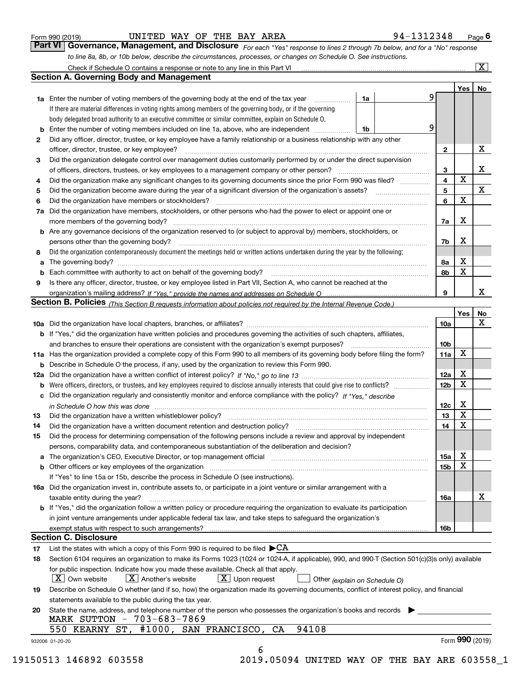| Form 990 (2019) |  |  |
|-----------------|--|--|
|                 |  |  |

UNITED WAY OF THE BAY AREA 94-1312348

*For each "Yes" response to lines 2 through 7b below, and for a "No" response to line 8a, 8b, or 10b below, describe the circumstances, processes, or changes on Schedule O. See instructions.* Form 990 (2019) **CONVICTED WAY OF THE BAY AREA** 94-1312348 Page 6<br>**Part VI Governance, Management, and Disclosure** For each "Yes" response to lines 2 through 7b below, and for a "No" response

|        |                                                                                                                                                                                                                                |                              | Yes             | No |
|--------|--------------------------------------------------------------------------------------------------------------------------------------------------------------------------------------------------------------------------------|------------------------------|-----------------|----|
|        | <b>1a</b> Enter the number of voting members of the governing body at the end of the tax year<br>1a                                                                                                                            | 9                            |                 |    |
|        | If there are material differences in voting rights among members of the governing body, or if the governing                                                                                                                    |                              |                 |    |
|        | body delegated broad authority to an executive committee or similar committee, explain on Schedule O.                                                                                                                          |                              |                 |    |
| b      | Enter the number of voting members included on line 1a, above, who are independent<br>1b                                                                                                                                       | 9                            |                 |    |
| 2      | Did any officer, director, trustee, or key employee have a family relationship or a business relationship with any other                                                                                                       |                              |                 | X  |
|        | officer, director, trustee, or key employee?                                                                                                                                                                                   | $\mathbf{2}$                 |                 |    |
| З      | Did the organization delegate control over management duties customarily performed by or under the direct supervision                                                                                                          |                              |                 | X  |
|        | of officers, directors, trustees, or key employees to a management company or other person?                                                                                                                                    | 3<br>$\overline{\mathbf{4}}$ | X               |    |
| 4      | Did the organization make any significant changes to its governing documents since the prior Form 990 was filed?                                                                                                               |                              |                 | X  |
| 5      |                                                                                                                                                                                                                                | 5                            | $\mathbf X$     |    |
| 6      | Did the organization have members or stockholders?                                                                                                                                                                             | 6                            |                 |    |
| 7a     | Did the organization have members, stockholders, or other persons who had the power to elect or appoint one or                                                                                                                 |                              | Х               |    |
|        | <b>b</b> Are any governance decisions of the organization reserved to (or subject to approval by) members, stockholders, or                                                                                                    | 7a                           |                 |    |
|        |                                                                                                                                                                                                                                |                              | x               |    |
|        | persons other than the governing body?                                                                                                                                                                                         | 7b                           |                 |    |
| 8      | Did the organization contemporaneously document the meetings held or written actions undertaken during the year by the following:                                                                                              | 8а                           | X               |    |
| a<br>b |                                                                                                                                                                                                                                | 8b                           | X               |    |
| 9      | Is there any officer, director, trustee, or key employee listed in Part VII, Section A, who cannot be reached at the                                                                                                           |                              |                 |    |
|        |                                                                                                                                                                                                                                | 9                            |                 | x  |
|        | Section B. Policies (This Section B requests information about policies not required by the Internal Revenue Code.)                                                                                                            |                              |                 |    |
|        |                                                                                                                                                                                                                                |                              | Yes             | No |
|        |                                                                                                                                                                                                                                | 10a                          |                 | X  |
|        | <b>b</b> If "Yes," did the organization have written policies and procedures governing the activities of such chapters, affiliates,                                                                                            |                              |                 |    |
|        |                                                                                                                                                                                                                                | 10 <sub>b</sub>              |                 |    |
|        | 11a Has the organization provided a complete copy of this Form 990 to all members of its governing body before filing the form?                                                                                                | 11a                          | X               |    |
|        | <b>b</b> Describe in Schedule O the process, if any, used by the organization to review this Form 990.                                                                                                                         |                              |                 |    |
|        |                                                                                                                                                                                                                                | 12a                          | X               |    |
|        |                                                                                                                                                                                                                                | 12 <sub>b</sub>              | X               |    |
| b      | c Did the organization regularly and consistently monitor and enforce compliance with the policy? If "Yes," describe                                                                                                           |                              |                 |    |
|        | in Schedule O how this was done manufactured and continuum control of the Schedule O how this was done manufactured and continuum control of the Schedule O how this was done                                                  | 12c                          | X               |    |
| 13     |                                                                                                                                                                                                                                | 13                           | X               |    |
| 14     |                                                                                                                                                                                                                                | 14                           | X               |    |
| 15     | Did the process for determining compensation of the following persons include a review and approval by independent                                                                                                             |                              |                 |    |
|        | persons, comparability data, and contemporaneous substantiation of the deliberation and decision?                                                                                                                              |                              |                 |    |
|        | a The organization's CEO, Executive Director, or top management official manufactured content content of the organization's CEO, Executive Director, or top management official manufactured content of the state of the state | 15a                          | х               |    |
|        |                                                                                                                                                                                                                                | 15b                          | X               |    |
|        | If "Yes" to line 15a or 15b, describe the process in Schedule O (see instructions).                                                                                                                                            |                              |                 |    |
|        | 16a Did the organization invest in, contribute assets to, or participate in a joint venture or similar arrangement with a                                                                                                      |                              |                 |    |
|        | taxable entity during the year?                                                                                                                                                                                                | 16a                          |                 | X  |
|        | <b>b</b> If "Yes," did the organization follow a written policy or procedure requiring the organization to evaluate its participation                                                                                          |                              |                 |    |
|        | in joint venture arrangements under applicable federal tax law, and take steps to safeguard the organization's                                                                                                                 |                              |                 |    |
|        | exempt status with respect to such arrangements?                                                                                                                                                                               | 16b                          |                 |    |
|        | <b>Section C. Disclosure</b>                                                                                                                                                                                                   |                              |                 |    |
| 17     | List the states with which a copy of this Form 990 is required to be filed $\blacktriangleright$ CA                                                                                                                            |                              |                 |    |
| 18     | Section 6104 requires an organization to make its Forms 1023 (1024 or 1024-A, if applicable), 990, and 990-T (Section 501(c)(3)s only) available                                                                               |                              |                 |    |
|        | for public inspection. Indicate how you made these available. Check all that apply.<br>$\lfloor x \rfloor$ Upon request<br>$\mid$ $\rm X\mid$ Own website<br>$ X $ Another's website<br>Other (explain on Schedule O)          |                              |                 |    |
| 19     | Describe on Schedule O whether (and if so, how) the organization made its governing documents, conflict of interest policy, and financial                                                                                      |                              |                 |    |
|        | statements available to the public during the tax year.                                                                                                                                                                        |                              |                 |    |
| 20     | State the name, address, and telephone number of the person who possesses the organization's books and records<br>MARK SUTTON - 703-683-7869                                                                                   |                              |                 |    |
|        | 94108<br>#1000, SAN FRANCISCO, CA<br>550 KEARNY ST,                                                                                                                                                                            |                              |                 |    |
|        | 932006 01-20-20                                                                                                                                                                                                                |                              | Form 990 (2019) |    |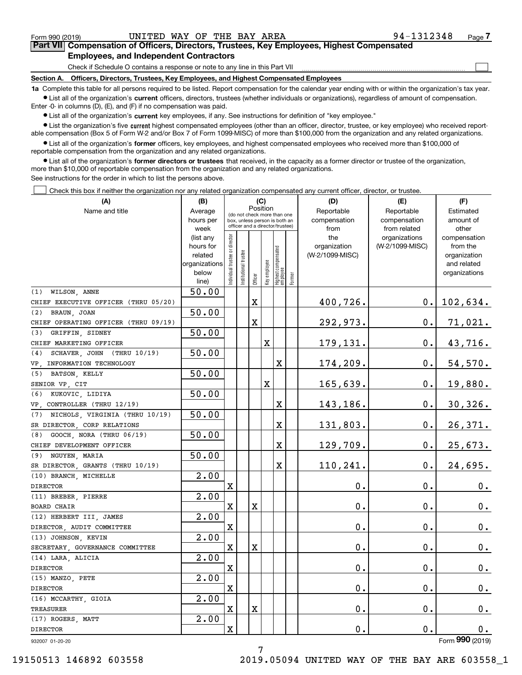$\mathcal{L}^{\text{max}}$ 

### **7Part VII Compensation of Officers, Directors, Trustees, Key Employees, Highest Compensated Employees, and Independent Contractors**

Check if Schedule O contains a response or note to any line in this Part VII

**Section A. Officers, Directors, Trustees, Key Employees, and Highest Compensated Employees**

**1a**  Complete this table for all persons required to be listed. Report compensation for the calendar year ending with or within the organization's tax year. **•** List all of the organization's current officers, directors, trustees (whether individuals or organizations), regardless of amount of compensation.

Enter -0- in columns (D), (E), and (F) if no compensation was paid.

 $\bullet$  List all of the organization's  $\,$ current key employees, if any. See instructions for definition of "key employee."

**•** List the organization's five current highest compensated employees (other than an officer, director, trustee, or key employee) who received reportable compensation (Box 5 of Form W-2 and/or Box 7 of Form 1099-MISC) of more than \$100,000 from the organization and any related organizations.

**•** List all of the organization's former officers, key employees, and highest compensated employees who received more than \$100,000 of reportable compensation from the organization and any related organizations.

**former directors or trustees**  ¥ List all of the organization's that received, in the capacity as a former director or trustee of the organization, more than \$10,000 of reportable compensation from the organization and any related organizations.

See instructions for the order in which to list the persons above.

Check this box if neither the organization nor any related organization compensated any current officer, director, or trustee.  $\mathcal{L}^{\text{max}}$ 

| (A)                                  | (B)                    | (C)                                     |                       |                                                                  |              |                                             |  | (D)                 | (E)                              | (F)                      |
|--------------------------------------|------------------------|-----------------------------------------|-----------------------|------------------------------------------------------------------|--------------|---------------------------------------------|--|---------------------|----------------------------------|--------------------------|
| Name and title                       | Average                | Position<br>(do not check more than one |                       |                                                                  |              |                                             |  | Reportable          | Reportable                       | Estimated                |
|                                      | hours per              |                                         |                       | box, unless person is both an<br>officer and a director/trustee) |              |                                             |  | compensation        | compensation                     | amount of                |
|                                      | week                   |                                         |                       |                                                                  |              |                                             |  | from                | from related                     | other                    |
|                                      | (list any<br>hours for |                                         |                       |                                                                  |              |                                             |  | the<br>organization | organizations<br>(W-2/1099-MISC) | compensation<br>from the |
|                                      | related                |                                         |                       |                                                                  |              |                                             |  | (W-2/1099-MISC)     |                                  | organization             |
|                                      | organizations          |                                         |                       |                                                                  |              |                                             |  |                     |                                  | and related              |
|                                      | below                  | Individual trustee or director          | Institutional trustee |                                                                  |              |                                             |  |                     |                                  | organizations            |
|                                      | line)                  |                                         |                       | Officer                                                          | Key employee | Highest compensated<br> employee<br> Former |  |                     |                                  |                          |
| (1) WILSON, ANNE                     | 50.00                  |                                         |                       |                                                                  |              |                                             |  |                     |                                  |                          |
| CHIEF EXECUTIVE OFFICER (THRU 05/20) |                        |                                         |                       | X                                                                |              |                                             |  | 400,726.            | $0$ .                            | <u>102,634.</u>          |
| (2) BRAUN, JOAN                      | 50.00                  |                                         |                       |                                                                  |              |                                             |  |                     |                                  |                          |
| CHIEF OPERATING OFFICER (THRU 09/19) |                        |                                         |                       | X                                                                |              |                                             |  | 292,973.            | $0$ .                            | 71,021.                  |
| (3) GRIFFIN, SIDNEY                  | 50.00                  |                                         |                       |                                                                  |              |                                             |  |                     |                                  |                          |
| CHIEF MARKETING OFFICER              |                        |                                         |                       |                                                                  | X            |                                             |  | 179,131.            | 0.                               | 43,716.                  |
| (4) SCHAVER, JOHN (THRU 10/19)       | 50.00                  |                                         |                       |                                                                  |              |                                             |  |                     |                                  |                          |
| VP, INFORMATION TECHNOLOGY           |                        |                                         |                       |                                                                  |              | X                                           |  | 174,209.            | $0$ .                            | 54,570.                  |
| (5) BATSON, KELLY                    | 50.00                  |                                         |                       |                                                                  |              |                                             |  |                     |                                  |                          |
| SENIOR VP, CIT                       |                        |                                         |                       |                                                                  | X            |                                             |  | 165,639.            | 0.                               | <u>19,880.</u>           |
| (6) KUKOVIC, LIDIYA                  | 50.00                  |                                         |                       |                                                                  |              |                                             |  |                     |                                  |                          |
| VP, CONTROLLER (THRU 12/19)          |                        |                                         |                       |                                                                  |              | X                                           |  | 143,186.            | 0.                               | 30,326.                  |
| (7) NICHOLS, VIRGINIA (THRU 10/19)   | 50.00                  |                                         |                       |                                                                  |              |                                             |  |                     |                                  |                          |
| SR DIRECTOR, CORP RELATIONS          |                        |                                         |                       |                                                                  |              | $\mathbf X$                                 |  | 131,803.            | 0.                               | 26,371.                  |
| (8) GOOCH, NORA (THRU 06/19)         | 50.00                  |                                         |                       |                                                                  |              |                                             |  |                     |                                  |                          |
| CHIEF DEVELOPMENT OFFICER            |                        |                                         |                       |                                                                  |              | $\mathbf X$                                 |  | 129,709.            | 0.                               | 25,673.                  |
| (9) NGUYEN, MARIA                    | 50.00                  |                                         |                       |                                                                  |              |                                             |  |                     |                                  |                          |
| SR DIRECTOR, GRANTS (THRU 10/19)     |                        |                                         |                       |                                                                  |              | $\mathbf X$                                 |  | 110,241.            | 0.                               | 24,695.                  |
| (10) BRANCH, MICHELLE                | 2.00                   |                                         |                       |                                                                  |              |                                             |  |                     |                                  |                          |
| <b>DIRECTOR</b>                      |                        | X                                       |                       |                                                                  |              |                                             |  | 0.                  | 0.                               | $0_{.}$                  |
| (11) BREBER, PIERRE                  | 2.00                   |                                         |                       |                                                                  |              |                                             |  |                     |                                  |                          |
| BOARD CHAIR                          |                        | X                                       |                       | X                                                                |              |                                             |  | 0.                  | $\mathbf 0$ .                    | 0.                       |
| (12) HERBERT III, JAMES              | $\overline{2.00}$      |                                         |                       |                                                                  |              |                                             |  |                     |                                  |                          |
| DIRECTOR, AUDIT COMMITTEE            |                        | X                                       |                       |                                                                  |              |                                             |  | 0.                  | $0$ .                            | $0_{.}$                  |
| (13) JOHNSON, KEVIN                  | $\overline{2.00}$      |                                         |                       |                                                                  |              |                                             |  |                     |                                  |                          |
| SECRETARY, GOVERNANCE COMMITTEE      |                        | X                                       |                       | X                                                                |              |                                             |  | 0.                  | 0.                               | $0_{.}$                  |
| (14) LARA, ALICIA                    | $\overline{2.00}$      |                                         |                       |                                                                  |              |                                             |  |                     |                                  |                          |
| <b>DIRECTOR</b>                      |                        | X                                       |                       |                                                                  |              |                                             |  | $\mathbf 0$ .       | 0.                               | 0.                       |
| (15) MANZO, PETE                     | $\overline{2.00}$      |                                         |                       |                                                                  |              |                                             |  |                     |                                  |                          |
| DIRECTOR                             |                        | X                                       |                       |                                                                  |              |                                             |  | $0$ .               | $\mathbf 0$ .                    | $\mathbf{0}$ .           |
| (16) MCCARTHY, GIOIA                 | 2.00                   |                                         |                       |                                                                  |              |                                             |  |                     |                                  |                          |
| TREASURER                            |                        | X                                       |                       | X                                                                |              |                                             |  | $\mathbf 0$ .       | $\mathbf 0$ .                    | $0_{.}$                  |
| (17) ROGERS, MATT                    | 2.00                   |                                         |                       |                                                                  |              |                                             |  |                     |                                  |                          |
| DIRECTOR                             |                        | X                                       |                       |                                                                  |              |                                             |  | $\mathbf 0$ .       | $\mathbf 0$ .                    | 0.                       |
| 932007 01-20-20                      |                        |                                         |                       |                                                                  |              |                                             |  |                     |                                  | Form 990 (2019)          |

19150513 146892 603558 2019.05094 UNITED WAY OF THE BAY ARE 603558\_1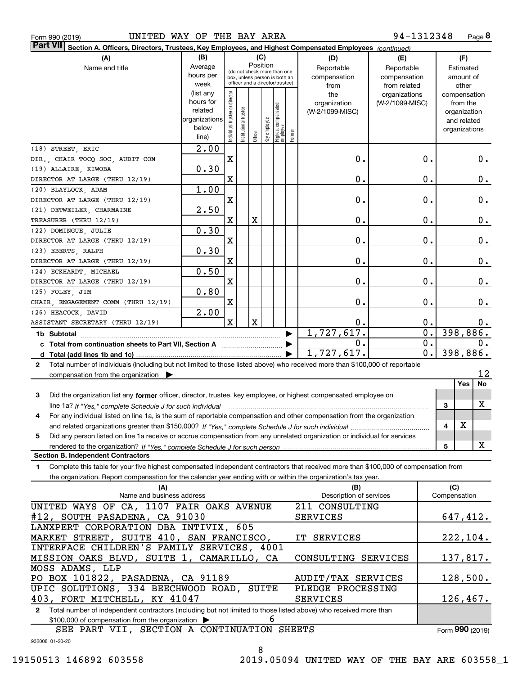|  | Form 990 (2019) |
|--|-----------------|
|  |                 |

| Part VII Section A. Officers, Directors, Trustees, Key Employees, and Highest Compensated Employees (continued)                                                                   |                      |                                         |                                 |             |              |                                   |        |                         |                 |                  |                              |           |
|-----------------------------------------------------------------------------------------------------------------------------------------------------------------------------------|----------------------|-----------------------------------------|---------------------------------|-------------|--------------|-----------------------------------|--------|-------------------------|-----------------|------------------|------------------------------|-----------|
| (A)                                                                                                                                                                               | (B)                  |                                         |                                 | (C)         |              |                                   |        | (D)                     | (E)             |                  | (F)                          |           |
| Name and title                                                                                                                                                                    | Average              | Position<br>(do not check more than one |                                 |             |              |                                   |        | Reportable              | Reportable      |                  | Estimated                    |           |
|                                                                                                                                                                                   | hours per            |                                         | box, unless person is both an   |             |              |                                   |        | compensation            | compensation    |                  | amount of                    |           |
|                                                                                                                                                                                   | week                 |                                         | officer and a director/trustee) |             |              |                                   |        | from                    | from related    |                  | other                        |           |
|                                                                                                                                                                                   | (list any            |                                         |                                 |             |              |                                   |        | the                     | organizations   |                  | compensation                 |           |
|                                                                                                                                                                                   | hours for<br>related |                                         |                                 |             |              |                                   |        | organization            | (W-2/1099-MISC) |                  | from the                     |           |
|                                                                                                                                                                                   | organizations        |                                         |                                 |             |              |                                   |        | (W-2/1099-MISC)         |                 |                  | organization                 |           |
|                                                                                                                                                                                   | below                |                                         |                                 |             |              |                                   |        |                         |                 |                  | and related<br>organizations |           |
|                                                                                                                                                                                   | line)                | Individual trustee or director          | Institutional trustee           | Officer     | Key employee | Highest compensated<br>  employee | Former |                         |                 |                  |                              |           |
| (18) STREET, ERIC                                                                                                                                                                 | 2.00                 |                                         |                                 |             |              |                                   |        |                         |                 |                  |                              |           |
| DIR., CHAIR TOCQ SOC, AUDIT COM                                                                                                                                                   |                      | $\mathbf X$                             |                                 |             |              |                                   |        | 0.                      |                 | 0.               |                              | 0.        |
| (19) ALLAIRE, KIWOBA                                                                                                                                                              | 0.30                 |                                         |                                 |             |              |                                   |        |                         |                 |                  |                              |           |
| DIRECTOR AT LARGE (THRU 12/19)                                                                                                                                                    |                      | X                                       |                                 |             |              |                                   |        | 0.                      |                 | 0.               |                              | 0.        |
| (20) BLAYLOCK, ADAM                                                                                                                                                               | 1.00                 |                                         |                                 |             |              |                                   |        |                         |                 |                  |                              |           |
| DIRECTOR AT LARGE (THRU 12/19)                                                                                                                                                    |                      | X                                       |                                 |             |              |                                   |        | 0.                      |                 | 0.               |                              | 0.        |
| (21) DETWEILER CHARMAINE                                                                                                                                                          | 2.50                 |                                         |                                 |             |              |                                   |        |                         |                 |                  |                              |           |
| TREASURER (THRU 12/19)                                                                                                                                                            |                      | $\mathbf X$                             |                                 | X           |              |                                   |        | 0.                      |                 | 0.               |                              | 0.        |
| (22) DOMINGUE, JULIE                                                                                                                                                              | 0.30                 |                                         |                                 |             |              |                                   |        |                         |                 |                  |                              |           |
| DIRECTOR AT LARGE (THRU 12/19)                                                                                                                                                    |                      | X                                       |                                 |             |              |                                   |        | 0.                      |                 | 0.               |                              | 0.        |
| (23) EBERTS, RALPH                                                                                                                                                                | 0.30                 |                                         |                                 |             |              |                                   |        |                         |                 |                  |                              |           |
| DIRECTOR AT LARGE (THRU 12/19)                                                                                                                                                    |                      | X                                       |                                 |             |              |                                   |        | 0.                      |                 | 0.               |                              | 0.        |
| (24) ECKHARDT, MICHAEL                                                                                                                                                            | 0.50                 |                                         |                                 |             |              |                                   |        |                         |                 |                  |                              |           |
| DIRECTOR AT LARGE (THRU 12/19)                                                                                                                                                    |                      | X                                       |                                 |             |              |                                   |        | 0.                      |                 | 0.               |                              | 0.        |
| (25) FOLEY, JIM                                                                                                                                                                   | 0.80                 |                                         |                                 |             |              |                                   |        |                         |                 |                  |                              |           |
| CHAIR, ENGAGEMENT COMM (THRU 12/19)                                                                                                                                               |                      | X                                       |                                 |             |              |                                   |        | 0.                      |                 | 0.               |                              | 0.        |
| (26) HEACOCK, DAVID                                                                                                                                                               | 2.00                 |                                         |                                 |             |              |                                   |        |                         |                 |                  |                              |           |
| ASSISTANT SECRETARY (THRU 12/19)                                                                                                                                                  |                      | $\mathbf x$                             |                                 | $\mathbf X$ |              |                                   |        | 0.                      |                 | 0.               |                              | 0.        |
| 1b Subtotal                                                                                                                                                                       |                      |                                         |                                 |             |              |                                   |        | 1,727,617.              |                 | $\overline{0}$ . | 398,886.                     |           |
|                                                                                                                                                                                   |                      |                                         |                                 |             |              |                                   |        | 0.                      |                 | $\overline{0}$ . |                              | 0.        |
| d Total (add lines 1b and 1c).                                                                                                                                                    |                      |                                         |                                 |             |              |                                   |        | 1,727,617.              |                 | $\overline{0}$ . | 398,886.                     |           |
| Total number of individuals (including but not limited to those listed above) who received more than \$100,000 of reportable<br>$\mathbf{2}$                                      |                      |                                         |                                 |             |              |                                   |        |                         |                 |                  |                              |           |
| compensation from the organization $\blacktriangleright$                                                                                                                          |                      |                                         |                                 |             |              |                                   |        |                         |                 |                  |                              | 12        |
|                                                                                                                                                                                   |                      |                                         |                                 |             |              |                                   |        |                         |                 |                  | Yes                          | <b>No</b> |
| Did the organization list any former officer, director, trustee, key employee, or highest compensated employee on<br>З                                                            |                      |                                         |                                 |             |              |                                   |        |                         |                 |                  |                              |           |
|                                                                                                                                                                                   |                      |                                         |                                 |             |              |                                   |        |                         |                 |                  | 3                            | х         |
| For any individual listed on line 1a, is the sum of reportable compensation and other compensation from the organization<br>4                                                     |                      |                                         |                                 |             |              |                                   |        |                         |                 |                  |                              |           |
|                                                                                                                                                                                   |                      |                                         |                                 |             |              |                                   |        |                         |                 |                  | X<br>4                       |           |
| Did any person listed on line 1a receive or accrue compensation from any unrelated organization or individual for services<br>5                                                   |                      |                                         |                                 |             |              |                                   |        |                         |                 |                  |                              |           |
|                                                                                                                                                                                   |                      |                                         |                                 |             |              |                                   |        |                         |                 |                  | 5                            | x         |
| <b>Section B. Independent Contractors</b><br>Complete this table for your five highest compensated independent contractors that received more than \$100,000 of compensation from |                      |                                         |                                 |             |              |                                   |        |                         |                 |                  |                              |           |
| 1<br>the organization. Report compensation for the calendar year ending with or within the organization's tax year.                                                               |                      |                                         |                                 |             |              |                                   |        |                         |                 |                  |                              |           |
| (A)                                                                                                                                                                               |                      |                                         |                                 |             |              |                                   |        | (B)                     |                 |                  | (C)                          |           |
| Name and business address                                                                                                                                                         |                      |                                         |                                 |             |              |                                   |        | Description of services |                 |                  | Compensation                 |           |
| UNITED WAYS OF CA, 1107 FAIR OAKS AVENUE                                                                                                                                          |                      |                                         |                                 |             |              |                                   |        | 211 CONSULTING          |                 |                  |                              |           |
| #12, SOUTH PASADENA, CA 91030                                                                                                                                                     |                      |                                         |                                 |             |              |                                   |        | SERVICES                |                 |                  |                              | 647,412.  |
| LANXPERT CORPORATION DBA INTIVIX, 605                                                                                                                                             |                      |                                         |                                 |             |              |                                   |        |                         |                 |                  |                              |           |
| MARKET STREET, SUITE 410, SAN FRANCISCO,                                                                                                                                          |                      |                                         |                                 |             |              |                                   |        | IT SERVICES             |                 |                  |                              | 222, 104. |
| INTERFACE CHILDREN'S FAMILY SERVICES, 4001                                                                                                                                        |                      |                                         |                                 |             |              |                                   |        |                         |                 |                  |                              |           |
| MISSION OAKS BLVD, SUITE 1, CAMARILLO, CA                                                                                                                                         |                      |                                         |                                 |             |              |                                   |        | CONSULTING SERVICES     |                 |                  |                              | 137,817.  |
| MOSS ADAMS, LLP                                                                                                                                                                   |                      |                                         |                                 |             |              |                                   |        |                         |                 |                  |                              |           |
| PO BOX 101822, PASADENA, CA 91189                                                                                                                                                 |                      |                                         |                                 |             |              |                                   |        | AUDIT/TAX SERVICES      |                 |                  |                              | 128,500.  |
| UPIC SOLUTIONS, 334 BEECHWOOD ROAD, SUITE                                                                                                                                         |                      |                                         |                                 |             |              |                                   |        | PLEDGE PROCESSING       |                 |                  |                              |           |

**2**Total number of independent contractors (including but not limited to those listed above) who received more than \$100,000 of compensation from the organization  $\blacktriangleright$ 403, FORT MITCHELL, KY 41047 6 SERVICES

932008 01-20-20 SEE PART VII, SECTION A CONTINUATION SHEETS

8

Form (2019) **990**

126,467.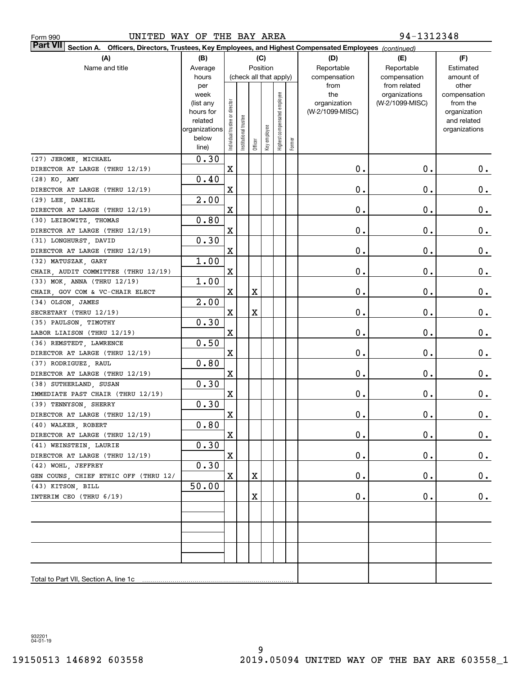| UNITED WAY OF THE BAY AREA<br>Form 990                                                                                |                        |                                |                        |             |              |                              | 94-1312348 |                                 |                 |                          |  |
|-----------------------------------------------------------------------------------------------------------------------|------------------------|--------------------------------|------------------------|-------------|--------------|------------------------------|------------|---------------------------------|-----------------|--------------------------|--|
| Part VII<br>Section A.<br>Officers, Directors, Trustees, Key Employees, and Highest Compensated Employees (continued) |                        |                                |                        |             |              |                              |            |                                 |                 |                          |  |
| (A)<br>(C)<br>(B)                                                                                                     |                        |                                |                        |             |              |                              | (D)        | (E)                             | (F)             |                          |  |
| Name and title                                                                                                        | Average                | Position                       |                        |             |              |                              |            | Reportable                      | Reportable      | Estimated                |  |
|                                                                                                                       | hours                  |                                | (check all that apply) |             |              |                              |            | compensation                    | compensation    | amount of                |  |
|                                                                                                                       | per                    |                                |                        |             |              |                              |            | from                            | from related    | other                    |  |
|                                                                                                                       | week                   |                                |                        |             |              |                              |            | the                             | organizations   | compensation             |  |
|                                                                                                                       | (list any<br>hours for |                                |                        |             |              |                              |            | organization<br>(W-2/1099-MISC) | (W-2/1099-MISC) | from the<br>organization |  |
|                                                                                                                       | related                |                                |                        |             |              |                              |            |                                 |                 | and related              |  |
|                                                                                                                       | organizations          |                                |                        |             |              |                              |            |                                 |                 | organizations            |  |
|                                                                                                                       | below                  | Individual trustee or director | Institutional trustee  |             | Key employee | Highest compensated employee |            |                                 |                 |                          |  |
|                                                                                                                       | line)                  |                                |                        | Officer     |              |                              | Former     |                                 |                 |                          |  |
| (27) JEROME, MICHAEL                                                                                                  | 0.30                   |                                |                        |             |              |                              |            |                                 |                 |                          |  |
| DIRECTOR AT LARGE (THRU 12/19)                                                                                        |                        | $\mathbf X$                    |                        |             |              |                              |            | 0.                              | 0.              | 0.                       |  |
| (28) KO, AMY                                                                                                          | 0.40                   |                                |                        |             |              |                              |            |                                 |                 |                          |  |
| DIRECTOR AT LARGE (THRU 12/19)                                                                                        |                        | X                              |                        |             |              |                              |            | 0.                              | 0.              | $0_{.}$                  |  |
| (29) LEE, DANIEL                                                                                                      | 2.00                   |                                |                        |             |              |                              |            |                                 |                 |                          |  |
| DIRECTOR AT LARGE (THRU 12/19)                                                                                        |                        | X                              |                        |             |              |                              |            | 0.                              | 0.              | $\mathbf 0$ .            |  |
| (30) LEIBOWITZ, THOMAS                                                                                                | 0.80                   |                                |                        |             |              |                              |            |                                 |                 |                          |  |
| DIRECTOR AT LARGE (THRU 12/19)                                                                                        |                        | X                              |                        |             |              |                              |            | 0.                              | 0.              | $\mathbf 0$ .            |  |
| (31) LONGHURST, DAVID                                                                                                 | 0.30                   |                                |                        |             |              |                              |            |                                 |                 |                          |  |
| DIRECTOR AT LARGE (THRU 12/19)                                                                                        |                        | $\mathbf X$                    |                        |             |              |                              |            | 0.                              | 0.              | $\mathbf 0$ .            |  |
| (32) MATUSZAK, GARY                                                                                                   | 1.00                   |                                |                        |             |              |                              |            |                                 |                 |                          |  |
| CHAIR, AUDIT COMMITTEE (THRU 12/19)                                                                                   |                        | X                              |                        |             |              |                              |            | 0.                              | 0.              | $\mathbf 0$ .            |  |
| (33) MOK, ANNA (THRU 12/19)                                                                                           | 1.00                   |                                |                        |             |              |                              |            |                                 |                 |                          |  |
| CHAIR, GOV COM & VC-CHAIR ELECT                                                                                       |                        | X                              |                        | X           |              |                              |            | 0.                              | 0.              | $\mathbf 0$ .            |  |
| (34) OLSON, JAMES                                                                                                     | 2.00                   |                                |                        |             |              |                              |            |                                 |                 |                          |  |
| SECRETARY (THRU 12/19)                                                                                                |                        | X                              |                        | $\mathbf X$ |              |                              |            | 0.                              | 0.              | $\mathbf 0$ .            |  |
| (35) PAULSON, TIMOTHY                                                                                                 | 0.30                   |                                |                        |             |              |                              |            |                                 |                 |                          |  |
| LABOR LIAISON (THRU 12/19)                                                                                            |                        | X                              |                        |             |              |                              |            | 0.                              | $\mathbf 0$ .   | $\mathbf 0$ .            |  |
| (36) REMSTEDT, LAWRENCE<br>DIRECTOR AT LARGE (THRU 12/19)                                                             | 0.50                   | $\mathbf X$                    |                        |             |              |                              |            | 0.                              | $\mathbf 0$ .   | $0_{.}$                  |  |
| (37) RODRIGUEZ, RAUL                                                                                                  | 0.80                   |                                |                        |             |              |                              |            |                                 |                 |                          |  |
| DIRECTOR AT LARGE (THRU 12/19)                                                                                        |                        | $\mathbf X$                    |                        |             |              |                              |            | 0.                              | 0.              | 0.                       |  |
| (38) SUTHERLAND, SUSAN                                                                                                | 0.30                   |                                |                        |             |              |                              |            |                                 |                 |                          |  |
| IMMEDIATE PAST CHAIR (THRU 12/19)                                                                                     |                        | $\mathbf X$                    |                        |             |              |                              |            | 0.                              | 0.              | $0_{.}$                  |  |
| (39) TENNYSON, SHERRY                                                                                                 | 0.30                   |                                |                        |             |              |                              |            |                                 |                 |                          |  |
| DIRECTOR AT LARGE (THRU 12/19)                                                                                        |                        | $\mathbf X$                    |                        |             |              |                              |            | $\mathbf 0$ .                   | $\mathbf 0$ .   | 0.                       |  |
| (40) WALKER, ROBERT                                                                                                   | 0.80                   |                                |                        |             |              |                              |            |                                 |                 |                          |  |
| DIRECTOR AT LARGE (THRU 12/19)                                                                                        |                        | X                              |                        |             |              |                              |            | 0.                              | 0.              | 0.                       |  |
| (41) WEINSTEIN, LAURIE                                                                                                | 0.30                   |                                |                        |             |              |                              |            |                                 |                 |                          |  |
| DIRECTOR AT LARGE (THRU 12/19)                                                                                        |                        | X                              |                        |             |              |                              |            | 0.                              | 0.              | 0.                       |  |
| (42) WOHL, JEFFREY                                                                                                    | 0.30                   |                                |                        |             |              |                              |            |                                 |                 |                          |  |
| GEN COUNS, CHIEF ETHIC OFF (THRU 12/                                                                                  |                        | $\mathbf X$                    |                        | X           |              |                              |            | 0.                              | 0.              | 0.                       |  |
| (43) KITSON, BILL                                                                                                     | 50.00                  |                                |                        |             |              |                              |            |                                 |                 |                          |  |
| INTERIM CEO (THRU 6/19)                                                                                               |                        |                                |                        | X           |              |                              |            | 0.                              | 0.              | $0_{.}$                  |  |
|                                                                                                                       |                        |                                |                        |             |              |                              |            |                                 |                 |                          |  |
|                                                                                                                       |                        |                                |                        |             |              |                              |            |                                 |                 |                          |  |
|                                                                                                                       |                        |                                |                        |             |              |                              |            |                                 |                 |                          |  |
|                                                                                                                       |                        |                                |                        |             |              |                              |            |                                 |                 |                          |  |
|                                                                                                                       |                        |                                |                        |             |              |                              |            |                                 |                 |                          |  |
|                                                                                                                       |                        |                                |                        |             |              |                              |            |                                 |                 |                          |  |
| Total to Part VII, Section A, line 1c                                                                                 |                        |                                |                        |             |              |                              |            |                                 |                 |                          |  |

932201 04-01-19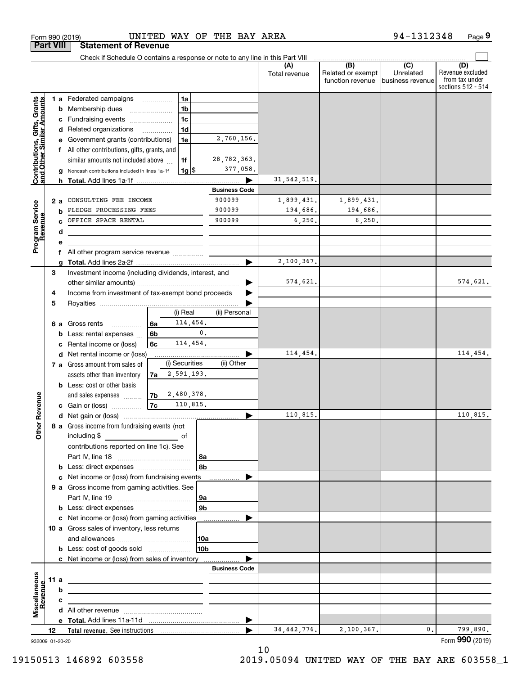|                                                           |                  | UNITED WAY OF THE BAY AREA<br>Form 990 (2019)                                         |                                |                        |                                                           | 94-1312348                                        | Page 9                                                          |
|-----------------------------------------------------------|------------------|---------------------------------------------------------------------------------------|--------------------------------|------------------------|-----------------------------------------------------------|---------------------------------------------------|-----------------------------------------------------------------|
|                                                           | <b>Part VIII</b> | <b>Statement of Revenue</b>                                                           |                                |                        |                                                           |                                                   |                                                                 |
|                                                           |                  | Check if Schedule O contains a response or note to any line in this Part VIII         |                                |                        |                                                           |                                                   |                                                                 |
|                                                           |                  |                                                                                       |                                | (A)<br>Total revenue   | $\overline{(B)}$<br>Related or exempt<br>function revenue | $\overline{(C)}$<br>Unrelated<br>business revenue | (D)<br>Revenue excluded<br>from tax under<br>sections 512 - 514 |
|                                                           |                  | 1 a Federated campaigns<br>1a                                                         |                                |                        |                                                           |                                                   |                                                                 |
| Contributions, Gifts, Grants<br>and Other Similar Amounts | b                | 1 <sub>b</sub><br>Membership dues                                                     |                                |                        |                                                           |                                                   |                                                                 |
|                                                           | c                | 1 <sub>c</sub><br>Fundraising events                                                  |                                |                        |                                                           |                                                   |                                                                 |
|                                                           |                  | 1 <sub>d</sub><br>d Related organizations                                             |                                |                        |                                                           |                                                   |                                                                 |
|                                                           |                  | 1e<br>Government grants (contributions)                                               | 2,760,156.                     |                        |                                                           |                                                   |                                                                 |
|                                                           | f                | All other contributions, gifts, grants, and                                           |                                |                        |                                                           |                                                   |                                                                 |
|                                                           |                  | 1f<br>similar amounts not included above                                              | 28,782,363.                    |                        |                                                           |                                                   |                                                                 |
|                                                           |                  | $1g$ \$<br>Noncash contributions included in lines 1a-1f                              | 377,058.                       |                        |                                                           |                                                   |                                                                 |
|                                                           | h.               |                                                                                       |                                | 31, 542, 519.          |                                                           |                                                   |                                                                 |
|                                                           |                  |                                                                                       | <b>Business Code</b><br>900099 |                        |                                                           |                                                   |                                                                 |
| Program Service<br>Revenue                                | 2a               | CONSULTING FEE INCOME<br>PLEDGE PROCESSING FEES                                       | 900099                         | 1,899,431.<br>194,686. | 1,899,431.<br>194,686.                                    |                                                   |                                                                 |
|                                                           | b                | OFFICE SPACE RENTAL                                                                   | 900099                         | 6, 250.                | 6, 250.                                                   |                                                   |                                                                 |
|                                                           | d                |                                                                                       |                                |                        |                                                           |                                                   |                                                                 |
|                                                           | е                |                                                                                       |                                |                        |                                                           |                                                   |                                                                 |
|                                                           | f                | All other program service revenue                                                     |                                |                        |                                                           |                                                   |                                                                 |
|                                                           |                  |                                                                                       | ▶                              | 2,100,367.             |                                                           |                                                   |                                                                 |
|                                                           | 3                | Investment income (including dividends, interest, and                                 |                                |                        |                                                           |                                                   |                                                                 |
|                                                           |                  |                                                                                       |                                | 574,621.               |                                                           |                                                   | 574,621.                                                        |
|                                                           | 4                | Income from investment of tax-exempt bond proceeds                                    |                                |                        |                                                           |                                                   |                                                                 |
|                                                           | 5                |                                                                                       |                                |                        |                                                           |                                                   |                                                                 |
|                                                           |                  | (i) Real                                                                              | (ii) Personal                  |                        |                                                           |                                                   |                                                                 |
|                                                           | 6а               | 114,454.<br>6a<br>Gross rents<br>.                                                    |                                |                        |                                                           |                                                   |                                                                 |
|                                                           | b                | 0.<br>6 <sub>b</sub><br>Less: rental expenses                                         |                                |                        |                                                           |                                                   |                                                                 |
|                                                           | c                | 114,454.<br>6c<br>Rental income or (loss)                                             |                                |                        |                                                           |                                                   |                                                                 |
|                                                           |                  | d Net rental income or (loss)                                                         |                                | 114,454.               |                                                           |                                                   | 114,454.                                                        |
|                                                           |                  | (i) Securities<br>7 a Gross amount from sales of                                      | (ii) Other                     |                        |                                                           |                                                   |                                                                 |
|                                                           |                  | 2,591,193.<br>assets other than inventory<br>7a<br><b>b</b> Less: cost or other basis |                                |                        |                                                           |                                                   |                                                                 |
|                                                           |                  | 2,480,378.<br>7 <sub>b</sub><br>and sales expenses                                    |                                |                        |                                                           |                                                   |                                                                 |
|                                                           |                  | 7c<br>110,815.<br>c Gain or (loss)                                                    |                                |                        |                                                           |                                                   |                                                                 |
|                                                           |                  |                                                                                       |                                | 110,815.               |                                                           |                                                   | 110,815.                                                        |
|                                                           |                  | 8 a Gross income from fundraising events (not                                         |                                |                        |                                                           |                                                   |                                                                 |
|                                                           |                  | including \$<br>$\overline{\phantom{a}}$ of                                           |                                |                        |                                                           |                                                   |                                                                 |
|                                                           |                  | contributions reported on line 1c). See                                               |                                |                        |                                                           |                                                   |                                                                 |
|                                                           |                  | 8a                                                                                    |                                |                        |                                                           |                                                   |                                                                 |
|                                                           |                  | 8b                                                                                    |                                |                        |                                                           |                                                   |                                                                 |
|                                                           | c                | Net income or (loss) from fundraising events                                          |                                |                        |                                                           |                                                   |                                                                 |
|                                                           |                  | 9 a Gross income from gaming activities. See                                          |                                |                        |                                                           |                                                   |                                                                 |
|                                                           |                  | 9a                                                                                    |                                |                        |                                                           |                                                   |                                                                 |
|                                                           |                  | 9 <sub>b</sub><br><b>b</b> Less: direct expenses <b>manually</b>                      |                                |                        |                                                           |                                                   |                                                                 |
|                                                           |                  | c Net income or (loss) from gaming activities _______________                         |                                |                        |                                                           |                                                   |                                                                 |
|                                                           |                  | 10 a Gross sales of inventory, less returns                                           |                                |                        |                                                           |                                                   |                                                                 |
|                                                           |                  | 10a                                                                                   |                                |                        |                                                           |                                                   |                                                                 |
|                                                           |                  | 10 <sub>b</sub><br><b>b</b> Less: cost of goods sold                                  |                                |                        |                                                           |                                                   |                                                                 |
|                                                           |                  | c Net income or (loss) from sales of inventory                                        | <b>Business Code</b>           |                        |                                                           |                                                   |                                                                 |
|                                                           | 11 a             |                                                                                       |                                |                        |                                                           |                                                   |                                                                 |
|                                                           | b                | <u> 1989 - Johann Barn, amerikansk politiker (</u>                                    |                                |                        |                                                           |                                                   |                                                                 |
| Revenue                                                   | с                |                                                                                       |                                |                        |                                                           |                                                   |                                                                 |
|                                                           |                  | the control of the control of the control of the control of the control of            |                                |                        |                                                           |                                                   |                                                                 |
| Miscellaneous                                             |                  |                                                                                       |                                |                        |                                                           |                                                   |                                                                 |
|                                                           | 12               |                                                                                       |                                | 34, 442, 776.          | 2,100,367.                                                | 0.                                                | 799,890.                                                        |
|                                                           | 932009 01-20-20  |                                                                                       |                                |                        |                                                           |                                                   | Form 990 (2019)                                                 |

932009 01-20-20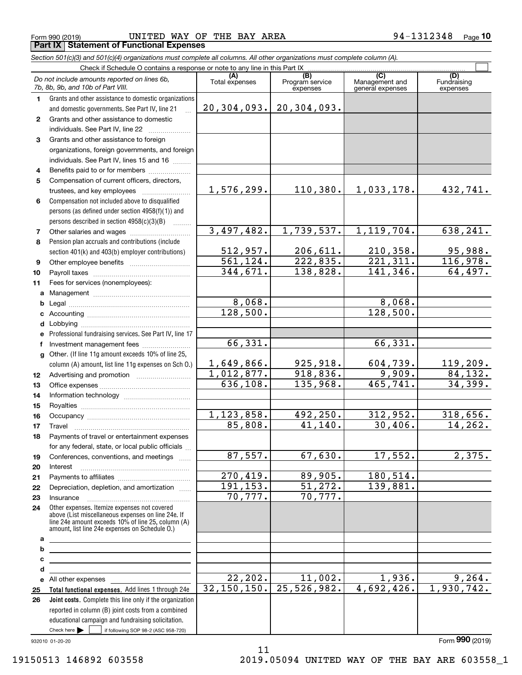**78**

**91011abcdefg**

**abcde2526**

**6** Compensation not included above to disqualified

persons (as defined under section 4958(f)(1)) and persons described in section 4958(c)(3)(B)  $\quad \ldots \ldots \ldots$ 

Other salaries and wages ~~~~~~~~~~

Other employee benefits ~~~~~~~~~~ Payroll taxes ~~~~~~~~~~~~~~~~

Management ~~~~~~~~~~~~~~~~ Legal ~~~~~~~~~~~~~~~~~~~~ Accounting ~~~~~~~~~~~~~~~~~ Lobbying ~~~~~~~~~~~~~~~~~~

trustees, and key employees  $\ldots$  ~~~~~~~~~~~~~~~~~

Pension plan accruals and contributions (include section 401(k) and 403(b) employer contributions)

Fees for services (nonemployees):

Professional fundraising services. See Part IV, line 17

lnvestment management fees .......................

Other. (If line 11g amount exceeds 10% of line 25, column (A) amount, list line 11g expenses on Sch O.)

Advertising and promotion www.communication Office expenses ~~~~~~~~~~~~~~~ Information technology ~~~~~~~~~~~ Royalties ~~~~~~~~~~~~~~~~~~ Occupancy ~~~~~~~~~~~~~~~~~ Travel ……………………………………………… Payments of travel or entertainment expenses for any federal, state, or local public officials ... Conferences, conventions, and meetings Interest ……………………………………………… Payments to affiliates ~~~~~~~~~~~~ Depreciation, depletion, and amortization  $\,\,\ldots\,\,$ lnsurance <sub>………………</sub>……………………………

Form 990 (2019) UNITED WAY OF THE BAY AREA 9 4-1312348 <sub>Page</sub> **Part IX Statement of Functional Expenses**

110,380. 1,033,178. 432,741.

1,739,537. 1,119,704. 638,241.

206,611. 210,358. 95,988. 222,835. 221,311. 116,978. 138,828. 141,346. 64,497.

> 8,068. 128,500.

> > 66,331.

925,918. 604,739. 119,209.  $918,836.$  9,909. 84,132. 135,968. 465,741. 34,399.

492,250. 312,952. 318,656. 41,140. 30,406. 14,262.

67,630. 17,552. 2,375.

 $11,002.$   $1,936.$  9,264. 25,526,982. 4,692,426. 1,930,742.

89,905. 180,514. 51,272. 139,881.

70,777.

 $\mathcal{L}^{\text{max}}$ 

|                                                                                   | Section 501(c)(3) and 501(c)(4) organizations must complete all columns. All other organizations must complete column (A).                  |                       |                                    |                                           |                                |
|-----------------------------------------------------------------------------------|---------------------------------------------------------------------------------------------------------------------------------------------|-----------------------|------------------------------------|-------------------------------------------|--------------------------------|
|                                                                                   | Check if Schedule O contains a response or note to any line in this Part IX                                                                 |                       |                                    |                                           |                                |
| Do not include amounts reported on lines 6b,<br>7b, 8b, 9b, and 10b of Part VIII. |                                                                                                                                             | (A)<br>Total expenses | (B)<br>Program service<br>expenses | (C)<br>Management and<br>general expenses | (D)<br>Fundraising<br>expenses |
|                                                                                   | Grants and other assistance to domestic organizations<br>and domestic governments. See Part IV, line 21                                     | 20, 304, 093.         | 20, 304, 093.                      |                                           |                                |
|                                                                                   | Grants and other assistance to domestic<br>individuals. See Part IV, line 22                                                                |                       |                                    |                                           |                                |
| 3                                                                                 | Grants and other assistance to foreign<br>organizations, foreign governments, and foreign<br>individuals. See Part IV, lines 15 and 16<br>. |                       |                                    |                                           |                                |
| 4                                                                                 | Benefits paid to or for members                                                                                                             |                       |                                    |                                           |                                |
| 5                                                                                 | Compensation of current officers, directors.                                                                                                |                       |                                    |                                           |                                |

1,576,299.

3,497,482.

512,957. 561,124. 344,671.

8,068. 128,500.

66,331.

1,649,866. 1,012,877. 636,108.

1,123,858. 85,808.

87,557.

270,419. 191,153. 70,777.

22,202. 32,150,150.

932010 01-20-20

All other expenses

Check here  $\begin{array}{|c|c|c|c|c|}\hline \text{ } & \text{ if following SOP 98-2 (ASC 958-720)} \hline \end{array}$ 

reported in column (B) joint costs from a combined educational campaign and fundraising solicitation.

**Total functional expenses.**  Add lines 1 through 24e **Joint costs.** Complete this line only if the organization

Other expenses. Itemize expenses not covered above (List miscellaneous expenses on line 24e. If line 24e amount exceeds 10% of line 25, column (A) amount, list line 24e expenses on Schedule O.)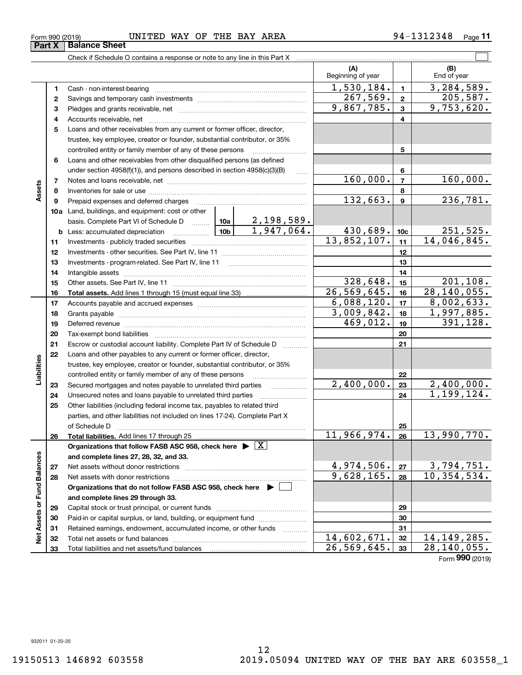**33**

Total liabilities and net assets/fund balances

#### Form 990 (2019) UNITED WAY OF THE BAY AREA 9 4-1312348 <sub>Page</sub> **Part X** Balance Sheet

Check if Schedule O contains a response or note to any line in this Part X

**(A) (B)** Beginning of year | | End of year  $1,530,184.$   $1$  3,284,589. **11**Cash - non-interest-bearing ~~~~~~~~~~~~~~~~~~~~~~~~~  $267,569$ .  $2$  205,587. **22**Savings and temporary cash investments ~~~~~~~~~~~~~~~~~~9,867,785. 9,753,620. **33** Pledges and grants receivable, net  $\ldots$  **multimes contained and grants receivable**, net **multimes contained and grants receivable**, net **multimes contained and grants receivable** Accounts receivable, net ~~~~~~~~~~~~~~~~~~~~~~~~~~ **445**Loans and other receivables from any current or former officer, director, trustee, key employee, creator or founder, substantial contributor, or 35% controlled entity or family member of any of these persons ............................ **5**Loans and other receivables from other disqualified persons (as defined **6**under section  $4958(f)(1)$ , and persons described in section  $4958(c)(3)(B)$ **6** $160,000.7$   $160,000.$ **77**Notes and loans receivable, net ~~~~~~~~~~~~~~~~~~~~~~~**Assets 88**Inventories for sale or use ~~~~~~~~~~~~~~~~~~~~~~~~~~  $132,663.$  9 236,781. **99**Prepaid expenses and deferred charges ~~~~~~~~~~~~~~~~~~ **10a**Land, buildings, and equipment: cost or other 2,198,589. basis. Complete Part VI of Schedule D will aller 1,947,064. 430,689. 10c 251,525. **10cb** Less: accumulated depreciation  $\ldots$  **10b** 13,852,107. 11 14,046,845. **1111**Investments - publicly traded securities ~~~~~~~~~~~~~~~~~~~ **1212**Investments - other securities. See Part IV, line 11 ~~~~~~~~~~~~~~ **1313**Investments - program-related. See Part IV, line 11 ~~~~~~~~~~~~~**1414**Intangible assets ~~~~~~~~~~~~~~~~~~~~~~~~~~~~~~ Other assets. See Part IV, line 11 ~~~~~~~~~~~~~~~~~~~~~~  $328,648.$   $15$  201,108. **1515**26,569,645. 16 28,140,055. **1616Total assets.**  Add lines 1 through 15 (must equal line 33)  $6,088,120.$  17 | 8,002,633. **1717**Accounts payable and accrued expenses ~~~~~~~~~~~~~~~~~~ **18** $3,009,842.$  | 18 | 1,997,885. **18**Grants payable ~~~~~~~~~~~~~~~~~~~~~~~~~~~~~~~ 469,012. 391,128. **1919**Deferred revenue ~~~~~~~~~~~~~~~~~~~~~~~~~~~~~~ **2020**Tax-exempt bond liabilities …………………………………………………………… Escrow or custodial account liability. Complete Part IV of Schedule D **212122**Loans and other payables to any current or former officer, director, iabilities **Liabilities** trustee, key employee, creator or founder, substantial contributor, or 35% controlled entity or family member of any of these persons ~~~~~~~~~**22** $2,400,000.$   $2,400,000.$ **23**Secured mortgages and notes payable to unrelated third parties **23**1,199,124. Unsecured notes and loans payable to unrelated third parties ~~~~~~~~ **242425**Other liabilities (including federal income tax, payables to related third parties, and other liabilities not included on lines 17-24). Complete Part X of Schedule D ~~~~~~~~~~~~~~~~~~~~~~~~~~~~~~~ **25** $11,966,974. |26 | 13,990,770.$ **2626Total liabilities.**  Add lines 17 through 25 **Organizations that follow FASB ASC 958, check here** | X Assets or Fund Balances **Net Assets or Fund Balances and complete lines 27, 28, 32, and 33.**  $4,974,506$ .  $|z_7|$  3,794,751. **2727**Net assets without donor restrictions <sub>…………………………………………………</sub>……  $9,628,165. |28 | 10,354,534.$ **2828**Net assets with donor restrictions ~~~~~~~~~~~~~~~~~~~~~~**Organizations that do not follow FASB ASC 958, check here** | **and complete lines 29 through 33. 2929**Capital stock or trust principal, or current funds ~~~~~~~~~~~~~~~ **3030**Paid-in or capital surplus, or land, building, or equipment fund www.commun.com **3131**Retained earnings, endowment, accumulated income, or other funds www.com  $\frac{1}{2}$ Total net assets or fund balances ~~~~~~~~~~~~~~~~~~~~~~  $14,602,671.$   $32$  | 14,149,285. **3232**26,569,645. 28,140,055.

 $\mathcal{L}^{\text{max}}$ 

94-1312348 Page 11

Form (2019) **990**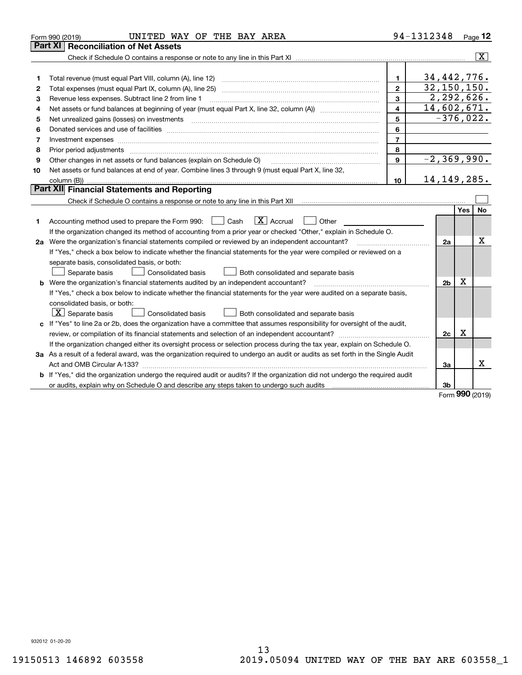|    | UNITED WAY OF THE BAY AREA<br>Form 990 (2019)                                                                                                                                                                                                                                                                                                                                                                                                                           |                         | 94-1312348      |     | Page 12        |
|----|-------------------------------------------------------------------------------------------------------------------------------------------------------------------------------------------------------------------------------------------------------------------------------------------------------------------------------------------------------------------------------------------------------------------------------------------------------------------------|-------------------------|-----------------|-----|----------------|
|    | <b>Reconciliation of Net Assets</b><br>Part XI                                                                                                                                                                                                                                                                                                                                                                                                                          |                         |                 |     |                |
|    |                                                                                                                                                                                                                                                                                                                                                                                                                                                                         |                         |                 |     | $ \mathbf{X} $ |
|    |                                                                                                                                                                                                                                                                                                                                                                                                                                                                         |                         |                 |     |                |
| 1  | Total revenue (must equal Part VIII, column (A), line 12)                                                                                                                                                                                                                                                                                                                                                                                                               | 1                       | 34,442,776.     |     |                |
| 2  | Total expenses (must equal Part IX, column (A), line 25)                                                                                                                                                                                                                                                                                                                                                                                                                | $\mathbf{2}$            | 32, 150, 150.   |     |                |
| 3  | Revenue less expenses. Subtract line 2 from line 1                                                                                                                                                                                                                                                                                                                                                                                                                      | 3                       | 2, 292, 626.    |     |                |
| 4  |                                                                                                                                                                                                                                                                                                                                                                                                                                                                         | $\overline{\mathbf{4}}$ | 14,602,671.     |     |                |
| 5  | Net unrealized gains (losses) on investments                                                                                                                                                                                                                                                                                                                                                                                                                            | 5                       | $-376,022.$     |     |                |
| 6  |                                                                                                                                                                                                                                                                                                                                                                                                                                                                         | 6                       |                 |     |                |
| 7  | Investment expenses www.communication.com/www.communication.com/www.communication.com/www.com                                                                                                                                                                                                                                                                                                                                                                           | $\overline{7}$          |                 |     |                |
| 8  | Prior period adjustments<br>$\begin{minipage}{0.5\textwidth} \begin{tabular}{ l l l } \hline \multicolumn{1}{ l l l } \hline \multicolumn{1}{ l l } \multicolumn{1}{ l } \multicolumn{1}{ l } \multicolumn{1}{ l } \multicolumn{1}{ l } \multicolumn{1}{ l } \multicolumn{1}{ l } \multicolumn{1}{ l } \multicolumn{1}{ l } \multicolumn{1}{ l } \multicolumn{1}{ l } \multicolumn{1}{ l } \multicolumn{1}{ l } \multicolumn{1}{ l } \multicolumn{1}{ l } \multicolumn$ | 8                       |                 |     |                |
| 9  | Other changes in net assets or fund balances (explain on Schedule O)                                                                                                                                                                                                                                                                                                                                                                                                    | 9                       | $-2, 369, 990.$ |     |                |
| 10 | Net assets or fund balances at end of year. Combine lines 3 through 9 (must equal Part X, line 32,                                                                                                                                                                                                                                                                                                                                                                      |                         |                 |     |                |
|    |                                                                                                                                                                                                                                                                                                                                                                                                                                                                         | 10                      | 14, 149, 285.   |     |                |
|    | Part XII Financial Statements and Reporting                                                                                                                                                                                                                                                                                                                                                                                                                             |                         |                 |     |                |
|    |                                                                                                                                                                                                                                                                                                                                                                                                                                                                         |                         |                 |     |                |
|    |                                                                                                                                                                                                                                                                                                                                                                                                                                                                         |                         |                 | Yes | No             |
| 1  | $\boxed{\text{X}}$ Accrual<br>Accounting method used to prepare the Form 990: <u>I</u> Cash<br>Other                                                                                                                                                                                                                                                                                                                                                                    |                         |                 |     |                |
|    | If the organization changed its method of accounting from a prior year or checked "Other," explain in Schedule O.                                                                                                                                                                                                                                                                                                                                                       |                         |                 |     |                |
|    | 2a Were the organization's financial statements compiled or reviewed by an independent accountant?                                                                                                                                                                                                                                                                                                                                                                      |                         | 2a              |     | x              |
|    | If "Yes," check a box below to indicate whether the financial statements for the year were compiled or reviewed on a                                                                                                                                                                                                                                                                                                                                                    |                         |                 |     |                |
|    | separate basis, consolidated basis, or both:                                                                                                                                                                                                                                                                                                                                                                                                                            |                         |                 |     |                |
|    | Separate basis<br>Consolidated basis<br>Both consolidated and separate basis                                                                                                                                                                                                                                                                                                                                                                                            |                         |                 |     |                |
|    | <b>b</b> Were the organization's financial statements audited by an independent accountant?                                                                                                                                                                                                                                                                                                                                                                             |                         | 2 <sub>b</sub>  | х   |                |
|    | If "Yes," check a box below to indicate whether the financial statements for the year were audited on a separate basis,                                                                                                                                                                                                                                                                                                                                                 |                         |                 |     |                |
|    | consolidated basis, or both:                                                                                                                                                                                                                                                                                                                                                                                                                                            |                         |                 |     |                |
|    | $ \mathbf{X} $ Separate basis<br><b>Consolidated basis</b><br>Both consolidated and separate basis                                                                                                                                                                                                                                                                                                                                                                      |                         |                 |     |                |
|    | c If "Yes" to line 2a or 2b, does the organization have a committee that assumes responsibility for oversight of the audit,                                                                                                                                                                                                                                                                                                                                             |                         |                 |     |                |
|    | review, or compilation of its financial statements and selection of an independent accountant?                                                                                                                                                                                                                                                                                                                                                                          |                         | 2c              | x   |                |
|    | If the organization changed either its oversight process or selection process during the tax year, explain on Schedule O.                                                                                                                                                                                                                                                                                                                                               |                         |                 |     |                |
|    | 3a As a result of a federal award, was the organization required to undergo an audit or audits as set forth in the Single Audit                                                                                                                                                                                                                                                                                                                                         |                         |                 |     |                |
|    |                                                                                                                                                                                                                                                                                                                                                                                                                                                                         |                         | За              |     | x              |
|    | b If "Yes," did the organization undergo the required audit or audits? If the organization did not undergo the required audit                                                                                                                                                                                                                                                                                                                                           |                         |                 |     |                |
|    |                                                                                                                                                                                                                                                                                                                                                                                                                                                                         |                         | 3 <sub>b</sub>  |     |                |

Form (2019) **990**

932012 01-20-20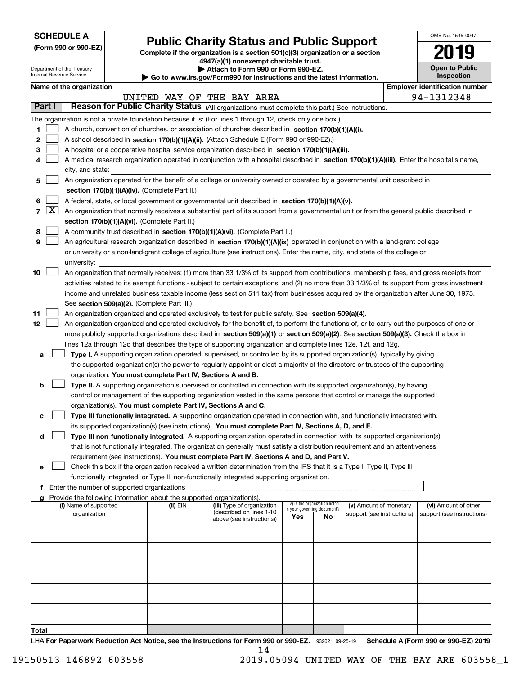| <b>SCHEDULE A</b> |
|-------------------|
|-------------------|

Department of the Treasury Internal Revenue Service

| (Form 990 or 990-EZ) |  |  |  |  |
|----------------------|--|--|--|--|
|----------------------|--|--|--|--|

## **Public Charity Status and Public Support**

**Complete if the organization is a section 501(c)(3) organization or a section 4947(a)(1) nonexempt charitable trust.**

**| Attach to Form 990 or Form 990-EZ.** 

**| Go to www.irs.gov/Form990 for instructions and the latest information.**

| OMB No. 1545-0047                   |
|-------------------------------------|
| 2019                                |
| <b>Open to Public</b><br>Inspection |

| Name of the organization |  |
|--------------------------|--|
|--------------------------|--|

|               |                     | Name of the organization                                                                                                                      |          |                            |                                 |     |                            |  | <b>Employer identification number</b> |  |  |
|---------------|---------------------|-----------------------------------------------------------------------------------------------------------------------------------------------|----------|----------------------------|---------------------------------|-----|----------------------------|--|---------------------------------------|--|--|
|               |                     |                                                                                                                                               |          | UNITED WAY OF THE BAY AREA |                                 |     |                            |  | 94-1312348                            |  |  |
| <b>Part I</b> |                     | Reason for Public Charity Status (All organizations must complete this part.) See instructions.                                               |          |                            |                                 |     |                            |  |                                       |  |  |
|               |                     | The organization is not a private foundation because it is: (For lines 1 through 12, check only one box.)                                     |          |                            |                                 |     |                            |  |                                       |  |  |
| 1             |                     | A church, convention of churches, or association of churches described in section 170(b)(1)(A)(i).                                            |          |                            |                                 |     |                            |  |                                       |  |  |
| 2             |                     | A school described in section 170(b)(1)(A)(ii). (Attach Schedule E (Form 990 or 990-EZ).)                                                     |          |                            |                                 |     |                            |  |                                       |  |  |
| З             |                     | A hospital or a cooperative hospital service organization described in section 170(b)(1)(A)(iii).                                             |          |                            |                                 |     |                            |  |                                       |  |  |
|               |                     | A medical research organization operated in conjunction with a hospital described in section 170(b)(1)(A)(iii). Enter the hospital's name,    |          |                            |                                 |     |                            |  |                                       |  |  |
|               |                     | city, and state:                                                                                                                              |          |                            |                                 |     |                            |  |                                       |  |  |
| 5             |                     | An organization operated for the benefit of a college or university owned or operated by a governmental unit described in                     |          |                            |                                 |     |                            |  |                                       |  |  |
|               |                     | section 170(b)(1)(A)(iv). (Complete Part II.)                                                                                                 |          |                            |                                 |     |                            |  |                                       |  |  |
| 6             |                     | A federal, state, or local government or governmental unit described in section 170(b)(1)(A)(v).                                              |          |                            |                                 |     |                            |  |                                       |  |  |
| 7             | $\lfloor x \rfloor$ | An organization that normally receives a substantial part of its support from a governmental unit or from the general public described in     |          |                            |                                 |     |                            |  |                                       |  |  |
|               |                     | section 170(b)(1)(A)(vi). (Complete Part II.)                                                                                                 |          |                            |                                 |     |                            |  |                                       |  |  |
| 8             |                     | A community trust described in section 170(b)(1)(A)(vi). (Complete Part II.)                                                                  |          |                            |                                 |     |                            |  |                                       |  |  |
| 9             |                     | An agricultural research organization described in section 170(b)(1)(A)(ix) operated in conjunction with a land-grant college                 |          |                            |                                 |     |                            |  |                                       |  |  |
|               |                     | or university or a non-land-grant college of agriculture (see instructions). Enter the name, city, and state of the college or                |          |                            |                                 |     |                            |  |                                       |  |  |
|               |                     | university:                                                                                                                                   |          |                            |                                 |     |                            |  |                                       |  |  |
| 10            |                     | An organization that normally receives: (1) more than 33 1/3% of its support from contributions, membership fees, and gross receipts from     |          |                            |                                 |     |                            |  |                                       |  |  |
|               |                     | activities related to its exempt functions - subject to certain exceptions, and (2) no more than 33 1/3% of its support from gross investment |          |                            |                                 |     |                            |  |                                       |  |  |
|               |                     | income and unrelated business taxable income (less section 511 tax) from businesses acquired by the organization after June 30, 1975.         |          |                            |                                 |     |                            |  |                                       |  |  |
|               |                     | See section 509(a)(2). (Complete Part III.)                                                                                                   |          |                            |                                 |     |                            |  |                                       |  |  |
| 11            |                     | An organization organized and operated exclusively to test for public safety. See section 509(a)(4).                                          |          |                            |                                 |     |                            |  |                                       |  |  |
| 12            |                     | An organization organized and operated exclusively for the benefit of, to perform the functions of, or to carry out the purposes of one or    |          |                            |                                 |     |                            |  |                                       |  |  |
|               |                     | more publicly supported organizations described in section 509(a)(1) or section 509(a)(2). See section 509(a)(3). Check the box in            |          |                            |                                 |     |                            |  |                                       |  |  |
|               |                     | lines 12a through 12d that describes the type of supporting organization and complete lines 12e, 12f, and 12g.                                |          |                            |                                 |     |                            |  |                                       |  |  |
| а             |                     | Type I. A supporting organization operated, supervised, or controlled by its supported organization(s), typically by giving                   |          |                            |                                 |     |                            |  |                                       |  |  |
|               |                     | the supported organization(s) the power to regularly appoint or elect a majority of the directors or trustees of the supporting               |          |                            |                                 |     |                            |  |                                       |  |  |
|               |                     | organization. You must complete Part IV, Sections A and B.                                                                                    |          |                            |                                 |     |                            |  |                                       |  |  |
| b             |                     | Type II. A supporting organization supervised or controlled in connection with its supported organization(s), by having                       |          |                            |                                 |     |                            |  |                                       |  |  |
|               |                     | control or management of the supporting organization vested in the same persons that control or manage the supported                          |          |                            |                                 |     |                            |  |                                       |  |  |
|               |                     | organization(s). You must complete Part IV, Sections A and C.                                                                                 |          |                            |                                 |     |                            |  |                                       |  |  |
| c             |                     | Type III functionally integrated. A supporting organization operated in connection with, and functionally integrated with,                    |          |                            |                                 |     |                            |  |                                       |  |  |
|               |                     | its supported organization(s) (see instructions). You must complete Part IV, Sections A, D, and E.                                            |          |                            |                                 |     |                            |  |                                       |  |  |
| d             |                     | Type III non-functionally integrated. A supporting organization operated in connection with its supported organization(s)                     |          |                            |                                 |     |                            |  |                                       |  |  |
|               |                     | that is not functionally integrated. The organization generally must satisfy a distribution requirement and an attentiveness                  |          |                            |                                 |     |                            |  |                                       |  |  |
|               |                     | requirement (see instructions). You must complete Part IV, Sections A and D, and Part V.                                                      |          |                            |                                 |     |                            |  |                                       |  |  |
| е             |                     | Check this box if the organization received a written determination from the IRS that it is a Type I, Type II, Type III                       |          |                            |                                 |     |                            |  |                                       |  |  |
|               |                     | functionally integrated, or Type III non-functionally integrated supporting organization.                                                     |          |                            |                                 |     |                            |  |                                       |  |  |
|               |                     | f Enter the number of supported organizations                                                                                                 |          |                            |                                 |     |                            |  |                                       |  |  |
|               |                     | g Provide the following information about the supported organization(s).<br>(i) Name of supported                                             | (ii) EIN | (iii) Type of organization | (iv) Is the organization listed |     | (v) Amount of monetary     |  | (vi) Amount of other                  |  |  |
|               |                     | organization                                                                                                                                  |          | (described on lines 1-10   | in your governing document?     |     | support (see instructions) |  | support (see instructions)            |  |  |
|               |                     |                                                                                                                                               |          | above (see instructions))  | Yes                             | No. |                            |  |                                       |  |  |
|               |                     |                                                                                                                                               |          |                            |                                 |     |                            |  |                                       |  |  |
|               |                     |                                                                                                                                               |          |                            |                                 |     |                            |  |                                       |  |  |
|               |                     |                                                                                                                                               |          |                            |                                 |     |                            |  |                                       |  |  |
|               |                     |                                                                                                                                               |          |                            |                                 |     |                            |  |                                       |  |  |
|               |                     |                                                                                                                                               |          |                            |                                 |     |                            |  |                                       |  |  |
|               |                     |                                                                                                                                               |          |                            |                                 |     |                            |  |                                       |  |  |
|               |                     |                                                                                                                                               |          |                            |                                 |     |                            |  |                                       |  |  |
|               |                     |                                                                                                                                               |          |                            |                                 |     |                            |  |                                       |  |  |
|               |                     |                                                                                                                                               |          |                            |                                 |     |                            |  |                                       |  |  |
| Total         |                     |                                                                                                                                               |          |                            |                                 |     |                            |  |                                       |  |  |

LHA For Paperwork Reduction Act Notice, see the Instructions for Form 990 or 990-EZ. 932021 09-25-19 Schedule A (Form 990 or 990-EZ) 2019 14

19150513 146892 603558 2019.05094 UNITED WAY OF THE BAY ARE 603558\_1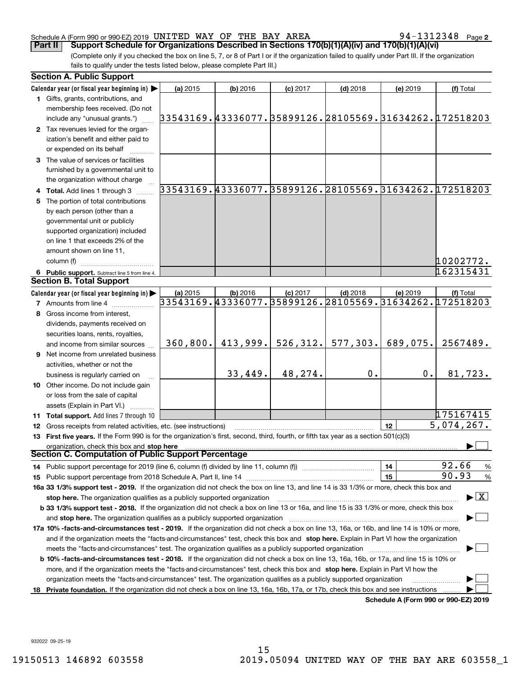#### Schedule A (Form 990 or 990-EZ) 2019 <code>UNITED WAY OF THE BAY AREA</code>  $94-1312348$  <code>Page</code>

**2**

(Complete only if you checked the box on line 5, 7, or 8 of Part I or if the organization failed to qualify under Part III. If the organization fails to qualify under the tests listed below, please complete Part III.) **Part II Support Schedule for Organizations Described in Sections 170(b)(1)(A)(iv) and 170(b)(1)(A)(vi)**

|    | <b>Section A. Public Support</b>                                                                                                                                                                                       |           |            |            |            |          |                                                            |
|----|------------------------------------------------------------------------------------------------------------------------------------------------------------------------------------------------------------------------|-----------|------------|------------|------------|----------|------------------------------------------------------------|
|    | Calendar year (or fiscal year beginning in) $\blacktriangleright$                                                                                                                                                      | (a) 2015  | $(b)$ 2016 | $(c)$ 2017 | $(d)$ 2018 | (e) 2019 | (f) Total                                                  |
|    | 1 Gifts, grants, contributions, and                                                                                                                                                                                    |           |            |            |            |          |                                                            |
|    | membership fees received. (Do not                                                                                                                                                                                      |           |            |            |            |          |                                                            |
|    | include any "unusual grants.")                                                                                                                                                                                         |           |            |            |            |          | 33543169.43336077. 35899126. 28105569. 31634262. 172518203 |
|    | 2 Tax revenues levied for the organ-                                                                                                                                                                                   |           |            |            |            |          |                                                            |
|    | ization's benefit and either paid to                                                                                                                                                                                   |           |            |            |            |          |                                                            |
|    | or expended on its behalf                                                                                                                                                                                              |           |            |            |            |          |                                                            |
|    | 3 The value of services or facilities                                                                                                                                                                                  |           |            |            |            |          |                                                            |
|    | furnished by a governmental unit to                                                                                                                                                                                    |           |            |            |            |          |                                                            |
|    | the organization without charge                                                                                                                                                                                        |           |            |            |            |          |                                                            |
|    | 4 Total. Add lines 1 through 3                                                                                                                                                                                         |           |            |            |            |          | 33543169.43336077.35899126.28105569.31634262.172518203     |
| 5. | The portion of total contributions                                                                                                                                                                                     |           |            |            |            |          |                                                            |
|    | by each person (other than a                                                                                                                                                                                           |           |            |            |            |          |                                                            |
|    | governmental unit or publicly                                                                                                                                                                                          |           |            |            |            |          |                                                            |
|    |                                                                                                                                                                                                                        |           |            |            |            |          |                                                            |
|    | supported organization) included<br>on line 1 that exceeds 2% of the                                                                                                                                                   |           |            |            |            |          |                                                            |
|    |                                                                                                                                                                                                                        |           |            |            |            |          |                                                            |
|    | amount shown on line 11,                                                                                                                                                                                               |           |            |            |            |          |                                                            |
|    | column (f)                                                                                                                                                                                                             |           |            |            |            |          | 10202772.                                                  |
|    | 6 Public support. Subtract line 5 from line 4.                                                                                                                                                                         |           |            |            |            |          | 162315431                                                  |
|    | <b>Section B. Total Support</b>                                                                                                                                                                                        |           |            |            |            |          |                                                            |
|    | Calendar year (or fiscal year beginning in) $\blacktriangleright$                                                                                                                                                      | (a) 2015  | $(b)$ 2016 | $(c)$ 2017 | $(d)$ 2018 | (e) 2019 | (f) Total                                                  |
|    | <b>7</b> Amounts from line 4                                                                                                                                                                                           |           |            |            |            |          | 33543169.43336077.35899126.28105569.31634262.172518203     |
| 8  | Gross income from interest,                                                                                                                                                                                            |           |            |            |            |          |                                                            |
|    | dividends, payments received on                                                                                                                                                                                        |           |            |            |            |          |                                                            |
|    | securities loans, rents, royalties,                                                                                                                                                                                    |           |            |            |            |          |                                                            |
|    | and income from similar sources                                                                                                                                                                                        | 360, 800. | 413,999.   | 526, 312.  | 577, 303.  | 689,075. | 2567489.                                                   |
|    | 9 Net income from unrelated business                                                                                                                                                                                   |           |            |            |            |          |                                                            |
|    | activities, whether or not the                                                                                                                                                                                         |           |            |            |            |          |                                                            |
|    | business is regularly carried on                                                                                                                                                                                       |           | 33,449.    | 48,274.    | 0.         | 0.       | 81,723.                                                    |
|    | 10 Other income. Do not include gain                                                                                                                                                                                   |           |            |            |            |          |                                                            |
|    | or loss from the sale of capital                                                                                                                                                                                       |           |            |            |            |          |                                                            |
|    | assets (Explain in Part VI.)                                                                                                                                                                                           |           |            |            |            |          |                                                            |
|    | <b>11 Total support.</b> Add lines 7 through 10                                                                                                                                                                        |           |            |            |            |          | 175167415                                                  |
|    | 12 Gross receipts from related activities, etc. (see instructions)                                                                                                                                                     |           |            |            |            | 12       | 5,074,267.                                                 |
|    | 13 First five years. If the Form 990 is for the organization's first, second, third, fourth, or fifth tax year as a section 501(c)(3)                                                                                  |           |            |            |            |          |                                                            |
|    | organization, check this box and stop here                                                                                                                                                                             |           |            |            |            |          |                                                            |
|    | Section C. Computation of Public Support Percentage                                                                                                                                                                    |           |            |            |            |          |                                                            |
|    | 14 Public support percentage for 2019 (line 6, column (f) divided by line 11, column (f) <i>manumeronominimi</i> ng.                                                                                                   |           |            |            |            | 14       | 92.66<br>$\frac{9}{6}$                                     |
|    |                                                                                                                                                                                                                        |           |            |            |            | 15       | 90.93<br>$\frac{9}{6}$                                     |
|    | 16a 33 1/3% support test - 2019. If the organization did not check the box on line 13, and line 14 is 33 1/3% or more, check this box and                                                                              |           |            |            |            |          |                                                            |
|    | stop here. The organization qualifies as a publicly supported organization                                                                                                                                             |           |            |            |            |          | $\blacktriangleright$ $\boxed{\text{X}}$                   |
|    | b 33 1/3% support test - 2018. If the organization did not check a box on line 13 or 16a, and line 15 is 33 1/3% or more, check this box                                                                               |           |            |            |            |          |                                                            |
|    | and stop here. The organization qualifies as a publicly supported organization matchinary material content of the organization material and stop here. The organization qualifies as a publicly supported organization |           |            |            |            |          |                                                            |
|    | 17a 10% -facts-and-circumstances test - 2019. If the organization did not check a box on line 13, 16a, or 16b, and line 14 is 10% or more,                                                                             |           |            |            |            |          |                                                            |
|    | and if the organization meets the "facts-and-circumstances" test, check this box and stop here. Explain in Part VI how the organization                                                                                |           |            |            |            |          |                                                            |
|    | meets the "facts and circumstances" test. The organization qualifies as a publicly supported organization <i>manumumumumumum</i>                                                                                       |           |            |            |            |          |                                                            |
|    | <b>b 10% -facts-and-circumstances test - 2018.</b> If the organization did not check a box on line 13, 16a, 16b, or 17a, and line 15 is 10% or                                                                         |           |            |            |            |          |                                                            |
|    | more, and if the organization meets the "facts-and-circumstances" test, check this box and stop here. Explain in Part VI how the                                                                                       |           |            |            |            |          |                                                            |
|    | organization meets the "facts-and-circumstances" test. The organization qualifies as a publicly supported organization                                                                                                 |           |            |            |            |          |                                                            |
| 18 | Private foundation. If the organization did not check a box on line 13, 16a, 16b, 17a, or 17b, check this box and see instructions                                                                                     |           |            |            |            |          |                                                            |
|    |                                                                                                                                                                                                                        |           |            |            |            |          | Schedule A (Form 990 or 990-F7) 2019                       |

**Schedule A (Form 990 or 990-EZ) 2019**

932022 09-25-19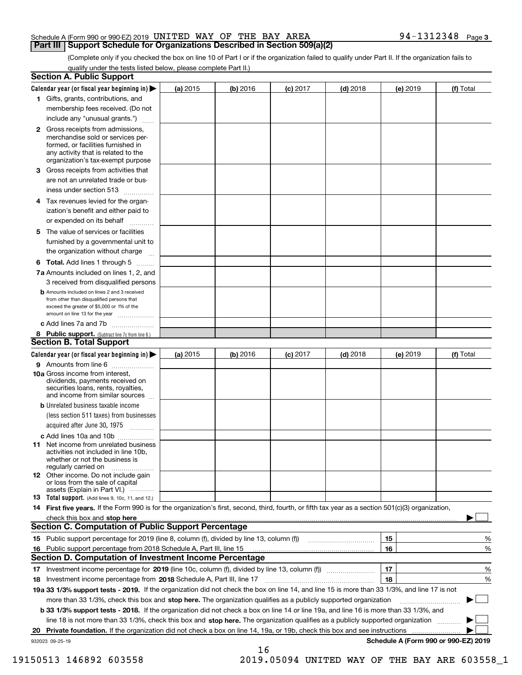#### Schedule A (Form 990 or 990-EZ) 2019 <code>UNITED WAY OF THE BAY AREA</code>  $94-1312348$  <code>Page</code> **Part III Support Schedule for Organizations Described in Section 509(a)(2)**

(Complete only if you checked the box on line 10 of Part I or if the organization failed to qualify under Part II. If the organization fails to qualify under the tests listed below, please complete Part II.)

|    | <b>Section A. Public Support</b>                                                                                                                                                         |          |            |            |            |          |                                      |
|----|------------------------------------------------------------------------------------------------------------------------------------------------------------------------------------------|----------|------------|------------|------------|----------|--------------------------------------|
|    | Calendar year (or fiscal year beginning in) $\blacktriangleright$                                                                                                                        | (a) 2015 | $(b)$ 2016 | $(c)$ 2017 | $(d)$ 2018 | (e) 2019 | (f) Total                            |
|    | 1 Gifts, grants, contributions, and                                                                                                                                                      |          |            |            |            |          |                                      |
|    | membership fees received. (Do not                                                                                                                                                        |          |            |            |            |          |                                      |
|    | include any "unusual grants.")                                                                                                                                                           |          |            |            |            |          |                                      |
|    | 2 Gross receipts from admissions,<br>merchandise sold or services per-<br>formed, or facilities furnished in<br>any activity that is related to the<br>organization's tax-exempt purpose |          |            |            |            |          |                                      |
|    | 3 Gross receipts from activities that<br>are not an unrelated trade or bus-                                                                                                              |          |            |            |            |          |                                      |
|    | iness under section 513                                                                                                                                                                  |          |            |            |            |          |                                      |
|    | 4 Tax revenues levied for the organ-                                                                                                                                                     |          |            |            |            |          |                                      |
|    | ization's benefit and either paid to<br>or expended on its behalf<br>.                                                                                                                   |          |            |            |            |          |                                      |
|    | 5 The value of services or facilities                                                                                                                                                    |          |            |            |            |          |                                      |
|    | furnished by a governmental unit to                                                                                                                                                      |          |            |            |            |          |                                      |
|    | the organization without charge                                                                                                                                                          |          |            |            |            |          |                                      |
|    | <b>6 Total.</b> Add lines 1 through 5                                                                                                                                                    |          |            |            |            |          |                                      |
|    | 7a Amounts included on lines 1, 2, and<br>3 received from disqualified persons                                                                                                           |          |            |            |            |          |                                      |
|    | <b>b</b> Amounts included on lines 2 and 3 received<br>from other than disqualified persons that<br>exceed the greater of \$5,000 or 1% of the<br>amount on line 13 for the year         |          |            |            |            |          |                                      |
|    | c Add lines 7a and 7b                                                                                                                                                                    |          |            |            |            |          |                                      |
|    | 8 Public support. (Subtract line 7c from line 6.)                                                                                                                                        |          |            |            |            |          |                                      |
|    | <b>Section B. Total Support</b>                                                                                                                                                          |          |            |            |            |          |                                      |
|    | Calendar year (or fiscal year beginning in) $\blacktriangleright$                                                                                                                        | (a) 2015 | (b) 2016   | $(c)$ 2017 | $(d)$ 2018 | (e) 2019 | (f) Total                            |
|    | 9 Amounts from line 6                                                                                                                                                                    |          |            |            |            |          |                                      |
|    | 10a Gross income from interest,<br>dividends, payments received on<br>securities loans, rents, royalties,<br>and income from similar sources                                             |          |            |            |            |          |                                      |
|    | <b>b</b> Unrelated business taxable income<br>(less section 511 taxes) from businesses                                                                                                   |          |            |            |            |          |                                      |
|    | acquired after June 30, 1975                                                                                                                                                             |          |            |            |            |          |                                      |
|    | c Add lines 10a and 10b<br>11 Net income from unrelated business<br>activities not included in line 10b,<br>whether or not the business is<br>regularly carried on                       |          |            |            |            |          |                                      |
|    | 12 Other income. Do not include gain<br>or loss from the sale of capital<br>assets (Explain in Part VI.)                                                                                 |          |            |            |            |          |                                      |
|    | <b>13</b> Total support. (Add lines 9, 10c, 11, and 12.)                                                                                                                                 |          |            |            |            |          |                                      |
|    | 14 First five years. If the Form 990 is for the organization's first, second, third, fourth, or fifth tax year as a section 501(c)(3) organization,                                      |          |            |            |            |          |                                      |
|    | check this box and stop here measurements are constructed as the state of the state of the state of the state o                                                                          |          |            |            |            |          |                                      |
|    | <b>Section C. Computation of Public Support Percentage</b>                                                                                                                               |          |            |            |            |          |                                      |
|    | 15 Public support percentage for 2019 (line 8, column (f), divided by line 13, column (f))                                                                                               |          |            |            |            | 15       | %                                    |
|    | 16 Public support percentage from 2018 Schedule A, Part III, line 15                                                                                                                     |          |            |            |            | 16       | %                                    |
|    | <b>Section D. Computation of Investment Income Percentage</b>                                                                                                                            |          |            |            |            |          |                                      |
|    | 17 Investment income percentage for 2019 (line 10c, column (f), divided by line 13, column (f))                                                                                          |          |            |            |            | 17       | %                                    |
|    | <b>18</b> Investment income percentage from <b>2018</b> Schedule A, Part III, line 17                                                                                                    |          |            |            |            | 18       | %                                    |
|    | 19a 33 1/3% support tests - 2019. If the organization did not check the box on line 14, and line 15 is more than 33 1/3%, and line 17 is not                                             |          |            |            |            |          |                                      |
|    | more than 33 1/3%, check this box and stop here. The organization qualifies as a publicly supported organization                                                                         |          |            |            |            |          | ▶                                    |
|    | b 33 1/3% support tests - 2018. If the organization did not check a box on line 14 or line 19a, and line 16 is more than 33 1/3%, and                                                    |          |            |            |            |          |                                      |
|    | line 18 is not more than 33 1/3%, check this box and stop here. The organization qualifies as a publicly supported organization                                                          |          |            |            |            |          |                                      |
| 20 | <b>Private foundation.</b> If the organization did not check a box on line 14, 19a, or 19b, check this box and see instructions                                                          |          |            |            |            |          |                                      |
|    | 932023 09-25-19                                                                                                                                                                          |          | 16         |            |            |          | Schedule A (Form 990 or 990-EZ) 2019 |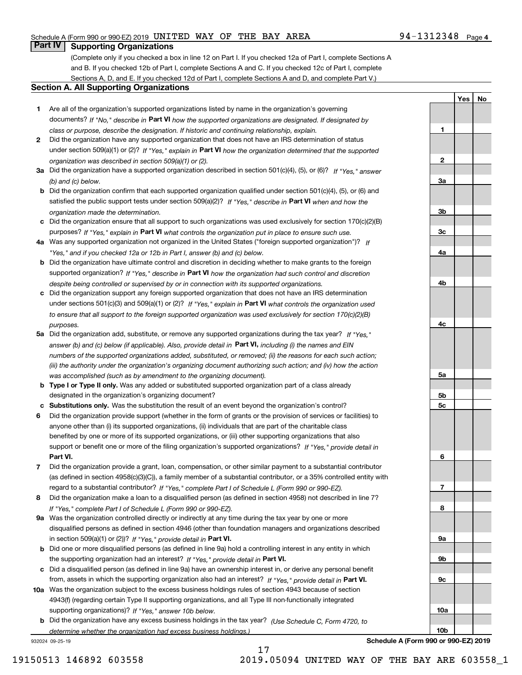#### Schedule A (Form 990 or 990-EZ) 2019 <code>UNITED WAY OF THE BAY AREA</code>  $94-1312348$  <code>Page</code>

### **Part IV Supporting Organizations**

(Complete only if you checked a box in line 12 on Part I. If you checked 12a of Part I, complete Sections A and B. If you checked 12b of Part I, complete Sections A and C. If you checked 12c of Part I, complete Sections A, D, and E. If you checked 12d of Part I, complete Sections A and D, and complete Part V.)

#### **Section A. All Supporting Organizations**

- **1** Are all of the organization's supported organizations listed by name in the organization's governing documents? If "No," describe in **Part VI** how the supported organizations are designated. If designated by *class or purpose, describe the designation. If historic and continuing relationship, explain.*
- **2** Did the organization have any supported organization that does not have an IRS determination of status under section 509(a)(1) or (2)? If "Yes," explain in Part VI how the organization determined that the supported *organization was described in section 509(a)(1) or (2).*
- **3a** Did the organization have a supported organization described in section 501(c)(4), (5), or (6)? If "Yes," answer *(b) and (c) below.*
- **b** Did the organization confirm that each supported organization qualified under section 501(c)(4), (5), or (6) and satisfied the public support tests under section 509(a)(2)? If "Yes," describe in **Part VI** when and how the *organization made the determination.*
- **c**Did the organization ensure that all support to such organizations was used exclusively for section 170(c)(2)(B) purposes? If "Yes," explain in **Part VI** what controls the organization put in place to ensure such use.
- **4a***If* Was any supported organization not organized in the United States ("foreign supported organization")? *"Yes," and if you checked 12a or 12b in Part I, answer (b) and (c) below.*
- **b** Did the organization have ultimate control and discretion in deciding whether to make grants to the foreign supported organization? If "Yes," describe in **Part VI** how the organization had such control and discretion *despite being controlled or supervised by or in connection with its supported organizations.*
- **c** Did the organization support any foreign supported organization that does not have an IRS determination under sections 501(c)(3) and 509(a)(1) or (2)? If "Yes," explain in **Part VI** what controls the organization used *to ensure that all support to the foreign supported organization was used exclusively for section 170(c)(2)(B) purposes.*
- **5a** Did the organization add, substitute, or remove any supported organizations during the tax year? If "Yes," answer (b) and (c) below (if applicable). Also, provide detail in **Part VI,** including (i) the names and EIN *numbers of the supported organizations added, substituted, or removed; (ii) the reasons for each such action; (iii) the authority under the organization's organizing document authorizing such action; and (iv) how the action was accomplished (such as by amendment to the organizing document).*
- **b** Type I or Type II only. Was any added or substituted supported organization part of a class already designated in the organization's organizing document?
- **cSubstitutions only.**  Was the substitution the result of an event beyond the organization's control?
- **6** Did the organization provide support (whether in the form of grants or the provision of services or facilities) to **Part VI.** *If "Yes," provide detail in* support or benefit one or more of the filing organization's supported organizations? anyone other than (i) its supported organizations, (ii) individuals that are part of the charitable class benefited by one or more of its supported organizations, or (iii) other supporting organizations that also
- **7**Did the organization provide a grant, loan, compensation, or other similar payment to a substantial contributor *If "Yes," complete Part I of Schedule L (Form 990 or 990-EZ).* regard to a substantial contributor? (as defined in section 4958(c)(3)(C)), a family member of a substantial contributor, or a 35% controlled entity with
- **8** Did the organization make a loan to a disqualified person (as defined in section 4958) not described in line 7? *If "Yes," complete Part I of Schedule L (Form 990 or 990-EZ).*
- **9a** Was the organization controlled directly or indirectly at any time during the tax year by one or more in section 509(a)(1) or (2))? If "Yes," *provide detail in* <code>Part VI.</code> disqualified persons as defined in section 4946 (other than foundation managers and organizations described
- **b** Did one or more disqualified persons (as defined in line 9a) hold a controlling interest in any entity in which the supporting organization had an interest? If "Yes," provide detail in P**art VI**.
- **c**Did a disqualified person (as defined in line 9a) have an ownership interest in, or derive any personal benefit from, assets in which the supporting organization also had an interest? If "Yes," provide detail in P**art VI.**
- **10a** Was the organization subject to the excess business holdings rules of section 4943 because of section supporting organizations)? If "Yes," answer 10b below. 4943(f) (regarding certain Type II supporting organizations, and all Type III non-functionally integrated
- **b** Did the organization have any excess business holdings in the tax year? (Use Schedule C, Form 4720, to *determine whether the organization had excess business holdings.)*

17

932024 09-25-19

**10b**

19150513 146892 603558 2019.05094 UNITED WAY OF THE BAY ARE 603558\_1

**1**

**2**

**3a**

**YesNo**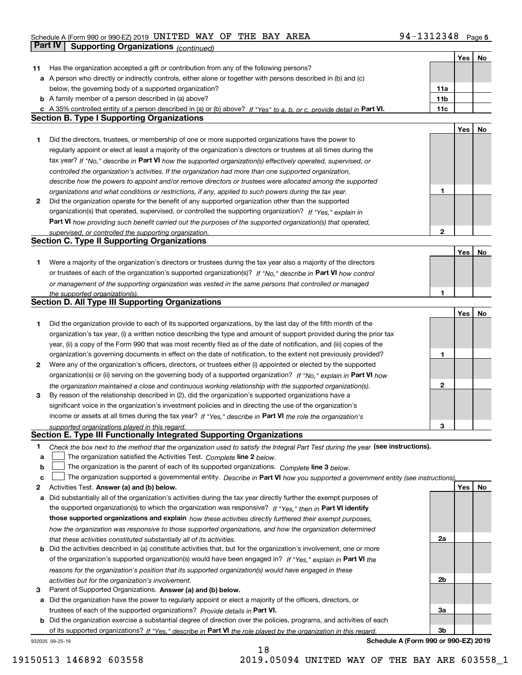### Schedule A (Form 990 or 990-EZ) 2019 <code>UNITED WAY OF THE BAY AREA</code>  $94-1312348$  <code>Page</code> **Part IV | Supporting Organizations** *(continued)*

|    |                                                                                                                                   |              | Yes | No |
|----|-----------------------------------------------------------------------------------------------------------------------------------|--------------|-----|----|
| 11 | Has the organization accepted a gift or contribution from any of the following persons?                                           |              |     |    |
| а  | A person who directly or indirectly controls, either alone or together with persons described in (b) and (c)                      |              |     |    |
|    | below, the governing body of a supported organization?                                                                            | 11a          |     |    |
|    | <b>b</b> A family member of a person described in (a) above?                                                                      | 11b          |     |    |
|    | c A 35% controlled entity of a person described in (a) or (b) above? If "Yes" to a, b, or c, provide detail in Part VI.           | 11c          |     |    |
|    | <b>Section B. Type I Supporting Organizations</b>                                                                                 |              |     |    |
|    |                                                                                                                                   |              | Yes | No |
| 1. | Did the directors, trustees, or membership of one or more supported organizations have the power to                               |              |     |    |
|    | regularly appoint or elect at least a majority of the organization's directors or trustees at all times during the                |              |     |    |
|    | tax year? If "No," describe in Part VI how the supported organization(s) effectively operated, supervised, or                     |              |     |    |
|    | controlled the organization's activities. If the organization had more than one supported organization,                           |              |     |    |
|    | describe how the powers to appoint and/or remove directors or trustees were allocated among the supported                         |              |     |    |
|    | organizations and what conditions or restrictions, if any, applied to such powers during the tax year.                            | 1            |     |    |
| 2  | Did the organization operate for the benefit of any supported organization other than the supported                               |              |     |    |
|    | organization(s) that operated, supervised, or controlled the supporting organization? If "Yes," explain in                        |              |     |    |
|    | Part VI how providing such benefit carried out the purposes of the supported organization(s) that operated,                       |              |     |    |
|    | supervised, or controlled the supporting organization.                                                                            | $\mathbf{2}$ |     |    |
|    | <b>Section C. Type II Supporting Organizations</b>                                                                                |              |     |    |
|    |                                                                                                                                   |              | Yes | No |
| 1. | Were a majority of the organization's directors or trustees during the tax year also a majority of the directors                  |              |     |    |
|    | or trustees of each of the organization's supported organization(s)? If "No," describe in Part VI how control                     |              |     |    |
|    | or management of the supporting organization was vested in the same persons that controlled or managed                            |              |     |    |
|    | the supported organization(s).                                                                                                    |              |     |    |
|    | <b>Section D. All Type III Supporting Organizations</b>                                                                           |              |     |    |
|    |                                                                                                                                   |              | Yes | No |
| 1. | Did the organization provide to each of its supported organizations, by the last day of the fifth month of the                    |              |     |    |
|    | organization's tax year, (i) a written notice describing the type and amount of support provided during the prior tax             |              |     |    |
|    | year, (ii) a copy of the Form 990 that was most recently filed as of the date of notification, and (iii) copies of the            |              |     |    |
|    | organization's governing documents in effect on the date of notification, to the extent not previously provided?                  | 1            |     |    |
| 2  | Were any of the organization's officers, directors, or trustees either (i) appointed or elected by the supported                  |              |     |    |
|    | organization(s) or (ii) serving on the governing body of a supported organization? If "No," explain in Part VI how                |              |     |    |
|    | the organization maintained a close and continuous working relationship with the supported organization(s).                       | $\mathbf{2}$ |     |    |
| 3  | By reason of the relationship described in (2), did the organization's supported organizations have a                             |              |     |    |
|    | significant voice in the organization's investment policies and in directing the use of the organization's                        |              |     |    |
|    | income or assets at all times during the tax year? If "Yes," describe in Part VI the role the organization's                      |              |     |    |
|    | supported organizations played in this regard.                                                                                    | з            |     |    |
|    | Section E. Type III Functionally Integrated Supporting Organizations                                                              |              |     |    |
| 1  | Check the box next to the method that the organization used to satisfy the Integral Part Test during the year (see instructions). |              |     |    |
| a  | The organization satisfied the Activities Test. Complete line 2 below.                                                            |              |     |    |
| b  | The organization is the parent of each of its supported organizations. Complete line 3 below.                                     |              |     |    |
| c  | The organization supported a governmental entity. Describe in Part VI how you supported a government entity (see instructions),   |              |     |    |
| 2  | Activities Test. Answer (a) and (b) below.                                                                                        |              | Yes | No |
| а  | Did substantially all of the organization's activities during the tax year directly further the exempt purposes of                |              |     |    |
|    | the supported organization(s) to which the organization was responsive? If "Yes," then in Part VI identify                        |              |     |    |
|    | those supported organizations and explain how these activities directly furthered their exempt purposes,                          |              |     |    |
|    | how the organization was responsive to those supported organizations, and how the organization determined                         |              |     |    |
|    | that these activities constituted substantially all of its activities.                                                            | 2a           |     |    |
| b  | Did the activities described in (a) constitute activities that, but for the organization's involvement, one or more               |              |     |    |
|    | of the organization's supported organization(s) would have been engaged in? If "Yes," explain in Part VI the                      |              |     |    |
|    | reasons for the organization's position that its supported organization(s) would have engaged in these                            |              |     |    |
|    | activities but for the organization's involvement.                                                                                | 2b           |     |    |
| з  | Parent of Supported Organizations. Answer (a) and (b) below.                                                                      |              |     |    |
| а  | Did the organization have the power to regularly appoint or elect a majority of the officers, directors, or                       |              |     |    |
|    | trustees of each of the supported organizations? Provide details in Part VI.                                                      | За           |     |    |
| b  | Did the organization exercise a substantial degree of direction over the policies, programs, and activities of each               |              |     |    |
|    | of its supported organizations? If "Yes," describe in Part VI the role played by the organization in this regard.                 | 3b           |     |    |

932025 09-25-19

**Schedule A (Form 990 or 990-EZ) 2019**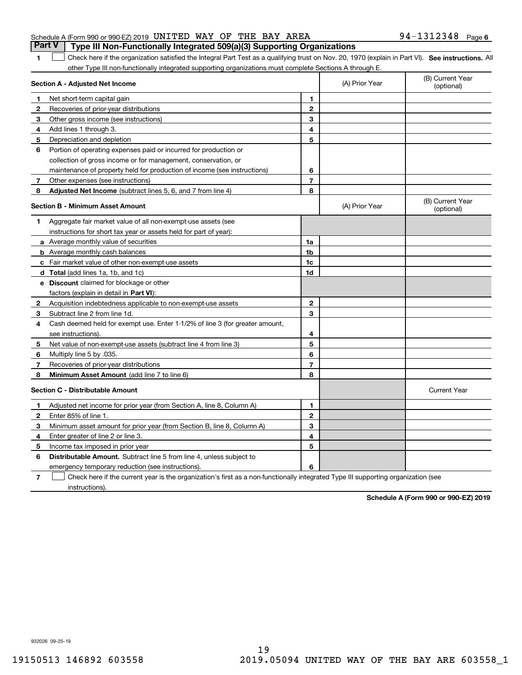|  | Schedule A (Form 990 or 990-EZ) 2019 UNITED WAY OF THE BAY AREA                       |  |  |  | $94 - 1312348$ Page 6 |  |
|--|---------------------------------------------------------------------------------------|--|--|--|-----------------------|--|
|  | <b>Part V</b> Type III Non-Functionally Integrated 509(a)(3) Supporting Organizations |  |  |  |                       |  |

1 Check here if the organization satisfied the Integral Part Test as a qualifying trust on Nov. 20, 1970 (explain in Part VI). See instructions. All other Type III non-functionally integrated supporting organizations must complete Sections A through E.

|   | Section A - Adjusted Net Income                                                                                                   |                | (A) Prior Year | (B) Current Year<br>(optional) |
|---|-----------------------------------------------------------------------------------------------------------------------------------|----------------|----------------|--------------------------------|
| 1 | Net short-term capital gain                                                                                                       | 1              |                |                                |
| 2 | Recoveries of prior-year distributions                                                                                            | $\overline{2}$ |                |                                |
| 3 | Other gross income (see instructions)                                                                                             | 3              |                |                                |
| 4 | Add lines 1 through 3.                                                                                                            | 4              |                |                                |
| 5 | Depreciation and depletion                                                                                                        | 5              |                |                                |
| 6 | Portion of operating expenses paid or incurred for production or                                                                  |                |                |                                |
|   | collection of gross income or for management, conservation, or                                                                    |                |                |                                |
|   | maintenance of property held for production of income (see instructions)                                                          | 6              |                |                                |
| 7 | Other expenses (see instructions)                                                                                                 | 7              |                |                                |
| 8 | Adjusted Net Income (subtract lines 5, 6, and 7 from line 4)                                                                      | 8              |                |                                |
|   | <b>Section B - Minimum Asset Amount</b>                                                                                           |                | (A) Prior Year | (B) Current Year<br>(optional) |
| 1 | Aggregate fair market value of all non-exempt-use assets (see                                                                     |                |                |                                |
|   | instructions for short tax year or assets held for part of year):                                                                 |                |                |                                |
|   | a Average monthly value of securities                                                                                             | 1a             |                |                                |
|   | <b>b</b> Average monthly cash balances                                                                                            | 1b             |                |                                |
|   | c Fair market value of other non-exempt-use assets                                                                                | 1c             |                |                                |
|   | d Total (add lines 1a, 1b, and 1c)                                                                                                | 1d             |                |                                |
|   | e Discount claimed for blockage or other                                                                                          |                |                |                                |
|   | factors (explain in detail in Part VI):                                                                                           |                |                |                                |
| 2 | Acquisition indebtedness applicable to non-exempt-use assets                                                                      | $\mathbf 2$    |                |                                |
| 3 | Subtract line 2 from line 1d.                                                                                                     | 3              |                |                                |
| 4 | Cash deemed held for exempt use. Enter 1-1/2% of line 3 (for greater amount,                                                      |                |                |                                |
|   | see instructions)                                                                                                                 | 4              |                |                                |
| 5 | Net value of non-exempt-use assets (subtract line 4 from line 3)                                                                  | 5              |                |                                |
| 6 | Multiply line 5 by .035.                                                                                                          | 6              |                |                                |
| 7 | Recoveries of prior-year distributions                                                                                            | $\overline{7}$ |                |                                |
| 8 | Minimum Asset Amount (add line 7 to line 6)                                                                                       | 8              |                |                                |
|   | <b>Section C - Distributable Amount</b>                                                                                           |                |                | <b>Current Year</b>            |
| 1 | Adjusted net income for prior year (from Section A, line 8, Column A)                                                             | 1              |                |                                |
| 2 | Enter 85% of line 1                                                                                                               | $\overline{2}$ |                |                                |
| з | Minimum asset amount for prior year (from Section B, line 8, Column A)                                                            | 3              |                |                                |
| 4 | Enter greater of line 2 or line 3.                                                                                                | 4              |                |                                |
| 5 | Income tax imposed in prior year                                                                                                  | 5              |                |                                |
| 6 | <b>Distributable Amount.</b> Subtract line 5 from line 4, unless subject to                                                       |                |                |                                |
|   | emergency temporary reduction (see instructions).                                                                                 | 6              |                |                                |
| 7 | Check here if the current year is the organization's first as a non-functionally integrated Type III supporting organization (see |                |                |                                |

instructions).

**Schedule A (Form 990 or 990-EZ) 2019**

932026 09-25-19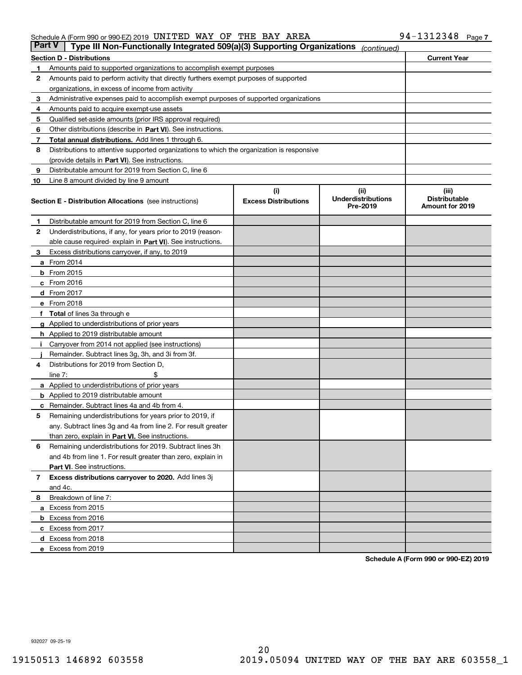#### Schedule A (Form 990 or 990-EZ) 2019 <code>UNITED WAY OF THE BAY AREA</code>  $94-1312348$  <code>Page</code>

| Part V | Type III Non-Functionally Integrated 509(a)(3) Supporting Organizations                    |                             | (continued)                           |                                         |  |  |  |  |  |
|--------|--------------------------------------------------------------------------------------------|-----------------------------|---------------------------------------|-----------------------------------------|--|--|--|--|--|
|        | <b>Section D - Distributions</b>                                                           | <b>Current Year</b>         |                                       |                                         |  |  |  |  |  |
| 1      | Amounts paid to supported organizations to accomplish exempt purposes                      |                             |                                       |                                         |  |  |  |  |  |
| 2      | Amounts paid to perform activity that directly furthers exempt purposes of supported       |                             |                                       |                                         |  |  |  |  |  |
|        | organizations, in excess of income from activity                                           |                             |                                       |                                         |  |  |  |  |  |
| з      | Administrative expenses paid to accomplish exempt purposes of supported organizations      |                             |                                       |                                         |  |  |  |  |  |
| 4      | Amounts paid to acquire exempt-use assets                                                  |                             |                                       |                                         |  |  |  |  |  |
| 5      | Qualified set-aside amounts (prior IRS approval required)                                  |                             |                                       |                                         |  |  |  |  |  |
| 6      | Other distributions (describe in Part VI). See instructions.                               |                             |                                       |                                         |  |  |  |  |  |
| 7      | <b>Total annual distributions.</b> Add lines 1 through 6.                                  |                             |                                       |                                         |  |  |  |  |  |
| 8      | Distributions to attentive supported organizations to which the organization is responsive |                             |                                       |                                         |  |  |  |  |  |
|        | (provide details in Part VI). See instructions.                                            |                             |                                       |                                         |  |  |  |  |  |
| 9      | Distributable amount for 2019 from Section C, line 6                                       |                             |                                       |                                         |  |  |  |  |  |
| 10     | Line 8 amount divided by line 9 amount                                                     |                             |                                       |                                         |  |  |  |  |  |
|        |                                                                                            | (i)                         | (iii)                                 | (iii)                                   |  |  |  |  |  |
|        | <b>Section E - Distribution Allocations</b> (see instructions)                             | <b>Excess Distributions</b> | <b>Underdistributions</b><br>Pre-2019 | <b>Distributable</b><br>Amount for 2019 |  |  |  |  |  |
| 1      | Distributable amount for 2019 from Section C, line 6                                       |                             |                                       |                                         |  |  |  |  |  |
| 2      | Underdistributions, if any, for years prior to 2019 (reason-                               |                             |                                       |                                         |  |  |  |  |  |
|        | able cause required- explain in Part VI). See instructions.                                |                             |                                       |                                         |  |  |  |  |  |
| з      | Excess distributions carryover, if any, to 2019                                            |                             |                                       |                                         |  |  |  |  |  |
|        | <b>a</b> From 2014                                                                         |                             |                                       |                                         |  |  |  |  |  |
|        | <b>b</b> From 2015                                                                         |                             |                                       |                                         |  |  |  |  |  |
|        | $c$ From 2016                                                                              |                             |                                       |                                         |  |  |  |  |  |
|        | d From 2017                                                                                |                             |                                       |                                         |  |  |  |  |  |
|        | e From 2018                                                                                |                             |                                       |                                         |  |  |  |  |  |
|        | Total of lines 3a through e                                                                |                             |                                       |                                         |  |  |  |  |  |
|        | <b>g</b> Applied to underdistributions of prior years                                      |                             |                                       |                                         |  |  |  |  |  |
|        | <b>h</b> Applied to 2019 distributable amount                                              |                             |                                       |                                         |  |  |  |  |  |
|        | Carryover from 2014 not applied (see instructions)                                         |                             |                                       |                                         |  |  |  |  |  |
|        | Remainder. Subtract lines 3g, 3h, and 3i from 3f.                                          |                             |                                       |                                         |  |  |  |  |  |
| 4      | Distributions for 2019 from Section D,                                                     |                             |                                       |                                         |  |  |  |  |  |
|        | line $7:$                                                                                  |                             |                                       |                                         |  |  |  |  |  |
|        | <b>a</b> Applied to underdistributions of prior years                                      |                             |                                       |                                         |  |  |  |  |  |
|        | <b>b</b> Applied to 2019 distributable amount                                              |                             |                                       |                                         |  |  |  |  |  |
| c      | Remainder. Subtract lines 4a and 4b from 4.                                                |                             |                                       |                                         |  |  |  |  |  |
| 5      | Remaining underdistributions for years prior to 2019, if                                   |                             |                                       |                                         |  |  |  |  |  |
|        | any. Subtract lines 3g and 4a from line 2. For result greater                              |                             |                                       |                                         |  |  |  |  |  |
|        | than zero, explain in Part VI. See instructions.                                           |                             |                                       |                                         |  |  |  |  |  |
| 6      | Remaining underdistributions for 2019. Subtract lines 3h                                   |                             |                                       |                                         |  |  |  |  |  |
|        | and 4b from line 1. For result greater than zero, explain in                               |                             |                                       |                                         |  |  |  |  |  |
|        | Part VI. See instructions.                                                                 |                             |                                       |                                         |  |  |  |  |  |
| 7      | Excess distributions carryover to 2020. Add lines 3j                                       |                             |                                       |                                         |  |  |  |  |  |
|        | and 4c.                                                                                    |                             |                                       |                                         |  |  |  |  |  |
| 8      | Breakdown of line 7:                                                                       |                             |                                       |                                         |  |  |  |  |  |
|        | a Excess from 2015                                                                         |                             |                                       |                                         |  |  |  |  |  |
|        | <b>b</b> Excess from 2016                                                                  |                             |                                       |                                         |  |  |  |  |  |
|        | c Excess from 2017                                                                         |                             |                                       |                                         |  |  |  |  |  |
|        | d Excess from 2018                                                                         |                             |                                       |                                         |  |  |  |  |  |
|        | e Excess from 2019                                                                         |                             |                                       |                                         |  |  |  |  |  |
|        |                                                                                            |                             |                                       |                                         |  |  |  |  |  |

**Schedule A (Form 990 or 990-EZ) 2019**

932027 09-25-19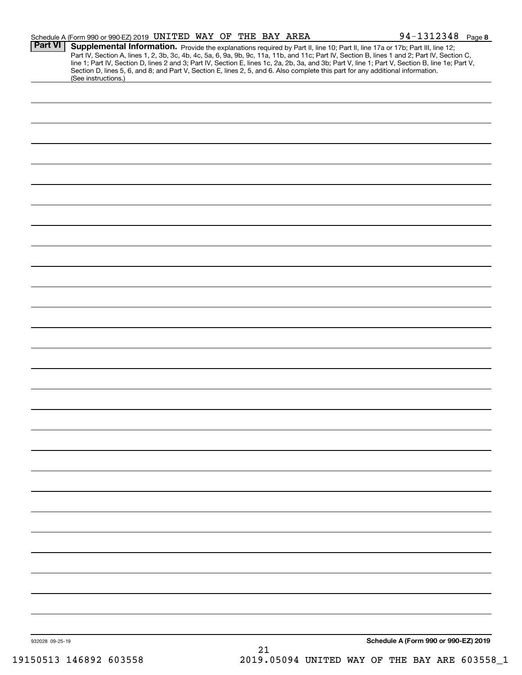|                 | Schedule A (Form 990 or 990-EZ) 2019 UNITED WAY OF THE BAY AREA                                                                                                                                                                                                                                                                                                                                                                   |  |  |    |  |                                      | $94 - 1312348$ Page 8 |  |
|-----------------|-----------------------------------------------------------------------------------------------------------------------------------------------------------------------------------------------------------------------------------------------------------------------------------------------------------------------------------------------------------------------------------------------------------------------------------|--|--|----|--|--------------------------------------|-----------------------|--|
| <b>Part VI</b>  | Supplemental Information. Provide the explanations required by Part II, line 10; Part II, line 17a or 17b; Part III, line 12;<br>Part IV, Section A, lines 1, 2, 3b, 3c, 4b, 4c, 5a, 6, 9a, 9b, 9c, 11a, 11b, and 11c; Part IV, Section B, lines 1 and 2; Part IV, Section C,<br>line 1; Part IV, Section D, lines 2 and 3; Part IV, Section E, lines 1c, 2a, 2b, 3a, and 3b; Part V, line 1; Part V, Section B, line 1e; Part V, |  |  |    |  |                                      |                       |  |
|                 | Section D, lines 5, 6, and 8; and Part V, Section E, lines 2, 5, and 6. Also complete this part for any additional information.<br>(See instructions.)                                                                                                                                                                                                                                                                            |  |  |    |  |                                      |                       |  |
|                 |                                                                                                                                                                                                                                                                                                                                                                                                                                   |  |  |    |  |                                      |                       |  |
|                 |                                                                                                                                                                                                                                                                                                                                                                                                                                   |  |  |    |  |                                      |                       |  |
|                 |                                                                                                                                                                                                                                                                                                                                                                                                                                   |  |  |    |  |                                      |                       |  |
|                 |                                                                                                                                                                                                                                                                                                                                                                                                                                   |  |  |    |  |                                      |                       |  |
|                 |                                                                                                                                                                                                                                                                                                                                                                                                                                   |  |  |    |  |                                      |                       |  |
|                 |                                                                                                                                                                                                                                                                                                                                                                                                                                   |  |  |    |  |                                      |                       |  |
|                 |                                                                                                                                                                                                                                                                                                                                                                                                                                   |  |  |    |  |                                      |                       |  |
|                 |                                                                                                                                                                                                                                                                                                                                                                                                                                   |  |  |    |  |                                      |                       |  |
|                 |                                                                                                                                                                                                                                                                                                                                                                                                                                   |  |  |    |  |                                      |                       |  |
|                 |                                                                                                                                                                                                                                                                                                                                                                                                                                   |  |  |    |  |                                      |                       |  |
|                 |                                                                                                                                                                                                                                                                                                                                                                                                                                   |  |  |    |  |                                      |                       |  |
|                 |                                                                                                                                                                                                                                                                                                                                                                                                                                   |  |  |    |  |                                      |                       |  |
|                 |                                                                                                                                                                                                                                                                                                                                                                                                                                   |  |  |    |  |                                      |                       |  |
|                 |                                                                                                                                                                                                                                                                                                                                                                                                                                   |  |  |    |  |                                      |                       |  |
|                 |                                                                                                                                                                                                                                                                                                                                                                                                                                   |  |  |    |  |                                      |                       |  |
|                 |                                                                                                                                                                                                                                                                                                                                                                                                                                   |  |  |    |  |                                      |                       |  |
|                 |                                                                                                                                                                                                                                                                                                                                                                                                                                   |  |  |    |  |                                      |                       |  |
|                 |                                                                                                                                                                                                                                                                                                                                                                                                                                   |  |  |    |  |                                      |                       |  |
|                 |                                                                                                                                                                                                                                                                                                                                                                                                                                   |  |  |    |  |                                      |                       |  |
|                 |                                                                                                                                                                                                                                                                                                                                                                                                                                   |  |  |    |  |                                      |                       |  |
|                 |                                                                                                                                                                                                                                                                                                                                                                                                                                   |  |  |    |  |                                      |                       |  |
|                 |                                                                                                                                                                                                                                                                                                                                                                                                                                   |  |  |    |  |                                      |                       |  |
|                 |                                                                                                                                                                                                                                                                                                                                                                                                                                   |  |  |    |  |                                      |                       |  |
|                 |                                                                                                                                                                                                                                                                                                                                                                                                                                   |  |  |    |  |                                      |                       |  |
|                 |                                                                                                                                                                                                                                                                                                                                                                                                                                   |  |  |    |  |                                      |                       |  |
|                 |                                                                                                                                                                                                                                                                                                                                                                                                                                   |  |  |    |  |                                      |                       |  |
|                 |                                                                                                                                                                                                                                                                                                                                                                                                                                   |  |  |    |  |                                      |                       |  |
|                 |                                                                                                                                                                                                                                                                                                                                                                                                                                   |  |  |    |  |                                      |                       |  |
|                 |                                                                                                                                                                                                                                                                                                                                                                                                                                   |  |  |    |  |                                      |                       |  |
|                 |                                                                                                                                                                                                                                                                                                                                                                                                                                   |  |  |    |  |                                      |                       |  |
|                 |                                                                                                                                                                                                                                                                                                                                                                                                                                   |  |  |    |  |                                      |                       |  |
|                 |                                                                                                                                                                                                                                                                                                                                                                                                                                   |  |  |    |  |                                      |                       |  |
|                 |                                                                                                                                                                                                                                                                                                                                                                                                                                   |  |  |    |  |                                      |                       |  |
|                 |                                                                                                                                                                                                                                                                                                                                                                                                                                   |  |  |    |  |                                      |                       |  |
|                 |                                                                                                                                                                                                                                                                                                                                                                                                                                   |  |  |    |  |                                      |                       |  |
| 932028 09-25-19 |                                                                                                                                                                                                                                                                                                                                                                                                                                   |  |  | 21 |  | Schedule A (Form 990 or 990-EZ) 2019 |                       |  |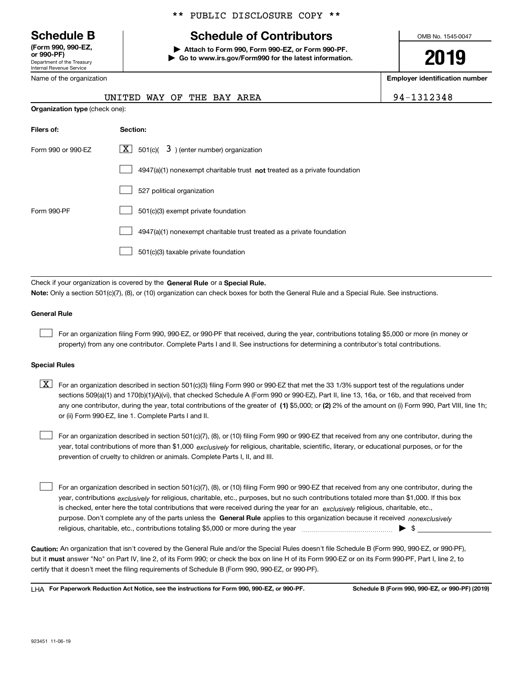Department of the Treasury Internal Revenue Service **(Form 990, 990-EZ, or 990-PF)**

Name of the organization

**Organization type** (check one):

#### \*\* PUBLIC DISCLOSURE COPY \*\*

## **Schedule B Schedule of Contributors**

**| Attach to Form 990, Form 990-EZ, or Form 990-PF. | Go to www.irs.gov/Form990 for the latest information.** OMB No. 1545-0047

# **2019**

**Employer identification number**

| UNITED WAY OF THE BAY AREA |  |  |  | 94-1312348 |
|----------------------------|--|--|--|------------|

| Filers of:         | Section:                                                                           |
|--------------------|------------------------------------------------------------------------------------|
| Form 990 or 990-EZ | $\lfloor x \rfloor$ 501(c)( 3) (enter number) organization                         |
|                    | $4947(a)(1)$ nonexempt charitable trust <b>not</b> treated as a private foundation |
|                    | 527 political organization                                                         |
| Form 990-PF        | 501(c)(3) exempt private foundation                                                |
|                    | 4947(a)(1) nonexempt charitable trust treated as a private foundation              |
|                    | 501(c)(3) taxable private foundation                                               |

Check if your organization is covered by the **General Rule** or a **Special Rule. Note:**  Only a section 501(c)(7), (8), or (10) organization can check boxes for both the General Rule and a Special Rule. See instructions.

#### **General Rule**

 $\mathcal{L}^{\text{max}}$ 

For an organization filing Form 990, 990-EZ, or 990-PF that received, during the year, contributions totaling \$5,000 or more (in money or property) from any one contributor. Complete Parts I and II. See instructions for determining a contributor's total contributions.

#### **Special Rules**

any one contributor, during the year, total contributions of the greater of  $\,$  (1) \$5,000; or **(2)** 2% of the amount on (i) Form 990, Part VIII, line 1h;  $\boxed{\textbf{X}}$  For an organization described in section 501(c)(3) filing Form 990 or 990-EZ that met the 33 1/3% support test of the regulations under sections 509(a)(1) and 170(b)(1)(A)(vi), that checked Schedule A (Form 990 or 990-EZ), Part II, line 13, 16a, or 16b, and that received from or (ii) Form 990-EZ, line 1. Complete Parts I and II.

year, total contributions of more than \$1,000 *exclusively* for religious, charitable, scientific, literary, or educational purposes, or for the For an organization described in section 501(c)(7), (8), or (10) filing Form 990 or 990-EZ that received from any one contributor, during the prevention of cruelty to children or animals. Complete Parts I, II, and III.  $\mathcal{L}^{\text{max}}$ 

purpose. Don't complete any of the parts unless the **General Rule** applies to this organization because it received *nonexclusively* year, contributions <sub>exclusively</sub> for religious, charitable, etc., purposes, but no such contributions totaled more than \$1,000. If this box is checked, enter here the total contributions that were received during the year for an  $\;$ exclusively religious, charitable, etc., For an organization described in section 501(c)(7), (8), or (10) filing Form 990 or 990-EZ that received from any one contributor, during the religious, charitable, etc., contributions totaling \$5,000 or more during the year  $\Box$ — $\Box$   $\Box$  $\mathcal{L}^{\text{max}}$ 

**Caution:**  An organization that isn't covered by the General Rule and/or the Special Rules doesn't file Schedule B (Form 990, 990-EZ, or 990-PF),  **must** but it answer "No" on Part IV, line 2, of its Form 990; or check the box on line H of its Form 990-EZ or on its Form 990-PF, Part I, line 2, to certify that it doesn't meet the filing requirements of Schedule B (Form 990, 990-EZ, or 990-PF).

**For Paperwork Reduction Act Notice, see the instructions for Form 990, 990-EZ, or 990-PF. Schedule B (Form 990, 990-EZ, or 990-PF) (2019)** LHA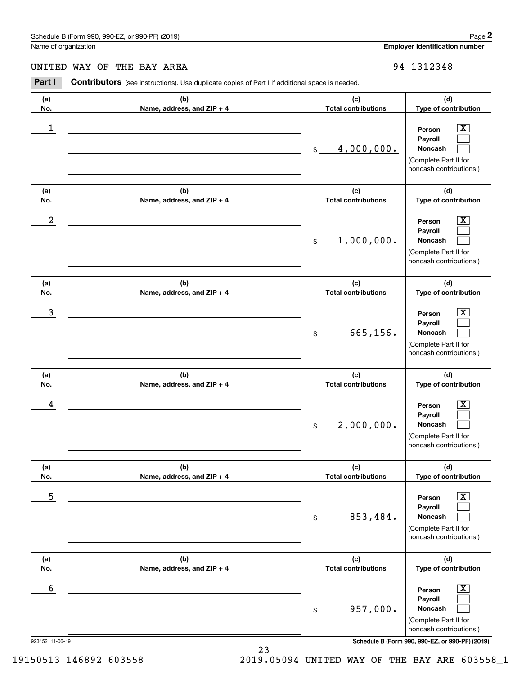|                  | chedule B (Form 990, 990-EZ, or 990-PF) (2019)                                                 |                                   | Page 2                                                                                                      |
|------------------|------------------------------------------------------------------------------------------------|-----------------------------------|-------------------------------------------------------------------------------------------------------------|
|                  | lame of organization                                                                           |                                   | Employer identification number                                                                              |
| <b>INITED</b>    | WAY OF THE BAY AREA                                                                            |                                   | 94-1312348                                                                                                  |
| Part I           | Contributors (see instructions). Use duplicate copies of Part I if additional space is needed. |                                   |                                                                                                             |
| (a)<br>No.       | (b)<br>Name, address, and ZIP + 4                                                              | (c)<br><b>Total contributions</b> | (d)<br>Type of contribution                                                                                 |
| 1                |                                                                                                | 4,000,000.<br>\$                  | $\overline{\mathbf{X}}$<br>Person<br>Payroll<br>Noncash<br>(Complete Part II for<br>noncash contributions.) |
| (a)<br>No.       | (b)<br>Name, address, and ZIP + 4                                                              | (c)<br><b>Total contributions</b> | (d)<br>Type of contribution                                                                                 |
| $\boldsymbol{2}$ |                                                                                                | 1,000,000.<br>\$                  | $\overline{\mathbf{X}}$<br>Person<br>Payroll<br>Noncash<br>(Complete Part II for<br>noncash contributions.) |
| (a)<br>No.       | (b)<br>Name, address, and ZIP + 4                                                              | (c)<br><b>Total contributions</b> | (d)<br>Type of contribution                                                                                 |
| $\mathbf{3}$     |                                                                                                | 665, 156.<br>\$                   | $\overline{\mathbf{X}}$<br>Person<br>Payroll<br>Noncash<br>(Complete Part II for<br>noncash contributions.) |
| (a)<br>No.       | (b)<br>Name, address, and ZIP + 4                                                              | (c)<br><b>Total contributions</b> | (d)<br>Type of contribution                                                                                 |
| 4                |                                                                                                | 2,000,000.<br>\$                  | $\overline{\mathbf{X}}$<br>Person<br>Payroll<br>Noncash<br>(Complete Part II for<br>noncash contributions.) |
| (a)<br>No.       | (b)<br>Name, address, and ZIP + 4                                                              | (c)<br><b>Total contributions</b> | (d)<br>Type of contribution                                                                                 |
| 5                |                                                                                                | 853,484.<br>\$                    | $\overline{\text{X}}$<br>Person<br>Payroll<br>Noncash<br>(Complete Part II for<br>noncash contributions.)   |
| (a)<br>No.       | (b)<br>Name, address, and ZIP + 4                                                              | (c)<br><b>Total contributions</b> | (d)<br>Type of contribution                                                                                 |
| 6                |                                                                                                | 957,000.<br>\$                    | $\overline{\text{X}}$<br>Person<br>Payroll<br>Noncash<br>(Complete Part II for<br>noncash contributions.)   |

923452 11-06-19 **Schedule B (Form 990, 990-EZ, or 990-PF) (2019)**

23 19150513 146892 603558 2019.05094 UNITED WAY OF THE BAY ARE 603558\_1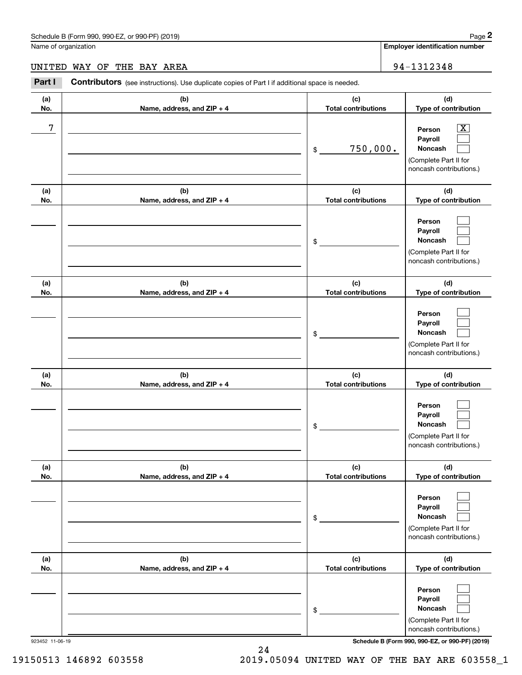#### UNITED WAY OF THE BAY AREA 94-1312348

|                      | Schedule B (Form 990, 990-EZ, or 990-PF) (2019)                                                |                                   | Page 2                                                                                                    |
|----------------------|------------------------------------------------------------------------------------------------|-----------------------------------|-----------------------------------------------------------------------------------------------------------|
| Name of organization |                                                                                                |                                   | <b>Employer identification number</b>                                                                     |
| UNITED               | WAY OF<br>THE BAY AREA                                                                         |                                   | 94-1312348                                                                                                |
| Part I               | Contributors (see instructions). Use duplicate copies of Part I if additional space is needed. |                                   |                                                                                                           |
| (a)<br>No.           | (b)<br>Name, address, and ZIP + 4                                                              | (c)<br><b>Total contributions</b> | (d)<br>Type of contribution                                                                               |
| 7                    |                                                                                                | 750,000.<br>\$                    | $\overline{\text{X}}$<br>Person<br>Payroll<br>Noncash<br>(Complete Part II for<br>noncash contributions.) |
| (a)<br>No.           | (b)<br>Name, address, and ZIP + 4                                                              | (c)<br><b>Total contributions</b> | (d)<br>Type of contribution                                                                               |
|                      |                                                                                                | \$                                | Person<br>Payroll<br>Noncash<br>(Complete Part II for<br>noncash contributions.)                          |
| (a)<br>No.           | (b)<br>Name, address, and ZIP + 4                                                              | (c)<br><b>Total contributions</b> | (d)<br>Type of contribution                                                                               |
|                      |                                                                                                | \$                                | Person<br>Payroll<br>Noncash<br>(Complete Part II for<br>noncash contributions.)                          |
| (a)<br>No.           | (b)<br>Name, address, and ZIP + 4                                                              | (c)<br><b>Total contributions</b> | (d)<br>Type of contribution                                                                               |
|                      |                                                                                                | \$                                | Person<br>Payroll<br>Noncash<br>(Complete Part II for<br>noncash contributions.)                          |
| (a)<br>No.           | (b)<br>Name, address, and ZIP + 4                                                              | (c)<br><b>Total contributions</b> | (d)<br>Type of contribution                                                                               |
|                      |                                                                                                | \$                                | Person<br>Payroll<br>Noncash<br>(Complete Part II for<br>noncash contributions.)                          |
| (a)<br>No.           | (b)<br>Name, address, and ZIP + 4                                                              | (c)<br><b>Total contributions</b> | (d)<br>Type of contribution                                                                               |
|                      |                                                                                                | \$                                | Person<br>Payroll<br>Noncash<br>(Complete Part II for<br>noncash contributions.)                          |

923452 11-06-19 **Schedule B (Form 990, 990-EZ, or 990-PF) (2019)**

19150513 146892 603558 2019.05094 UNITED WAY OF THE BAY ARE 603558\_1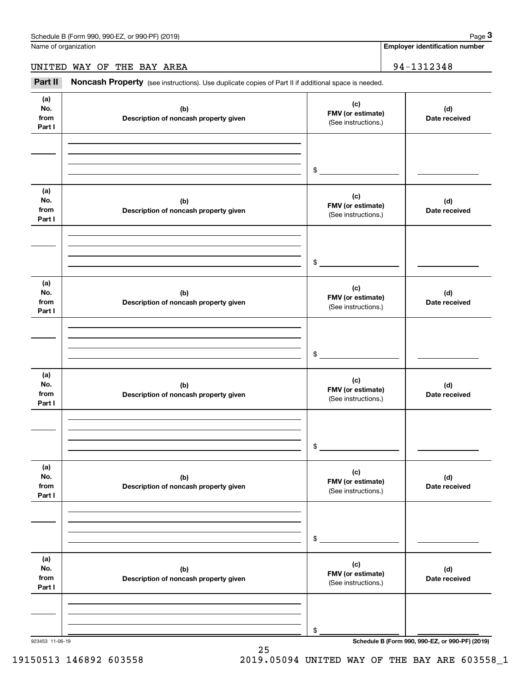**Employer identification number**

UNITED WAY OF THE BAY AREA 94-1312348

Chedule B (Form 990, 990-EZ, or 990-PF) (2019)<br> **3Page 3**<br> **3Part II** Moncash Property (see instructions). Use duplicate copies of Part II if additional space is needed.<br> **34-1312348**<br> **294-1312348** 

| (a)<br>No.<br>from<br>Part I | (b)<br>Description of noncash property given | (c)<br>FMV (or estimate)<br>(See instructions.) | (d)<br>Date received |
|------------------------------|----------------------------------------------|-------------------------------------------------|----------------------|
|                              |                                              | $$\overbrace{\hspace{2.5cm}}$                   |                      |
| (a)<br>No.<br>from<br>Part I | (b)<br>Description of noncash property given | (c)<br>FMV (or estimate)<br>(See instructions.) | (d)<br>Date received |
|                              |                                              | $\frac{1}{2}$                                   |                      |
| (a)<br>No.<br>from<br>Part I | (b)<br>Description of noncash property given | (c)<br>FMV (or estimate)<br>(See instructions.) | (d)<br>Date received |
|                              |                                              | $\frac{1}{2}$                                   |                      |
| (a)<br>No.<br>from<br>Part I | (b)<br>Description of noncash property given | (c)<br>FMV (or estimate)<br>(See instructions.) | (d)<br>Date received |
|                              |                                              | $\mathsf{\$}$                                   |                      |
| (a)<br>No.<br>from<br>Part I | (b)<br>Description of noncash property given | (c)<br>FMV (or estimate)<br>(See instructions.) | (d)<br>Date received |
|                              |                                              | \$                                              |                      |
| (a)<br>No.<br>from<br>Part I | (b)<br>Description of noncash property given | (c)<br>FMV (or estimate)<br>(See instructions.) | (d)<br>Date received |
|                              |                                              | \$                                              |                      |

25 19150513 146892 603558 2019.05094 UNITED WAY OF THE BAY ARE 603558\_1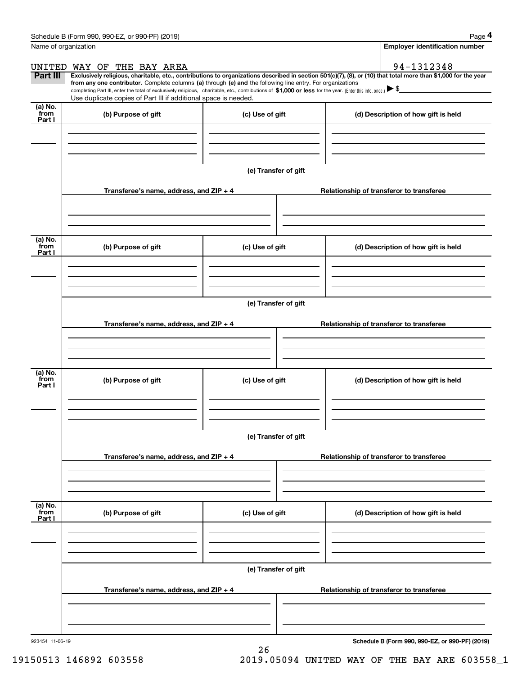|                           | Schedule B (Form 990, 990-EZ, or 990-PF) (2019)                                                                                                                                                                                                                                                                                                                                                                                                                                                                                      |                      |                                          | Page 4                                   |  |  |
|---------------------------|--------------------------------------------------------------------------------------------------------------------------------------------------------------------------------------------------------------------------------------------------------------------------------------------------------------------------------------------------------------------------------------------------------------------------------------------------------------------------------------------------------------------------------------|----------------------|------------------------------------------|------------------------------------------|--|--|
| Name of organization      |                                                                                                                                                                                                                                                                                                                                                                                                                                                                                                                                      |                      |                                          | <b>Employer identification number</b>    |  |  |
|                           | UNITED WAY OF THE BAY AREA                                                                                                                                                                                                                                                                                                                                                                                                                                                                                                           |                      |                                          | 94-1312348                               |  |  |
| Part III                  | Exclusively religious, charitable, etc., contributions to organizations described in section 501(c)(7), (8), or (10) that total more than \$1,000 for the year<br>from any one contributor. Complete columns (a) through (e) and the following line entry. For organizations<br>completing Part III, enter the total of exclusively religious, charitable, etc., contributions of \$1,000 or less for the year. (Enter this info. once.) $\blacktriangleright$ \$<br>Use duplicate copies of Part III if additional space is needed. |                      |                                          |                                          |  |  |
| (a) No.<br>from<br>Part I | (b) Purpose of gift                                                                                                                                                                                                                                                                                                                                                                                                                                                                                                                  | (c) Use of gift      |                                          | (d) Description of how gift is held      |  |  |
|                           |                                                                                                                                                                                                                                                                                                                                                                                                                                                                                                                                      |                      |                                          |                                          |  |  |
|                           |                                                                                                                                                                                                                                                                                                                                                                                                                                                                                                                                      | (e) Transfer of gift |                                          |                                          |  |  |
|                           | Transferee's name, address, and $ZIP + 4$                                                                                                                                                                                                                                                                                                                                                                                                                                                                                            |                      |                                          | Relationship of transferor to transferee |  |  |
|                           |                                                                                                                                                                                                                                                                                                                                                                                                                                                                                                                                      |                      |                                          |                                          |  |  |
| (a) No.<br>from<br>Part I | (b) Purpose of gift<br>(c) Use of gift                                                                                                                                                                                                                                                                                                                                                                                                                                                                                               |                      |                                          | (d) Description of how gift is held      |  |  |
|                           |                                                                                                                                                                                                                                                                                                                                                                                                                                                                                                                                      |                      |                                          |                                          |  |  |
|                           |                                                                                                                                                                                                                                                                                                                                                                                                                                                                                                                                      | (e) Transfer of gift |                                          |                                          |  |  |
|                           | Transferee's name, address, and ZIP + 4                                                                                                                                                                                                                                                                                                                                                                                                                                                                                              |                      | Relationship of transferor to transferee |                                          |  |  |
| (a) No.                   |                                                                                                                                                                                                                                                                                                                                                                                                                                                                                                                                      |                      |                                          |                                          |  |  |
| from<br>Part I            | (b) Purpose of gift                                                                                                                                                                                                                                                                                                                                                                                                                                                                                                                  | (c) Use of gift      |                                          | (d) Description of how gift is held      |  |  |
|                           |                                                                                                                                                                                                                                                                                                                                                                                                                                                                                                                                      |                      |                                          |                                          |  |  |
|                           |                                                                                                                                                                                                                                                                                                                                                                                                                                                                                                                                      | (e) Transfer of gift |                                          |                                          |  |  |
|                           | Transferee's name, address, and ZIP + 4                                                                                                                                                                                                                                                                                                                                                                                                                                                                                              |                      | Relationship of transferor to transferee |                                          |  |  |
|                           |                                                                                                                                                                                                                                                                                                                                                                                                                                                                                                                                      |                      |                                          |                                          |  |  |
| (a) No.<br>from<br>Part I | (b) Purpose of gift                                                                                                                                                                                                                                                                                                                                                                                                                                                                                                                  | (c) Use of gift      |                                          | (d) Description of how gift is held      |  |  |
|                           |                                                                                                                                                                                                                                                                                                                                                                                                                                                                                                                                      |                      |                                          |                                          |  |  |
|                           |                                                                                                                                                                                                                                                                                                                                                                                                                                                                                                                                      | (e) Transfer of gift |                                          |                                          |  |  |
|                           | Transferee's name, address, and ZIP + 4                                                                                                                                                                                                                                                                                                                                                                                                                                                                                              |                      | Relationship of transferor to transferee |                                          |  |  |
|                           |                                                                                                                                                                                                                                                                                                                                                                                                                                                                                                                                      |                      |                                          |                                          |  |  |
|                           |                                                                                                                                                                                                                                                                                                                                                                                                                                                                                                                                      |                      |                                          |                                          |  |  |

26

**Schedule B (Form 990, 990-EZ, or 990-PF) (2019)**

19150513 146892 603558 2019.05094 UNITED WAY OF THE BAY ARE 603558\_1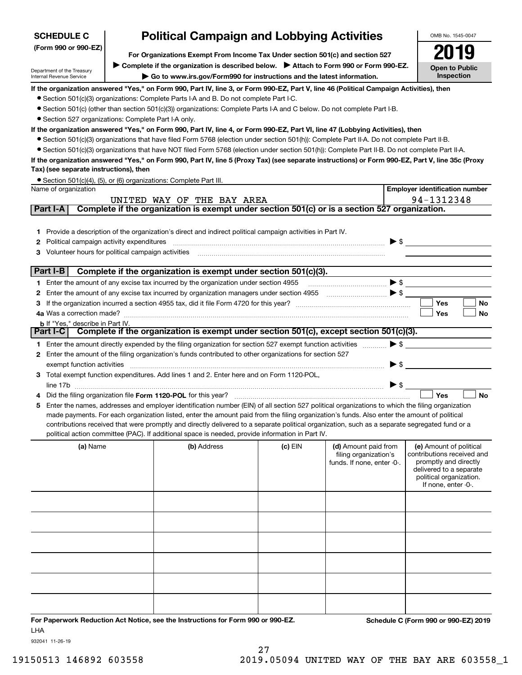| <b>SCHEDULE C</b>                                                    | <b>Political Campaign and Lobbying Activities</b>                                                                                                                 |                                                                                                                                                                                                                                                    |         |                                               |                                                       |  |  |  |
|----------------------------------------------------------------------|-------------------------------------------------------------------------------------------------------------------------------------------------------------------|----------------------------------------------------------------------------------------------------------------------------------------------------------------------------------------------------------------------------------------------------|---------|-----------------------------------------------|-------------------------------------------------------|--|--|--|
| (Form 990 or 990-EZ)                                                 | For Organizations Exempt From Income Tax Under section 501(c) and section 527                                                                                     |                                                                                                                                                                                                                                                    |         |                                               |                                                       |  |  |  |
|                                                                      |                                                                                                                                                                   |                                                                                                                                                                                                                                                    |         |                                               | <b>Open to Public</b>                                 |  |  |  |
| Department of the Treasury<br>Internal Revenue Service               | ▶ Complete if the organization is described below. ▶ Attach to Form 990 or Form 990-EZ.<br>Go to www.irs.gov/Form990 for instructions and the latest information. |                                                                                                                                                                                                                                                    |         |                                               |                                                       |  |  |  |
|                                                                      |                                                                                                                                                                   | If the organization answered "Yes," on Form 990, Part IV, line 3, or Form 990-EZ, Part V, line 46 (Political Campaign Activities), then                                                                                                            |         |                                               | Inspection                                            |  |  |  |
|                                                                      |                                                                                                                                                                   | • Section 501(c)(3) organizations: Complete Parts I-A and B. Do not complete Part I-C.                                                                                                                                                             |         |                                               |                                                       |  |  |  |
|                                                                      |                                                                                                                                                                   | • Section 501(c) (other than section 501(c)(3)) organizations: Complete Parts I-A and C below. Do not complete Part I-B.                                                                                                                           |         |                                               |                                                       |  |  |  |
| • Section 527 organizations: Complete Part I-A only.                 |                                                                                                                                                                   |                                                                                                                                                                                                                                                    |         |                                               |                                                       |  |  |  |
|                                                                      |                                                                                                                                                                   | If the organization answered "Yes," on Form 990, Part IV, line 4, or Form 990-EZ, Part VI, line 47 (Lobbying Activities), then                                                                                                                     |         |                                               |                                                       |  |  |  |
|                                                                      |                                                                                                                                                                   | • Section 501(c)(3) organizations that have filed Form 5768 (election under section 501(h)): Complete Part II-A. Do not complete Part II-B.                                                                                                        |         |                                               |                                                       |  |  |  |
|                                                                      |                                                                                                                                                                   | • Section 501(c)(3) organizations that have NOT filed Form 5768 (election under section 501(h)): Complete Part II-B. Do not complete Part II-A.                                                                                                    |         |                                               |                                                       |  |  |  |
|                                                                      |                                                                                                                                                                   | If the organization answered "Yes," on Form 990, Part IV, line 5 (Proxy Tax) (see separate instructions) or Form 990-EZ, Part V, line 35c (Proxy                                                                                                   |         |                                               |                                                       |  |  |  |
| Tax) (see separate instructions), then                               |                                                                                                                                                                   |                                                                                                                                                                                                                                                    |         |                                               |                                                       |  |  |  |
| Name of organization                                                 |                                                                                                                                                                   | • Section 501(c)(4), (5), or (6) organizations: Complete Part III.                                                                                                                                                                                 |         |                                               | <b>Employer identification number</b>                 |  |  |  |
|                                                                      |                                                                                                                                                                   | UNITED WAY OF THE BAY AREA                                                                                                                                                                                                                         |         |                                               | 94-1312348                                            |  |  |  |
| Part I-A                                                             |                                                                                                                                                                   | Complete if the organization is exempt under section 501(c) or is a section 527 organization.                                                                                                                                                      |         |                                               |                                                       |  |  |  |
|                                                                      |                                                                                                                                                                   |                                                                                                                                                                                                                                                    |         |                                               |                                                       |  |  |  |
|                                                                      |                                                                                                                                                                   | 1 Provide a description of the organization's direct and indirect political campaign activities in Part IV.                                                                                                                                        |         |                                               |                                                       |  |  |  |
| Political campaign activity expenditures<br>2                        |                                                                                                                                                                   |                                                                                                                                                                                                                                                    |         | $\blacktriangleright$ \$                      |                                                       |  |  |  |
| Volunteer hours for political campaign activities<br>з               |                                                                                                                                                                   |                                                                                                                                                                                                                                                    |         |                                               |                                                       |  |  |  |
|                                                                      |                                                                                                                                                                   |                                                                                                                                                                                                                                                    |         |                                               |                                                       |  |  |  |
| Part I-B                                                             |                                                                                                                                                                   | Complete if the organization is exempt under section 501(c)(3).                                                                                                                                                                                    |         |                                               |                                                       |  |  |  |
|                                                                      |                                                                                                                                                                   | 1 Enter the amount of any excise tax incurred by the organization under section 4955                                                                                                                                                               |         | $\blacktriangleright$ \$                      |                                                       |  |  |  |
| 2                                                                    |                                                                                                                                                                   | Enter the amount of any excise tax incurred by organization managers under section 4955                                                                                                                                                            |         |                                               |                                                       |  |  |  |
| 3                                                                    |                                                                                                                                                                   |                                                                                                                                                                                                                                                    |         |                                               | Yes<br>No                                             |  |  |  |
| 4a Was a correction made?<br><b>b</b> If "Yes," describe in Part IV. |                                                                                                                                                                   |                                                                                                                                                                                                                                                    |         |                                               | Yes<br>No                                             |  |  |  |
| Part I-C                                                             |                                                                                                                                                                   | Complete if the organization is exempt under section 501(c), except section 501(c)(3).                                                                                                                                                             |         |                                               |                                                       |  |  |  |
|                                                                      |                                                                                                                                                                   | 1 Enter the amount directly expended by the filing organization for section 527 exempt function activities                                                                                                                                         |         | $\blacktriangleright$ \$                      |                                                       |  |  |  |
|                                                                      |                                                                                                                                                                   | 2 Enter the amount of the filing organization's funds contributed to other organizations for section 527                                                                                                                                           |         |                                               |                                                       |  |  |  |
| exempt function activities                                           |                                                                                                                                                                   |                                                                                                                                                                                                                                                    |         | $\blacktriangleright$ \$                      |                                                       |  |  |  |
|                                                                      |                                                                                                                                                                   | 3 Total exempt function expenditures. Add lines 1 and 2. Enter here and on Form 1120-POL,                                                                                                                                                          |         |                                               |                                                       |  |  |  |
| line 17b                                                             |                                                                                                                                                                   |                                                                                                                                                                                                                                                    |         | $\blacktriangleright$ \$                      |                                                       |  |  |  |
|                                                                      |                                                                                                                                                                   | Did the filing organization file Form 1120-POL for this year?                                                                                                                                                                                      |         |                                               | Yes<br><b>No</b>                                      |  |  |  |
| 5.                                                                   |                                                                                                                                                                   | Enter the names, addresses and employer identification number (EIN) of all section 527 political organizations to which the filing organization                                                                                                    |         |                                               |                                                       |  |  |  |
|                                                                      |                                                                                                                                                                   | made payments. For each organization listed, enter the amount paid from the filing organization's funds. Also enter the amount of political                                                                                                        |         |                                               |                                                       |  |  |  |
|                                                                      |                                                                                                                                                                   | contributions received that were promptly and directly delivered to a separate political organization, such as a separate segregated fund or a<br>political action committee (PAC). If additional space is needed, provide information in Part IV. |         |                                               |                                                       |  |  |  |
|                                                                      |                                                                                                                                                                   |                                                                                                                                                                                                                                                    |         |                                               |                                                       |  |  |  |
| (a) Name                                                             |                                                                                                                                                                   | (b) Address                                                                                                                                                                                                                                        | (c) EIN | (d) Amount paid from<br>filing organization's | (e) Amount of political<br>contributions received and |  |  |  |
|                                                                      |                                                                                                                                                                   |                                                                                                                                                                                                                                                    |         | funds. If none, enter -0-.                    | promptly and directly                                 |  |  |  |
|                                                                      |                                                                                                                                                                   |                                                                                                                                                                                                                                                    |         |                                               | delivered to a separate<br>political organization.    |  |  |  |
|                                                                      |                                                                                                                                                                   |                                                                                                                                                                                                                                                    |         |                                               | If none, enter -0-.                                   |  |  |  |
|                                                                      |                                                                                                                                                                   |                                                                                                                                                                                                                                                    |         |                                               |                                                       |  |  |  |
|                                                                      |                                                                                                                                                                   |                                                                                                                                                                                                                                                    |         |                                               |                                                       |  |  |  |
|                                                                      |                                                                                                                                                                   |                                                                                                                                                                                                                                                    |         |                                               |                                                       |  |  |  |
|                                                                      |                                                                                                                                                                   |                                                                                                                                                                                                                                                    |         |                                               |                                                       |  |  |  |
|                                                                      |                                                                                                                                                                   |                                                                                                                                                                                                                                                    |         |                                               |                                                       |  |  |  |
|                                                                      |                                                                                                                                                                   |                                                                                                                                                                                                                                                    |         |                                               |                                                       |  |  |  |
|                                                                      |                                                                                                                                                                   |                                                                                                                                                                                                                                                    |         |                                               |                                                       |  |  |  |
|                                                                      |                                                                                                                                                                   |                                                                                                                                                                                                                                                    |         |                                               |                                                       |  |  |  |
|                                                                      |                                                                                                                                                                   |                                                                                                                                                                                                                                                    |         |                                               |                                                       |  |  |  |
|                                                                      |                                                                                                                                                                   |                                                                                                                                                                                                                                                    |         |                                               |                                                       |  |  |  |
|                                                                      |                                                                                                                                                                   |                                                                                                                                                                                                                                                    |         |                                               |                                                       |  |  |  |
|                                                                      |                                                                                                                                                                   | For Paperwork Reduction Act Notice, see the Instructions for Form 990 or 990-EZ.                                                                                                                                                                   |         |                                               | Schedule C (Form 990 or 990-EZ) 2019                  |  |  |  |
|                                                                      |                                                                                                                                                                   |                                                                                                                                                                                                                                                    |         |                                               |                                                       |  |  |  |

LHA

932041 11-26-19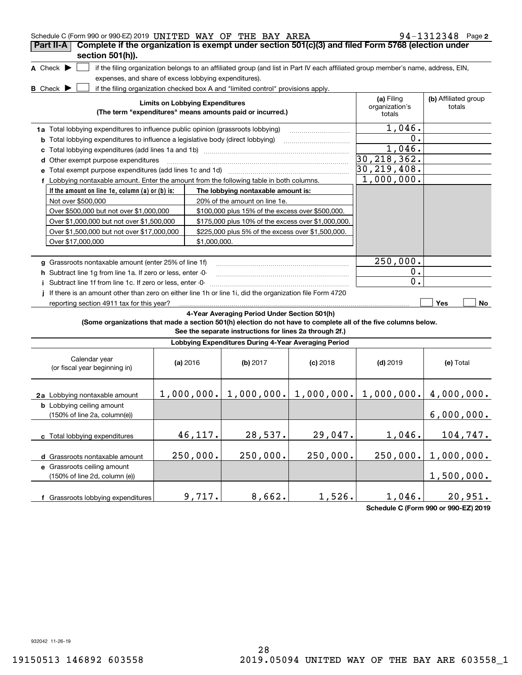| Schedule C (Form 990 or 990-EZ) 2019 UNITED WAY OF THE BAY AREA                                                                     |                                        |                                                                                  |            |                                                                                                                                   | $94 - 1312348$ Page 2          |
|-------------------------------------------------------------------------------------------------------------------------------------|----------------------------------------|----------------------------------------------------------------------------------|------------|-----------------------------------------------------------------------------------------------------------------------------------|--------------------------------|
| Complete if the organization is exempt under section 501(c)(3) and filed Form 5768 (election under<br>Part II-A<br>section 501(h)). |                                        |                                                                                  |            |                                                                                                                                   |                                |
| A Check $\blacktriangleright$                                                                                                       |                                        |                                                                                  |            | if the filing organization belongs to an affiliated group (and list in Part IV each affiliated group member's name, address, EIN, |                                |
| expenses, and share of excess lobbying expenditures).                                                                               |                                        |                                                                                  |            |                                                                                                                                   |                                |
| <b>B</b> Check $\blacktriangleright$                                                                                                |                                        | if the filing organization checked box A and "limited control" provisions apply. |            |                                                                                                                                   |                                |
|                                                                                                                                     | <b>Limits on Lobbying Expenditures</b> | (The term "expenditures" means amounts paid or incurred.)                        |            | (a) Filing<br>organization's<br>totals                                                                                            | (b) Affiliated group<br>totals |
| 1a Total lobbying expenditures to influence public opinion (grassroots lobbying)                                                    |                                        |                                                                                  |            | 1,046.                                                                                                                            |                                |
| <b>b</b> Total lobbying expenditures to influence a legislative body (direct lobbying)                                              |                                        |                                                                                  |            | 0.                                                                                                                                |                                |
| c                                                                                                                                   |                                        |                                                                                  |            | 1,046.                                                                                                                            |                                |
| d Other exempt purpose expenditures                                                                                                 |                                        |                                                                                  |            | 30, 218, 362.                                                                                                                     |                                |
|                                                                                                                                     |                                        |                                                                                  |            | 30, 219, 408.                                                                                                                     |                                |
| f Lobbying nontaxable amount. Enter the amount from the following table in both columns.                                            |                                        |                                                                                  |            | 1,000,000.                                                                                                                        |                                |
| If the amount on line 1e, column (a) or (b) is:                                                                                     |                                        | The lobbying nontaxable amount is:                                               |            |                                                                                                                                   |                                |
| Not over \$500,000                                                                                                                  |                                        | 20% of the amount on line 1e.                                                    |            |                                                                                                                                   |                                |
| Over \$500,000 but not over \$1,000,000                                                                                             |                                        | \$100,000 plus 15% of the excess over \$500,000.                                 |            |                                                                                                                                   |                                |
| Over \$1,000,000 but not over \$1,500,000                                                                                           |                                        | \$175,000 plus 10% of the excess over \$1,000,000.                               |            |                                                                                                                                   |                                |
| Over \$1,500,000 but not over \$17,000,000                                                                                          |                                        | \$225,000 plus 5% of the excess over \$1,500,000.                                |            |                                                                                                                                   |                                |
| Over \$17,000,000                                                                                                                   | \$1,000,000.                           |                                                                                  |            |                                                                                                                                   |                                |
|                                                                                                                                     |                                        |                                                                                  |            |                                                                                                                                   |                                |
| g Grassroots nontaxable amount (enter 25% of line 1f)                                                                               |                                        |                                                                                  |            | 250,000.                                                                                                                          |                                |
| h Subtract line 1g from line 1a. If zero or less, enter -0-                                                                         |                                        |                                                                                  |            | $0$ .                                                                                                                             |                                |
| Subtract line 1f from line 1c. If zero or less, enter -0-                                                                           |                                        |                                                                                  |            | 0.                                                                                                                                |                                |
| If there is an amount other than zero on either line 1h or line 1i, did the organization file Form 4720                             |                                        |                                                                                  |            |                                                                                                                                   |                                |
| reporting section 4911 tax for this year?                                                                                           |                                        |                                                                                  |            |                                                                                                                                   | Yes<br>No                      |
|                                                                                                                                     |                                        | 4-Year Averaging Period Under Section 501(h)                                     |            |                                                                                                                                   |                                |
| (Some organizations that made a section 501(h) election do not have to complete all of the five columns below.                      |                                        | See the separate instructions for lines 2a through 2f.)                          |            |                                                                                                                                   |                                |
|                                                                                                                                     |                                        | Lobbying Expenditures During 4-Year Averaging Period                             |            |                                                                                                                                   |                                |
| Calendar year<br>(or fiscal year beginning in)                                                                                      | (a) $2016$                             | (b) 2017                                                                         | $(c)$ 2018 | $(d)$ 2019                                                                                                                        | (e) Total                      |
| 2a Lobbying nontaxable amount                                                                                                       |                                        |                                                                                  |            | $1,000,000.$ $1,000,000.$ $1,000,000.$ $1,000,000.$ $4,000,000.$                                                                  |                                |
| <b>b</b> Lobbying ceiling amount<br>(150% of line 2a, column(e))                                                                    |                                        |                                                                                  |            |                                                                                                                                   | 6,000,000.                     |
| c Total lobbying expenditures                                                                                                       | 46,117.                                | 28,537.                                                                          | 29,047.    | 1,046.                                                                                                                            | 104,747.                       |
| d Grassroots nontaxable amount                                                                                                      | 250,000.                               | 250,000.                                                                         | 250,000.   | 250,000.                                                                                                                          | 1,000,000.                     |
| e Grassroots ceiling amount                                                                                                         |                                        |                                                                                  |            |                                                                                                                                   |                                |
| (150% of line 2d, column (e))                                                                                                       |                                        |                                                                                  |            |                                                                                                                                   | 1,500,000.                     |
|                                                                                                                                     |                                        |                                                                                  |            |                                                                                                                                   |                                |
| f Grassroots lobbying expenditures                                                                                                  | 9,717.                                 | 8,662.                                                                           | 1,526.     | 1,046.                                                                                                                            | 20,951.                        |

**Schedule C (Form 990 or 990-EZ) 2019**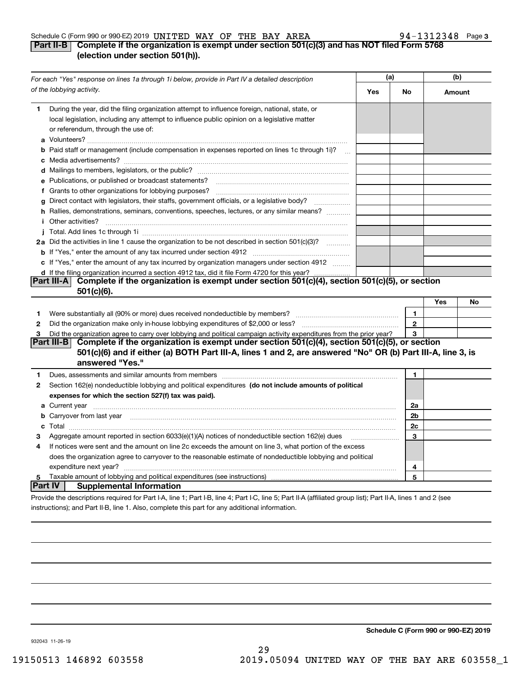#### Schedule C (Form 990 or 990-EZ) 2019 Page UNITED WAY OF THE BAY AREA 94-1312348

#### **3**

#### **Part II-B Complete if the organization is exempt under section 501(c)(3) and has NOT filed Form 5768 (election under section 501(h)).**

|                                                                                                | For each "Yes" response on lines 1a through 1i below, provide in Part IV a detailed description                                                                                                                                      | (a) |              | (b)    |    |
|------------------------------------------------------------------------------------------------|--------------------------------------------------------------------------------------------------------------------------------------------------------------------------------------------------------------------------------------|-----|--------------|--------|----|
|                                                                                                | of the lobbying activity.                                                                                                                                                                                                            | Yes | No           | Amount |    |
| 1                                                                                              | During the year, did the filing organization attempt to influence foreign, national, state, or<br>local legislation, including any attempt to influence public opinion on a legislative matter<br>or referendum, through the use of: |     |              |        |    |
|                                                                                                | <b>b</b> Paid staff or management (include compensation in expenses reported on lines 1c through 1i)?                                                                                                                                |     |              |        |    |
|                                                                                                |                                                                                                                                                                                                                                      |     |              |        |    |
|                                                                                                | e Publications, or published or broadcast statements?                                                                                                                                                                                |     |              |        |    |
|                                                                                                |                                                                                                                                                                                                                                      |     |              |        |    |
| g                                                                                              | Direct contact with legislators, their staffs, government officials, or a legislative body?                                                                                                                                          |     |              |        |    |
|                                                                                                | h Rallies, demonstrations, seminars, conventions, speeches, lectures, or any similar means?<br><i>i</i> Other activities?                                                                                                            |     |              |        |    |
|                                                                                                |                                                                                                                                                                                                                                      |     |              |        |    |
|                                                                                                | 2a Did the activities in line 1 cause the organization to be not described in section 501(c)(3)?                                                                                                                                     |     |              |        |    |
|                                                                                                |                                                                                                                                                                                                                                      |     |              |        |    |
|                                                                                                | c If "Yes," enter the amount of any tax incurred by organization managers under section 4912                                                                                                                                         |     |              |        |    |
| d If the filing organization incurred a section 4912 tax, did it file Form 4720 for this year? |                                                                                                                                                                                                                                      |     |              |        |    |
|                                                                                                | Complete if the organization is exempt under section 501(c)(4), section 501(c)(5), or section<br><b>Part III-A</b><br>$501(c)(6)$ .                                                                                                  |     |              |        |    |
|                                                                                                |                                                                                                                                                                                                                                      |     |              | Yes    | No |
| 1                                                                                              | Were substantially all (90% or more) dues received nondeductible by members?                                                                                                                                                         |     | $\mathbf{1}$ |        |    |
| 2                                                                                              |                                                                                                                                                                                                                                      |     | $\mathbf{2}$ |        |    |
| 3                                                                                              | Did the organization agree to carry over lobbying and political campaign activity expenditures from the prior year?                                                                                                                  |     | 3            |        |    |
|                                                                                                | Complete if the organization is exempt under section 501(c)(4), section 501(c)(5), or section<br> Part III-B                                                                                                                         |     |              |        |    |
|                                                                                                | 501(c)(6) and if either (a) BOTH Part III-A, lines 1 and 2, are answered "No" OR (b) Part III-A, line 3, is<br>answered "Yes."                                                                                                       |     |              |        |    |
| 1                                                                                              | Dues, assessments and similar amounts from members [11] matter content and state and similar amounts from members [11] matter and similar amounts from members [11] matter and similar amounts from members [11] matter and si       |     | 1            |        |    |
| 2                                                                                              | Section 162(e) nondeductible lobbying and political expenditures (do not include amounts of political                                                                                                                                |     |              |        |    |
|                                                                                                | expenses for which the section 527(f) tax was paid).                                                                                                                                                                                 |     |              |        |    |
|                                                                                                |                                                                                                                                                                                                                                      |     | 2a           |        |    |
|                                                                                                | <b>b</b> Carryover from last year manufactured and contained a control of the control of the control of the control of the control of the control of the control of the control of the control of the control of the control of the  |     | 2b           |        |    |
|                                                                                                |                                                                                                                                                                                                                                      |     | 2c           |        |    |
| 3                                                                                              | Aggregate amount reported in section 6033(e)(1)(A) notices of nondeductible section 162(e) dues                                                                                                                                      |     | 3            |        |    |
| 4                                                                                              | If notices were sent and the amount on line 2c exceeds the amount on line 3, what portion of the excess                                                                                                                              |     |              |        |    |
|                                                                                                | does the organization agree to carryover to the reasonable estimate of nondeductible lobbying and political                                                                                                                          |     |              |        |    |
|                                                                                                |                                                                                                                                                                                                                                      |     | 4            |        |    |
| 5                                                                                              |                                                                                                                                                                                                                                      |     | 5            |        |    |
| Part IV                                                                                        | <b>Supplemental Information</b>                                                                                                                                                                                                      |     |              |        |    |
|                                                                                                | Provide the descriptions required for Part I-A, line 1; Part I-B, line 4; Part I-C, line 5; Part II-A (affiliated group list); Part II-A, lines 1 and 2 (see                                                                         |     |              |        |    |
|                                                                                                | instructions); and Part II-B, line 1. Also, complete this part for any additional information.                                                                                                                                       |     |              |        |    |

**Schedule C (Form 990 or 990-EZ) 2019**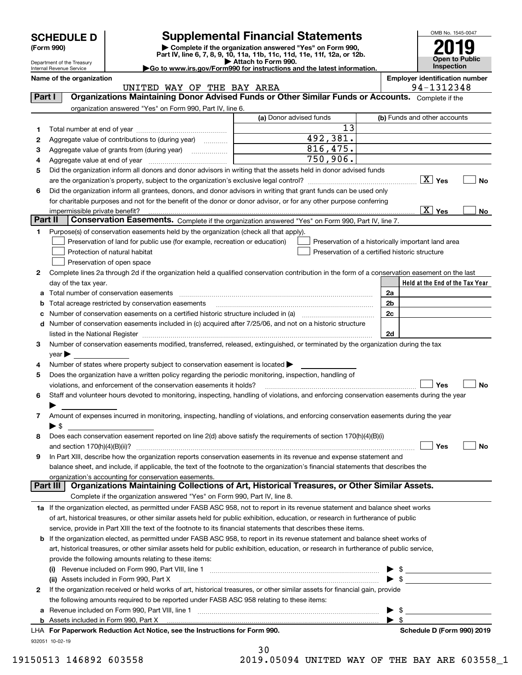Department of the Treasury

| (Form 990) |  |
|------------|--|
|------------|--|

### **Supplemental Financial Statements**

(Form 990)<br>
Pepartment of the Treasury<br>
Department of the Treasury<br>
Department of the Treasury<br>
Department of the Treasury<br> **Co to www.irs.gov/Form990 for instructions and the latest information.**<br> **Co to www.irs.gov/Form9** 



Internal Revenue Service

#### **Name of the organization Employer identification number** UNITED WAY OF THE BAY AREA **194-1312348**

| Part I  | Organizations Maintaining Donor Advised Funds or Other Similar Funds or Accounts. Complete if the                                                                 |                         |                                                    |
|---------|-------------------------------------------------------------------------------------------------------------------------------------------------------------------|-------------------------|----------------------------------------------------|
|         | organization answered "Yes" on Form 990, Part IV, line 6.                                                                                                         |                         |                                                    |
|         |                                                                                                                                                                   | (a) Donor advised funds | (b) Funds and other accounts                       |
| 1       |                                                                                                                                                                   | 13                      |                                                    |
| 2       | Aggregate value of contributions to (during year)                                                                                                                 | 492,381.                |                                                    |
| з       | Aggregate value of grants from (during year)                                                                                                                      | 816,475.                |                                                    |
| 4       |                                                                                                                                                                   | 750,906.                |                                                    |
| 5       | Did the organization inform all donors and donor advisors in writing that the assets held in donor advised funds                                                  |                         |                                                    |
|         |                                                                                                                                                                   |                         | No                                                 |
| 6       | Did the organization inform all grantees, donors, and donor advisors in writing that grant funds can be used only                                                 |                         |                                                    |
|         | for charitable purposes and not for the benefit of the donor or donor advisor, or for any other purpose conferring                                                |                         |                                                    |
|         | impermissible private benefit?                                                                                                                                    |                         | $\boxed{\text{X}}$ Yes<br>No                       |
| Part II | Conservation Easements. Complete if the organization answered "Yes" on Form 990, Part IV, line 7.                                                                 |                         |                                                    |
| 1.      | Purpose(s) of conservation easements held by the organization (check all that apply).                                                                             |                         |                                                    |
|         | Preservation of land for public use (for example, recreation or education)                                                                                        |                         | Preservation of a historically important land area |
|         | Protection of natural habitat                                                                                                                                     |                         | Preservation of a certified historic structure     |
|         | Preservation of open space                                                                                                                                        |                         |                                                    |
| 2       | Complete lines 2a through 2d if the organization held a qualified conservation contribution in the form of a conservation easement on the last                    |                         |                                                    |
|         | day of the tax year.<br>a Total number of conservation easements                                                                                                  |                         | Held at the End of the Tax Year<br>2a              |
|         | Total acreage restricted by conservation easements                                                                                                                |                         | 2 <sub>b</sub>                                     |
| с       | Number of conservation easements on a certified historic structure included in (a) manufacture included in (a)                                                    |                         | 2c                                                 |
|         | d Number of conservation easements included in (c) acquired after 7/25/06, and not on a historic structure                                                        |                         |                                                    |
|         |                                                                                                                                                                   |                         | 2d                                                 |
| 3       | Number of conservation easements modified, transferred, released, extinguished, or terminated by the organization during the tax                                  |                         |                                                    |
|         | $year \blacktriangleright$                                                                                                                                        |                         |                                                    |
| 4       | Number of states where property subject to conservation easement is located >                                                                                     |                         |                                                    |
| 5       | Does the organization have a written policy regarding the periodic monitoring, inspection, handling of                                                            |                         |                                                    |
|         | violations, and enforcement of the conservation easements it holds?                                                                                               |                         | Yes<br>No                                          |
| 6       | Staff and volunteer hours devoted to monitoring, inspecting, handling of violations, and enforcing conservation easements during the year                         |                         |                                                    |
|         |                                                                                                                                                                   |                         |                                                    |
| 7       | Amount of expenses incurred in monitoring, inspecting, handling of violations, and enforcing conservation easements during the year                               |                         |                                                    |
|         | ▶ \$                                                                                                                                                              |                         |                                                    |
| 8       | Does each conservation easement reported on line 2(d) above satisfy the requirements of section 170(h)(4)(B)(i)                                                   |                         |                                                    |
|         |                                                                                                                                                                   |                         | Yes<br>No                                          |
| 9       | In Part XIII, describe how the organization reports conservation easements in its revenue and expense statement and                                               |                         |                                                    |
|         | balance sheet, and include, if applicable, the text of the footnote to the organization's financial statements that describes the                                 |                         |                                                    |
|         | organization's accounting for conservation easements.<br>Organizations Maintaining Collections of Art, Historical Treasures, or Other Similar Assets.<br>Part III |                         |                                                    |
|         | Complete if the organization answered "Yes" on Form 990, Part IV, line 8.                                                                                         |                         |                                                    |
|         | 1a If the organization elected, as permitted under FASB ASC 958, not to report in its revenue statement and balance sheet works                                   |                         |                                                    |
|         | of art, historical treasures, or other similar assets held for public exhibition, education, or research in furtherance of public                                 |                         |                                                    |
|         | service, provide in Part XIII the text of the footnote to its financial statements that describes these items.                                                    |                         |                                                    |
|         | <b>b</b> If the organization elected, as permitted under FASB ASC 958, to report in its revenue statement and balance sheet works of                              |                         |                                                    |
|         | art, historical treasures, or other similar assets held for public exhibition, education, or research in furtherance of public service,                           |                         |                                                    |
|         | provide the following amounts relating to these items:                                                                                                            |                         |                                                    |
|         |                                                                                                                                                                   |                         |                                                    |
|         | (ii) Assets included in Form 990, Part X                                                                                                                          |                         | $\blacktriangleright$ s                            |
| 2       | If the organization received or held works of art, historical treasures, or other similar assets for financial gain, provide                                      |                         |                                                    |
|         | the following amounts required to be reported under FASB ASC 958 relating to these items:                                                                         |                         |                                                    |
| а       |                                                                                                                                                                   |                         |                                                    |
|         |                                                                                                                                                                   |                         | $\blacktriangleright$ s                            |
|         | LHA For Paperwork Reduction Act Notice, see the Instructions for Form 990.                                                                                        |                         | Schedule D (Form 990) 2019                         |
|         | 932051 10-02-19                                                                                                                                                   |                         |                                                    |

| 30 |  |  |
|----|--|--|
|    |  |  |

19150513 146892 603558 2019.05094 UNITED WAY OF THE BAY ARE 603558\_1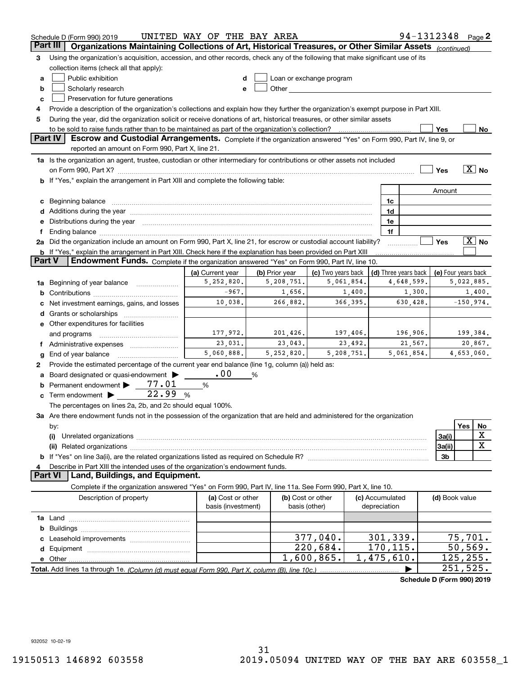|          | 94-1312348 Page 2<br>UNITED WAY OF THE BAY AREA<br>Schedule D (Form 990) 2019                                                                                                                                                  |                                         |                      |                                    |          |                                 |                            |                     |             |                       |
|----------|--------------------------------------------------------------------------------------------------------------------------------------------------------------------------------------------------------------------------------|-----------------------------------------|----------------------|------------------------------------|----------|---------------------------------|----------------------------|---------------------|-------------|-----------------------|
| Part III | Organizations Maintaining Collections of Art, Historical Treasures, or Other Similar Assets (continued)                                                                                                                        |                                         |                      |                                    |          |                                 |                            |                     |             |                       |
| З        | Using the organization's acquisition, accession, and other records, check any of the following that make significant use of its                                                                                                |                                         |                      |                                    |          |                                 |                            |                     |             |                       |
|          | collection items (check all that apply):                                                                                                                                                                                       |                                         |                      |                                    |          |                                 |                            |                     |             |                       |
| a        | Public exhibition                                                                                                                                                                                                              |                                         |                      | Loan or exchange program           |          |                                 |                            |                     |             |                       |
| b        | Scholarly research                                                                                                                                                                                                             | e                                       |                      |                                    |          |                                 |                            |                     |             |                       |
| c        | Preservation for future generations                                                                                                                                                                                            |                                         |                      |                                    |          |                                 |                            |                     |             |                       |
| 4        | Provide a description of the organization's collections and explain how they further the organization's exempt purpose in Part XIII.                                                                                           |                                         |                      |                                    |          |                                 |                            |                     |             |                       |
| 5        | During the year, did the organization solicit or receive donations of art, historical treasures, or other similar assets                                                                                                       |                                         |                      |                                    |          |                                 |                            |                     |             |                       |
|          | to be sold to raise funds rather than to be maintained as part of the organization's collection?                                                                                                                               |                                         |                      |                                    |          |                                 |                            | Yes                 |             | No                    |
|          | <b>Part IV</b><br>Escrow and Custodial Arrangements. Complete if the organization answered "Yes" on Form 990, Part IV, line 9, or<br>reported an amount on Form 990, Part X, line 21.                                          |                                         |                      |                                    |          |                                 |                            |                     |             |                       |
|          | 1a Is the organization an agent, trustee, custodian or other intermediary for contributions or other assets not included                                                                                                       |                                         |                      |                                    |          |                                 |                            |                     |             |                       |
|          |                                                                                                                                                                                                                                |                                         |                      |                                    |          |                                 |                            | Yes                 |             | $\boxed{\text{X}}$ No |
|          | <b>b</b> If "Yes," explain the arrangement in Part XIII and complete the following table:                                                                                                                                      |                                         |                      |                                    |          |                                 |                            |                     |             |                       |
|          |                                                                                                                                                                                                                                |                                         |                      |                                    |          |                                 |                            | Amount              |             |                       |
| c        |                                                                                                                                                                                                                                |                                         |                      |                                    |          | 1c                              |                            |                     |             |                       |
|          | Additions during the year manufactured and an annual contract of the year manufactured and a set of the year manufactured and a set of the year manufactured and a set of the year manufactured and set of the set of the set  |                                         |                      |                                    |          | 1d                              |                            |                     |             |                       |
|          | Distributions during the year manufactured and an account of the state of the state of the state of the state o                                                                                                                |                                         |                      |                                    |          | 1e                              |                            |                     |             |                       |
|          | Ending balance manufactured and contract the contract of the contract of the contract of the contract of the contract of the contract of the contract of the contract of the contract of the contract of the contract of the c |                                         |                      |                                    |          | 1f                              |                            |                     |             |                       |
|          | 2a Did the organization include an amount on Form 990, Part X, line 21, for escrow or custodial account liability?                                                                                                             |                                         |                      |                                    |          |                                 |                            | Yes                 |             | $\boxed{\text{X}}$ No |
|          | <b>b</b> If "Yes," explain the arrangement in Part XIII. Check here if the explanation has been provided on Part XIII                                                                                                          |                                         |                      |                                    |          |                                 |                            |                     |             |                       |
| Part V   | Endowment Funds. Complete if the organization answered "Yes" on Form 990, Part IV, line 10.                                                                                                                                    |                                         |                      |                                    |          |                                 |                            |                     |             |                       |
|          |                                                                                                                                                                                                                                | (a) Current year                        | (b) Prior year       | (c) Two years back<br>5,061,854.   |          |                                 | (d) Three years back       | (e) Four years back |             |                       |
| 1a       | Beginning of year balance                                                                                                                                                                                                      | 5,252,820.<br>$-967.$                   | 5,208,751.<br>1,656. |                                    | 1,400.   |                                 | 4,648,599.<br>1,300.       |                     | 5,022,885.  | 1,400.                |
| b        |                                                                                                                                                                                                                                | 10,038.                                 | 266,882.             |                                    | 366,395. |                                 | 630,428.                   |                     | $-150,974.$ |                       |
|          | Net investment earnings, gains, and losses                                                                                                                                                                                     |                                         |                      |                                    |          |                                 |                            |                     |             |                       |
| d        | Grants or scholarships                                                                                                                                                                                                         |                                         |                      |                                    |          |                                 |                            |                     |             |                       |
|          | e Other expenditures for facilities                                                                                                                                                                                            | 177,972.                                | 201,426.             | 197,406.                           |          |                                 | 196,906.                   |                     | 199,384.    |                       |
|          | and programs<br>Administrative expenses                                                                                                                                                                                        | 23,031.                                 | 23,043.              |                                    | 23,492.  |                                 | 21,567.                    |                     |             | 20,867.               |
| g        | End of year balance                                                                                                                                                                                                            | 5,060,888.                              | 5, 252, 820.         | 5,208,751.                         |          |                                 | 5,061,854.                 |                     | 4,653,060.  |                       |
| 2        | Provide the estimated percentage of the current year end balance (line 1g, column (a)) held as:                                                                                                                                |                                         |                      |                                    |          |                                 |                            |                     |             |                       |
|          | Board designated or quasi-endowment                                                                                                                                                                                            | .00                                     | %                    |                                    |          |                                 |                            |                     |             |                       |
| b        | 77.01<br>Permanent endowment                                                                                                                                                                                                   | %                                       |                      |                                    |          |                                 |                            |                     |             |                       |
| c        | 22.99<br>Term endowment >                                                                                                                                                                                                      | %                                       |                      |                                    |          |                                 |                            |                     |             |                       |
|          | The percentages on lines 2a, 2b, and 2c should equal 100%.                                                                                                                                                                     |                                         |                      |                                    |          |                                 |                            |                     |             |                       |
|          | 3a Are there endowment funds not in the possession of the organization that are held and administered for the organization                                                                                                     |                                         |                      |                                    |          |                                 |                            |                     |             |                       |
|          | by:                                                                                                                                                                                                                            |                                         |                      |                                    |          |                                 |                            |                     | Yes         | No                    |
|          | (i)                                                                                                                                                                                                                            |                                         |                      |                                    |          |                                 |                            | 3a(i)               |             | X                     |
|          |                                                                                                                                                                                                                                |                                         |                      |                                    |          |                                 |                            | 3a(ii)              |             | $\mathbf X$           |
|          |                                                                                                                                                                                                                                |                                         |                      |                                    |          |                                 |                            | 3b                  |             |                       |
|          | Describe in Part XIII the intended uses of the organization's endowment funds.                                                                                                                                                 |                                         |                      |                                    |          |                                 |                            |                     |             |                       |
|          | Land, Buildings, and Equipment.<br>Part VI                                                                                                                                                                                     |                                         |                      |                                    |          |                                 |                            |                     |             |                       |
|          | Complete if the organization answered "Yes" on Form 990, Part IV, line 11a. See Form 990, Part X, line 10.                                                                                                                     |                                         |                      |                                    |          |                                 |                            |                     |             |                       |
|          | Description of property                                                                                                                                                                                                        | (a) Cost or other<br>basis (investment) |                      | (b) Cost or other<br>basis (other) |          | (c) Accumulated<br>depreciation |                            | (d) Book value      |             |                       |
|          |                                                                                                                                                                                                                                |                                         |                      |                                    |          |                                 |                            |                     |             |                       |
| b        |                                                                                                                                                                                                                                |                                         |                      |                                    |          |                                 |                            |                     |             |                       |
|          |                                                                                                                                                                                                                                |                                         |                      | 377,040.                           |          | 301,339.                        |                            |                     | 75,701.     |                       |
| d        |                                                                                                                                                                                                                                |                                         |                      | 220,684.                           |          | 170,115.                        |                            |                     | 50, 569.    |                       |
|          |                                                                                                                                                                                                                                |                                         |                      | 1,600,865.                         |          | 1,475,610.                      |                            |                     | 125,255.    |                       |
|          |                                                                                                                                                                                                                                |                                         |                      |                                    |          |                                 |                            |                     | 251,525.    |                       |
|          |                                                                                                                                                                                                                                |                                         |                      |                                    |          |                                 | Schodule D (Form 000) 2010 |                     |             |                       |

**Schedule D (Form 990) 2019**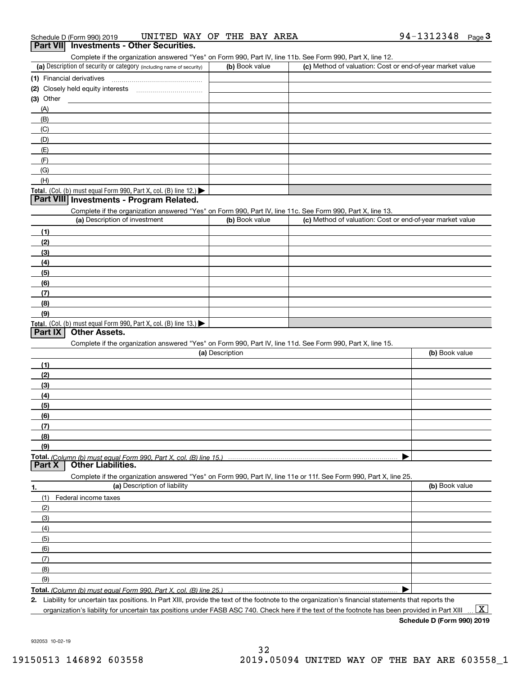#### Complete if the organization answered "Yes" on Form 990, Part IV, line 11b. See Form 990, Part X, line 12.

| <u>OUTIPICIO II DIO ORGINZADOLE ALISTRO COLLECTI ONI LOSO, E ALETT, INICE I DI COCO E ONI LOSO, E ALETA, INICE IZI</u> |                |                                                           |
|------------------------------------------------------------------------------------------------------------------------|----------------|-----------------------------------------------------------|
| (a) Description of security or category (including name of security)                                                   | (b) Book value | (c) Method of valuation: Cost or end-of-year market value |
| (1) Financial derivatives                                                                                              |                |                                                           |
| (2) Closely held equity interests                                                                                      |                |                                                           |
| (3) Other                                                                                                              |                |                                                           |
| (A)                                                                                                                    |                |                                                           |
| (B)                                                                                                                    |                |                                                           |
| (C)                                                                                                                    |                |                                                           |
| (D)                                                                                                                    |                |                                                           |
| (E)                                                                                                                    |                |                                                           |
| (F)                                                                                                                    |                |                                                           |
| (G)                                                                                                                    |                |                                                           |
| (H)                                                                                                                    |                |                                                           |
| Total. (Col. (b) must equal Form 990, Part X, col. (B) line 12.) $\blacktriangleright$                                 |                |                                                           |

#### **Part VIII Investments - Program Related.**

Complete if the organization answered "Yes" on Form 990, Part IV, line 11c. See Form 990, Part X, line 13.

| (a) Description of investment                                       | (b) Book value | (c) Method of valuation: Cost or end-of-year market value |
|---------------------------------------------------------------------|----------------|-----------------------------------------------------------|
| (1)                                                                 |                |                                                           |
| (2)                                                                 |                |                                                           |
| $\frac{1}{2}$                                                       |                |                                                           |
| (4)                                                                 |                |                                                           |
| $\left(5\right)$                                                    |                |                                                           |
| (6)                                                                 |                |                                                           |
| (7)                                                                 |                |                                                           |
| (8)                                                                 |                |                                                           |
| (9)                                                                 |                |                                                           |
| Total. (Col. (b) must equal Form 990, Part X, col. (B) line $13.$ ) |                |                                                           |

#### **Part IX Other Assets.**

Complete if the organization answered "Yes" on Form 990, Part IV, line 11d. See Form 990, Part X, line 15.

| (a) Description                                                                                                   | (b) Book value |
|-------------------------------------------------------------------------------------------------------------------|----------------|
| (1)                                                                                                               |                |
| (2)                                                                                                               |                |
| $\frac{1}{2}$                                                                                                     |                |
| (4)                                                                                                               |                |
| $\frac{1}{2}$ (5)                                                                                                 |                |
| (6)                                                                                                               |                |
| (7)                                                                                                               |                |
| (8)                                                                                                               |                |
| (9)                                                                                                               |                |
|                                                                                                                   |                |
| <b>Part X</b> Other Liabilities.                                                                                  |                |
| Complete if the organization answered "Yes" on Form 990, Part IV, line 11e or 11f. See Form 990, Part X, line 25. |                |

**1.(a)** Description of liability **Book value** Book value Book value Book value Book value **Total.**  *(Column (b) must equal Form 990, Part X, col. (B) line 25.)* (1)Federal income taxes (2)(3)(4)(5) (6)(7)(8)(9) $\blacktriangleright$ 

**2.**Liability for uncertain tax positions. In Part XIII, provide the text of the footnote to the organization's financial statements that reports the organization's liability for uncertain tax positions under FASB ASC 740. Check here if the text of the footnote has been provided in Part XIII

**Schedule D (Form 990) 2019**

 $\boxed{\text{X}}$ 

932053 10-02-19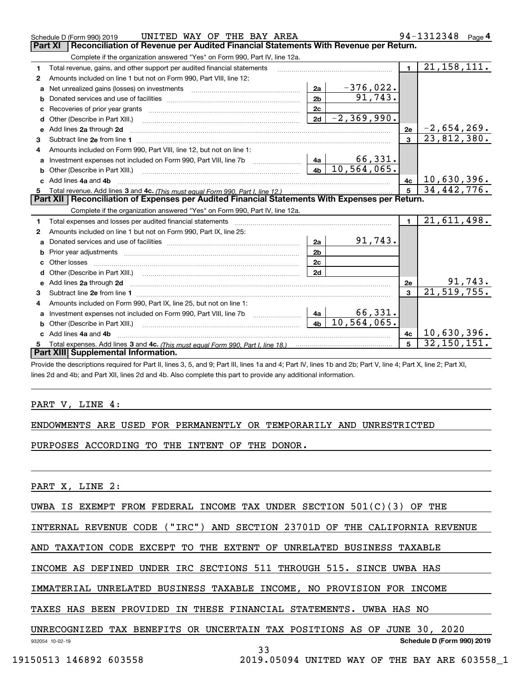|                                                                                                       | UNITED WAY OF THE BAY AREA<br>Schedule D (Form 990) 2019                                                                                                                                                                            |                |                             |                | 94-1312348<br>Page 4        |  |  |  |
|-------------------------------------------------------------------------------------------------------|-------------------------------------------------------------------------------------------------------------------------------------------------------------------------------------------------------------------------------------|----------------|-----------------------------|----------------|-----------------------------|--|--|--|
| <b>Part XI</b><br>Reconciliation of Revenue per Audited Financial Statements With Revenue per Return. |                                                                                                                                                                                                                                     |                |                             |                |                             |  |  |  |
|                                                                                                       | Complete if the organization answered "Yes" on Form 990, Part IV, line 12a.                                                                                                                                                         |                |                             |                |                             |  |  |  |
| 1                                                                                                     | Total revenue, gains, and other support per audited financial statements                                                                                                                                                            |                |                             | $\blacksquare$ | 21, 158, 111.               |  |  |  |
| 2                                                                                                     | Amounts included on line 1 but not on Form 990, Part VIII, line 12:                                                                                                                                                                 |                |                             |                |                             |  |  |  |
| a                                                                                                     |                                                                                                                                                                                                                                     | 2a             | $-376,022.$                 |                |                             |  |  |  |
|                                                                                                       |                                                                                                                                                                                                                                     | 2 <sub>b</sub> | 91, 743.                    |                |                             |  |  |  |
|                                                                                                       |                                                                                                                                                                                                                                     | 2c             |                             |                |                             |  |  |  |
| d                                                                                                     |                                                                                                                                                                                                                                     | 2d             | $-2, 369, 990.$             |                |                             |  |  |  |
| e                                                                                                     | Add lines 2a through 2d                                                                                                                                                                                                             |                |                             | 2e             | $-2,654,269.$               |  |  |  |
| 3                                                                                                     |                                                                                                                                                                                                                                     |                |                             | $\overline{3}$ | 23,812,380.                 |  |  |  |
| 4                                                                                                     | Amounts included on Form 990, Part VIII, line 12, but not on line 1:                                                                                                                                                                |                |                             |                |                             |  |  |  |
| a                                                                                                     |                                                                                                                                                                                                                                     |                | 66,331.                     |                |                             |  |  |  |
|                                                                                                       |                                                                                                                                                                                                                                     | 4 <sub>b</sub> | 10, 564, 065.               |                |                             |  |  |  |
|                                                                                                       | c Add lines 4a and 4b                                                                                                                                                                                                               |                |                             | 4c             | 10,630,396.                 |  |  |  |
|                                                                                                       |                                                                                                                                                                                                                                     |                | $\overline{34, 442, 776}$ . |                |                             |  |  |  |
|                                                                                                       | Part XII   Reconciliation of Expenses per Audited Financial Statements With Expenses per Return.                                                                                                                                    |                |                             |                |                             |  |  |  |
|                                                                                                       |                                                                                                                                                                                                                                     |                |                             |                |                             |  |  |  |
|                                                                                                       | Complete if the organization answered "Yes" on Form 990, Part IV, line 12a.                                                                                                                                                         |                |                             |                |                             |  |  |  |
| 1                                                                                                     | Total expenses and losses per audited financial statements                                                                                                                                                                          |                |                             | $\mathbf{1}$   | 21,611,498.                 |  |  |  |
| 2                                                                                                     | Amounts included on line 1 but not on Form 990, Part IX, line 25:                                                                                                                                                                   |                |                             |                |                             |  |  |  |
| a                                                                                                     |                                                                                                                                                                                                                                     | 2a             | 91,743.                     |                |                             |  |  |  |
| b                                                                                                     |                                                                                                                                                                                                                                     | 2 <sub>b</sub> |                             |                |                             |  |  |  |
|                                                                                                       |                                                                                                                                                                                                                                     | 2c             |                             |                |                             |  |  |  |
| d                                                                                                     | Other (Describe in Part XIII.) (2000) (2000) (2000) (2000) (2000) (2000) (2000) (2000) (2000) (2000) (2000) (2000) (2000) (2000) (2000) (2000) (2000) (2000) (2000) (2000) (2000) (2000) (2000) (2000) (2000) (2000) (2000) (2      | 2d             |                             |                |                             |  |  |  |
| е                                                                                                     | Add lines 2a through 2d <b>contained a contained a contained a contained a</b> contained a contained a contained a contained a contained a contained a contained a contained a contained a contained a contained a contained a cont |                |                             | 2e             |                             |  |  |  |
| 3                                                                                                     |                                                                                                                                                                                                                                     |                |                             | $\overline{3}$ | $\frac{91,743}{21,519,755}$ |  |  |  |
| 4                                                                                                     | Amounts included on Form 990, Part IX, line 25, but not on line 1:                                                                                                                                                                  |                |                             |                |                             |  |  |  |
| a                                                                                                     | Investment expenses not included on Form 990, Part VIII, line 7b [111] [11] Investment expenses not included on Form 990, Part VIII, line 7b                                                                                        | 4a             | 66,331.                     |                |                             |  |  |  |
|                                                                                                       | Other (Describe in Part XIII.)                                                                                                                                                                                                      | 4 <sub>b</sub> | 10, 564, 065.               |                |                             |  |  |  |
|                                                                                                       | Add lines 4a and 4b                                                                                                                                                                                                                 |                |                             | 4 <sub>c</sub> | 10,630,396.                 |  |  |  |
|                                                                                                       | Total expenses. Add lines 3 and 4c. (This must equal Form 990, Part I, line 18.) <b>Conservers</b> manufactured in the<br>Part XIII Supplemental Information.                                                                       |                |                             | 5              | 32, 150, 151.               |  |  |  |

Provide the descriptions required for Part II, lines 3, 5, and 9; Part III, lines 1a and 4; Part IV, lines 1b and 2b; Part V, line 4; Part X, line 2; Part XI, lines 2d and 4b; and Part XII, lines 2d and 4b. Also complete this part to provide any additional information.

#### PART V, LINE 4:

#### ENDOWMENTS ARE USED FOR PERMANENTLY OR TEMPORARILY AND UNRESTRICTED

PURPOSES ACCORDING TO THE INTENT OF THE DONOR.

PART X, LINE 2:

#### UWBA IS EXEMPT FROM FEDERAL INCOME TAX UNDER SECTION 501(C)(3) OF THE

INTERNAL REVENUE CODE ("IRC") AND SECTION 23701D OF THE CALIFORNIA REVENUE

AND TAXATION CODE EXCEPT TO THE EXTENT OF UNRELATED BUSINESS TAXABLE

INCOME AS DEFINED UNDER IRC SECTIONS 511 THROUGH 515. SINCE UWBA HAS

IMMATERIAL UNRELATED BUSINESS TAXABLE INCOME, NO PROVISION FOR INCOME

TAXES HAS BEEN PROVIDED IN THESE FINANCIAL STATEMENTS. UWBA HAS NO

#### UNRECOGNIZED TAX BENEFITS OR UNCERTAIN TAX POSITIONS AS OF JUNE 30, 2020

932054 10-02-19

**Schedule D (Form 990) 2019**

33

19150513 146892 603558 2019.05094 UNITED WAY OF THE BAY ARE 603558\_1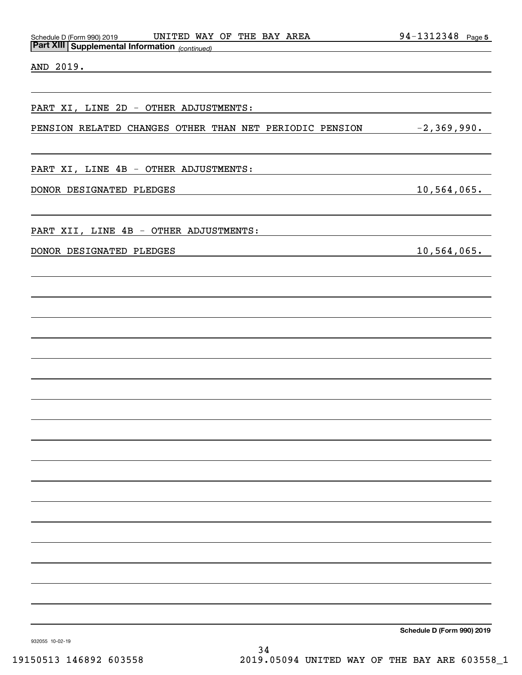| <b>Part XIII Supplemental Information</b> (continued)   |                 |  |  |  |  |
|---------------------------------------------------------|-----------------|--|--|--|--|
| AND 2019.                                               |                 |  |  |  |  |
| PART XI, LINE 2D - OTHER ADJUSTMENTS:                   |                 |  |  |  |  |
| PENSION RELATED CHANGES OTHER THAN NET PERIODIC PENSION | $-2, 369, 990.$ |  |  |  |  |
| PART XI, LINE 4B - OTHER ADJUSTMENTS:                   |                 |  |  |  |  |
| DONOR DESIGNATED PLEDGES                                | 10,564,065.     |  |  |  |  |
| PART XII, LINE 4B - OTHER ADJUSTMENTS:                  |                 |  |  |  |  |
| DONOR DESIGNATED PLEDGES                                | 10,564,065.     |  |  |  |  |
|                                                         |                 |  |  |  |  |
|                                                         |                 |  |  |  |  |
|                                                         |                 |  |  |  |  |
|                                                         |                 |  |  |  |  |
|                                                         |                 |  |  |  |  |
|                                                         |                 |  |  |  |  |
|                                                         |                 |  |  |  |  |
|                                                         |                 |  |  |  |  |
|                                                         |                 |  |  |  |  |
|                                                         |                 |  |  |  |  |
|                                                         |                 |  |  |  |  |
|                                                         |                 |  |  |  |  |

Schedule D (Form 990) 2019 UNITED WAY OF THE BAY AREA 94-1312348 page

**Schedule D (Form 990) 2019**

**5**

932055 10-02-19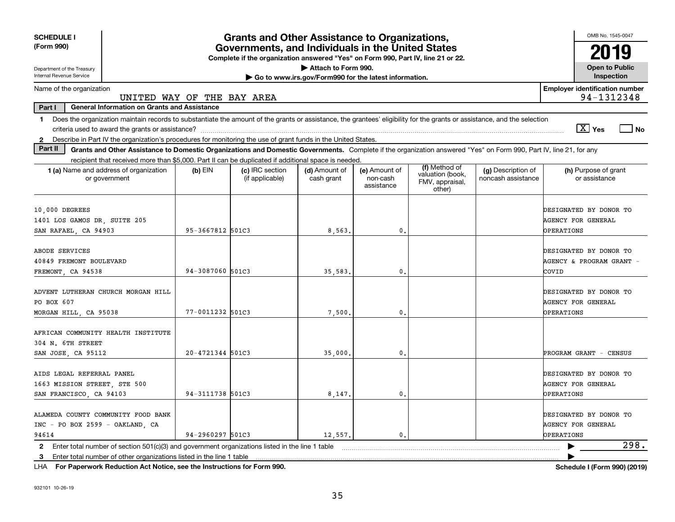| <b>SCHEDULE I</b>                                                                                                                                                              |                                                                                                                                       | <b>Grants and Other Assistance to Organizations,</b> |                             |                                         |                                                                |                                          | OMB No. 1545-0047                                                 |  |
|--------------------------------------------------------------------------------------------------------------------------------------------------------------------------------|---------------------------------------------------------------------------------------------------------------------------------------|------------------------------------------------------|-----------------------------|-----------------------------------------|----------------------------------------------------------------|------------------------------------------|-------------------------------------------------------------------|--|
| (Form 990)                                                                                                                                                                     | Governments, and Individuals in the United States<br>Complete if the organization answered "Yes" on Form 990, Part IV, line 21 or 22. |                                                      |                             |                                         |                                                                |                                          |                                                                   |  |
| Department of the Treasury                                                                                                                                                     |                                                                                                                                       |                                                      | Attach to Form 990.         |                                         |                                                                |                                          | <b>Open to Public</b>                                             |  |
| Internal Revenue Service<br>Go to www.irs.gov/Form990 for the latest information.                                                                                              |                                                                                                                                       |                                                      |                             |                                         |                                                                |                                          | Inspection                                                        |  |
| Name of the organization<br>UNITED WAY OF THE BAY AREA                                                                                                                         |                                                                                                                                       |                                                      |                             |                                         |                                                                |                                          | <b>Employer identification number</b><br>94-1312348               |  |
| Part I<br><b>General Information on Grants and Assistance</b>                                                                                                                  |                                                                                                                                       |                                                      |                             |                                         |                                                                |                                          |                                                                   |  |
| Does the organization maintain records to substantiate the amount of the grants or assistance, the grantees' eligibility for the grants or assistance, and the selection<br>1. |                                                                                                                                       |                                                      |                             |                                         |                                                                |                                          |                                                                   |  |
|                                                                                                                                                                                |                                                                                                                                       |                                                      |                             |                                         |                                                                |                                          | $\boxed{\text{X}}$ Yes<br>l No                                    |  |
| Describe in Part IV the organization's procedures for monitoring the use of grant funds in the United States.<br>$\mathbf{2}$                                                  |                                                                                                                                       |                                                      |                             |                                         |                                                                |                                          |                                                                   |  |
| Part II<br>Grants and Other Assistance to Domestic Organizations and Domestic Governments. Complete if the organization answered "Yes" on Form 990, Part IV, line 21, for any  |                                                                                                                                       |                                                      |                             |                                         |                                                                |                                          |                                                                   |  |
| recipient that received more than \$5,000. Part II can be duplicated if additional space is needed.                                                                            |                                                                                                                                       |                                                      |                             |                                         |                                                                |                                          |                                                                   |  |
| 1 (a) Name and address of organization<br>or government                                                                                                                        | $(b)$ EIN                                                                                                                             | (c) IRC section<br>(if applicable)                   | (d) Amount of<br>cash grant | (e) Amount of<br>non-cash<br>assistance | (f) Method of<br>valuation (book,<br>FMV, appraisal,<br>other) | (g) Description of<br>noncash assistance | (h) Purpose of grant<br>or assistance                             |  |
| 10,000 DEGREES<br>1401 LOS GAMOS DR, SUITE 205                                                                                                                                 |                                                                                                                                       |                                                      |                             |                                         |                                                                |                                          | DESIGNATED BY DONOR TO<br><b>AGENCY FOR GENERAL</b>               |  |
| SAN RAFAEL, CA 94903                                                                                                                                                           | 95-3667812 501C3                                                                                                                      |                                                      | 8,563,                      | 0.                                      |                                                                |                                          | OPERATIONS                                                        |  |
| ABODE SERVICES<br>40849 FREMONT BOULEVARD<br>FREMONT, CA 94538                                                                                                                 | 94-3087060 501C3                                                                                                                      |                                                      | 35,583                      | 0.                                      |                                                                |                                          | DESIGNATED BY DONOR TO<br>AGENCY & PROGRAM GRANT<br>COVID         |  |
| ADVENT LUTHERAN CHURCH MORGAN HILL<br>PO BOX 607<br>MORGAN HILL, CA 95038                                                                                                      | 77-0011232 501C3                                                                                                                      |                                                      | 7,500.                      | 0.                                      |                                                                |                                          | DESIGNATED BY DONOR TO<br><b>AGENCY FOR GENERAL</b><br>OPERATIONS |  |
| AFRICAN COMMUNITY HEALTH INSTITUTE<br>304 N. 6TH STREET<br>SAN JOSE, CA 95112                                                                                                  | 20-4721344 501C3                                                                                                                      |                                                      | 35,000                      | $\mathbf{0}$ .                          |                                                                |                                          | PROGRAM GRANT - CENSUS                                            |  |
| AIDS LEGAL REFERRAL PANEL<br>1663 MISSION STREET, STE 500<br>SAN FRANCISCO, CA 94103                                                                                           | 94-3111738 501C3                                                                                                                      |                                                      | 8,147.                      | 0.                                      |                                                                |                                          | DESIGNATED BY DONOR TO<br><b>AGENCY FOR GENERAL</b><br>OPERATIONS |  |
| ALAMEDA COUNTY COMMUNITY FOOD BANK<br>INC - PO BOX 2599 - OAKLAND, CA<br>94614                                                                                                 | 94-2960297 501C3                                                                                                                      |                                                      | 12,557.                     | 0.                                      |                                                                |                                          | DESIGNATED BY DONOR TO<br><b>AGENCY FOR GENERAL</b><br>OPERATIONS |  |
|                                                                                                                                                                                |                                                                                                                                       |                                                      |                             |                                         |                                                                |                                          | 298.                                                              |  |
| 2 Enter total number of section 501(c)(3) and government organizations listed in the line 1 table<br>Enter total number of other organizations listed in the line 1 table<br>3 |                                                                                                                                       |                                                      |                             |                                         |                                                                |                                          |                                                                   |  |

**For Paperwork Reduction Act Notice, see the Instructions for Form 990. Schedule I (Form 990) (2019)** LHA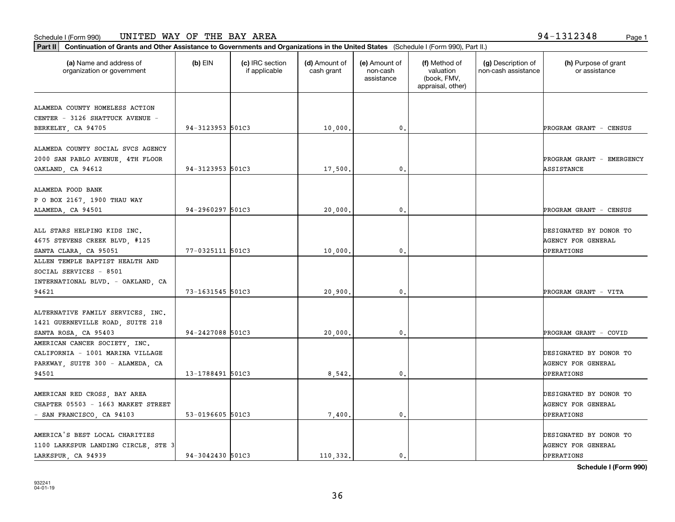organization or government

**Part II Continuation of Grants and Other Assistance to Governments and Organizations in the United States**  (Schedule I (Form 990), Part II.)

if applicable

 $(b)$  EIN  $(c)$  IRC section

**(a) (b) (c) (d) (e) (f) (g) (h)** Name and address of

(d) Amount of cash grant

(e) Amount of non-cashassistance

(f) Method of valuation (book, FMV,

(g) Description of non-cash assistance

|                                                                    |                  |          |                | appraisal, other) |                           |
|--------------------------------------------------------------------|------------------|----------|----------------|-------------------|---------------------------|
| ALAMEDA COUNTY HOMELESS ACTION<br>CENTER - 3126 SHATTUCK AVENUE -  |                  |          |                |                   |                           |
| BERKELEY, CA 94705                                                 | 94-3123953 501C3 | 10,000.  | $\mathbf{0}$   |                   | PROGRAM GRANT - CENSUS    |
|                                                                    |                  |          |                |                   |                           |
| ALAMEDA COUNTY SOCIAL SVCS AGENCY                                  |                  |          |                |                   |                           |
| 2000 SAN PABLO AVENUE, 4TH FLOOR                                   |                  |          |                |                   | PROGRAM GRANT - EMERGENCY |
| OAKLAND, CA 94612                                                  | 94-3123953 501C3 | 17,500.  | $\mathbf{0}$   |                   | ASSISTANCE                |
| ALAMEDA FOOD BANK                                                  |                  |          |                |                   |                           |
| P O BOX 2167, 1900 THAU WAY                                        |                  |          |                |                   |                           |
| ALAMEDA, CA 94501                                                  | 94-2960297 501C3 | 20,000.  | $\mathbf{0}$   |                   | PROGRAM GRANT - CENSUS    |
|                                                                    |                  |          |                |                   |                           |
| ALL STARS HELPING KIDS INC.                                        |                  |          |                |                   | DESIGNATED BY DONOR TO    |
| 4675 STEVENS CREEK BLVD, #125                                      |                  |          |                |                   | <b>AGENCY FOR GENERAL</b> |
| SANTA CLARA, CA 95051                                              | 77-0325111 501C3 | 10,000.  | $\mathbf{0}$   |                   | <b>OPERATIONS</b>         |
| ALLEN TEMPLE BAPTIST HEALTH AND                                    |                  |          |                |                   |                           |
| SOCIAL SERVICES - 8501                                             |                  |          |                |                   |                           |
| INTERNATIONAL BLVD. - OAKLAND, CA                                  | 73-1631545 501C3 |          |                |                   |                           |
| 94621                                                              |                  | 20,900.  | $\mathbf{0}$   |                   | PROGRAM GRANT - VITA      |
| ALTERNATIVE FAMILY SERVICES, INC.                                  |                  |          |                |                   |                           |
| 1421 GUERNEVILLE ROAD, SUITE 218                                   |                  |          |                |                   |                           |
| SANTA ROSA, CA 95403                                               | 94-2427088 501C3 | 20,000.  | 0.             |                   | PROGRAM GRANT - COVID     |
| AMERICAN CANCER SOCIETY, INC.                                      |                  |          |                |                   |                           |
| CALIFORNIA - 1001 MARINA VILLAGE                                   |                  |          |                |                   | DESIGNATED BY DONOR TO    |
| PARKWAY, SUITE 300 - ALAMEDA, CA                                   |                  |          |                |                   | <b>AGENCY FOR GENERAL</b> |
| 94501                                                              | 13-1788491 501C3 | 8,542    | $\mathbf{0}$   |                   | <b>OPERATIONS</b>         |
|                                                                    |                  |          |                |                   | DESIGNATED BY DONOR TO    |
| AMERICAN RED CROSS, BAY AREA<br>CHAPTER 05503 - 1663 MARKET STREET |                  |          |                |                   | <b>AGENCY FOR GENERAL</b> |
|                                                                    | 53-0196605 501C3 |          | 0.             |                   | <b>OPERATIONS</b>         |
| - SAN FRANCISCO, CA 94103                                          |                  | 7,400    |                |                   |                           |
| AMERICA'S BEST LOCAL CHARITIES                                     |                  |          |                |                   | DESIGNATED BY DONOR TO    |
| 1100 LARKSPUR LANDING CIRCLE, STE 3                                |                  |          |                |                   | <b>AGENCY FOR GENERAL</b> |
| LARKSPUR, CA 94939                                                 | 94-3042430 501C3 | 110,332. | $\mathbf{0}$ . |                   | OPERATIONS                |
|                                                                    |                  |          |                |                   |                           |

**Schedule I (Form 990)**

(h) Purpose of grant or assistance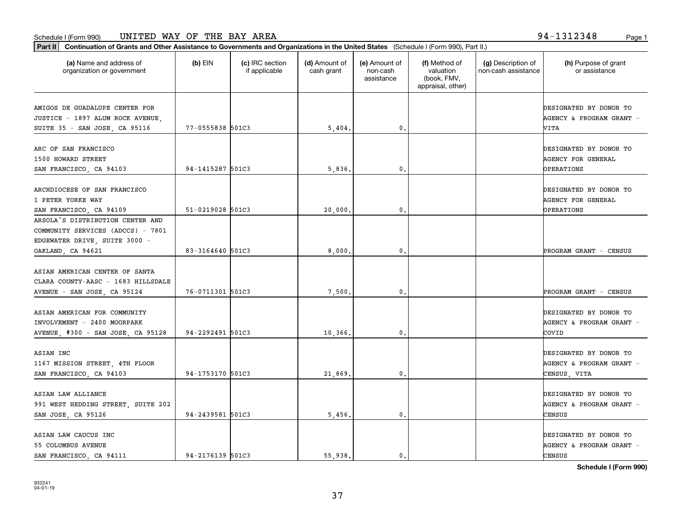**Part II Continuation of Grants and Other Assistance to Governments and Organizations in the United States**  (Schedule I (Form 990), Part II.)

| (a) Name and address of<br>organization or government       | $(b)$ EIN        | (c) IRC section<br>if applicable | (d) Amount of<br>cash grant | (e) Amount of<br>non-cash<br>assistance | (f) Method of<br>valuation<br>(book, FMV,<br>appraisal, other) | (g) Description of<br>non-cash assistance | (h) Purpose of grant<br>or assistance              |
|-------------------------------------------------------------|------------------|----------------------------------|-----------------------------|-----------------------------------------|----------------------------------------------------------------|-------------------------------------------|----------------------------------------------------|
| AMIGOS DE GUADALUPE CENTER FOR                              |                  |                                  |                             |                                         |                                                                |                                           | DESIGNATED BY DONOR TO                             |
| JUSTICE - 1897 ALUM ROCK AVENUE,                            |                  |                                  |                             |                                         |                                                                |                                           | AGENCY & PROGRAM GRANT -                           |
| SUITE 35 - SAN JOSE, CA 95116                               | 77-0555838 501C3 |                                  | 5,404.                      | 0.                                      |                                                                |                                           | VITA                                               |
| ARC OF SAN FRANCISCO                                        |                  |                                  |                             |                                         |                                                                |                                           | DESIGNATED BY DONOR TO                             |
| 1500 HOWARD STREET                                          |                  |                                  |                             |                                         |                                                                |                                           | <b>AGENCY FOR GENERAL</b>                          |
| SAN FRANCISCO, CA 94103                                     | 94-1415287 501C3 |                                  | 5,836                       | 0.                                      |                                                                |                                           | OPERATIONS                                         |
|                                                             |                  |                                  |                             |                                         |                                                                |                                           |                                                    |
| ARCHDIOCESE OF SAN FRANCISCO                                |                  |                                  |                             |                                         |                                                                |                                           | DESIGNATED BY DONOR TO                             |
| 1 PETER YORKE WAY                                           |                  |                                  |                             |                                         |                                                                |                                           | <b>AGENCY FOR GENERAL</b>                          |
| SAN FRANCISCO, CA 94109                                     | 51-0219028 501C3 |                                  | 20,000                      | $\mathbf{0}$ .                          |                                                                |                                           | OPERATIONS                                         |
| ARSOLA'S DISTRIBUTION CENTER AND                            |                  |                                  |                             |                                         |                                                                |                                           |                                                    |
| COMMUNITY SERVICES (ADCCS) - 7801                           |                  |                                  |                             |                                         |                                                                |                                           |                                                    |
| EDGEWATER DRIVE, SUITE 3000 -                               |                  |                                  |                             |                                         |                                                                |                                           |                                                    |
| OAKLAND, CA 94621                                           | 83-3164640 501C3 |                                  | 8,000                       | $\mathbf{0}$ .                          |                                                                |                                           | PROGRAM GRANT - CENSUS                             |
|                                                             |                  |                                  |                             |                                         |                                                                |                                           |                                                    |
| ASIAN AMERICAN CENTER OF SANTA                              |                  |                                  |                             |                                         |                                                                |                                           |                                                    |
| CLARA COUNTY-AASC - 1683 HILLSDALE                          |                  |                                  |                             |                                         |                                                                |                                           |                                                    |
| AVENUE - SAN JOSE, CA 95124                                 | 76-0711301 501C3 |                                  | 7,500                       | 0.                                      |                                                                |                                           | PROGRAM GRANT - CENSUS                             |
|                                                             |                  |                                  |                             |                                         |                                                                |                                           |                                                    |
| ASIAN AMERICAN FOR COMMUNITY<br>INVOLVEMENT - 2400 MOORPARK |                  |                                  |                             |                                         |                                                                |                                           | DESIGNATED BY DONOR TO<br>AGENCY & PROGRAM GRANT - |
|                                                             | 94-2292491 501C3 |                                  | 10,366                      | 0.                                      |                                                                |                                           | COVID                                              |
| AVENUE, #300 - SAN JOSE, CA 95128                           |                  |                                  |                             |                                         |                                                                |                                           |                                                    |
| ASIAN INC                                                   |                  |                                  |                             |                                         |                                                                |                                           | DESIGNATED BY DONOR TO                             |
| 1167 MISSION STREET, 4TH FLOOR                              |                  |                                  |                             |                                         |                                                                |                                           | AGENCY & PROGRAM GRANT -                           |
| SAN FRANCISCO, CA 94103                                     | 94-1753170 501C3 |                                  | 21,869                      | 0.                                      |                                                                |                                           | CENSUS, VITA                                       |
|                                                             |                  |                                  |                             |                                         |                                                                |                                           |                                                    |
| ASIAN LAW ALLIANCE                                          |                  |                                  |                             |                                         |                                                                |                                           | DESIGNATED BY DONOR TO                             |
| 991 WEST HEDDING STREET, SUITE 202                          |                  |                                  |                             |                                         |                                                                |                                           | AGENCY & PROGRAM GRANT -                           |
| SAN JOSE, CA 95126                                          | 94-2439581 501C3 |                                  | 5,456                       | 0.                                      |                                                                |                                           | CENSUS                                             |
|                                                             |                  |                                  |                             |                                         |                                                                |                                           |                                                    |
| ASIAN LAW CAUCUS INC                                        |                  |                                  |                             |                                         |                                                                |                                           | DESIGNATED BY DONOR TO                             |
| 55 COLUMBUS AVENUE                                          |                  |                                  |                             |                                         |                                                                |                                           | AGENCY & PROGRAM GRANT -                           |

**Schedule I (Form 990)**

SAN FRANCISCO, CA 94111 94-2176139 501C3 (55,938. 0. 0. 0. 0. 0. 55,938.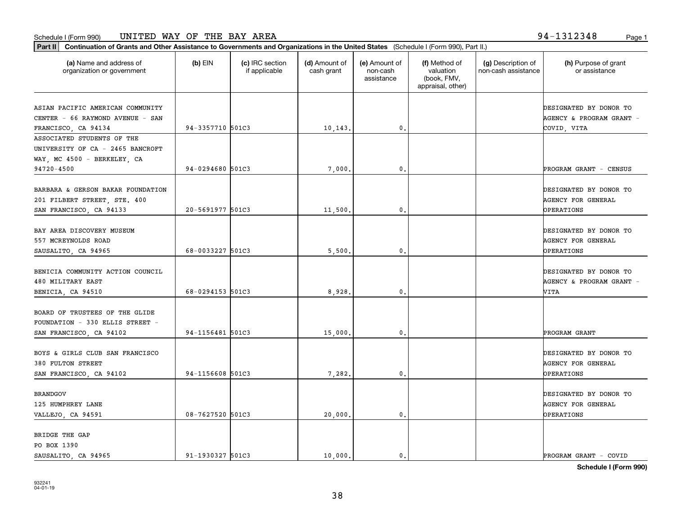organization or government

**Part II Continuation of Grants and Other Assistance to Governments and Organizations in the United States**  (Schedule I (Form 990), Part II.)

if applicable

 $(b)$  EIN  $(c)$  IRC section

PO BOX 1390

|                                                       |                  |         | assistance       | (book, FMV,<br>appraisal, other) |                                  |
|-------------------------------------------------------|------------------|---------|------------------|----------------------------------|----------------------------------|
| ASIAN PACIFIC AMERICAN COMMUNITY                      |                  |         |                  |                                  | DESIGNATED BY DONOR TO           |
| CENTER - 66 RAYMOND AVENUE - SAN                      |                  |         |                  |                                  | AGENCY & PROGRAM GRANT -         |
| FRANCISCO, CA 94134                                   | 94-3357710 501C3 | 10,143. | 0.               |                                  | COVID, VITA                      |
| ASSOCIATED STUDENTS OF THE                            |                  |         |                  |                                  |                                  |
| UNIVERSITY OF CA - 2465 BANCROFT                      |                  |         |                  |                                  |                                  |
| WAY, MC 4500 - BERKELEY, CA                           |                  |         |                  |                                  |                                  |
| 94720-4500                                            | 94-0294680 501C3 | 7,000.  | $\mathfrak{o}$ . |                                  | PROGRAM GRANT - CENSUS           |
| BARBARA & GERSON BAKAR FOUNDATION                     |                  |         |                  |                                  | DESIGNATED BY DONOR TO           |
| 201 FILBERT STREET, STE. 400                          |                  |         |                  |                                  | <b>AGENCY FOR GENERAL</b>        |
| SAN FRANCISCO, CA 94133                               | 20-5691977 501C3 | 11,500. | 0.               |                                  | <b>OPERATIONS</b>                |
|                                                       |                  |         |                  |                                  |                                  |
| BAY AREA DISCOVERY MUSEUM                             |                  |         |                  |                                  | DESIGNATED BY DONOR TO           |
| 557 MCREYNOLDS ROAD                                   |                  |         |                  |                                  | AGENCY FOR GENERAL               |
| SAUSALITO, CA 94965                                   | 68-0033227 501C3 | 5,500.  | 0.               |                                  | <b>OPERATIONS</b>                |
|                                                       |                  |         |                  |                                  |                                  |
| BENICIA COMMUNITY ACTION COUNCIL<br>480 MILITARY EAST |                  |         |                  |                                  | DESIGNATED BY DONOR TO           |
| BENICIA, CA 94510                                     | 68-0294153 501C3 | 8,928.  | 0.               |                                  | AGENCY & PROGRAM GRANT -<br>VITA |
|                                                       |                  |         |                  |                                  |                                  |
| BOARD OF TRUSTEES OF THE GLIDE                        |                  |         |                  |                                  |                                  |
| FOUNDATION - 330 ELLIS STREET -                       |                  |         |                  |                                  |                                  |
| SAN FRANCISCO, CA 94102                               | 94-1156481 501C3 | 15,000. | $\mathbf{0}$     |                                  | PROGRAM GRANT                    |
| BOYS & GIRLS CLUB SAN FRANCISCO                       |                  |         |                  |                                  | DESIGNATED BY DONOR TO           |
| 380 FULTON STREET                                     |                  |         |                  |                                  | <b>AGENCY FOR GENERAL</b>        |
| SAN FRANCISCO, CA 94102                               | 94-1156608 501C3 | 7,282.  | 0.               |                                  | OPERATIONS                       |
|                                                       |                  |         |                  |                                  |                                  |
| <b>BRANDGOV</b>                                       |                  |         |                  |                                  | DESIGNATED BY DONOR TO           |
| 125 HUMPHREY LANE                                     |                  |         |                  |                                  | AGENCY FOR GENERAL               |
| VALLEJO, CA 94591                                     | 08-7627520 501C3 | 20,000. | 0.               |                                  | <b>OPERATIONS</b>                |
| BRIDGE THE GAP                                        |                  |         |                  |                                  |                                  |
|                                                       |                  |         |                  |                                  |                                  |

**(a) (b) (c) (d) (e) (f) (g) (h)** Name and address of

(d) Amount of cash grant

(e) Amount of non-cash

(f) Method of valuation

(g) Description of non-cash assistance

**Schedule I (Form 990)**

SAUSALITO, CA 94965 91-1930327 501C3 (91-1930327 501C3 ) (91-1930327 501C3 ) (91-1930327 501C3 ) (91-1930327 501C3

(h) Purpose of grant or assistance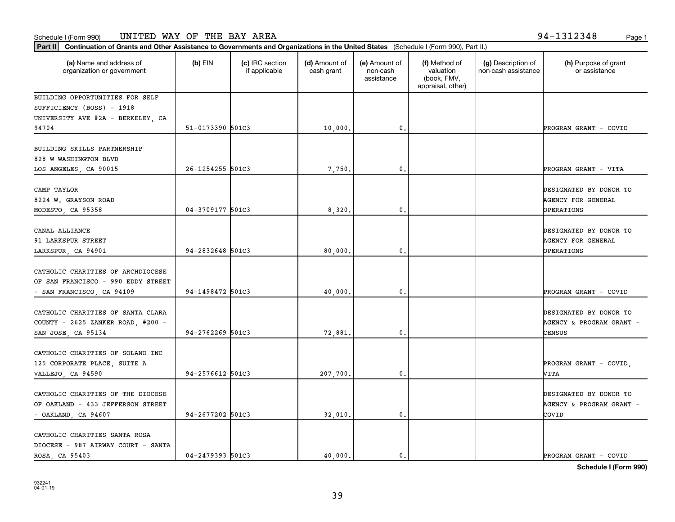CATHOLIC CHARITIES SANTA ROSA

**Schedule I (Form 990)**

| Part II   Continuation of Grants and Other Assistance to Governments and Organizations in the United States (Schedule I (Form 990), Part II.) |                  |                                  |                             |                                         |                                                                |                                           |                                                     |
|-----------------------------------------------------------------------------------------------------------------------------------------------|------------------|----------------------------------|-----------------------------|-----------------------------------------|----------------------------------------------------------------|-------------------------------------------|-----------------------------------------------------|
| (a) Name and address of<br>organization or government                                                                                         | $(b)$ EIN        | (c) IRC section<br>if applicable | (d) Amount of<br>cash grant | (e) Amount of<br>non-cash<br>assistance | (f) Method of<br>valuation<br>(book, FMV,<br>appraisal, other) | (g) Description of<br>non-cash assistance | (h) Purpose of grant<br>or assistance               |
| BUILDING OPPORTUNITIES FOR SELF                                                                                                               |                  |                                  |                             |                                         |                                                                |                                           |                                                     |
| SUFFICIENCY (BOSS) - 1918                                                                                                                     |                  |                                  |                             |                                         |                                                                |                                           |                                                     |
| UNIVERSITY AVE #2A - BERKELEY, CA                                                                                                             |                  |                                  |                             |                                         |                                                                |                                           |                                                     |
| 94704                                                                                                                                         | 51-0173390 501C3 |                                  | 10,000.                     | 0.                                      |                                                                |                                           | PROGRAM GRANT - COVID                               |
| BUILDING SKILLS PARTNERSHIP                                                                                                                   |                  |                                  |                             |                                         |                                                                |                                           |                                                     |
| 828 W WASHINGTON BLVD                                                                                                                         |                  |                                  |                             |                                         |                                                                |                                           |                                                     |
| LOS ANGELES, CA 90015                                                                                                                         | 26-1254255 501C3 |                                  | 7,750.                      | $\mathfrak{o}$ .                        |                                                                |                                           | PROGRAM GRANT - VITA                                |
| CAMP TAYLOR<br>8224 W. GRAYSON ROAD                                                                                                           |                  |                                  |                             |                                         |                                                                |                                           | DESIGNATED BY DONOR TO<br>AGENCY FOR GENERAL        |
| MODESTO, CA 95358                                                                                                                             | 04-3709177 501C3 |                                  | 8,320                       | 0.                                      |                                                                |                                           | OPERATIONS                                          |
| CANAL ALLIANCE<br>91 LARKSPUR STREET                                                                                                          |                  |                                  |                             |                                         |                                                                |                                           | DESIGNATED BY DONOR TO<br><b>AGENCY FOR GENERAL</b> |
| LARKSPUR, CA 94901                                                                                                                            | 94-2832648 501C3 |                                  | 80,000                      | 0.                                      |                                                                |                                           | <b>OPERATIONS</b>                                   |
| CATHOLIC CHARITIES OF ARCHDIOCESE<br>OF SAN FRANCISCO - 990 EDDY STREET                                                                       |                  |                                  |                             |                                         |                                                                |                                           |                                                     |
| - SAN FRANCISCO, CA 94109                                                                                                                     | 94-1498472 501C3 |                                  | 40,000                      | 0.                                      |                                                                |                                           | PROGRAM GRANT - COVID                               |
| CATHOLIC CHARITIES OF SANTA CLARA<br>COUNTY - 2625 ZANKER ROAD, #200 -                                                                        |                  |                                  |                             |                                         |                                                                |                                           | DESIGNATED BY DONOR TO<br>AGENCY & PROGRAM GRANT -  |
| SAN JOSE, CA 95134                                                                                                                            | 94-2762269 501C3 |                                  | 72,881.                     | $\mathbf{0}$ .                          |                                                                |                                           | CENSUS                                              |
| CATHOLIC CHARITIES OF SOLANO INC                                                                                                              |                  |                                  |                             |                                         |                                                                |                                           |                                                     |
| 125 CORPORATE PLACE, SUITE A<br>VALLEJO, CA 94590                                                                                             | 94-2576612 501C3 |                                  | 207,700.                    | $\mathfrak{o}$ .                        |                                                                |                                           | PROGRAM GRANT - COVID,<br>VITA                      |
| CATHOLIC CHARITIES OF THE DIOCESE<br>OF OAKLAND - 433 JEFFERSON STREET                                                                        |                  |                                  |                             |                                         |                                                                |                                           | DESIGNATED BY DONOR TO<br>AGENCY & PROGRAM GRANT -  |

- OAKLAND, CA 94607 (94-2677202 501C3 (94-2677202 501C3) (94-2677202 501C3 (95)

ROSA, CA 95403 04-2479393 501C3 40,000. 0. PROGRAM GRANT - COVID

39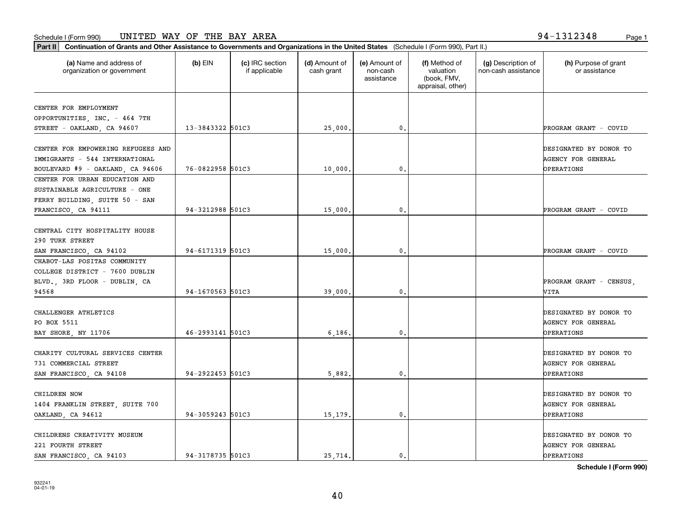**Part II Continuation of Grants and Other Assistance to Governments and Organizations in the United States**  (Schedule I (Form 990), Part II.)

| (a) Name and address of<br>organization or government                                                    | $(b)$ EIN        | (c) IRC section<br>if applicable | (d) Amount of<br>cash grant | (e) Amount of<br>non-cash<br>assistance | (f) Method of<br>valuation<br>(book, FMV,<br>appraisal, other) | (g) Description of<br>non-cash assistance | (h) Purpose of grant<br>or assistance                                    |
|----------------------------------------------------------------------------------------------------------|------------------|----------------------------------|-----------------------------|-----------------------------------------|----------------------------------------------------------------|-------------------------------------------|--------------------------------------------------------------------------|
| CENTER FOR EMPLOYMENT                                                                                    |                  |                                  |                             |                                         |                                                                |                                           |                                                                          |
| OPPORTUNITIES, INC. - 464 7TH                                                                            |                  |                                  |                             |                                         |                                                                |                                           |                                                                          |
| STREET - OAKLAND, CA 94607                                                                               | 13-3843322 501C3 |                                  | 25,000.                     | 0.                                      |                                                                |                                           | PROGRAM GRANT - COVID                                                    |
| CENTER FOR EMPOWERING REFUGEES AND<br>IMMIGRANTS - 544 INTERNATIONAL<br>BOULEVARD #9 - OAKLAND, CA 94606 | 76-0822958 501C3 |                                  | 10,000,                     | 0.                                      |                                                                |                                           | DESIGNATED BY DONOR TO<br>AGENCY FOR GENERAL<br>OPERATIONS               |
| CENTER FOR URBAN EDUCATION AND<br>SUSTAINABLE AGRICULTURE - ONE<br>FERRY BUILDING, SUITE 50 - SAN        |                  |                                  |                             |                                         |                                                                |                                           |                                                                          |
| FRANCISCO, CA 94111                                                                                      | 94-3212988 501C3 |                                  | 15,000.                     | $\mathbf{0}$                            |                                                                |                                           | PROGRAM GRANT - COVID                                                    |
| CENTRAL CITY HOSPITALITY HOUSE<br>290 TURK STREET<br>SAN FRANCISCO, CA 94102                             | 94-6171319 501C3 |                                  | 15,000.                     | $\mathbf{0}$                            |                                                                |                                           | PROGRAM GRANT - COVID                                                    |
| CHABOT-LAS POSITAS COMMUNITY<br>COLLEGE DISTRICT - 7600 DUBLIN<br>BLVD., 3RD FLOOR - DUBLIN, CA          |                  |                                  |                             |                                         |                                                                |                                           | PROGRAM GRANT - CENSUS,                                                  |
| 94568                                                                                                    | 94-1670563 501C3 |                                  | 39,000.                     | 0.                                      |                                                                |                                           | VITA                                                                     |
| CHALLENGER ATHLETICS<br>PO BOX 5511<br>BAY SHORE, NY 11706                                               | 46-2993141 501C3 |                                  | 6,186.                      | $\mathbf{0}$                            |                                                                |                                           | DESIGNATED BY DONOR TO<br>AGENCY FOR GENERAL<br>OPERATIONS               |
| CHARITY CULTURAL SERVICES CENTER<br>731 COMMERCIAL STREET<br>SAN FRANCISCO, CA 94108                     | 94-2922453 501C3 |                                  | 5,882.                      | $\mathbf{0}$                            |                                                                |                                           | DESIGNATED BY DONOR TO<br><b>AGENCY FOR GENERAL</b><br>OPERATIONS        |
| CHILDREN NOW<br>1404 FRANKLIN STREET, SUITE 700<br>OAKLAND, CA 94612                                     | 94-3059243 501C3 |                                  | 15,179.                     | 0.                                      |                                                                |                                           | DESIGNATED BY DONOR TO<br><b>AGENCY FOR GENERAL</b><br><b>OPERATIONS</b> |
| CHILDRENS CREATIVITY MUSEUM<br>221 FOURTH STREET                                                         |                  |                                  |                             |                                         |                                                                |                                           | DESIGNATED BY DONOR TO<br><b>AGENCY FOR GENERAL</b>                      |

SAN FRANCISCO, CA 94103 94-3178735 501C3 (25,714. 0. 0. OPERATIONS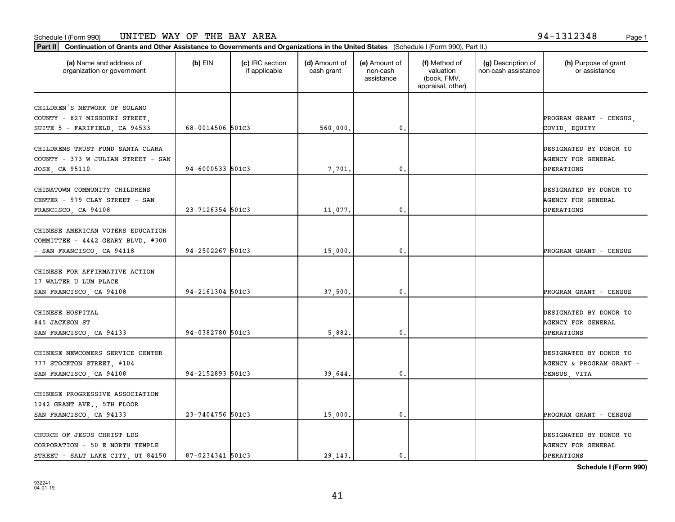| (a) Name and address of<br>$(b)$ EIN<br>(c) IRC section<br>(d) Amount of<br>(f) Method of<br>(g) Description of<br>(e) Amount of<br>valuation<br>non-cash assistance<br>organization or government<br>if applicable<br>cash grant<br>non-cash<br>(book, FMV,<br>assistance<br>appraisal, other)<br>68-0014506 501C3<br>0.<br>560,000.<br>COVID, EQUITY<br>94-6000533 501C3<br>7,701.<br>0.<br>OPERATIONS<br>23-7126354 501C3<br>0.<br>11,077.<br>OPERATIONS<br>94-2502267 501C3<br>15,000.<br>0.<br>PROGRAM GRANT - CENSUS |                                       |
|----------------------------------------------------------------------------------------------------------------------------------------------------------------------------------------------------------------------------------------------------------------------------------------------------------------------------------------------------------------------------------------------------------------------------------------------------------------------------------------------------------------------------|---------------------------------------|
| CHILDREN'S NETWORK OF SOLANO<br>COUNTY - 827 MISSOURI STREET<br>SUITE 5 - FARIFIELD, CA 94533<br>CHILDRENS TRUST FUND SANTA CLARA<br>COUNTY - 373 W JULIAN STREET - SAN<br>JOSE, CA 95110<br>CHINATOWN COMMUNITY CHILDRENS<br>CENTER - 979 CLAY STREET - SAN<br>FRANCISCO, CA 94108<br>CHINESE AMERICAN VOTERS EDUCATION<br>COMMITTEE - 4442 GEARY BLVD. #300<br>- SAN FRANCISCO, CA 94118<br>CHINESE FOR AFFIRMATIVE ACTION                                                                                               | (h) Purpose of grant<br>or assistance |
|                                                                                                                                                                                                                                                                                                                                                                                                                                                                                                                            |                                       |
|                                                                                                                                                                                                                                                                                                                                                                                                                                                                                                                            | PROGRAM GRANT - CENSUS,               |
|                                                                                                                                                                                                                                                                                                                                                                                                                                                                                                                            |                                       |
|                                                                                                                                                                                                                                                                                                                                                                                                                                                                                                                            |                                       |
|                                                                                                                                                                                                                                                                                                                                                                                                                                                                                                                            | DESIGNATED BY DONOR TO                |
|                                                                                                                                                                                                                                                                                                                                                                                                                                                                                                                            | AGENCY FOR GENERAL                    |
|                                                                                                                                                                                                                                                                                                                                                                                                                                                                                                                            |                                       |
|                                                                                                                                                                                                                                                                                                                                                                                                                                                                                                                            |                                       |
|                                                                                                                                                                                                                                                                                                                                                                                                                                                                                                                            | DESIGNATED BY DONOR TO                |
|                                                                                                                                                                                                                                                                                                                                                                                                                                                                                                                            | AGENCY FOR GENERAL                    |
|                                                                                                                                                                                                                                                                                                                                                                                                                                                                                                                            |                                       |
|                                                                                                                                                                                                                                                                                                                                                                                                                                                                                                                            |                                       |
|                                                                                                                                                                                                                                                                                                                                                                                                                                                                                                                            |                                       |
|                                                                                                                                                                                                                                                                                                                                                                                                                                                                                                                            |                                       |
|                                                                                                                                                                                                                                                                                                                                                                                                                                                                                                                            |                                       |
|                                                                                                                                                                                                                                                                                                                                                                                                                                                                                                                            |                                       |
| 17 WALTER U LUM PLACE                                                                                                                                                                                                                                                                                                                                                                                                                                                                                                      |                                       |
| 94-2161304 501C3<br>37,500.<br>0.<br>SAN FRANCISCO, CA 94108                                                                                                                                                                                                                                                                                                                                                                                                                                                               | PROGRAM GRANT - CENSUS                |
|                                                                                                                                                                                                                                                                                                                                                                                                                                                                                                                            |                                       |
| CHINESE HOSPITAL                                                                                                                                                                                                                                                                                                                                                                                                                                                                                                           | DESIGNATED BY DONOR TO                |
| 845 JACKSON ST                                                                                                                                                                                                                                                                                                                                                                                                                                                                                                             | AGENCY FOR GENERAL                    |
| 94-0382780 501C3<br>SAN FRANCISCO, CA 94133<br>5,882.<br>0.<br><b>OPERATIONS</b>                                                                                                                                                                                                                                                                                                                                                                                                                                           |                                       |
|                                                                                                                                                                                                                                                                                                                                                                                                                                                                                                                            |                                       |
| CHINESE NEWCOMERS SERVICE CENTER                                                                                                                                                                                                                                                                                                                                                                                                                                                                                           | DESIGNATED BY DONOR TO                |
| 777 STOCKTON STREET, #104                                                                                                                                                                                                                                                                                                                                                                                                                                                                                                  | AGENCY & PROGRAM GRANT -              |
| 94-2152893 501C3<br>SAN FRANCISCO, CA 94108<br>39,644.<br>0.<br>CENSUS, VITA                                                                                                                                                                                                                                                                                                                                                                                                                                               |                                       |
|                                                                                                                                                                                                                                                                                                                                                                                                                                                                                                                            |                                       |
| CHINESE PROGRESSIVE ASSOCIATION                                                                                                                                                                                                                                                                                                                                                                                                                                                                                            |                                       |
| 1042 GRANT AVE., 5TH FLOOR<br>23-7404756 501C3<br>0.                                                                                                                                                                                                                                                                                                                                                                                                                                                                       |                                       |
| SAN FRANCISCO, CA 94133<br>15,000.                                                                                                                                                                                                                                                                                                                                                                                                                                                                                         | PROGRAM GRANT - CENSUS                |
| CHURCH OF JESUS CHRIST LDS                                                                                                                                                                                                                                                                                                                                                                                                                                                                                                 | DESIGNATED BY DONOR TO                |
| CORPORATION - 50 E NORTH TEMPLE                                                                                                                                                                                                                                                                                                                                                                                                                                                                                            | AGENCY FOR GENERAL                    |
| 87-0234341 501C3<br>STREET - SALT LAKE CITY, UT 84150<br>29.143.<br>$\mathbf{0}$ .<br>OPERATIONS                                                                                                                                                                                                                                                                                                                                                                                                                           |                                       |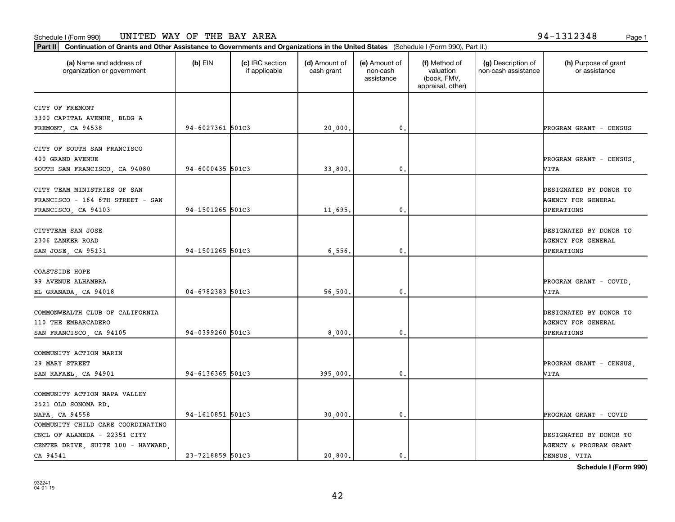| (a) Name and address of<br>organization or government | $(b)$ EIN        | (c) IRC section<br>if applicable | (d) Amount of<br>cash grant | (e) Amount of<br>non-cash<br>assistance | (f) Method of<br>valuation<br>(book, FMV,<br>appraisal, other) | (g) Description of<br>non-cash assistance | (h) Purpose of grant<br>or assistance |
|-------------------------------------------------------|------------------|----------------------------------|-----------------------------|-----------------------------------------|----------------------------------------------------------------|-------------------------------------------|---------------------------------------|
| CITY OF FREMONT                                       |                  |                                  |                             |                                         |                                                                |                                           |                                       |
| 3300 CAPITAL AVENUE, BLDG A                           |                  |                                  |                             |                                         |                                                                |                                           |                                       |
| FREMONT, CA 94538                                     | 94-6027361 501C3 |                                  | 20,000.                     | 0.                                      |                                                                |                                           | PROGRAM GRANT - CENSUS                |
|                                                       |                  |                                  |                             |                                         |                                                                |                                           |                                       |
| CITY OF SOUTH SAN FRANCISCO                           |                  |                                  |                             |                                         |                                                                |                                           |                                       |
| 400 GRAND AVENUE                                      |                  |                                  |                             |                                         |                                                                |                                           | PROGRAM GRANT - CENSUS,               |
| SOUTH SAN FRANCISCO, CA 94080                         | 94-6000435 501C3 |                                  | 33,800.                     | 0.                                      |                                                                |                                           | VITA                                  |
|                                                       |                  |                                  |                             |                                         |                                                                |                                           |                                       |
| CITY TEAM MINISTRIES OF SAN                           |                  |                                  |                             |                                         |                                                                |                                           | DESIGNATED BY DONOR TO                |
| FRANCISCO - 164 6TH STREET - SAN                      |                  |                                  |                             |                                         |                                                                |                                           | <b>AGENCY FOR GENERAL</b>             |
| FRANCISCO, CA 94103                                   | 94-1501265 501C3 |                                  | 11,695.                     | $\mathbf{0}$                            |                                                                |                                           | OPERATIONS                            |
| CITYTEAM SAN JOSE                                     |                  |                                  |                             |                                         |                                                                |                                           | DESIGNATED BY DONOR TO                |
| 2306 ZANKER ROAD                                      |                  |                                  |                             |                                         |                                                                |                                           | <b>AGENCY FOR GENERAL</b>             |
| SAN JOSE, CA 95131                                    | 94-1501265 501C3 |                                  | 6,556.                      | 0.                                      |                                                                |                                           | <b>OPERATIONS</b>                     |
|                                                       |                  |                                  |                             |                                         |                                                                |                                           |                                       |
| COASTSIDE HOPE                                        |                  |                                  |                             |                                         |                                                                |                                           |                                       |
| 99 AVENUE ALHAMBRA                                    |                  |                                  |                             |                                         |                                                                |                                           | PROGRAM GRANT - COVID.                |
| EL GRANADA, CA 94018                                  | 04-6782383 501C3 |                                  | 56,500.                     | $\mathbf{0}$ .                          |                                                                |                                           | VITA                                  |
|                                                       |                  |                                  |                             |                                         |                                                                |                                           |                                       |
| COMMONWEALTH CLUB OF CALIFORNIA                       |                  |                                  |                             |                                         |                                                                |                                           | DESIGNATED BY DONOR TO                |
| 110 THE EMBARCADERO                                   |                  |                                  |                             |                                         |                                                                |                                           | <b>AGENCY FOR GENERAL</b>             |
| SAN FRANCISCO, CA 94105                               | 94-0399260 501C3 |                                  | 8,000.                      | 0.                                      |                                                                |                                           | OPERATIONS                            |
| COMMUNITY ACTION MARIN                                |                  |                                  |                             |                                         |                                                                |                                           |                                       |
| 29 MARY STREET                                        |                  |                                  |                             |                                         |                                                                |                                           | PROGRAM GRANT - CENSUS,               |
| SAN RAFAEL, CA 94901                                  | 94-6136365 501C3 |                                  | 395,000.                    | 0.                                      |                                                                |                                           | VITA                                  |
|                                                       |                  |                                  |                             |                                         |                                                                |                                           |                                       |
| COMMUNITY ACTION NAPA VALLEY                          |                  |                                  |                             |                                         |                                                                |                                           |                                       |
| 2521 OLD SONOMA RD.                                   |                  |                                  |                             |                                         |                                                                |                                           |                                       |
| NAPA, CA 94558                                        | 94-1610851 501C3 |                                  | 30,000,                     | $\mathbf{0}$ .                          |                                                                |                                           | PROGRAM GRANT - COVID                 |
| COMMUNITY CHILD CARE COORDINATING                     |                  |                                  |                             |                                         |                                                                |                                           |                                       |
| CNCL OF ALAMEDA - 22351 CITY                          |                  |                                  |                             |                                         |                                                                |                                           | DESIGNATED BY DONOR TO                |
| CENTER DRIVE, SUITE 100 - HAYWARD,                    |                  |                                  |                             |                                         |                                                                |                                           | <b>AGENCY &amp; PROGRAM GRANT</b>     |
| CA 94541                                              | 23-7218859 501C3 |                                  | 20,800.                     | $\mathbf{0}$ .                          |                                                                |                                           | CENSUS, VITA                          |

42

**Schedule I (Form 990)**

**Part II Continuation of Grants and Other Assistance to Governments and Organizations in the United States**  (Schedule I (Form 990), Part II.)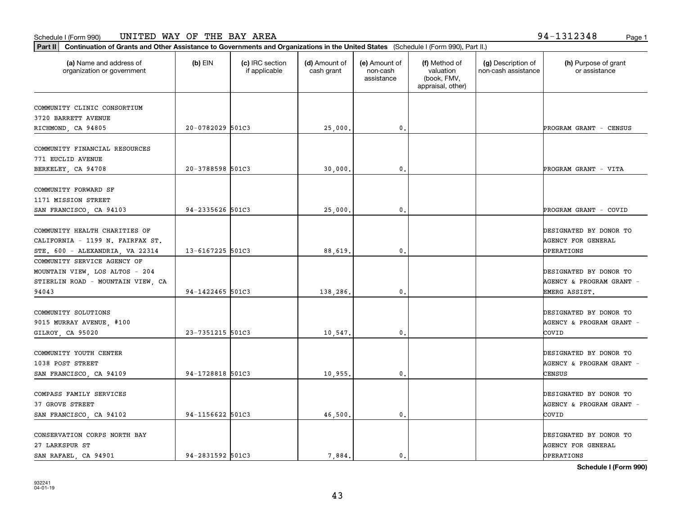#### Schedule I (Form 990) Page 1 UNITED WAY OF THE BAY AREA 94-1312348

| (a) Name and address of<br>organization or government                                                | $(b)$ EIN        | (c) IRC section<br>if applicable | (d) Amount of<br>cash grant | (e) Amount of<br>non-cash<br>assistance | (f) Method of<br>valuation<br>(book, FMV,<br>appraisal, other) | (g) Description of<br>non-cash assistance | (h) Purpose of grant<br>or assistance                             |
|------------------------------------------------------------------------------------------------------|------------------|----------------------------------|-----------------------------|-----------------------------------------|----------------------------------------------------------------|-------------------------------------------|-------------------------------------------------------------------|
| COMMUNITY CLINIC CONSORTIUM                                                                          |                  |                                  |                             |                                         |                                                                |                                           |                                                                   |
| 3720 BARRETT AVENUE                                                                                  |                  |                                  |                             |                                         |                                                                |                                           |                                                                   |
| RICHMOND, CA 94805                                                                                   | 20-0782029 501C3 |                                  | 25,000.                     | $\mathbf{0}$                            |                                                                |                                           | PROGRAM GRANT - CENSUS                                            |
| COMMUNITY FINANCIAL RESOURCES<br>771 EUCLID AVENUE                                                   |                  |                                  |                             |                                         |                                                                |                                           |                                                                   |
| BERKELEY, CA 94708                                                                                   | 20-3788598 501C3 |                                  | 30,000,                     | $\mathbf{0}$                            |                                                                |                                           | PROGRAM GRANT - VITA                                              |
| COMMUNITY FORWARD SF<br>1171 MISSION STREET                                                          |                  |                                  |                             |                                         |                                                                |                                           |                                                                   |
| SAN FRANCISCO, CA 94103                                                                              | 94-2335626 501C3 |                                  | 25,000.                     | $\mathfrak{o}$ .                        |                                                                |                                           | PROGRAM GRANT - COVID                                             |
| COMMUNITY HEALTH CHARITIES OF<br>CALIFORNIA - 1199 N. FAIRFAX ST.<br>STE. 600 - ALEXANDRIA, VA 22314 | 13-6167225 501C3 |                                  | 88,619                      | $\mathbf{0}$                            |                                                                |                                           | DESIGNATED BY DONOR TO<br><b>AGENCY FOR GENERAL</b><br>OPERATIONS |
| COMMUNITY SERVICE AGENCY OF<br>MOUNTAIN VIEW, LOS ALTOS - 204<br>STIERLIN ROAD - MOUNTAIN VIEW, CA   |                  |                                  |                             |                                         |                                                                |                                           | DESIGNATED BY DONOR TO<br>AGENCY & PROGRAM GRANT -                |
| 94043                                                                                                | 94-1422465 501C3 |                                  | 138,286.                    | $\mathbf{0}$                            |                                                                |                                           | EMERG ASSIST.                                                     |
| COMMUNITY SOLUTIONS<br>9015 MURRAY AVENUE, #100<br>GILROY, CA 95020                                  | 23-7351215 501C3 |                                  | 10,547.                     | $\mathbf{0}$                            |                                                                |                                           | DESIGNATED BY DONOR TO<br>AGENCY & PROGRAM GRANT -<br>COVID       |
| COMMUNITY YOUTH CENTER<br>1038 POST STREET<br>SAN FRANCISCO, CA 94109                                | 94-1728818 501C3 |                                  | 10,955.                     | 0.                                      |                                                                |                                           | DESIGNATED BY DONOR TO<br>AGENCY & PROGRAM GRANT -<br>CENSUS      |
| COMPASS FAMILY SERVICES<br>37 GROVE STREET<br>SAN FRANCISCO, CA 94102                                | 94-1156622 501C3 |                                  | 46,500.                     | $\mathbf{0}$ .                          |                                                                |                                           | DESIGNATED BY DONOR TO<br>AGENCY & PROGRAM GRANT -<br>covip       |
| CONSERVATION CORPS NORTH BAY<br>27 LARKSPUR ST<br>SAN RAFAEL, CA 94901                               | 94-2831592 501C3 |                                  | 7.884.                      | $\mathbf{0}$                            |                                                                |                                           | DESIGNATED BY DONOR TO<br><b>AGENCY FOR GENERAL</b><br>OPERATIONS |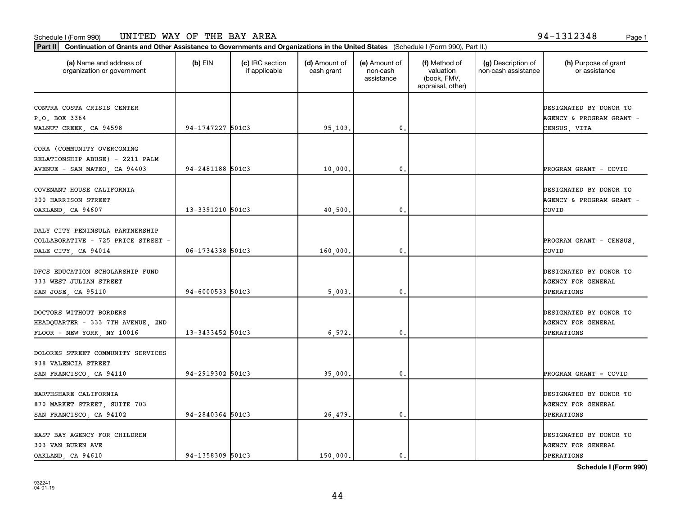**Part II Continuation of Grants and Other Assistance to Governments and Organizations in the United States**  (Schedule I (Form 990), Part II.)

| (a) Name and address of<br>organization or government                                         | $(b)$ EIN            | (c) IRC section<br>if applicable | (d) Amount of<br>cash grant | (e) Amount of<br>non-cash<br>assistance | (f) Method of<br>valuation<br>(book, FMV,<br>appraisal, other) | (g) Description of<br>non-cash assistance | (h) Purpose of grant<br>or assistance                              |
|-----------------------------------------------------------------------------------------------|----------------------|----------------------------------|-----------------------------|-----------------------------------------|----------------------------------------------------------------|-------------------------------------------|--------------------------------------------------------------------|
| CONTRA COSTA CRISIS CENTER<br>P.O. BOX 3364<br>WALNUT CREEK, CA 94598                         | 94-1747227 501C3     |                                  | 95,109.                     | 0.                                      |                                                                |                                           | DESIGNATED BY DONOR TO<br>AGENCY & PROGRAM GRANT -<br>CENSUS, VITA |
| CORA (COMMUNITY OVERCOMING<br>RELATIONSHIP ABUSE) - 2211 PALM<br>AVENUE - SAN MATEO, CA 94403 | 94-2481188 501C3     |                                  | 10,000.                     | 0.                                      |                                                                |                                           | PROGRAM GRANT - COVID                                              |
| COVENANT HOUSE CALIFORNIA<br>200 HARRISON STREET<br>OAKLAND, CA 94607                         | 13-3391210 501C3     |                                  | 40,500.                     | 0.                                      |                                                                |                                           | DESIGNATED BY DONOR TO<br>AGENCY & PROGRAM GRANT -<br>COVID        |
| DALY CITY PENINSULA PARTNERSHIP<br>COLLABORATIVE - 725 PRICE STREET -<br>DALE CITY, CA 94014  | 06-1734338 501C3     |                                  | 160,000.                    | 0.                                      |                                                                |                                           | PROGRAM GRANT - CENSUS,<br>COVID                                   |
| DFCS EDUCATION SCHOLARSHIP FUND<br>333 WEST JULIAN STREET<br>SAN JOSE, CA 95110               | $94 - 6000533$ 501C3 |                                  | 5,003                       | 0.                                      |                                                                |                                           | DESIGNATED BY DONOR TO<br><b>AGENCY FOR GENERAL</b><br>OPERATIONS  |
| DOCTORS WITHOUT BORDERS<br>HEADQUARTER - 333 7TH AVENUE, 2ND<br>FLOOR - NEW YORK, NY 10016    | 13-3433452 501C3     |                                  | 6,572.                      | $\mathbf{0}$                            |                                                                |                                           | DESIGNATED BY DONOR TO<br><b>AGENCY FOR GENERAL</b><br>OPERATIONS  |
| DOLORES STREET COMMUNITY SERVICES<br>938 VALENCIA STREET<br>SAN FRANCISCO, CA 94110           | 94-2919302 501C3     |                                  | 35,000.                     | 0.                                      |                                                                |                                           | PROGRAM GRANT = COVID                                              |
| EARTHSHARE CALIFORNIA<br>870 MARKET STREET, SUITE 703<br>SAN FRANCISCO, CA 94102              | 94-2840364 501C3     |                                  | 26,479.                     | 0.                                      |                                                                |                                           | DESIGNATED BY DONOR TO<br><b>AGENCY FOR GENERAL</b><br>OPERATIONS  |
| EAST BAY AGENCY FOR CHILDREN<br>303 VAN BUREN AVE                                             |                      |                                  |                             |                                         |                                                                |                                           | DESIGNATED BY DONOR TO<br><b>AGENCY FOR GENERAL</b>                |

OAKLAND, CA 94610 94-1358309 501C3 150,000. 0. OPERATIONS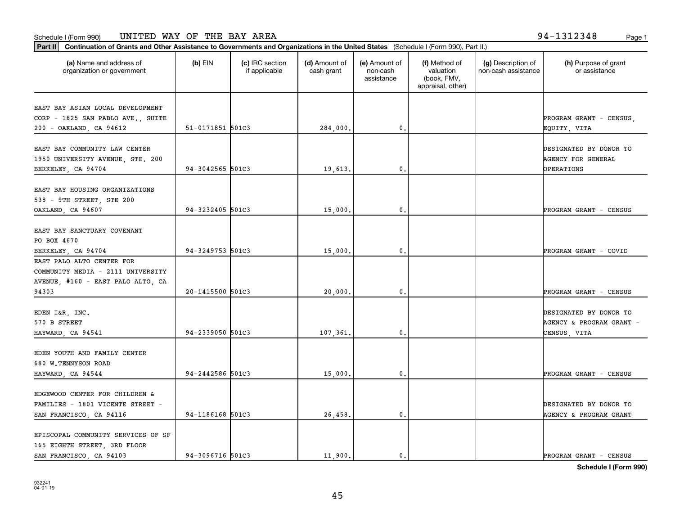**Part II Continuation of Grants and Other Assistance to Governments and Organizations in the United States**  (Schedule I (Form 990), Part II.)

| (a) Name and address of<br>organization or government | $(b)$ EIN        | (c) IRC section<br>if applicable | (d) Amount of<br>cash grant | (e) Amount of<br>non-cash<br>assistance | (f) Method of<br>valuation<br>(book, FMV,<br>appraisal, other) | (g) Description of<br>non-cash assistance | (h) Purpose of grant<br>or assistance |
|-------------------------------------------------------|------------------|----------------------------------|-----------------------------|-----------------------------------------|----------------------------------------------------------------|-------------------------------------------|---------------------------------------|
| EAST BAY ASIAN LOCAL DEVELOPMENT                      |                  |                                  |                             |                                         |                                                                |                                           |                                       |
| CORP - 1825 SAN PABLO AVE., SUITE                     |                  |                                  |                             |                                         |                                                                |                                           | PROGRAM GRANT - CENSUS,               |
| 200 - OAKLAND, CA 94612                               | 51-0171851 501C3 |                                  | 284,000.                    | 0.                                      |                                                                |                                           | EQUITY, VITA                          |
| EAST BAY COMMUNITY LAW CENTER                         |                  |                                  |                             |                                         |                                                                |                                           | DESIGNATED BY DONOR TO                |
| 1950 UNIVERSITY AVENUE, STE. 200                      |                  |                                  |                             |                                         |                                                                |                                           | AGENCY FOR GENERAL                    |
| BERKELEY, CA 94704                                    | 94-3042565 501C3 |                                  | 19,613.                     | 0.                                      |                                                                |                                           | OPERATIONS                            |
| EAST BAY HOUSING ORGANIZATIONS                        |                  |                                  |                             |                                         |                                                                |                                           |                                       |
| 538 - 9TH STREET, STE 200                             |                  |                                  |                             |                                         |                                                                |                                           |                                       |
| OAKLAND, CA 94607                                     | 94-3232405 501C3 |                                  | 15,000.                     | 0.                                      |                                                                |                                           | PROGRAM GRANT - CENSUS                |
| EAST BAY SANCTUARY COVENANT                           |                  |                                  |                             |                                         |                                                                |                                           |                                       |
| PO BOX 4670                                           |                  |                                  |                             |                                         |                                                                |                                           |                                       |
| BERKELEY, CA 94704                                    | 94-3249753 501C3 |                                  | 15,000.                     | 0.                                      |                                                                |                                           | PROGRAM GRANT - COVID                 |
| EAST PALO ALTO CENTER FOR                             |                  |                                  |                             |                                         |                                                                |                                           |                                       |
| COMMUNITY MEDIA - 2111 UNIVERSITY                     |                  |                                  |                             |                                         |                                                                |                                           |                                       |
| AVENUE, #160 - EAST PALO ALTO, CA                     |                  |                                  |                             |                                         |                                                                |                                           |                                       |
| 94303                                                 | 20-1415500 501C3 |                                  | 20,000.                     | 0.                                      |                                                                |                                           | PROGRAM GRANT - CENSUS                |
| EDEN I&R, INC.                                        |                  |                                  |                             |                                         |                                                                |                                           | DESIGNATED BY DONOR TO                |
| 570 B STREET                                          |                  |                                  |                             |                                         |                                                                |                                           | AGENCY & PROGRAM GRANT -              |
| HAYWARD, CA 94541                                     | 94-2339050 501C3 |                                  | 107,361.                    | 0.                                      |                                                                |                                           | CENSUS, VITA                          |
| EDEN YOUTH AND FAMILY CENTER                          |                  |                                  |                             |                                         |                                                                |                                           |                                       |
| 680 W.TENNYSON ROAD                                   |                  |                                  |                             |                                         |                                                                |                                           |                                       |
| HAYWARD, CA 94544                                     | 94-2442586 501C3 |                                  | 15,000.                     | 0.                                      |                                                                |                                           | PROGRAM GRANT - CENSUS                |
| EDGEWOOD CENTER FOR CHILDREN &                        |                  |                                  |                             |                                         |                                                                |                                           |                                       |
| FAMILIES - 1801 VICENTE STREET -                      |                  |                                  |                             |                                         |                                                                |                                           | DESIGNATED BY DONOR TO                |
| SAN FRANCISCO, CA 94116                               | 94-1186168 501C3 |                                  | 26,458.                     | 0.                                      |                                                                |                                           | AGENCY & PROGRAM GRANT                |
|                                                       |                  |                                  |                             |                                         |                                                                |                                           |                                       |
| EPISCOPAL COMMUNITY SERVICES OF SF                    |                  |                                  |                             |                                         |                                                                |                                           |                                       |
| 165 EIGHTH STREET, 3RD FLOOR                          |                  |                                  |                             |                                         |                                                                |                                           |                                       |
| SAN FRANCISCO, CA 94103                               | 94-3096716 501C3 |                                  | 11,900.                     | 0.                                      |                                                                |                                           | PROGRAM GRANT - CENSUS                |

45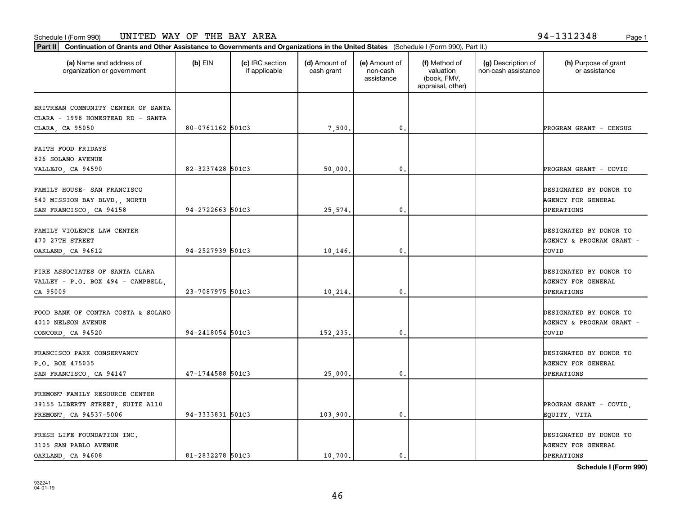**Part II Continuation of Grants and Other Assistance to Governments and Organizations in the United States**  (Schedule I (Form 990), Part II.)

| (a) Name and address of<br>organization or government                                        | $(b)$ EIN        | (c) IRC section<br>if applicable | (d) Amount of<br>cash grant | (e) Amount of<br>non-cash<br>assistance | (f) Method of<br>valuation<br>(book, FMV,<br>appraisal, other) | (g) Description of<br>non-cash assistance | (h) Purpose of grant<br>or assistance                                    |
|----------------------------------------------------------------------------------------------|------------------|----------------------------------|-----------------------------|-----------------------------------------|----------------------------------------------------------------|-------------------------------------------|--------------------------------------------------------------------------|
| ERITREAN COMMUNITY CENTER OF SANTA                                                           |                  |                                  |                             |                                         |                                                                |                                           |                                                                          |
| CLARA - 1998 HOMESTEAD RD - SANTA<br>CLARA, CA 95050                                         | 80-0761162 501C3 |                                  | 7,500.                      | 0.                                      |                                                                |                                           | PROGRAM GRANT - CENSUS                                                   |
| FAITH FOOD FRIDAYS<br>826 SOLANO AVENUE                                                      |                  |                                  |                             |                                         |                                                                |                                           |                                                                          |
| VALLEJO, CA 94590                                                                            | 82-3237428 501C3 |                                  | 50,000.                     | 0.                                      |                                                                |                                           | PROGRAM GRANT - COVID                                                    |
| FAMILY HOUSE- SAN FRANCISCO<br>540 MISSION BAY BLVD., NORTH<br>SAN FRANCISCO, CA 94158       | 94-2722663 501C3 |                                  | 25,574.                     | $\mathbf{0}$ .                          |                                                                |                                           | DESIGNATED BY DONOR TO<br><b>AGENCY FOR GENERAL</b><br><b>OPERATIONS</b> |
| FAMILY VIOLENCE LAW CENTER<br>470 27TH STREET<br>OAKLAND, CA 94612                           | 94-2527939 501C3 |                                  | 10,146.                     | $\mathbf{0}$ .                          |                                                                |                                           | DESIGNATED BY DONOR TO<br>AGENCY & PROGRAM GRANT -<br>COVID              |
| FIRE ASSOCIATES OF SANTA CLARA<br>VALLEY - P.O. BOX 494 - CAMPBELL,<br>CA 95009              | 23-7087975 501C3 |                                  | 10,214.                     | 0.                                      |                                                                |                                           | DESIGNATED BY DONOR TO<br><b>AGENCY FOR GENERAL</b><br>OPERATIONS        |
| FOOD BANK OF CONTRA COSTA & SOLANO<br>4010 NELSON AVENUE<br>CONCORD, CA 94520                | 94-2418054 501C3 |                                  | 152,235.                    | 0.                                      |                                                                |                                           | DESIGNATED BY DONOR TO<br>AGENCY & PROGRAM GRANT -<br>COVID              |
| FRANCISCO PARK CONSERVANCY<br>P.O. BOX 475035<br>SAN FRANCISCO, CA 94147                     | 47-1744588 501C3 |                                  | 25,000.                     | $\mathfrak o$ .                         |                                                                |                                           | DESIGNATED BY DONOR TO<br><b>AGENCY FOR GENERAL</b><br>OPERATIONS        |
| FREMONT FAMILY RESOURCE CENTER<br>39155 LIBERTY STREET, SUITE A110<br>FREMONT, CA 94537-5006 | 94-3333831 501C3 |                                  | 103,900.                    | 0.                                      |                                                                |                                           | PROGRAM GRANT - COVID,<br>EQUITY, VITA                                   |
| FRESH LIFE FOUNDATION INC.<br>3105 SAN PABLO AVENUE                                          |                  |                                  |                             |                                         |                                                                |                                           | DESIGNATED BY DONOR TO<br><b>AGENCY FOR GENERAL</b>                      |

**Schedule I (Form 990)**

OAKLAND, CA 94608 81-2832278 501C3 10,700. 0. OPERATIONS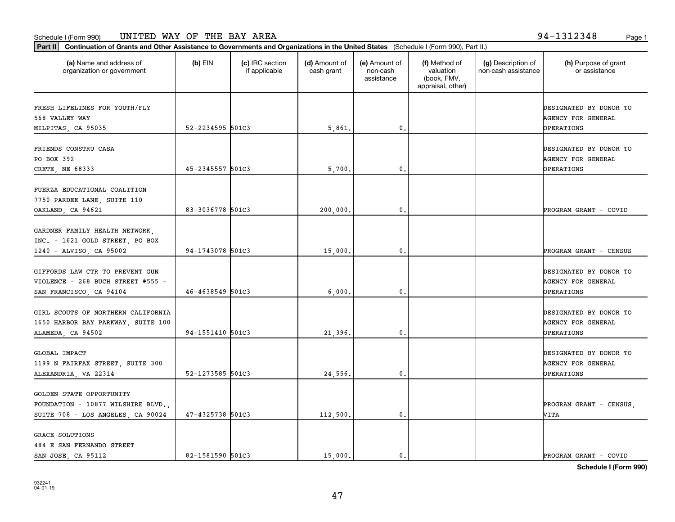| Form 990)<br>Schedule ' | <b>WAY</b><br>BAY<br>AREA<br>ΟF<br>THE<br>UNITED<br>. | 1312348<br>-94<br>Page 1 |
|-------------------------|-------------------------------------------------------|--------------------------|
|-------------------------|-------------------------------------------------------|--------------------------|

| (a) Name and address of<br>organization or government                                              | $(b)$ EIN        | (c) IRC section<br>if applicable | (d) Amount of<br>cash grant | (e) Amount of<br>non-cash<br>assistance | (f) Method of<br>valuation<br>(book, FMV,<br>appraisal, other) | (g) Description of<br>non-cash assistance | (h) Purpose of grant<br>or assistance                                    |
|----------------------------------------------------------------------------------------------------|------------------|----------------------------------|-----------------------------|-----------------------------------------|----------------------------------------------------------------|-------------------------------------------|--------------------------------------------------------------------------|
| FRESH LIFELINES FOR YOUTH/FLY<br>568 VALLEY WAY                                                    |                  |                                  |                             |                                         |                                                                |                                           | DESIGNATED BY DONOR TO<br>AGENCY FOR GENERAL                             |
| MILPITAS, CA 95035                                                                                 | 52-2234595 501C3 |                                  | 5,861.                      | $\mathbf{0}$                            |                                                                |                                           | OPERATIONS                                                               |
| FRIENDS CONSTRU CASA<br>PO BOX 392<br>CRETE, NE 68333                                              | 45-2345557 501C3 |                                  | 5,700.                      | 0.                                      |                                                                |                                           | DESIGNATED BY DONOR TO<br><b>AGENCY FOR GENERAL</b><br><b>OPERATIONS</b> |
| FUERZA EDUCATIONAL COALITION<br>7750 PARDEE LANE, SUITE 110<br>OAKLAND, CA 94621                   | 83-3036778 501C3 |                                  | 200,000.                    | $\mathfrak{o}$ .                        |                                                                |                                           | PROGRAM GRANT - COVID                                                    |
| GARDNER FAMILY HEALTH NETWORK,<br>INC. - 1621 GOLD STREET, PO BOX<br>1240 - ALVISO, CA 95002       | 94-1743078 501C3 |                                  | 15,000.                     | 0.                                      |                                                                |                                           | PROGRAM GRANT - CENSUS                                                   |
| GIFFORDS LAW CTR TO PREVENT GUN<br>VIOLENCE - 268 BUCH STREET #555 -<br>SAN FRANCISCO, CA 94104    | 46-4638549 501C3 |                                  | 6,000                       | 0.                                      |                                                                |                                           | DESIGNATED BY DONOR TO<br>AGENCY FOR GENERAL<br><b>OPERATIONS</b>        |
| GIRL SCOUTS OF NORTHERN CALIFORNIA<br>1650 HARBOR BAY PARKWAY, SUITE 100<br>ALAMEDA, CA 94502      | 94-1551410 501C3 |                                  | 21,396.                     | 0.                                      |                                                                |                                           | DESIGNATED BY DONOR TO<br>AGENCY FOR GENERAL<br><b>OPERATIONS</b>        |
| GLOBAL IMPACT<br>1199 N FAIRFAX STREET, SUITE 300<br>ALEXANDRIA, VA 22314                          | 52-1273585 501C3 |                                  | 24,556.                     | $\mathfrak{o}$ .                        |                                                                |                                           | DESIGNATED BY DONOR TO<br><b>AGENCY FOR GENERAL</b><br><b>OPERATIONS</b> |
| GOLDEN STATE OPPORTUNITY<br>FOUNDATION - 10877 WILSHIRE BLVD.<br>SUITE 708 - LOS ANGELES, CA 90024 | 47-4325738 501C3 |                                  | 112,500.                    | $\mathbf{0}$ .                          |                                                                |                                           | PROGRAM GRANT - CENSUS<br>VITA                                           |
| <b>GRACE SOLUTIONS</b><br>484 E SAN FERNANDO STREET<br>SAN JOSE, CA 95112                          | 82-1581590 501C3 |                                  | 15,000.                     | 0.                                      |                                                                |                                           | PROGRAM GRANT - COVID                                                    |

47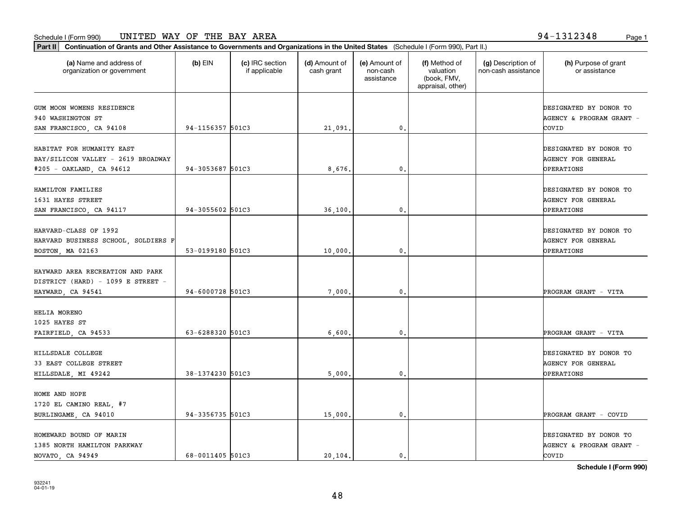**Part II Continuation of Grants and Other Assistance to Governments and Organizations in the United States**  (Schedule I (Form 990), Part II.)

| (a) Name and address of<br>organization or government                                       | (b) EIN          | (c) IRC section<br>if applicable | (d) Amount of<br>cash grant | (e) Amount of<br>non-cash<br>assistance | (f) Method of<br>valuation<br>(book, FMV,<br>appraisal, other) | (g) Description of<br>non-cash assistance | (h) Purpose of grant<br>or assistance                                    |
|---------------------------------------------------------------------------------------------|------------------|----------------------------------|-----------------------------|-----------------------------------------|----------------------------------------------------------------|-------------------------------------------|--------------------------------------------------------------------------|
| GUM MOON WOMENS RESIDENCE<br>940 WASHINGTON ST<br>SAN FRANCISCO, CA 94108                   | 94-1156357 501C3 |                                  | 21,091.                     | 0.                                      |                                                                |                                           | DESIGNATED BY DONOR TO<br>AGENCY & PROGRAM GRANT -<br>COVID              |
| HABITAT FOR HUMANITY EAST<br>BAY/SILICON VALLEY - 2619 BROADWAY<br>#205 - OAKLAND, CA 94612 | 94-3053687 501C3 |                                  | 8,676.                      | $\mathbf{0}$                            |                                                                |                                           | DESIGNATED BY DONOR TO<br><b>AGENCY FOR GENERAL</b><br><b>OPERATIONS</b> |
| HAMILTON FAMILIES<br>1631 HAYES STREET<br>SAN FRANCISCO, CA 94117                           | 94-3055602 501C3 |                                  | 36,100.                     | $\mathbf{0}$                            |                                                                |                                           | DESIGNATED BY DONOR TO<br><b>AGENCY FOR GENERAL</b><br><b>OPERATIONS</b> |
| HARVARD-CLASS OF 1992<br>HARVARD BUSINESS SCHOOL, SOLDIERS F<br>BOSTON, MA 02163            | 53-0199180 501C3 |                                  | 10,000.                     | $\mathfrak o$ .                         |                                                                |                                           | DESIGNATED BY DONOR TO<br><b>AGENCY FOR GENERAL</b><br><b>OPERATIONS</b> |
| HAYWARD AREA RECREATION AND PARK<br>DISTRICT (HARD) - 1099 E STREET -<br>HAYWARD, CA 94541  | 94-6000728 501C3 |                                  | 7,000,                      | 0.                                      |                                                                |                                           | PROGRAM GRANT - VITA                                                     |
| HELIA MORENO<br>1025 HAYES ST<br>FAIRFIELD, CA 94533                                        | 63-6288320 501C3 |                                  | 6,600.                      | $\mathbf 0$ .                           |                                                                |                                           | PROGRAM GRANT - VITA                                                     |
| HILLSDALE COLLEGE<br>33 EAST COLLEGE STREET<br>HILLSDALE, MI 49242                          | 38-1374230 501C3 |                                  | 5,000.                      | $\mathbf{0}$                            |                                                                |                                           | DESIGNATED BY DONOR TO<br><b>AGENCY FOR GENERAL</b><br><b>OPERATIONS</b> |
| HOME AND HOPE<br>1720 EL CAMINO REAL, #7<br>BURLINGAME, CA 94010                            | 94-3356735 501C3 |                                  | 15,000.                     | $\mathbf{0}$                            |                                                                |                                           | PROGRAM GRANT - COVID                                                    |
| HOMEWARD BOUND OF MARIN<br>1385 NORTH HAMILTON PARKWAY                                      |                  |                                  |                             |                                         |                                                                |                                           | DESIGNATED BY DONOR TO<br>AGENCY & PROGRAM GRANT -                       |

**Schedule I (Form 990)**

NOVATO, CA 94949 (68-0011405 501C3 (89-0011405 501C3)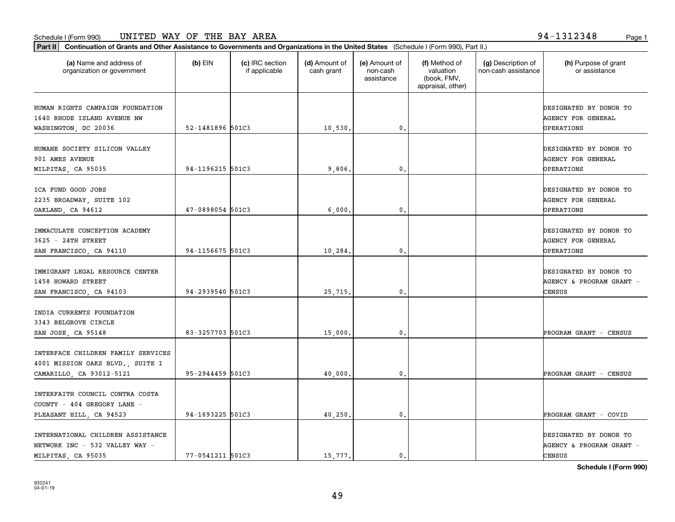| Part II   Continuation of Grants and Other Assistance to Governments and Organizations in the United States (Schedule I (Form 990), Part II.) |                  |                                  |                             |                                         |                                                                |                                           |                                                                     |
|-----------------------------------------------------------------------------------------------------------------------------------------------|------------------|----------------------------------|-----------------------------|-----------------------------------------|----------------------------------------------------------------|-------------------------------------------|---------------------------------------------------------------------|
| (a) Name and address of<br>organization or government                                                                                         | $(b)$ EIN        | (c) IRC section<br>if applicable | (d) Amount of<br>cash grant | (e) Amount of<br>non-cash<br>assistance | (f) Method of<br>valuation<br>(book, FMV,<br>appraisal, other) | (g) Description of<br>non-cash assistance | (h) Purpose of grant<br>or assistance                               |
| HUMAN RIGHTS CAMPAIGN FOUNDATION<br>1640 RHODE ISLAND AVENUE NW<br>WASHINGTON, DC 20036                                                       | 52-1481896 501C3 |                                  | 10,530.                     | 0.                                      |                                                                |                                           | DESIGNATED BY DONOR TO<br>AGENCY FOR GENERAL<br>OPERATIONS          |
| HUMANE SOCIETY SILICON VALLEY<br>901 AMES AVENUE<br>MILPITAS, CA 95035                                                                        | 94-1196215 501C3 |                                  | 9,806,                      | 0.                                      |                                                                |                                           | DESIGNATED BY DONOR TO<br>AGENCY FOR GENERAL<br>OPERATIONS          |
| ICA FUND GOOD JOBS<br>2235 BROADWAY, SUITE 102<br>OAKLAND, CA 94612                                                                           | 47-0898054 501C3 |                                  | 6,000,                      | $\mathbf{0}$ .                          |                                                                |                                           | DESIGNATED BY DONOR TO<br>AGENCY FOR GENERAL<br>OPERATIONS          |
| IMMACULATE CONCEPTION ACADEMY<br>3625 - 24TH STREET<br>SAN FRANCISCO, CA 94110                                                                | 94-1156675 501C3 |                                  | 10,284.                     | 0.                                      |                                                                |                                           | DESIGNATED BY DONOR TO<br>AGENCY FOR GENERAL<br>OPERATIONS          |
| IMMIGRANT LEGAL RESOURCE CENTER<br>1458 HOWARD STREET<br>SAN FRANCISCO, CA 94103                                                              | 94-2939540 501C3 |                                  | 25,715.                     | 0.                                      |                                                                |                                           | DESIGNATED BY DONOR TO<br>AGENCY & PROGRAM GRANT -<br>CENSUS        |
| INDIA CURRENTS FOUNDATION<br>3343 BELGROVE CIRCLE<br>SAN JOSE, CA 95148                                                                       | 83-3257703 501C3 |                                  | 15,000.                     | 0.                                      |                                                                |                                           | PROGRAM GRANT - CENSUS                                              |
| INTERFACE CHILDREN FAMILY SERVICES<br>4001 MISSION OAKS BLVD., SUITE I<br>CAMARILLO, CA 93012-5121                                            | 95-2944459 501C3 |                                  | 40,000.                     | 0.                                      |                                                                |                                           | PROGRAM GRANT - CENSUS                                              |
| INTERFAITH COUNCIL CONTRA COSTA<br>COUNTY - 404 GREGORY LANE -<br>PLEASANT HILL, CA 94523                                                     | 94-1693225 501C3 |                                  | 40,250.                     | 0.                                      |                                                                |                                           | PROGRAM GRANT - COVID                                               |
| INTERNATIONAL CHILDREN ASSISTANCE<br>NETWORK INC - 532 VALLEY WAY -<br>MILPITAS, CA 95035                                                     | 77-0541211 501C3 |                                  | 15,777.                     | $\mathfrak{o}$ .                        |                                                                |                                           | DESIGNATED BY DONOR TO<br>AGENCY & PROGRAM GRANT -<br><b>CENSUS</b> |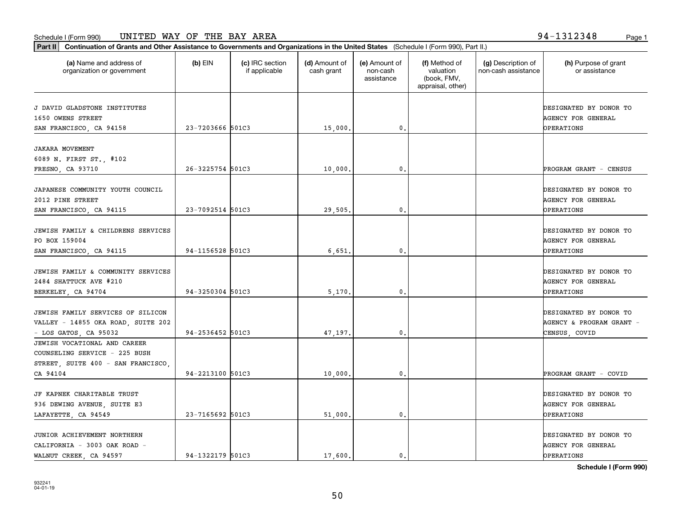т

**Part II Continuation of Grants and Other Assistance to Governments and Organizations in the United States**  (Schedule I (Form 990), Part II.)

| (a) Name and address of<br>organization or government                                                           | $(b)$ EIN        | (c) IRC section<br>if applicable | (d) Amount of<br>cash grant | (e) Amount of<br>non-cash<br>assistance | (f) Method of<br>valuation<br>(book, FMV,<br>appraisal, other) | (g) Description of<br>non-cash assistance | (h) Purpose of grant<br>or assistance                                    |
|-----------------------------------------------------------------------------------------------------------------|------------------|----------------------------------|-----------------------------|-----------------------------------------|----------------------------------------------------------------|-------------------------------------------|--------------------------------------------------------------------------|
| J DAVID GLADSTONE INSTITUTES<br>1650 OWENS STREET<br>SAN FRANCISCO, CA 94158                                    | 23-7203666 501C3 |                                  | 15,000.                     | $\mathbf 0$ .                           |                                                                |                                           | DESIGNATED BY DONOR TO<br><b>AGENCY FOR GENERAL</b><br><b>OPERATIONS</b> |
| <b>JAKARA MOVEMENT</b><br>6089 N. FIRST ST., #102<br>FRESNO, CA 93710                                           | 26-3225754 501C3 |                                  | 10,000.                     | 0.                                      |                                                                |                                           | PROGRAM GRANT - CENSUS                                                   |
| JAPANESE COMMUNITY YOUTH COUNCIL<br>2012 PINE STREET<br>SAN FRANCISCO, CA 94115                                 | 23-7092514 501C3 |                                  | 29,505.                     | 0.                                      |                                                                |                                           | DESIGNATED BY DONOR TO<br><b>AGENCY FOR GENERAL</b><br>OPERATIONS        |
| JEWISH FAMILY & CHILDRENS SERVICES<br>PO BOX 159004<br>SAN FRANCISCO, CA 94115                                  | 94-1156528 501C3 |                                  | 6,651                       | 0.                                      |                                                                |                                           | DESIGNATED BY DONOR TO<br><b>AGENCY FOR GENERAL</b><br>OPERATIONS        |
| JEWISH FAMILY & COMMUNITY SERVICES<br>2484 SHATTUCK AVE #210<br>BERKELEY, CA 94704                              | 94-3250304 501C3 |                                  | 5,170.                      | 0.                                      |                                                                |                                           | DESIGNATED BY DONOR TO<br><b>AGENCY FOR GENERAL</b><br>OPERATIONS        |
| JEWISH FAMILY SERVICES OF SILICON<br>VALLEY - 14855 OKA ROAD, SUITE 202<br>$-$ LOS GATOS, CA 95032              | 94-2536452 501C3 |                                  | 47,197.                     | 0.                                      |                                                                |                                           | DESIGNATED BY DONOR TO<br>AGENCY & PROGRAM GRANT -<br>CENSUS, COVID      |
| JEWISH VOCATIONAL AND CAREER<br>COUNSELING SERVICE - 225 BUSH<br>STREET, SUITE 400 - SAN FRANCISCO,<br>CA 94104 | 94-2213100 501C3 |                                  | 10,000.                     | 0.                                      |                                                                |                                           | PROGRAM GRANT - COVID                                                    |
| JF KAPNEK CHARITABLE TRUST<br>936 DEWING AVENUE, SUITE E3<br>LAFAYETTE, CA 94549                                | 23-7165692 501C3 |                                  | 51,000.                     | 0.                                      |                                                                |                                           | DESIGNATED BY DONOR TO<br><b>AGENCY FOR GENERAL</b><br><b>OPERATIONS</b> |
| JUNIOR ACHIEVEMENT NORTHERN<br>CALIFORNIA - 3003 OAK ROAD -<br>WALNUT CREEK, CA 94597                           | 94-1322179 501C3 |                                  | 17,600.                     | 0.                                      |                                                                |                                           | DESIGNATED BY DONOR TO<br><b>AGENCY FOR GENERAL</b><br>OPERATIONS        |

50

**Schedule I (Form 990)**

Т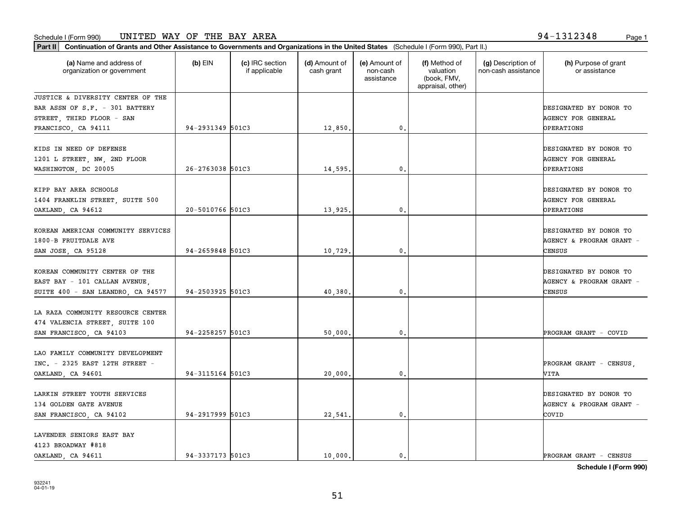**Part II Continuation of Grants and Other Assistance to Governments and Organizations in the United States**  (Schedule I (Form 990), Part II.)

| (a) Name and address of<br>organization or government | $(b)$ EIN        | (c) IRC section<br>if applicable | (d) Amount of<br>cash grant | (e) Amount of<br>non-cash<br>assistance | (f) Method of<br>valuation<br>(book, FMV,<br>appraisal, other) | (g) Description of<br>non-cash assistance | (h) Purpose of grant<br>or assistance |
|-------------------------------------------------------|------------------|----------------------------------|-----------------------------|-----------------------------------------|----------------------------------------------------------------|-------------------------------------------|---------------------------------------|
| JUSTICE & DIVERSITY CENTER OF THE                     |                  |                                  |                             |                                         |                                                                |                                           |                                       |
| BAR ASSN OF S.F. - 301 BATTERY                        |                  |                                  |                             |                                         |                                                                |                                           | DESIGNATED BY DONOR TO                |
| STREET, THIRD FLOOR - SAN                             |                  |                                  |                             |                                         |                                                                |                                           | AGENCY FOR GENERAL                    |
| FRANCISCO, CA 94111                                   | 94-2931349 501C3 |                                  | 12,850.                     | 0.                                      |                                                                |                                           | OPERATIONS                            |
| KIDS IN NEED OF DEFENSE                               |                  |                                  |                             |                                         |                                                                |                                           | DESIGNATED BY DONOR TO                |
| 1201 L STREET, NW, 2ND FLOOR                          |                  |                                  |                             |                                         |                                                                |                                           | <b>AGENCY FOR GENERAL</b>             |
| WASHINGTON, DC 20005                                  | 26-2763038 501C3 |                                  | 14,595.                     | 0.                                      |                                                                |                                           | OPERATIONS                            |
|                                                       |                  |                                  |                             |                                         |                                                                |                                           |                                       |
| KIPP BAY AREA SCHOOLS                                 |                  |                                  |                             |                                         |                                                                |                                           | DESIGNATED BY DONOR TO                |
| 1404 FRANKLIN STREET, SUITE 500                       |                  |                                  |                             |                                         |                                                                |                                           | <b>AGENCY FOR GENERAL</b>             |
| OAKLAND, CA 94612                                     | 20-5010766 501C3 |                                  | 13,925.                     | 0.                                      |                                                                |                                           | OPERATIONS                            |
|                                                       |                  |                                  |                             |                                         |                                                                |                                           |                                       |
| KOREAN AMERICAN COMMUNITY SERVICES                    |                  |                                  |                             |                                         |                                                                |                                           | DESIGNATED BY DONOR TO                |
| 1800-B FRUITDALE AVE                                  |                  |                                  |                             |                                         |                                                                |                                           | AGENCY & PROGRAM GRANT -              |
|                                                       | 94-2659848 501C3 |                                  |                             |                                         |                                                                |                                           |                                       |
| SAN JOSE, CA 95128                                    |                  |                                  | 10,729.                     | 0.                                      |                                                                |                                           | CENSUS                                |
|                                                       |                  |                                  |                             |                                         |                                                                |                                           |                                       |
| KOREAN COMMUNITY CENTER OF THE                        |                  |                                  |                             |                                         |                                                                |                                           | DESIGNATED BY DONOR TO                |
| EAST BAY - 101 CALLAN AVENUE,                         |                  |                                  |                             |                                         |                                                                |                                           | AGENCY & PROGRAM GRANT -              |
| SUITE 400 - SAN LEANDRO, CA 94577                     | 94-2503925 501C3 |                                  | 40,380.                     | 0.                                      |                                                                |                                           | CENSUS                                |
|                                                       |                  |                                  |                             |                                         |                                                                |                                           |                                       |
| LA RAZA COMMUNITY RESOURCE CENTER                     |                  |                                  |                             |                                         |                                                                |                                           |                                       |
| 474 VALENCIA STREET, SUITE 100                        |                  |                                  |                             |                                         |                                                                |                                           |                                       |
| SAN FRANCISCO, CA 94103                               | 94-2258257 501C3 |                                  | 50,000.                     | 0.                                      |                                                                |                                           | PROGRAM GRANT - COVID                 |
|                                                       |                  |                                  |                             |                                         |                                                                |                                           |                                       |
| LAO FAMILY COMMUNITY DEVELOPMENT                      |                  |                                  |                             |                                         |                                                                |                                           |                                       |
| INC. - 2325 EAST 12TH STREET -                        |                  |                                  |                             |                                         |                                                                |                                           | PROGRAM GRANT - CENSUS,               |
| OAKLAND, CA 94601                                     | 94-3115164 501C3 |                                  | 20,000.                     | 0.                                      |                                                                |                                           | VITA                                  |
|                                                       |                  |                                  |                             |                                         |                                                                |                                           |                                       |
| LARKIN STREET YOUTH SERVICES                          |                  |                                  |                             |                                         |                                                                |                                           | DESIGNATED BY DONOR TO                |
| 134 GOLDEN GATE AVENUE                                |                  |                                  |                             |                                         |                                                                |                                           | AGENCY & PROGRAM GRANT -              |
| SAN FRANCISCO, CA 94102                               | 94-2917999 501C3 |                                  | 22,541.                     | 0.                                      |                                                                |                                           | COVID                                 |
|                                                       |                  |                                  |                             |                                         |                                                                |                                           |                                       |
| LAVENDER SENIORS EAST BAY                             |                  |                                  |                             |                                         |                                                                |                                           |                                       |
| 4123 BROADWAY #818                                    |                  |                                  |                             |                                         |                                                                |                                           |                                       |

**Schedule I (Form 990)**

OAKLAND, CA 94611 94-3337173 501C3 10,000. 0. 0. 0. PROGRAM GRANT - CENSUS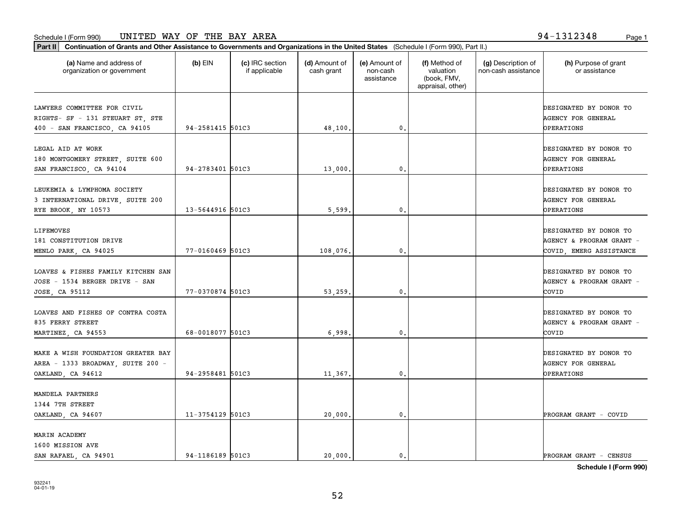**Part II Continuation of Grants and Other Assistance to Governments and Organizations in the United States**  (Schedule I (Form 990), Part II.)

| (a) Name and address of<br>organization or government                                            | $(b)$ EIN        | (c) IRC section<br>if applicable | (d) Amount of<br>cash grant | (e) Amount of<br>non-cash<br>assistance | (f) Method of<br>valuation<br>(book, FMV,<br>appraisal, other) | (g) Description of<br>non-cash assistance | (h) Purpose of grant<br>or assistance                                         |
|--------------------------------------------------------------------------------------------------|------------------|----------------------------------|-----------------------------|-----------------------------------------|----------------------------------------------------------------|-------------------------------------------|-------------------------------------------------------------------------------|
| LAWYERS COMMITTEE FOR CIVIL<br>RIGHTS- SF - 131 STEUART ST, STE<br>400 - SAN FRANCISCO, CA 94105 | 94-2581415 501C3 |                                  | 48,100.                     | 0.                                      |                                                                |                                           | DESIGNATED BY DONOR TO<br><b>AGENCY FOR GENERAL</b><br>OPERATIONS             |
| LEGAL AID AT WORK<br>180 MONTGOMERY STREET, SUITE 600<br>SAN FRANCISCO, CA 94104                 | 94-2783401 501C3 |                                  | 13,000.                     | 0.                                      |                                                                |                                           | DESIGNATED BY DONOR TO<br><b>AGENCY FOR GENERAL</b><br>OPERATIONS             |
| LEUKEMIA & LYMPHOMA SOCIETY<br>3 INTERNATIONAL DRIVE, SUITE 200<br>RYE BROOK, NY 10573           | 13-5644916 501C3 |                                  | 5,599.                      | 0.                                      |                                                                |                                           | DESIGNATED BY DONOR TO<br><b>AGENCY FOR GENERAL</b><br>OPERATIONS             |
| LIFEMOVES<br>181 CONSTITUTION DRIVE<br>MENLO PARK, CA 94025                                      | 77-0160469 501C3 |                                  | 108,076.                    | 0.                                      |                                                                |                                           | DESIGNATED BY DONOR TO<br>AGENCY & PROGRAM GRANT -<br>COVID, EMERG ASSISTANCE |
| LOAVES & FISHES FAMILY KITCHEN SAN<br>JOSE - 1534 BERGER DRIVE - SAN<br>JOSE, CA 95112           | 77-0370874 501C3 |                                  | 53,259.                     | 0.                                      |                                                                |                                           | DESIGNATED BY DONOR TO<br>AGENCY & PROGRAM GRANT -<br>COVID                   |
| LOAVES AND FISHES OF CONTRA COSTA<br>835 FERRY STREET<br>MARTINEZ, CA 94553                      | 68-0018077 501C3 |                                  | 6,998.                      | 0.                                      |                                                                |                                           | DESIGNATED BY DONOR TO<br>AGENCY & PROGRAM GRANT -<br>COVID                   |
| MAKE A WISH FOUNDATION GREATER BAY<br>AREA - 1333 BROADWAY, SUITE 200 -<br>OAKLAND, CA 94612     | 94-2958481 501C3 |                                  | 11,367.                     | 0.                                      |                                                                |                                           | DESIGNATED BY DONOR TO<br><b>AGENCY FOR GENERAL</b><br>OPERATIONS             |
| MANDELA PARTNERS<br>1344 7TH STREET<br>OAKLAND, CA 94607                                         | 11-3754129 501C3 |                                  | 20,000.                     | 0.                                      |                                                                |                                           | PROGRAM GRANT - COVID                                                         |
| MARIN ACADEMY<br>1600 MISSION AVE<br>SAN RAFAEL, CA 94901                                        | 94-1186189 501C3 |                                  | 20,000.                     | 0.                                      |                                                                |                                           | PROGRAM GRANT - CENSUS                                                        |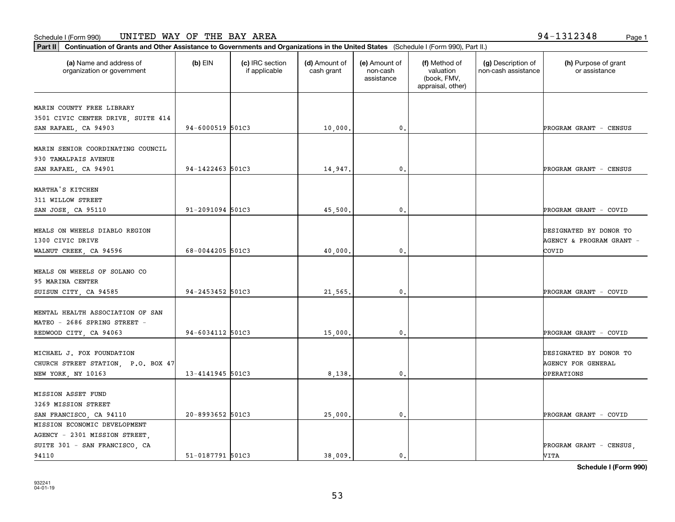**Part II Continuation of Grants and Other Assistance to Governments and Organizations in the United States**  (Schedule I (Form 990), Part II.)

94110

| (a) Name and address of<br>organization or government                                             | $(b)$ EIN        | (c) IRC section<br>if applicable | (d) Amount of<br>cash grant | (e) Amount of<br>non-cash<br>assistance | (f) Method of<br>valuation<br>(book, FMV,<br>appraisal, other) | (g) Description of<br>non-cash assistance | (h) Purpose of grant<br>or assistance                             |
|---------------------------------------------------------------------------------------------------|------------------|----------------------------------|-----------------------------|-----------------------------------------|----------------------------------------------------------------|-------------------------------------------|-------------------------------------------------------------------|
| MARIN COUNTY FREE LIBRARY<br>3501 CIVIC CENTER DRIVE, SUITE 414<br>SAN RAFAEL, CA 94903           | 94-6000519 501C3 |                                  | 10,000.                     | $\mathfrak{o}$ .                        |                                                                |                                           | PROGRAM GRANT - CENSUS                                            |
| MARIN SENIOR COORDINATING COUNCIL<br>930 TAMALPAIS AVENUE<br>SAN RAFAEL, CA 94901                 | 94-1422463 501C3 |                                  | 14,947.                     | $\mathfrak{o}$ .                        |                                                                |                                           | PROGRAM GRANT - CENSUS                                            |
| MARTHA'S KITCHEN<br>311 WILLOW STREET<br>SAN JOSE, CA 95110                                       | 91-2091094 501C3 |                                  | 45,500,                     | $\mathfrak{o}$ .                        |                                                                |                                           | PROGRAM GRANT - COVID                                             |
| MEALS ON WHEELS DIABLO REGION<br>1300 CIVIC DRIVE<br>WALNUT CREEK, CA 94596                       | 68-0044205 501C3 |                                  | 40,000,                     | $\mathfrak{o}$ .                        |                                                                |                                           | DESIGNATED BY DONOR TO<br>AGENCY & PROGRAM GRANT -<br>COVID       |
| MEALS ON WHEELS OF SOLANO CO<br>95 MARINA CENTER<br>SUISUN CITY, CA 94585                         | 94-2453452 501C3 |                                  | 21,565.                     | $\mathfrak{o}$ .                        |                                                                |                                           | PROGRAM GRANT - COVID                                             |
| <b>MENTAL HEALTH ASSOCIATION OF SAN</b><br>MATEO - 2686 SPRING STREET -<br>REDWOOD CITY, CA 94063 | 94-6034112 501C3 |                                  | 15,000.                     | $\mathfrak{o}$ .                        |                                                                |                                           | PROGRAM GRANT - COVID                                             |
| MICHAEL J. FOX FOUNDATION<br>CHURCH STREET STATION, P.O. BOX 47<br><b>NEW YORK, NY 10163</b>      | 13-4141945 501C3 |                                  | 8,138,                      | 0.                                      |                                                                |                                           | DESIGNATED BY DONOR TO<br>AGENCY FOR GENERAL<br><b>OPERATIONS</b> |
| <b>MISSION ASSET FUND</b><br>3269 MISSION STREET<br>SAN FRANCISCO, CA 94110                       | 20-8993652 501C3 |                                  | 25,000.                     | 0.                                      |                                                                |                                           | PROGRAM GRANT - COVID                                             |
| MISSION ECONOMIC DEVELOPMENT<br>AGENCY - 2301 MISSION STREET,                                     |                  |                                  |                             |                                         |                                                                |                                           |                                                                   |

**Schedule I (Form 990)**

SUITE 301 - SAN FRANCISCO, CA REAL PROGRAM GRANT - CENSUS,

51-0187791 501C3 (38,009. 0. 0. 0. 0. 1 VITA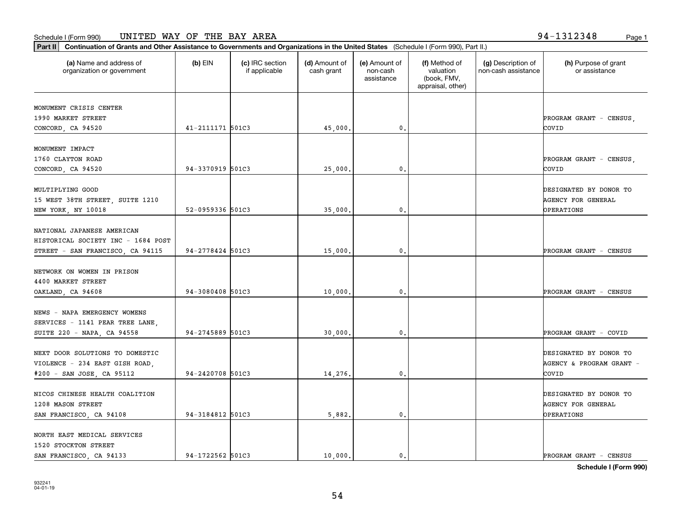1520 STOCKTON STREET

NORTH EAST MEDICAL SERVICES

932241 04-01-19

| Part II   Continuation of Grants and Other Assistance to Governments and Organizations in the United States (Schedule I (Form 990), Part II.) |                  |                                  |                             |                                         |                                                                |                                           |                                       |
|-----------------------------------------------------------------------------------------------------------------------------------------------|------------------|----------------------------------|-----------------------------|-----------------------------------------|----------------------------------------------------------------|-------------------------------------------|---------------------------------------|
| (a) Name and address of<br>organization or government                                                                                         | $(b)$ EIN        | (c) IRC section<br>if applicable | (d) Amount of<br>cash grant | (e) Amount of<br>non-cash<br>assistance | (f) Method of<br>valuation<br>(book, FMV,<br>appraisal, other) | (g) Description of<br>non-cash assistance | (h) Purpose of grant<br>or assistance |
|                                                                                                                                               |                  |                                  |                             |                                         |                                                                |                                           |                                       |
| MONUMENT CRISIS CENTER                                                                                                                        |                  |                                  |                             |                                         |                                                                |                                           |                                       |
| 1990 MARKET STREET                                                                                                                            |                  |                                  |                             |                                         |                                                                |                                           | PROGRAM GRANT - CENSUS,               |
| CONCORD, CA 94520                                                                                                                             | 41-2111171 501C3 |                                  | 45,000.                     | 0.                                      |                                                                |                                           | COVID                                 |
| MONUMENT IMPACT                                                                                                                               |                  |                                  |                             |                                         |                                                                |                                           |                                       |
| 1760 CLAYTON ROAD                                                                                                                             |                  |                                  |                             |                                         |                                                                |                                           | PROGRAM GRANT - CENSUS,               |
| CONCORD, CA 94520                                                                                                                             | 94-3370919 501C3 |                                  | 25,000.                     | 0.                                      |                                                                |                                           | COVID                                 |
|                                                                                                                                               |                  |                                  |                             |                                         |                                                                |                                           |                                       |
| MULTIPLYING GOOD                                                                                                                              |                  |                                  |                             |                                         |                                                                |                                           | DESIGNATED BY DONOR TO                |
| 15 WEST 38TH STREET, SUITE 1210                                                                                                               |                  |                                  |                             |                                         |                                                                |                                           | <b>AGENCY FOR GENERAL</b>             |
| NEW YORK, NY 10018                                                                                                                            | 52-0959336 501C3 |                                  | 35,000.                     | 0.                                      |                                                                |                                           | OPERATIONS                            |
| NATIONAL JAPANESE AMERICAN                                                                                                                    |                  |                                  |                             |                                         |                                                                |                                           |                                       |
| HISTORICAL SOCIETY INC - 1684 POST                                                                                                            |                  |                                  |                             |                                         |                                                                |                                           |                                       |
| STREET - SAN FRANCISCO, CA 94115                                                                                                              | 94-2778424 501C3 |                                  | 15,000.                     | 0.                                      |                                                                |                                           | PROGRAM GRANT - CENSUS                |
|                                                                                                                                               |                  |                                  |                             |                                         |                                                                |                                           |                                       |
| NETWORK ON WOMEN IN PRISON                                                                                                                    |                  |                                  |                             |                                         |                                                                |                                           |                                       |
| 4400 MARKET STREET                                                                                                                            |                  |                                  |                             |                                         |                                                                |                                           |                                       |
| OAKLAND, CA 94608                                                                                                                             | 94-3080408 501C3 |                                  | 10,000.                     | 0.                                      |                                                                |                                           | PROGRAM GRANT - CENSUS                |
|                                                                                                                                               |                  |                                  |                             |                                         |                                                                |                                           |                                       |
| NEWS - NAPA EMERGENCY WOMENS                                                                                                                  |                  |                                  |                             |                                         |                                                                |                                           |                                       |
| SERVICES - 1141 PEAR TREE LANE,                                                                                                               |                  |                                  |                             |                                         |                                                                |                                           |                                       |
| SUITE 220 - NAPA, CA 94558                                                                                                                    | 94-2745889 501C3 |                                  | 30,000.                     | 0.                                      |                                                                |                                           | PROGRAM GRANT - COVID                 |
| NEXT DOOR SOLUTIONS TO DOMESTIC                                                                                                               |                  |                                  |                             |                                         |                                                                |                                           | DESIGNATED BY DONOR TO                |
| VIOLENCE - 234 EAST GISH ROAD,                                                                                                                |                  |                                  |                             |                                         |                                                                |                                           | AGENCY & PROGRAM GRANT -              |
| #200 - SAN JOSE, CA 95112                                                                                                                     | 94-2420708 501C3 |                                  | 14,276.                     | 0.                                      |                                                                |                                           | COVID                                 |
|                                                                                                                                               |                  |                                  |                             |                                         |                                                                |                                           |                                       |
| NICOS CHINESE HEALTH COALITION                                                                                                                |                  |                                  |                             |                                         |                                                                |                                           | DESIGNATED BY DONOR TO                |
| 1208 MASON STREET                                                                                                                             |                  |                                  |                             |                                         |                                                                |                                           | <b>AGENCY FOR GENERAL</b>             |
| SAN FRANCISCO, CA 94108                                                                                                                       | 94-3184812 501C3 |                                  | 5.882.                      | 0.                                      |                                                                |                                           | OPERATIONS                            |

SAN FRANCISCO, CA 94133 94-1722562 501C3 10,000. 0. 0. 0. PROGRAM GRANT - CENSUS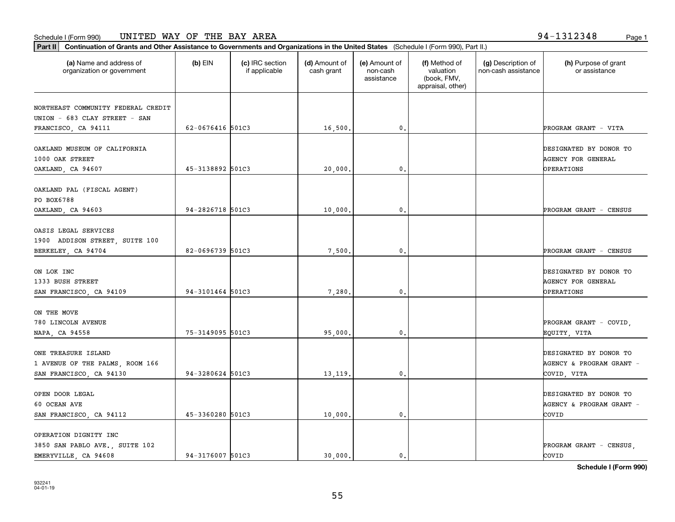**Part II Continuation of Grants and Other Assistance to Governments and Organizations in the United States**  (Schedule I (Form 990), Part II.)

| Schedule I (Form 990) |  |
|-----------------------|--|
|-----------------------|--|

OPERATION DIGNITY INC

| (a) Name and address of<br>organization or government | $(b)$ EIN        | (c) IRC section<br>if applicable | (d) Amount of<br>cash grant | (e) Amount of<br>non-cash<br>assistance | (f) Method of<br>valuation<br>(book, FMV,<br>appraisal, other) | (g) Description of<br>non-cash assistance | (h) Purpose of grant<br>or assistance |
|-------------------------------------------------------|------------------|----------------------------------|-----------------------------|-----------------------------------------|----------------------------------------------------------------|-------------------------------------------|---------------------------------------|
| NORTHEAST COMMUNITY FEDERAL CREDIT                    |                  |                                  |                             |                                         |                                                                |                                           |                                       |
| UNION - 683 CLAY STREET - SAN                         |                  |                                  |                             |                                         |                                                                |                                           |                                       |
| FRANCISCO, CA 94111                                   | 62-0676416 501C3 |                                  | 16,500.                     | 0.                                      |                                                                |                                           | PROGRAM GRANT - VITA                  |
| OAKLAND MUSEUM OF CALIFORNIA                          |                  |                                  |                             |                                         |                                                                |                                           | DESIGNATED BY DONOR TO                |
| 1000 OAK STREET                                       |                  |                                  |                             |                                         |                                                                |                                           | AGENCY FOR GENERAL                    |
| OAKLAND, CA 94607                                     | 45-3138892 501C3 |                                  | 20,000.                     | 0.                                      |                                                                |                                           | OPERATIONS                            |
|                                                       |                  |                                  |                             |                                         |                                                                |                                           |                                       |
| OAKLAND PAL (FISCAL AGENT)                            |                  |                                  |                             |                                         |                                                                |                                           |                                       |
| PO BOX6788                                            |                  |                                  |                             |                                         |                                                                |                                           |                                       |
| OAKLAND, CA 94603                                     | 94-2826718 501C3 |                                  | 10,000.                     | 0.                                      |                                                                |                                           | PROGRAM GRANT - CENSUS                |
| OASIS LEGAL SERVICES                                  |                  |                                  |                             |                                         |                                                                |                                           |                                       |
| 1900 ADDISON STREET, SUITE 100                        |                  |                                  |                             |                                         |                                                                |                                           |                                       |
| BERKELEY, CA 94704                                    | 82-0696739 501C3 |                                  | 7,500,                      | 0.                                      |                                                                |                                           | PROGRAM GRANT - CENSUS                |
|                                                       |                  |                                  |                             |                                         |                                                                |                                           |                                       |
| ON LOK INC                                            |                  |                                  |                             |                                         |                                                                |                                           | DESIGNATED BY DONOR TO                |
| 1333 BUSH STREET                                      |                  |                                  |                             |                                         |                                                                |                                           | AGENCY FOR GENERAL                    |
| SAN FRANCISCO, CA 94109                               | 94-3101464 501C3 |                                  | 7,280.                      | 0.                                      |                                                                |                                           | OPERATIONS                            |
| ON THE MOVE                                           |                  |                                  |                             |                                         |                                                                |                                           |                                       |
| 780 LINCOLN AVENUE                                    |                  |                                  |                             |                                         |                                                                |                                           | PROGRAM GRANT - COVID,                |
| NAPA, CA 94558                                        | 75-3149095 501C3 |                                  | 95,000.                     | 0.                                      |                                                                |                                           | EQUITY, VITA                          |
|                                                       |                  |                                  |                             |                                         |                                                                |                                           |                                       |
| ONE TREASURE ISLAND                                   |                  |                                  |                             |                                         |                                                                |                                           | DESIGNATED BY DONOR TO                |
| 1 AVENUE OF THE PALMS, ROOM 166                       |                  |                                  |                             |                                         |                                                                |                                           | AGENCY & PROGRAM GRANT -              |
| SAN FRANCISCO, CA 94130                               | 94-3280624 501C3 |                                  | 13, 119.                    | 0.                                      |                                                                |                                           | COVID, VITA                           |

OPEN DOOR LEGAL DESIGNATED BY DONOR TO DESIGNATED BY DONOR TO 60 OCEAN AVE AGENCY & PROGRAM GRANT -

3850 SAN PABLO AVE., SUITE 102 PROGRAM GRANT - CENSUS,

SAN FRANCISCO, CA 94112 45-3360280 501C3 (3000. 0. 0. 0. 0. 0. 0. 0. 0. 2001D

EMERYVILLE, CA 94608 2011 | 94-3176007 501C3 | 30,000. | 30,000. | 2001D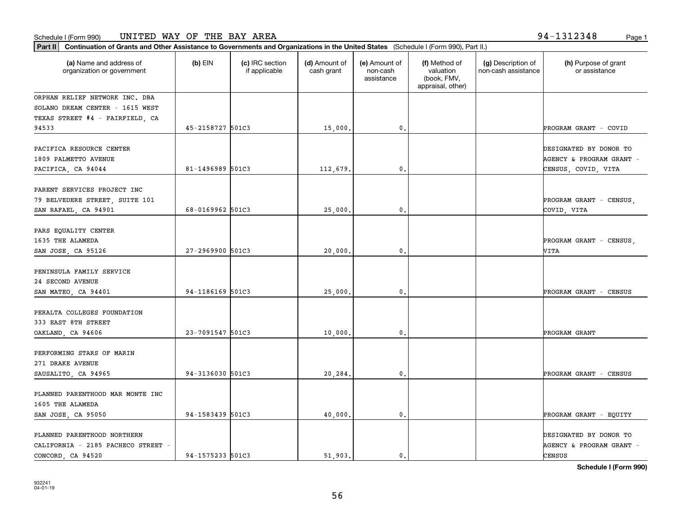organization or government

**Part II Continuation of Grants and Other Assistance to Governments and Organizations in the United States**  (Schedule I (Form 990), Part II.)

if applicable

 $(b)$  EIN  $(c)$  IRC section

**(a) (b) (c) (d) (e) (f) (g) (h)** Name and address of

(d) Amount of cash grant

(e) Amount of non-cashassistance

(f) Method of valuation (book, FMV,

932241 04-01-19

|                                  |                  |          |               | appraisal, other) |                          |
|----------------------------------|------------------|----------|---------------|-------------------|--------------------------|
| ORPHAN RELIEF NETWORK INC. DBA   |                  |          |               |                   |                          |
| SOLANO DREAM CENTER - 1615 WEST  |                  |          |               |                   |                          |
| TEXAS STREET #4 - FAIRFIELD, CA  |                  |          |               |                   |                          |
| 94533                            | 45-2158727 501C3 | 15,000.  | 0.            |                   | PROGRAM GRANT - COVID    |
| PACIFICA RESOURCE CENTER         |                  |          |               |                   | DESIGNATED BY DONOR TO   |
| 1809 PALMETTO AVENUE             |                  |          |               |                   | AGENCY & PROGRAM GRANT - |
|                                  | 81-1496989 501C3 |          | 0.            |                   |                          |
| PACIFICA, CA 94044               |                  | 112,679. |               |                   | CENSUS, COVID, VITA      |
| PARENT SERVICES PROJECT INC      |                  |          |               |                   |                          |
| 79 BELVEDERE STREET, SUITE 101   |                  |          |               |                   | PROGRAM GRANT - CENSUS,  |
| SAN RAFAEL, CA 94901             | 68-0169962 501C3 | 25,000.  | 0.            |                   | COVID, VITA              |
|                                  |                  |          |               |                   |                          |
| PARS EQUALITY CENTER             |                  |          |               |                   |                          |
| 1635 THE ALAMEDA                 |                  |          |               |                   | PROGRAM GRANT - CENSUS,  |
| SAN JOSE, CA 95126               | 27-2969900 501C3 | 20,000.  | 0.            |                   | VITA                     |
| PENINSULA FAMILY SERVICE         |                  |          |               |                   |                          |
| 24 SECOND AVENUE                 |                  |          |               |                   |                          |
| SAN MATEO, CA 94401              | 94-1186169 501C3 | 25,000.  | 0.            |                   | PROGRAM GRANT - CENSUS   |
|                                  |                  |          |               |                   |                          |
| PERALTA COLLEGES FOUNDATION      |                  |          |               |                   |                          |
| 333 EAST 8TH STREET              |                  |          |               |                   |                          |
| OAKLAND, CA 94606                | 23-7091547 501C3 | 10,000.  | $\mathbf 0$ . |                   | PROGRAM GRANT            |
| PERFORMING STARS OF MARIN        |                  |          |               |                   |                          |
| 271 DRAKE AVENUE                 |                  |          |               |                   |                          |
| SAUSALITO, CA 94965              | 94-3136030 501C3 | 20,284.  | 0.            |                   | PROGRAM GRANT - CENSUS   |
|                                  |                  |          |               |                   |                          |
| PLANNED PARENTHOOD MAR MONTE INC |                  |          |               |                   |                          |
| 1605 THE ALAMEDA                 |                  |          |               |                   |                          |
| SAN JOSE, CA 95050               | 94-1583439 501C3 | 40,000.  | 0.            |                   | PROGRAM GRANT - EQUITY   |
| PLANNED PARENTHOOD NORTHERN      |                  |          |               |                   | DESIGNATED BY DONOR TO   |
| CALIFORNIA - 2185 PACHECO STREET |                  |          |               |                   | AGENCY & PROGRAM GRANT   |

**Schedule I (Form 990)**

(g) Description of non-cash assistance

(h) Purpose of grant or assistance

CONCORD, CA 94520 94-1575233 501C3 3 (CENSUS ENSUS)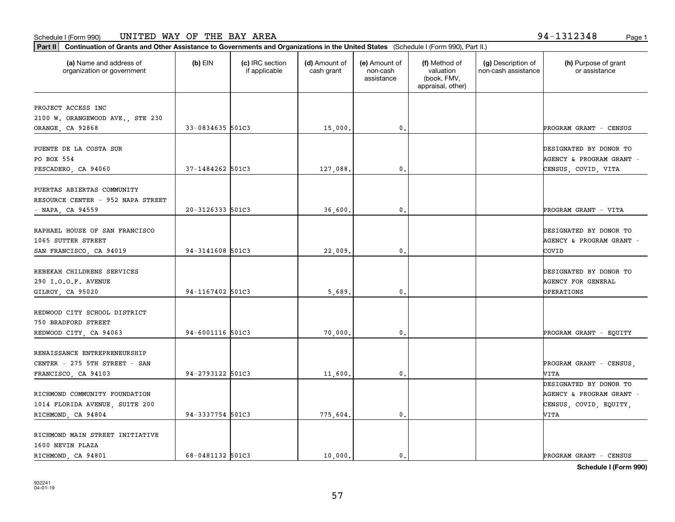#### Schedule I (Form 990) Page 1 UNITED WAY OF THE BAY AREA 94-1312348

| Part II   Continuation of Grants and Other Assistance to Governments and Organizations in the United States (Schedule I (Form 990), Part II.) |                  |                                  |                             |                                         |                                                                |                                           |                                       |
|-----------------------------------------------------------------------------------------------------------------------------------------------|------------------|----------------------------------|-----------------------------|-----------------------------------------|----------------------------------------------------------------|-------------------------------------------|---------------------------------------|
| (a) Name and address of<br>organization or government                                                                                         | $(b)$ EIN        | (c) IRC section<br>if applicable | (d) Amount of<br>cash grant | (e) Amount of<br>non-cash<br>assistance | (f) Method of<br>valuation<br>(book, FMV,<br>appraisal, other) | (g) Description of<br>non-cash assistance | (h) Purpose of grant<br>or assistance |
| PROJECT ACCESS INC                                                                                                                            |                  |                                  |                             |                                         |                                                                |                                           |                                       |
| 2100 W. ORANGEWOOD AVE., STE 230                                                                                                              |                  |                                  |                             |                                         |                                                                |                                           |                                       |
| ORANGE, CA 92868                                                                                                                              | 33-0834635 501C3 |                                  | 15,000.                     | $\mathfrak{o}$ .                        |                                                                |                                           | PROGRAM GRANT - CENSUS                |
|                                                                                                                                               |                  |                                  |                             |                                         |                                                                |                                           |                                       |
| PUENTE DE LA COSTA SUR                                                                                                                        |                  |                                  |                             |                                         |                                                                |                                           | DESIGNATED BY DONOR TO                |
| PO BOX 554                                                                                                                                    |                  |                                  |                             |                                         |                                                                |                                           | AGENCY & PROGRAM GRANT -              |
| PESCADERO, CA 94060                                                                                                                           | 37-1484262 501C3 |                                  | 127,088.                    | 0.                                      |                                                                |                                           | CENSUS, COVID, VITA                   |
|                                                                                                                                               |                  |                                  |                             |                                         |                                                                |                                           |                                       |
| PUERTAS ABIERTAS COMMUNITY                                                                                                                    |                  |                                  |                             |                                         |                                                                |                                           |                                       |
| RESOURCE CENTER - 952 NAPA STREET                                                                                                             |                  |                                  |                             |                                         |                                                                |                                           |                                       |
| - NAPA, CA 94559                                                                                                                              | 20-3126333 501C3 |                                  | 36,600.                     | $\mathbf{0}$ .                          |                                                                |                                           | PROGRAM GRANT - VITA                  |
|                                                                                                                                               |                  |                                  |                             |                                         |                                                                |                                           |                                       |
| RAPHAEL HOUSE OF SAN FRANCISCO                                                                                                                |                  |                                  |                             |                                         |                                                                |                                           | DESIGNATED BY DONOR TO                |
| 1065 SUTTER STREET                                                                                                                            |                  |                                  |                             |                                         |                                                                |                                           | AGENCY & PROGRAM GRANT -              |
| SAN FRANCISCO, CA 94019                                                                                                                       | 94-3141608 501C3 |                                  | 22,009.                     | 0.                                      |                                                                |                                           | COVID                                 |
| REBEKAH CHILDRENS SERVICES                                                                                                                    |                  |                                  |                             |                                         |                                                                |                                           | DESIGNATED BY DONOR TO                |
|                                                                                                                                               |                  |                                  |                             |                                         |                                                                |                                           |                                       |
| 290 I.O.O.F. AVENUE                                                                                                                           |                  |                                  |                             |                                         |                                                                |                                           | <b>AGENCY FOR GENERAL</b>             |
| GILROY, CA 95020                                                                                                                              | 94-1167402 501C3 |                                  | 5,689,                      | $\mathbf{0}$                            |                                                                |                                           | OPERATIONS                            |
| REDWOOD CITY SCHOOL DISTRICT                                                                                                                  |                  |                                  |                             |                                         |                                                                |                                           |                                       |
| 750 BRADFORD STREET                                                                                                                           |                  |                                  |                             |                                         |                                                                |                                           |                                       |
| REDWOOD CITY, CA 94063                                                                                                                        | 94-6001116 501C3 |                                  | 70,000,                     | $\mathfrak{o}$ .                        |                                                                |                                           | PROGRAM GRANT - EQUITY                |
|                                                                                                                                               |                  |                                  |                             |                                         |                                                                |                                           |                                       |
| RENAISSANCE ENTREPRENEURSHIP                                                                                                                  |                  |                                  |                             |                                         |                                                                |                                           |                                       |
| CENTER - 275 5TH STREET - SAN                                                                                                                 |                  |                                  |                             |                                         |                                                                |                                           | PROGRAM GRANT - CENSUS.               |
| FRANCISCO, CA 94103                                                                                                                           | 94-2793122 501C3 |                                  | 11,600.                     | $\mathfrak{o}$ .                        |                                                                |                                           | VITA                                  |
|                                                                                                                                               |                  |                                  |                             |                                         |                                                                |                                           | DESIGNATED BY DONOR TO                |
| RICHMOND COMMUNITY FOUNDATION                                                                                                                 |                  |                                  |                             |                                         |                                                                |                                           | AGENCY & PROGRAM GRANT -              |
| 1014 FLORIDA AVENUE, SUITE 200                                                                                                                |                  |                                  |                             |                                         |                                                                |                                           | CENSUS, COVID, EQUITY,                |
| RICHMOND, CA 94804                                                                                                                            | 94-3337754 501C3 |                                  | 775,604.                    | $\mathfrak o$ .                         |                                                                |                                           | VITA                                  |
|                                                                                                                                               |                  |                                  |                             |                                         |                                                                |                                           |                                       |
| RICHMOND MAIN STREET INITIATIVE                                                                                                               |                  |                                  |                             |                                         |                                                                |                                           |                                       |
| 1600 NEVIN PLAZA                                                                                                                              |                  |                                  |                             |                                         |                                                                |                                           |                                       |
| RICHMOND, CA 94801                                                                                                                            | 68-0481132 501C3 |                                  | 10,000.                     | $\mathfrak{o}$ .                        |                                                                |                                           | PROGRAM GRANT - CENSUS                |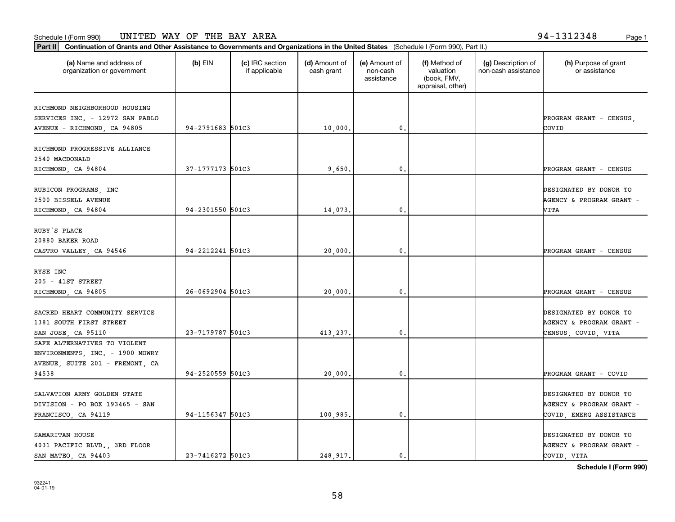**Part II Continuation of Grants and Other Assistance to Governments and Organizations in the United States**  (Schedule I (Form 990), Part II.)

| (a) Name and address of<br>organization or government | $(b)$ EIN        | (c) IRC section<br>if applicable | (d) Amount of<br>cash grant | (e) Amount of<br>non-cash<br>assistance | (f) Method of<br>valuation<br>(book, FMV,<br>appraisal, other) | (g) Description of<br>non-cash assistance | (h) Purpose of grant<br>or assistance |
|-------------------------------------------------------|------------------|----------------------------------|-----------------------------|-----------------------------------------|----------------------------------------------------------------|-------------------------------------------|---------------------------------------|
| RICHMOND NEIGHBORHOOD HOUSING                         |                  |                                  |                             |                                         |                                                                |                                           |                                       |
| SERVICES INC. - 12972 SAN PABLO                       |                  |                                  |                             |                                         |                                                                |                                           | PROGRAM GRANT - CENSUS,               |
| AVENUE - RICHMOND, CA 94805                           | 94-2791683 501C3 |                                  | 10,000.                     | 0.                                      |                                                                |                                           | COVID                                 |
|                                                       |                  |                                  |                             |                                         |                                                                |                                           |                                       |
| RICHMOND PROGRESSIVE ALLIANCE                         |                  |                                  |                             |                                         |                                                                |                                           |                                       |
| 2540 MACDONALD                                        |                  |                                  |                             |                                         |                                                                |                                           |                                       |
| RICHMOND, CA 94804                                    | 37-1777173 501C3 |                                  | 9,650                       | 0.                                      |                                                                |                                           | PROGRAM GRANT - CENSUS                |
|                                                       |                  |                                  |                             |                                         |                                                                |                                           |                                       |
| RUBICON PROGRAMS, INC                                 |                  |                                  |                             |                                         |                                                                |                                           | DESIGNATED BY DONOR TO                |
| 2500 BISSELL AVENUE                                   |                  |                                  |                             |                                         |                                                                |                                           | AGENCY & PROGRAM GRANT -              |
| RICHMOND, CA 94804                                    | 94-2301550 501C3 |                                  | 14,073.                     | 0.                                      |                                                                |                                           | VITA                                  |
| RUBY'S PLACE                                          |                  |                                  |                             |                                         |                                                                |                                           |                                       |
| 20880 BAKER ROAD                                      |                  |                                  |                             |                                         |                                                                |                                           |                                       |
| CASTRO VALLEY, CA 94546                               | 94-2212241 501C3 |                                  | 20,000.                     | $\mathfrak{o}$ .                        |                                                                |                                           | PROGRAM GRANT - CENSUS                |
|                                                       |                  |                                  |                             |                                         |                                                                |                                           |                                       |
| RYSE INC                                              |                  |                                  |                             |                                         |                                                                |                                           |                                       |
| 205 - 41ST STREET                                     |                  |                                  |                             |                                         |                                                                |                                           |                                       |
| RICHMOND, CA 94805                                    | 26-0692904 501C3 |                                  | 20,000.                     | 0.                                      |                                                                |                                           | PROGRAM GRANT - CENSUS                |
|                                                       |                  |                                  |                             |                                         |                                                                |                                           |                                       |
| SACRED HEART COMMUNITY SERVICE                        |                  |                                  |                             |                                         |                                                                |                                           | DESIGNATED BY DONOR TO                |
| 1381 SOUTH FIRST STREET                               |                  |                                  |                             |                                         |                                                                |                                           | AGENCY & PROGRAM GRANT -              |
| SAN JOSE, CA 95110                                    | 23-7179787 501C3 |                                  | 413,237.                    | 0.                                      |                                                                |                                           | CENSUS, COVID, VITA                   |
| SAFE ALTERNATIVES TO VIOLENT                          |                  |                                  |                             |                                         |                                                                |                                           |                                       |
| ENVIRONMENTS, INC. - 1900 MOWRY                       |                  |                                  |                             |                                         |                                                                |                                           |                                       |
| AVENUE, SUITE 201 - FREMONT, CA                       | 94-2520559 501C3 |                                  |                             |                                         |                                                                |                                           |                                       |
| 94538                                                 |                  |                                  | 20,000.                     | 0.                                      |                                                                |                                           | PROGRAM GRANT - COVID                 |
| SALVATION ARMY GOLDEN STATE                           |                  |                                  |                             |                                         |                                                                |                                           | DESIGNATED BY DONOR TO                |
| DIVISION - PO BOX 193465 - SAN                        |                  |                                  |                             |                                         |                                                                |                                           | AGENCY & PROGRAM GRANT -              |
| FRANCISCO, CA 94119                                   | 94-1156347 501C3 |                                  | 100,985.                    | 0.                                      |                                                                |                                           | COVID, EMERG ASSISTANCE               |
|                                                       |                  |                                  |                             |                                         |                                                                |                                           |                                       |
| SAMARITAN HOUSE                                       |                  |                                  |                             |                                         |                                                                |                                           | DESIGNATED BY DONOR TO                |
| 4031 PACIFIC BLVD., 3RD FLOOR                         |                  |                                  |                             |                                         |                                                                |                                           | AGENCY & PROGRAM GRANT -              |
| SAN MATEO, CA 94403                                   | 23-7416272 501C3 |                                  | 248,917.                    | $0$ .                                   |                                                                |                                           | COVID, VITA                           |

58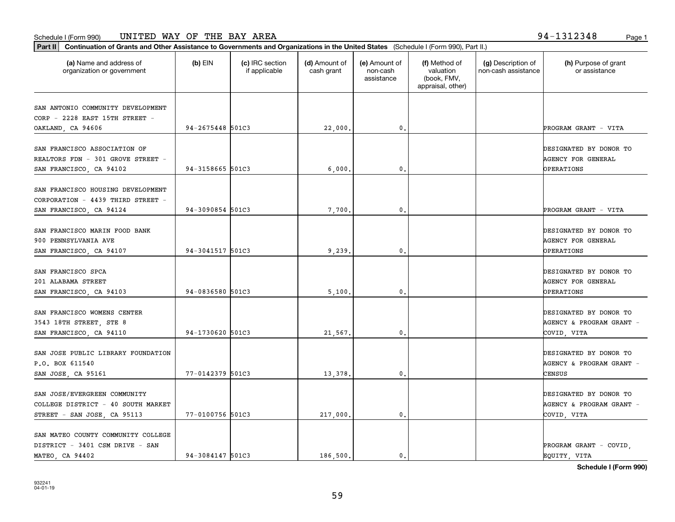**Part II Continuation of Grants and Other Assistance to Governments and Organizations in the United States**  (Schedule I (Form 990), Part II.)

| (a) Name and address of<br>organization or government                                             | $(b)$ EIN        | (c) IRC section<br>if applicable | (d) Amount of<br>cash grant | (e) Amount of<br>non-cash<br>assistance | (f) Method of<br>valuation<br>(book, FMV,<br>appraisal, other) | (g) Description of<br>non-cash assistance | (h) Purpose of grant<br>or assistance                             |
|---------------------------------------------------------------------------------------------------|------------------|----------------------------------|-----------------------------|-----------------------------------------|----------------------------------------------------------------|-------------------------------------------|-------------------------------------------------------------------|
| SAN ANTONIO COMMUNITY DEVELOPMENT<br>CORP - 2228 EAST 15TH STREET -<br>OAKLAND, CA 94606          | 94-2675448 501C3 |                                  | 22,000.                     | 0.                                      |                                                                |                                           | PROGRAM GRANT - VITA                                              |
| SAN FRANCISCO ASSOCIATION OF<br>REALTORS FDN - 301 GROVE STREET -<br>SAN FRANCISCO, CA 94102      | 94-3158665 501C3 |                                  | 6,000.                      | 0.                                      |                                                                |                                           | DESIGNATED BY DONOR TO<br>AGENCY FOR GENERAL<br><b>OPERATIONS</b> |
| SAN FRANCISCO HOUSING DEVELOPMENT<br>CORPORATION - 4439 THIRD STREET -<br>SAN FRANCISCO, CA 94124 | 94-3090854 501C3 |                                  | 7,700.                      | 0.                                      |                                                                |                                           | PROGRAM GRANT - VITA                                              |
| SAN FRANCISCO MARIN FOOD BANK<br>900 PENNSYLVANIA AVE<br>SAN FRANCISCO, CA 94107                  | 94-3041517 501C3 |                                  | 9,239.                      | 0.                                      |                                                                |                                           | DESIGNATED BY DONOR TO<br>AGENCY FOR GENERAL<br>OPERATIONS        |
| SAN FRANCISCO SPCA<br>201 ALABAMA STREET<br>SAN FRANCISCO, CA 94103                               | 94-0836580 501C3 |                                  | 5,100.                      | 0.                                      |                                                                |                                           | DESIGNATED BY DONOR TO<br><b>AGENCY FOR GENERAL</b><br>OPERATIONS |
| SAN FRANCISCO WOMENS CENTER<br>3543 18TH STREET, STE 8<br>SAN FRANCISCO, CA 94110                 | 94-1730620 501C3 |                                  | 21,567.                     | 0.                                      |                                                                |                                           | DESIGNATED BY DONOR TO<br>AGENCY & PROGRAM GRANT -<br>COVID, VITA |
| SAN JOSE PUBLIC LIBRARY FOUNDATION<br>P.O. BOX 611540<br>SAN JOSE, CA 95161                       | 77-0142379 501C3 |                                  | 13,378.                     | 0.                                      |                                                                |                                           | DESIGNATED BY DONOR TO<br>AGENCY & PROGRAM GRANT -<br>CENSUS      |
| SAN JOSE/EVERGREEN COMMUNITY<br>COLLEGE DISTRICT - 40 SOUTH MARKET<br>STREET - SAN JOSE, CA 95113 | 77-0100756 501C3 |                                  | 217,000.                    | 0.                                      |                                                                |                                           | DESIGNATED BY DONOR TO<br>AGENCY & PROGRAM GRANT -<br>COVID, VITA |
| SAN MATEO COUNTY COMMUNITY COLLEGE<br>DISTRICT - 3401 CSM DRIVE - SAN                             |                  |                                  |                             |                                         |                                                                |                                           | PROGRAM GRANT - COVID                                             |

**Schedule I (Form 990)**

MATEO, CA 94402 80 | 94-3084147 501C3 | 186,500. 0. 0. | 196,500 | EQUITY, VITA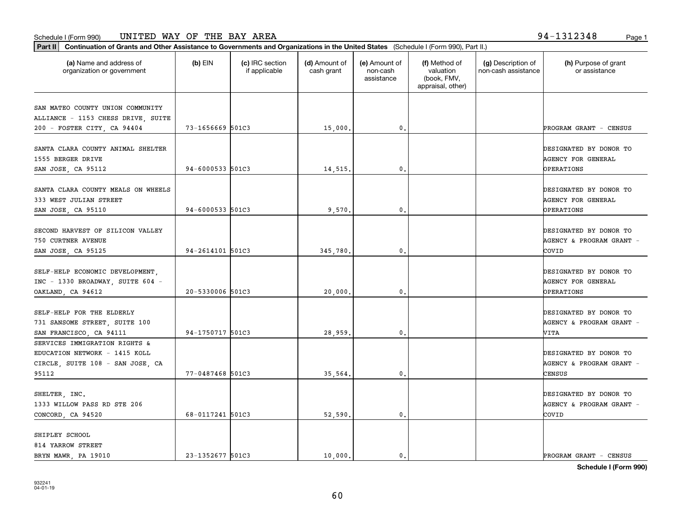**Part II Continuation of Grants and Other Assistance to Governments and Organizations in the United States**  (Schedule I (Form 990), Part II.)

SHIPLEY SCHOOL 814 YARROW STREET

| (a) Name and address of<br>organization or government                                                       | $(b)$ EIN            | (c) IRC section<br>if applicable | (d) Amount of<br>cash grant | (e) Amount of<br>non-cash<br>assistance | (f) Method of<br>valuation<br>(book, FMV,<br>appraisal, other) | (g) Description of<br>non-cash assistance | (h) Purpose of grant<br>or assistance                                          |
|-------------------------------------------------------------------------------------------------------------|----------------------|----------------------------------|-----------------------------|-----------------------------------------|----------------------------------------------------------------|-------------------------------------------|--------------------------------------------------------------------------------|
| SAN MATEO COUNTY UNION COMMUNITY<br>ALLIANCE - 1153 CHESS DRIVE, SUITE                                      |                      |                                  |                             |                                         |                                                                |                                           |                                                                                |
| 200 - FOSTER CITY, CA 94404                                                                                 | 73-1656669 501C3     |                                  | 15,000.                     | 0.                                      |                                                                |                                           | PROGRAM GRANT - CENSUS                                                         |
| SANTA CLARA COUNTY ANIMAL SHELTER<br>1555 BERGER DRIVE<br>SAN JOSE, CA 95112                                | $94 - 6000533$ 501C3 |                                  | 14,515.                     | 0.                                      |                                                                |                                           | DESIGNATED BY DONOR TO<br>AGENCY FOR GENERAL<br>OPERATIONS                     |
| SANTA CLARA COUNTY MEALS ON WHEELS<br>333 WEST JULIAN STREET                                                | 94-6000533 501C3     |                                  |                             |                                         |                                                                |                                           | DESIGNATED BY DONOR TO<br>AGENCY FOR GENERAL                                   |
| SAN JOSE, CA 95110<br>SECOND HARVEST OF SILICON VALLEY<br>750 CURTNER AVENUE<br>SAN JOSE, CA 95125          | 94-2614101 501C3     |                                  | 9,570.<br>345,780.          | 0.<br>0.                                |                                                                |                                           | <b>OPERATIONS</b><br>DESIGNATED BY DONOR TO<br>AGENCY & PROGRAM GRANT<br>COVID |
| SELF-HELP ECONOMIC DEVELOPMENT,<br>INC - 1330 BROADWAY, SUITE 604 -<br>OAKLAND, CA 94612                    | 20-5330006 501C3     |                                  | 20,000.                     | 0.                                      |                                                                |                                           | DESIGNATED BY DONOR TO<br>AGENCY FOR GENERAL<br>OPERATIONS                     |
| SELF-HELP FOR THE ELDERLY<br>731 SANSOME STREET, SUITE 100<br>SAN FRANCISCO, CA 94111                       | 94-1750717 501C3     |                                  | 28,959.                     | 0.                                      |                                                                |                                           | DESIGNATED BY DONOR TO<br>AGENCY & PROGRAM GRANT -<br>VITA                     |
| SERVICES IMMIGRATION RIGHTS &<br>EDUCATION NETWORK - 1415 KOLL<br>CIRCLE, SUITE 108 - SAN JOSE, CA<br>95112 | 77-0487468 501C3     |                                  | 35,564.                     | 0.                                      |                                                                |                                           | DESIGNATED BY DONOR TO<br>AGENCY & PROGRAM GRANT<br>CENSUS                     |
| SHELTER, INC.<br>1333 WILLOW PASS RD STE 206                                                                |                      |                                  |                             |                                         |                                                                |                                           | DESIGNATED BY DONOR TO<br>AGENCY & PROGRAM GRANT                               |

BRYN MAWR, PA 19010 | 23-1352677 501C3 | 10,000. 0. 0. | PROGRAM GRANT - CENSUS

CONCORD, CA 94520 68-0117241 501C3 68-0117241 501C3 68-0117241 52,590.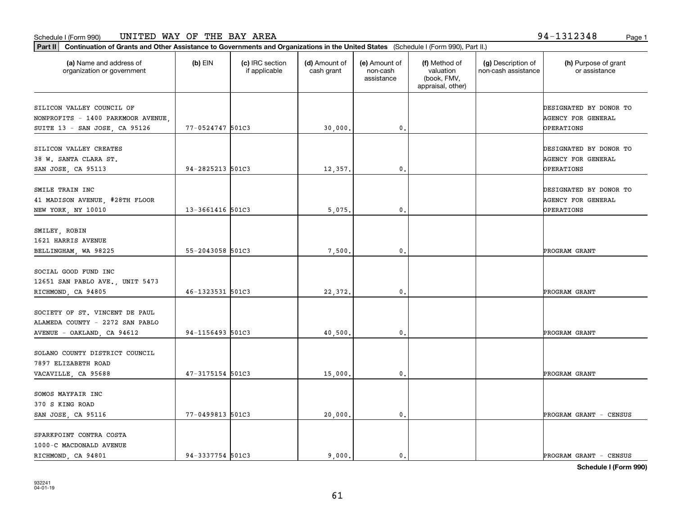**Part II Continuation of Grants and Other Assistance to Governments and Organizations in the United States**  (Schedule I (Form 990), Part II.)

| (a) Name and address of<br>organization or government                                           | (b) EIN          | (c) IRC section<br>if applicable | (d) Amount of<br>cash grant | (e) Amount of<br>non-cash<br>assistance | (f) Method of<br>valuation<br>(book, FMV,<br>appraisal, other) | (g) Description of<br>non-cash assistance | (h) Purpose of grant<br>or assistance                             |
|-------------------------------------------------------------------------------------------------|------------------|----------------------------------|-----------------------------|-----------------------------------------|----------------------------------------------------------------|-------------------------------------------|-------------------------------------------------------------------|
| SILICON VALLEY COUNCIL OF<br>NONPROFITS - 1400 PARKMOOR AVENUE<br>SUITE 13 - SAN JOSE, CA 95126 | 77-0524747 501C3 |                                  | 30,000.                     | 0.                                      |                                                                |                                           | DESIGNATED BY DONOR TO<br>AGENCY FOR GENERAL<br>OPERATIONS        |
| SILICON VALLEY CREATES<br>38 W. SANTA CLARA ST.<br>SAN JOSE, CA 95113                           | 94-2825213 501C3 |                                  | 12,357.                     | 0.                                      |                                                                |                                           | DESIGNATED BY DONOR TO<br><b>AGENCY FOR GENERAL</b><br>OPERATIONS |
| SMILE TRAIN INC<br>41 MADISON AVENUE, #28TH FLOOR<br>NEW YORK, NY 10010                         | 13-3661416 501C3 |                                  | 5,075.                      | $\mathbf 0$ .                           |                                                                |                                           | DESIGNATED BY DONOR TO<br>AGENCY FOR GENERAL<br>OPERATIONS        |
| SMILEY, ROBIN<br>1621 HARRIS AVENUE<br>BELLINGHAM, WA 98225                                     | 55-2043058 501C3 |                                  | 7,500.                      | 0.                                      |                                                                |                                           | PROGRAM GRANT                                                     |
| SOCIAL GOOD FUND INC<br>12651 SAN PABLO AVE., UNIT 5473<br>RICHMOND, CA 94805                   | 46-1323531 501C3 |                                  | 22,372.                     | 0.                                      |                                                                |                                           | PROGRAM GRANT                                                     |
| SOCIETY OF ST. VINCENT DE PAUL<br>ALAMEDA COUNTY - 2272 SAN PABLO<br>AVENUE - OAKLAND, CA 94612 | 94-1156493 501C3 |                                  | 40,500.                     | $\mathbf{0}$                            |                                                                |                                           | PROGRAM GRANT                                                     |
| SOLANO COUNTY DISTRICT COUNCIL<br>7897 ELIZABETH ROAD<br>VACAVILLE, CA 95688                    | 47-3175154 501C3 |                                  | 15,000.                     | $\mathbf 0$ .                           |                                                                |                                           | PROGRAM GRANT                                                     |
| SOMOS MAYFAIR INC<br>370 S KING ROAD<br>SAN JOSE, CA 95116                                      | 77-0499813 501C3 |                                  | 20,000.                     | $\mathbf 0$ .                           |                                                                |                                           | PROGRAM GRANT - CENSUS                                            |
| SPARKPOINT CONTRA COSTA<br>1000-C MACDONALD AVENUE                                              |                  |                                  |                             |                                         |                                                                |                                           |                                                                   |

**Schedule I (Form 990)**

RICHMOND, CA 94801 94-3337754 501C3 9,000. 0. 0. 0. PROGRAM GRANT - CENSUS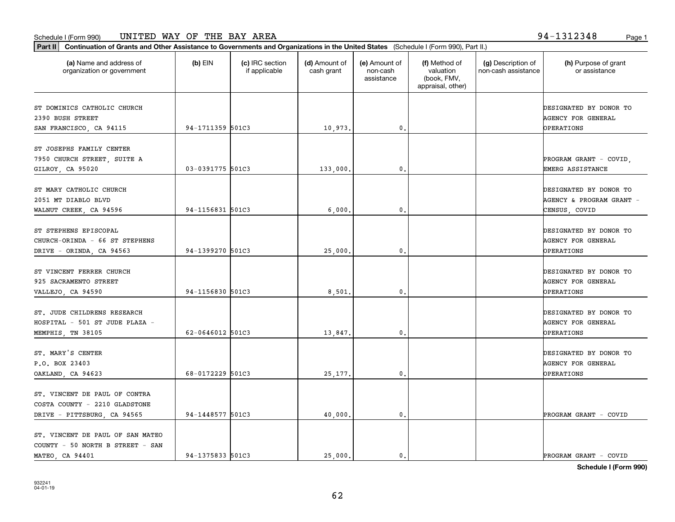**Part II Continuation of Grants and Other Assistance to Governments and Organizations in the United States**  (Schedule I (Form 990), Part II.)

932241 04-01-19

| (a) Name and address of<br>organization or government                                         | $(b)$ EIN        | (c) IRC section<br>if applicable | (d) Amount of<br>cash grant | (e) Amount of<br>non-cash<br>assistance | (f) Method of<br>valuation<br>(book, FMV,<br>appraisal, other) | (g) Description of<br>non-cash assistance | (h) Purpose of grant<br>or assistance                                    |
|-----------------------------------------------------------------------------------------------|------------------|----------------------------------|-----------------------------|-----------------------------------------|----------------------------------------------------------------|-------------------------------------------|--------------------------------------------------------------------------|
| ST DOMINICS CATHOLIC CHURCH<br>2390 BUSH STREET<br>SAN FRANCISCO, CA 94115                    | 94-1711359 501C3 |                                  | 10,973.                     | $\mathbf{0}$ .                          |                                                                |                                           | DESIGNATED BY DONOR TO<br><b>AGENCY FOR GENERAL</b><br><b>OPERATIONS</b> |
| ST JOSEPHS FAMILY CENTER<br>7950 CHURCH STREET, SUITE A<br>GILROY, CA 95020                   | 03-0391775 501C3 |                                  | 133,000.                    | 0.                                      |                                                                |                                           | PROGRAM GRANT - COVID,<br>EMERG ASSISTANCE                               |
| ST MARY CATHOLIC CHURCH<br>2051 MT DIABLO BLVD<br>WALNUT CREEK, CA 94596                      | 94-1156831 501C3 |                                  | 6,000.                      | 0.                                      |                                                                |                                           | DESIGNATED BY DONOR TO<br>AGENCY & PROGRAM GRANT -<br>CENSUS, COVID      |
| ST STEPHENS EPISCOPAL<br>CHURCH-ORINDA - 66 ST STEPHENS<br>DRIVE - ORINDA, CA 94563           | 94-1399270 501C3 |                                  | 25,000.                     | $\mathbf{0}$ .                          |                                                                |                                           | DESIGNATED BY DONOR TO<br>AGENCY FOR GENERAL<br><b>OPERATIONS</b>        |
| ST VINCENT FERRER CHURCH<br>925 SACRAMENTO STREET<br>VALLEJO, CA 94590                        | 94-1156830 501C3 |                                  | 8,501.                      | $\mathbf{0}$ .                          |                                                                |                                           | DESIGNATED BY DONOR TO<br><b>AGENCY FOR GENERAL</b><br><b>OPERATIONS</b> |
| ST. JUDE CHILDRENS RESEARCH<br>HOSPITAL - 501 ST JUDE PLAZA -<br>MEMPHIS, TN 38105            | 62-0646012 501C3 |                                  | 13,847.                     | $\mathbf{0}$ .                          |                                                                |                                           | DESIGNATED BY DONOR TO<br><b>AGENCY FOR GENERAL</b><br><b>OPERATIONS</b> |
| ST. MARY'S CENTER<br>P.O. BOX 23403<br>OAKLAND, CA 94623                                      | 68-0172229 501C3 |                                  | 25,177.                     | 0.                                      |                                                                |                                           | DESIGNATED BY DONOR TO<br><b>AGENCY FOR GENERAL</b><br><b>OPERATIONS</b> |
| ST. VINCENT DE PAUL OF CONTRA<br>COSTA COUNTY - 2210 GLADSTONE<br>DRIVE - PITTSBURG, CA 94565 | 94-1448577 501C3 |                                  | 40,000.                     | $\mathbf{0}$ .                          |                                                                |                                           | PROGRAM GRANT - COVID                                                    |
| ST. VINCENT DE PAUL OF SAN MATEO<br>COUNTY - 50 NORTH B STREET - SAN<br>MATEO, CA 94401       | 94-1375833 501C3 |                                  | 25,000.                     | $\mathbf{0}$ .                          |                                                                |                                           | PROGRAM GRANT - COVID                                                    |

Т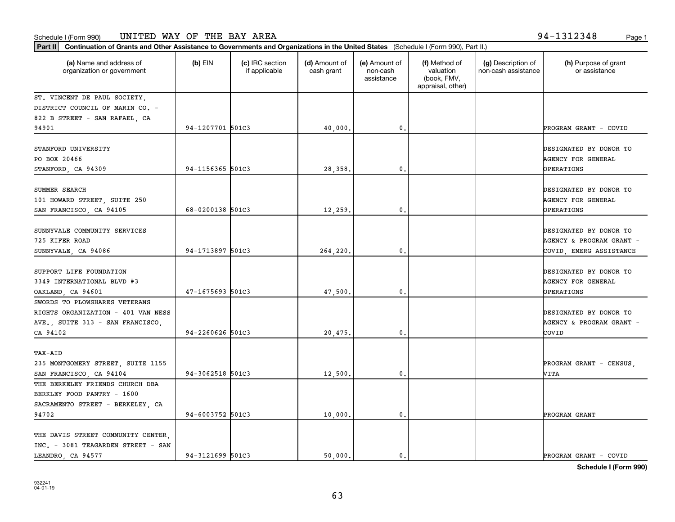| Part II   Continuation of Grants and Other Assistance to Governments and Organizations in the United States (Schedule I (Form 990), Part II.) |                  |                                  |                             |                                         |                                                                |                                           |                                                                               |  |  |  |
|-----------------------------------------------------------------------------------------------------------------------------------------------|------------------|----------------------------------|-----------------------------|-----------------------------------------|----------------------------------------------------------------|-------------------------------------------|-------------------------------------------------------------------------------|--|--|--|
| (a) Name and address of<br>organization or government                                                                                         | $(b)$ EIN        | (c) IRC section<br>if applicable | (d) Amount of<br>cash grant | (e) Amount of<br>non-cash<br>assistance | (f) Method of<br>valuation<br>(book, FMV,<br>appraisal, other) | (g) Description of<br>non-cash assistance | (h) Purpose of grant<br>or assistance                                         |  |  |  |
| ST. VINCENT DE PAUL SOCIETY,                                                                                                                  |                  |                                  |                             |                                         |                                                                |                                           |                                                                               |  |  |  |
| DISTRICT COUNCIL OF MARIN CO. -                                                                                                               |                  |                                  |                             |                                         |                                                                |                                           |                                                                               |  |  |  |
| 822 B STREET - SAN RAFAEL, CA                                                                                                                 |                  |                                  |                             |                                         |                                                                |                                           |                                                                               |  |  |  |
| 94901                                                                                                                                         | 94-1207701 501C3 |                                  | 40,000.                     | 0.                                      |                                                                |                                           | PROGRAM GRANT - COVID                                                         |  |  |  |
| STANFORD UNIVERSITY<br>PO BOX 20466<br>STANFORD, CA 94309                                                                                     | 94-1156365 501C3 |                                  | 28,358,                     | 0.                                      |                                                                |                                           | DESIGNATED BY DONOR TO<br><b>AGENCY FOR GENERAL</b><br><b>OPERATIONS</b>      |  |  |  |
| SUMMER SEARCH<br>101 HOWARD STREET, SUITE 250<br>SAN FRANCISCO, CA 94105                                                                      | 68-0200138 501C3 |                                  | 12,259.                     | 0.                                      |                                                                |                                           | DESIGNATED BY DONOR TO<br>AGENCY FOR GENERAL<br><b>OPERATIONS</b>             |  |  |  |
| SUNNYVALE COMMUNITY SERVICES<br>725 KIFER ROAD<br>SUNNYVALE, CA 94086                                                                         | 94-1713897 501C3 |                                  | 264,220.                    | 0.                                      |                                                                |                                           | DESIGNATED BY DONOR TO<br>AGENCY & PROGRAM GRANT -<br>COVID, EMERG ASSISTANCE |  |  |  |
| SUPPORT LIFE FOUNDATION<br>3349 INTERNATIONAL BLVD #3<br>OAKLAND, CA 94601                                                                    | 47-1675693 501C3 |                                  | 47,500.                     | $\mathbf{0}$                            |                                                                |                                           | DESIGNATED BY DONOR TO<br>AGENCY FOR GENERAL<br><b>OPERATIONS</b>             |  |  |  |
| SWORDS TO PLOWSHARES VETERANS                                                                                                                 |                  |                                  |                             |                                         |                                                                |                                           |                                                                               |  |  |  |
| RIGHTS ORGANIZATION - 401 VAN NESS<br>AVE., SUITE 313 - SAN FRANCISCO,<br>CA 94102                                                            | 94-2260626 501C3 |                                  | 20,475.                     | 0.                                      |                                                                |                                           | DESIGNATED BY DONOR TO<br>AGENCY & PROGRAM GRANT -<br>COVID                   |  |  |  |
| TAX-AID<br>235 MONTGOMERY STREET, SUITE 1155<br>SAN FRANCISCO, CA 94104                                                                       | 94-3062518 501C3 |                                  | 12,500.                     | 0.                                      |                                                                |                                           | PROGRAM GRANT - CENSUS.<br>VITA                                               |  |  |  |
| THE BERKELEY FRIENDS CHURCH DBA<br>BERKLEY FOOD PANTRY - 1600<br>SACRAMENTO STREET - BERKELEY, CA<br>94702                                    | 94-6003752 501C3 |                                  | 10,000.                     | $\mathbf{0}$ .                          |                                                                |                                           | PROGRAM GRANT                                                                 |  |  |  |
| THE DAVIS STREET COMMUNITY CENTER.<br>INC. - 3081 TEAGARDEN STREET - SAN<br>LEANDRO, CA 94577                                                 | 94-3121699 501C3 |                                  | 50.000.                     | 0.                                      |                                                                |                                           | PROGRAM GRANT - COVID                                                         |  |  |  |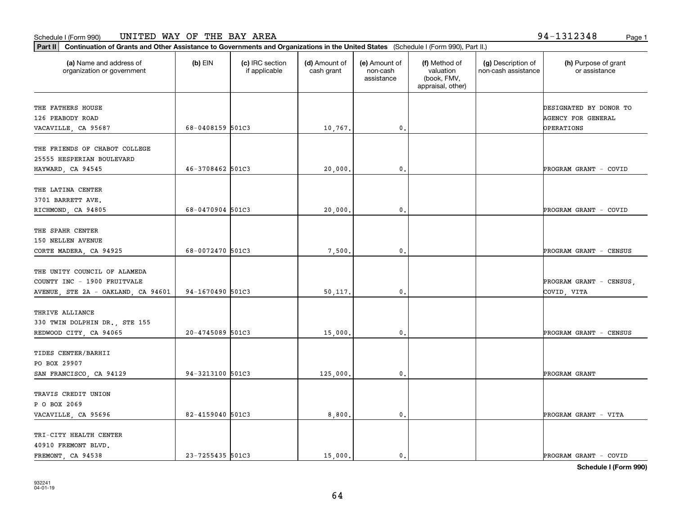**Part II Continuation of Grants and Other Assistance to Governments and Organizations in the United States**  (Schedule I (Form 990), Part II.)

 $(b)$  EIN  $(c)$  IRC section

40910 FREMONT BLVD.

| (a) Name and address of<br>organization or government                                             | (b) EIN          | (c) IRC section<br>if applicable | (d) Amount of<br>cash grant | (e) Amount of<br>non-cash<br>assistance | (f) Method of<br>valuation<br>(book, FMV,<br>appraisal, other) | (g) Description of<br>non-cash assistance | (h) Purpose of grant<br>or assistance                      |
|---------------------------------------------------------------------------------------------------|------------------|----------------------------------|-----------------------------|-----------------------------------------|----------------------------------------------------------------|-------------------------------------------|------------------------------------------------------------|
| THE FATHERS HOUSE<br>126 PEABODY ROAD<br>VACAVILLE, CA 95687                                      | 68-0408159 501C3 |                                  | 10,767.                     | 0.                                      |                                                                |                                           | DESIGNATED BY DONOR TO<br>AGENCY FOR GENERAL<br>OPERATIONS |
| THE FRIENDS OF CHABOT COLLEGE<br>25555 HESPERIAN BOULEVARD<br>HAYWARD, CA 94545                   | 46-3708462 501C3 |                                  | 20,000.                     | 0.                                      |                                                                |                                           | PROGRAM GRANT - COVID                                      |
| THE LATINA CENTER<br>3701 BARRETT AVE.<br>RICHMOND, CA 94805                                      | 68-0470904 501C3 |                                  | 20,000.                     | $\mathbf{0}$ .                          |                                                                |                                           | PROGRAM GRANT - COVID                                      |
| THE SPAHR CENTER<br>150 NELLEN AVENUE<br>CORTE MADERA, CA 94925                                   | 68-0072470 501C3 |                                  | 7,500.                      | 0.                                      |                                                                |                                           | PROGRAM GRANT - CENSUS                                     |
| THE UNITY COUNCIL OF ALAMEDA<br>COUNTY INC - 1900 FRUITVALE<br>AVENUE, STE 2A - OAKLAND, CA 94601 | 94-1670490 501C3 |                                  | 50,117.                     | 0.                                      |                                                                |                                           | PROGRAM GRANT - CENSUS,<br>COVID, VITA                     |
| THRIVE ALLIANCE<br>330 TWIN DOLPHIN DR., STE 155<br>REDWOOD CITY, CA 94065                        | 20-4745089 501C3 |                                  | 15,000.                     | 0.                                      |                                                                |                                           | PROGRAM GRANT - CENSUS                                     |
| TIDES CENTER/BARHII<br>PO BOX 29907<br>SAN FRANCISCO, CA 94129                                    | 94-3213100 501C3 |                                  | 125,000.                    | $\mathbf{0}$ .                          |                                                                |                                           | PROGRAM GRANT                                              |
| TRAVIS CREDIT UNION<br>P O BOX 2069<br>VACAVILLE, CA 95696                                        | 82-4159040 501C3 |                                  | 8,800.                      | 0.                                      |                                                                |                                           | PROGRAM GRANT - VITA                                       |
| TRI-CITY HEALTH CENTER                                                                            |                  |                                  |                             |                                         |                                                                |                                           |                                                            |

FREMONT, CA 94538 **23-7255435 501C3** 15,000. 0. 0. PROGRAM GRANT - COVID

64

(f) Method of

(g) Description of

**Schedule I (Form 990)**

(h) Purpose of grant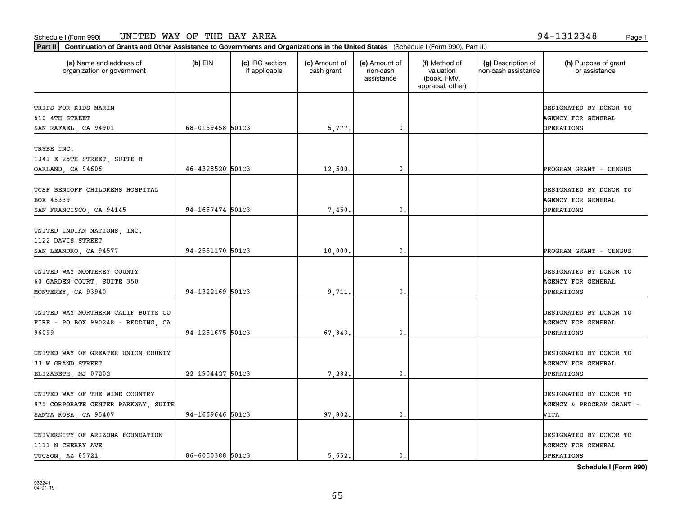**Part II Continuation of Grants and Other Assistance to Governments and Organizations in the United States**  (Schedule I (Form 990), Part II.)

 $(b)$  EIN  $(c)$  IRC section

| organization or government                                                                    |                  | if applicable | cash grant | non-cash<br>assistance | valuation<br>(book, FMV,<br>appraisal, other) | non-cash assistance | or assistance                                                     |
|-----------------------------------------------------------------------------------------------|------------------|---------------|------------|------------------------|-----------------------------------------------|---------------------|-------------------------------------------------------------------|
| TRIPS FOR KIDS MARIN<br>610 4TH STREET<br>SAN RAFAEL, CA 94901                                | 68-0159458 501C3 |               | 5,777.     | 0.                     |                                               |                     | DESIGNATED BY DONOR TO<br>AGENCY FOR GENERAL<br>OPERATIONS        |
| TRYBE INC.<br>1341 E 25TH STREET, SUITE B<br>OAKLAND, CA 94606                                | 46-4328520 501C3 |               | 12,500.    | 0.                     |                                               |                     | PROGRAM GRANT - CENSUS                                            |
| UCSF BENIOFF CHILDRENS HOSPITAL<br>BOX 45339<br>SAN FRANCISCO, CA 94145                       | 94-1657474 501C3 |               | 7,450.     | 0.                     |                                               |                     | DESIGNATED BY DONOR TO<br><b>AGENCY FOR GENERAL</b><br>OPERATIONS |
| UNITED INDIAN NATIONS, INC.<br>1122 DAVIS STREET<br>SAN LEANDRO, CA 94577                     | 94-2551170 501C3 |               | 10,000.    | 0.                     |                                               |                     | PROGRAM GRANT - CENSUS                                            |
| UNITED WAY MONTEREY COUNTY<br>60 GARDEN COURT, SUITE 350<br>MONTEREY, CA 93940                | 94-1322169 501C3 |               | 9.711      | 0.                     |                                               |                     | DESIGNATED BY DONOR TO<br>AGENCY FOR GENERAL<br><b>OPERATIONS</b> |
| UNITED WAY NORTHERN CALIF BUTTE CO<br>FIRE - PO BOX 990248 - REDDING, CA<br>96099             | 94-1251675 501C3 |               | 67, 343.   | 0.                     |                                               |                     | DESIGNATED BY DONOR TO<br>AGENCY FOR GENERAL<br><b>OPERATIONS</b> |
| UNITED WAY OF GREATER UNION COUNTY<br>33 W GRAND STREET<br>ELIZABETH, NJ 07202                | 22-1904427 501C3 |               | 7,282.     | 0.                     |                                               |                     | DESIGNATED BY DONOR TO<br>AGENCY FOR GENERAL<br><b>OPERATIONS</b> |
| UNITED WAY OF THE WINE COUNTRY<br>975 CORPORATE CENTER PARKWAY, SUITE<br>SANTA ROSA, CA 95407 | 94-1669646 501C3 |               | 97,802.    | 0.                     |                                               |                     | DESIGNATED BY DONOR TO<br>AGENCY & PROGRAM GRANT -<br>VITA        |
| UNIVERSITY OF ARIZONA FOUNDATION<br>1111 N CHERRY AVE                                         |                  |               |            |                        |                                               |                     | DESIGNATED BY DONOR TO<br>AGENCY FOR GENERAL                      |

**(a) (b) (c) (d) (e) (f) (g) (h)** Name and address of

(d) Amount of

(e) Amount of

(f) Method of

(g) Description of

**Schedule I (Form 990)**

(h) Purpose of grant

TUCSON, AZ 85721 **86-6050388** 501C3 <br>
86-6050388 501C3 5,652. 0.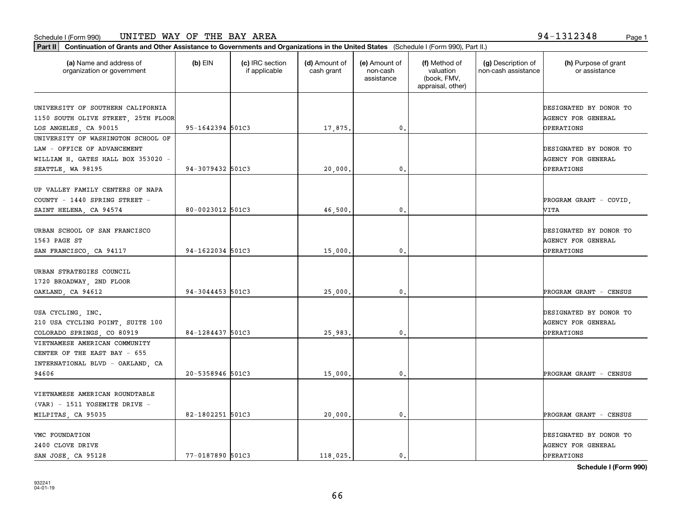**Part II Continuation of Grants and Other Assistance to Governments and Organizations in the United States**  (Schedule I (Form 990), Part II.)

| (a) Name and address of<br>organization or government | $(b)$ EIN        | (c) IRC section<br>if applicable | (d) Amount of<br>cash grant | (e) Amount of<br>non-cash<br>assistance | (f) Method of<br>valuation<br>(book, FMV,<br>appraisal, other) | (g) Description of<br>non-cash assistance | (h) Purpose of grant<br>or assistance |
|-------------------------------------------------------|------------------|----------------------------------|-----------------------------|-----------------------------------------|----------------------------------------------------------------|-------------------------------------------|---------------------------------------|
| UNIVERSITY OF SOUTHERN CALIFORNIA                     |                  |                                  |                             |                                         |                                                                |                                           | DESIGNATED BY DONOR TO                |
| 1150 SOUTH OLIVE STREET, 25TH FLOOR                   |                  |                                  |                             |                                         |                                                                |                                           | <b>AGENCY FOR GENERAL</b>             |
| LOS ANGELES, CA 90015                                 | 95-1642394 501C3 |                                  | 17,875.                     | 0.                                      |                                                                |                                           | <b>OPERATIONS</b>                     |
| UNIVERSITY OF WASHINGTON SCHOOL OF                    |                  |                                  |                             |                                         |                                                                |                                           |                                       |
| LAW - OFFICE OF ADVANCEMENT                           |                  |                                  |                             |                                         |                                                                |                                           | DESIGNATED BY DONOR TO                |
| WILLIAM H. GATES HALL BOX 353020 -                    |                  |                                  |                             |                                         |                                                                |                                           | <b>AGENCY FOR GENERAL</b>             |
| SEATTLE, WA 98195                                     | 94-3079432 501C3 |                                  | 20,000                      | 0.                                      |                                                                |                                           | <b>OPERATIONS</b>                     |
|                                                       |                  |                                  |                             |                                         |                                                                |                                           |                                       |
| UP VALLEY FAMILY CENTERS OF NAPA                      |                  |                                  |                             |                                         |                                                                |                                           |                                       |
| COUNTY - 1440 SPRING STREET -                         |                  |                                  |                             |                                         |                                                                |                                           | PROGRAM GRANT - COVID,                |
| SAINT HELENA, CA 94574                                | 80-0023012 501C3 |                                  | 46,500                      | 0.                                      |                                                                |                                           | VITA                                  |
|                                                       |                  |                                  |                             |                                         |                                                                |                                           |                                       |
| URBAN SCHOOL OF SAN FRANCISCO                         |                  |                                  |                             |                                         |                                                                |                                           | DESIGNATED BY DONOR TO                |
| 1563 PAGE ST                                          | 94-1622034 501C3 |                                  |                             |                                         |                                                                |                                           | <b>AGENCY FOR GENERAL</b>             |
| SAN FRANCISCO, CA 94117                               |                  |                                  | 15,000.                     | $\mathbf{0}$ .                          |                                                                |                                           | <b>OPERATIONS</b>                     |
| URBAN STRATEGIES COUNCIL                              |                  |                                  |                             |                                         |                                                                |                                           |                                       |
| 1720 BROADWAY, 2ND FLOOR                              |                  |                                  |                             |                                         |                                                                |                                           |                                       |
| OAKLAND, CA 94612                                     | 94-3044453 501C3 |                                  | 25,000.                     | $\mathbf{0}$ .                          |                                                                |                                           | PROGRAM GRANT - CENSUS                |
|                                                       |                  |                                  |                             |                                         |                                                                |                                           |                                       |
| USA CYCLING, INC.                                     |                  |                                  |                             |                                         |                                                                |                                           | DESIGNATED BY DONOR TO                |
| 210 USA CYCLING POINT, SUITE 100                      |                  |                                  |                             |                                         |                                                                |                                           | <b>AGENCY FOR GENERAL</b>             |
| COLORADO SPRINGS, CO 80919                            | 84-1284437 501C3 |                                  | 25,983.                     | 0.                                      |                                                                |                                           | <b>OPERATIONS</b>                     |
| VIETNAMESE AMERICAN COMMUNITY                         |                  |                                  |                             |                                         |                                                                |                                           |                                       |
| CENTER OF THE EAST BAY - 655                          |                  |                                  |                             |                                         |                                                                |                                           |                                       |
| INTERNATIONAL BLVD - OAKLAND, CA                      |                  |                                  |                             |                                         |                                                                |                                           |                                       |
| 94606                                                 | 20-5358946 501C3 |                                  | 15,000.                     | 0.                                      |                                                                |                                           | PROGRAM GRANT - CENSUS                |
|                                                       |                  |                                  |                             |                                         |                                                                |                                           |                                       |
| VIETNAMESE AMERICAN ROUNDTABLE                        |                  |                                  |                             |                                         |                                                                |                                           |                                       |
| $(VAR)$ - 1511 YOSEMITE DRIVE -                       |                  |                                  |                             |                                         |                                                                |                                           |                                       |
| MILPITAS, CA 95035                                    | 82-1802251 501C3 |                                  | 20,000.                     | $\mathbf{0}$ .                          |                                                                |                                           | PROGRAM GRANT - CENSUS                |
| VMC FOUNDATION                                        |                  |                                  |                             |                                         |                                                                |                                           | DESIGNATED BY DONOR TO                |
| 2400 CLOVE DRIVE                                      |                  |                                  |                             |                                         |                                                                |                                           | AGENCY FOR GENERAL                    |
| SAN JOSE, CA 95128                                    | 77-0187890 501C3 |                                  | 118,025.                    | 0.                                      |                                                                |                                           | OPERATIONS                            |
|                                                       |                  |                                  |                             |                                         |                                                                |                                           |                                       |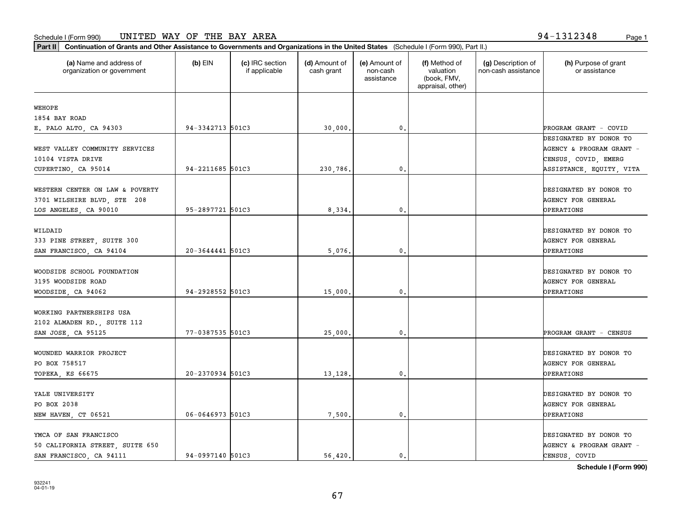| (a) Name and address of<br>organization or government | $(b)$ EIN        | (c) IRC section<br>if applicable | (d) Amount of<br>cash grant | (e) Amount of<br>non-cash<br>assistance | (f) Method of<br>valuation<br>(book, FMV,<br>appraisal, other) | (g) Description of<br>non-cash assistance | (h) Purpose of grant<br>or assistance |
|-------------------------------------------------------|------------------|----------------------------------|-----------------------------|-----------------------------------------|----------------------------------------------------------------|-------------------------------------------|---------------------------------------|
| <b>WEHOPE</b>                                         |                  |                                  |                             |                                         |                                                                |                                           |                                       |
| 1854 BAY ROAD                                         |                  |                                  |                             |                                         |                                                                |                                           |                                       |
| E. PALO ALTO, CA 94303                                | 94-3342713 501C3 |                                  | 30,000.                     | 0.                                      |                                                                |                                           | PROGRAM GRANT - COVID                 |
|                                                       |                  |                                  |                             |                                         |                                                                |                                           | DESIGNATED BY DONOR TO                |
| WEST VALLEY COMMUNITY SERVICES                        |                  |                                  |                             |                                         |                                                                |                                           | AGENCY & PROGRAM GRANT -              |
| 10104 VISTA DRIVE                                     |                  |                                  |                             |                                         |                                                                |                                           | CENSUS, COVID, EMERG                  |
| CUPERTINO, CA 95014                                   | 94-2211685 501C3 |                                  | 230,786.                    | 0.                                      |                                                                |                                           | ASSISTANCE, EQUITY, VITA              |
|                                                       |                  |                                  |                             |                                         |                                                                |                                           |                                       |
| WESTERN CENTER ON LAW & POVERTY                       |                  |                                  |                             |                                         |                                                                |                                           | DESIGNATED BY DONOR TO                |
| 3701 WILSHIRE BLVD, STE 208                           | 95-2897721 501C3 |                                  |                             | 0.                                      |                                                                |                                           | <b>AGENCY FOR GENERAL</b>             |
| LOS ANGELES, CA 90010                                 |                  |                                  | 8,334.                      |                                         |                                                                |                                           | <b>OPERATIONS</b>                     |
| WILDAID                                               |                  |                                  |                             |                                         |                                                                |                                           | DESIGNATED BY DONOR TO                |
| 333 PINE STREET, SUITE 300                            |                  |                                  |                             |                                         |                                                                |                                           | AGENCY FOR GENERAL                    |
| SAN FRANCISCO, CA 94104                               | 20-3644441 501C3 |                                  | 5,076.                      | 0.                                      |                                                                |                                           | OPERATIONS                            |
|                                                       |                  |                                  |                             |                                         |                                                                |                                           |                                       |
| WOODSIDE SCHOOL FOUNDATION                            |                  |                                  |                             |                                         |                                                                |                                           | DESIGNATED BY DONOR TO                |
| 3195 WOODSIDE ROAD                                    |                  |                                  |                             |                                         |                                                                |                                           | AGENCY FOR GENERAL                    |
| WOODSIDE, CA 94062                                    | 94-2928552 501C3 |                                  | 15,000.                     | $\mathbf{0}$                            |                                                                |                                           | OPERATIONS                            |
|                                                       |                  |                                  |                             |                                         |                                                                |                                           |                                       |
| WORKING PARTNERSHIPS USA                              |                  |                                  |                             |                                         |                                                                |                                           |                                       |
| 2102 ALMADEN RD., SUITE 112                           |                  |                                  |                             |                                         |                                                                |                                           |                                       |
| SAN JOSE, CA 95125                                    | 77-0387535 501C3 |                                  | 25,000.                     | 0.                                      |                                                                |                                           | PROGRAM GRANT - CENSUS                |
|                                                       |                  |                                  |                             |                                         |                                                                |                                           |                                       |
| WOUNDED WARRIOR PROJECT                               |                  |                                  |                             |                                         |                                                                |                                           | DESIGNATED BY DONOR TO                |
| PO BOX 758517                                         |                  |                                  |                             |                                         |                                                                |                                           | AGENCY FOR GENERAL                    |
| TOPEKA, KS 66675                                      | 20-2370934 501C3 |                                  | 13,128.                     | 0.                                      |                                                                |                                           | <b>OPERATIONS</b>                     |
| YALE UNIVERSITY                                       |                  |                                  |                             |                                         |                                                                |                                           | DESIGNATED BY DONOR TO                |
| PO BOX 2038                                           |                  |                                  |                             |                                         |                                                                |                                           | AGENCY FOR GENERAL                    |
| NEW HAVEN, CT 06521                                   | 06-0646973 501C3 |                                  | 7,500.                      | $\mathbf{0}$ .                          |                                                                |                                           | OPERATIONS                            |
|                                                       |                  |                                  |                             |                                         |                                                                |                                           |                                       |
| YMCA OF SAN FRANCISCO                                 |                  |                                  |                             |                                         |                                                                |                                           | DESIGNATED BY DONOR TO                |
| 50 CALIFORNIA STREET, SUITE 650                       |                  |                                  |                             |                                         |                                                                |                                           | AGENCY & PROGRAM GRANT -              |
| SAN FRANCISCO, CA 94111                               | 94-0997140 501C3 |                                  | 56,420.                     | 0.                                      |                                                                |                                           | CENSUS, COVID                         |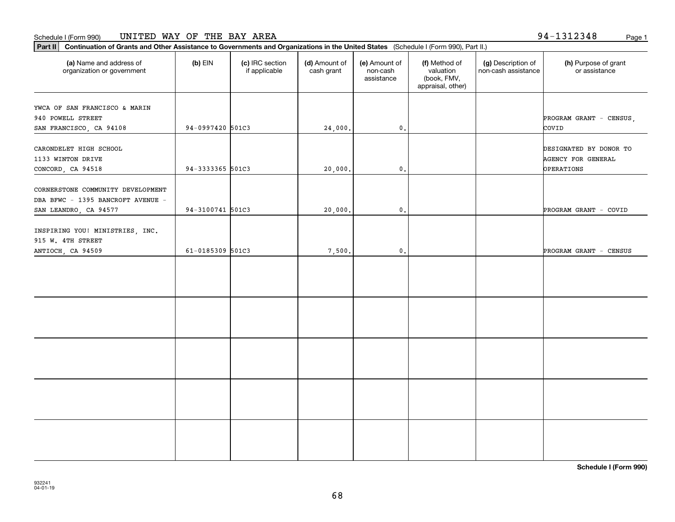#### Schedule I (Form 990) Page 1 UNITED WAY OF THE BAY AREA

**Part II Continuation of Grants and Other Assistance to Governments and Organizations in the United States**  (Schedule I (Form 990), Part II.)

| (a) Name and address of<br>organization or government                                           | (b) EIN          | (c) IRC section<br>if applicable | (d) Amount of<br>cash grant | (e) Amount of<br>non-cash<br>assistance | (f) Method of<br>valuation<br>(book, FMV,<br>appraisal, other) | (g) Description of<br>non-cash assistance | (h) Purpose of grant<br>or assistance                             |
|-------------------------------------------------------------------------------------------------|------------------|----------------------------------|-----------------------------|-----------------------------------------|----------------------------------------------------------------|-------------------------------------------|-------------------------------------------------------------------|
| YWCA OF SAN FRANCISCO & MARIN<br>940 POWELL STREET<br>SAN FRANCISCO, CA 94108                   | 94-0997420 501C3 |                                  | 24,000.                     | $\mathfrak o$ .                         |                                                                |                                           | PROGRAM GRANT - CENSUS,<br>COVID                                  |
| CARONDELET HIGH SCHOOL<br>1133 WINTON DRIVE<br>CONCORD, CA 94518                                | 94-3333365 501C3 |                                  | 20,000.                     | $\mathbf{0}$ .                          |                                                                |                                           | DESIGNATED BY DONOR TO<br>AGENCY FOR GENERAL<br><b>OPERATIONS</b> |
| CORNERSTONE COMMUNITY DEVELOPMENT<br>DBA BFWC - 1395 BANCROFT AVENUE -<br>SAN LEANDRO, CA 94577 | 94-3100741 501C3 |                                  | 20,000.                     | $\mathbf{0}$ .                          |                                                                |                                           | PROGRAM GRANT - COVID                                             |
| INSPIRING YOU! MINISTRIES, INC.<br>915 W. 4TH STREET<br>ANTIOCH, CA 94509                       | 61-0185309 501C3 |                                  | 7,500.                      | $\mathbf{0}$ .                          |                                                                |                                           | PROGRAM GRANT - CENSUS                                            |
|                                                                                                 |                  |                                  |                             |                                         |                                                                |                                           |                                                                   |
|                                                                                                 |                  |                                  |                             |                                         |                                                                |                                           |                                                                   |
|                                                                                                 |                  |                                  |                             |                                         |                                                                |                                           |                                                                   |
|                                                                                                 |                  |                                  |                             |                                         |                                                                |                                           |                                                                   |
|                                                                                                 |                  |                                  |                             |                                         |                                                                |                                           |                                                                   |

**Schedule I (Form 990)**

94-1312348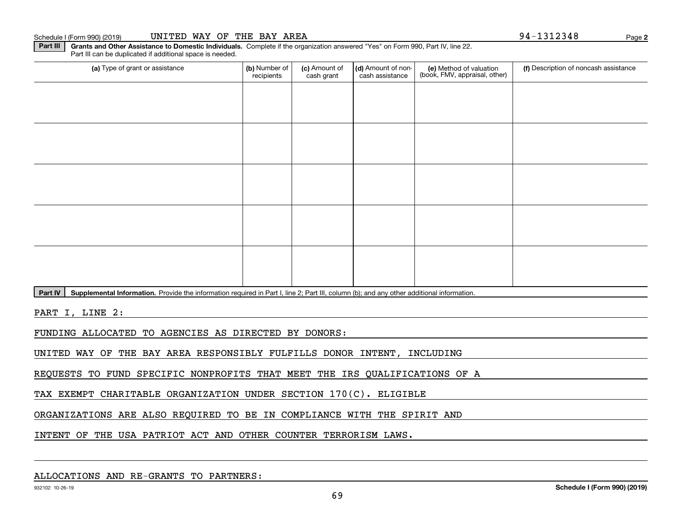Part IV | Supplemental Information. Provide the information required in Part I, line 2; Part III, column (b); and any other additional information.

PART I, LINE 2:

FUNDING ALLOCATED TO AGENCIES AS DIRECTED BY DONORS:

UNITED WAY OF THE BAY AREA RESPONSIBLY FULFILLS DONOR INTENT, INCLUDING

REQUESTS TO FUND SPECIFIC NONPROFITS THAT MEET THE IRS QUALIFICATIONS OF A

TAX EXEMPT CHARITABLE ORGANIZATION UNDER SECTION 170(C). ELIGIBLE

ORGANIZATIONS ARE ALSO REQUIRED TO BE IN COMPLIANCE WITH THE SPIRIT AND

INTENT OF THE USA PATRIOT ACT AND OTHER COUNTER TERRORISM LAWS.

Part III can be duplicated if additional space is needed.

**Part III | Grants and Other Assistance to Domestic Individuals. Complete if the organization answered "Yes" on Form 990, Part IV, line 22.** 

(a) Type of grant or assistance **Audity Commet Audio Commet Commet Commet Commet Commet Commet Commet Commet Comme** (e) Method of valuation (book, FMV, appraisal, other) recipients(c) Amount of cash grant (d) Amount of noncash assistance **(f)** Description of noncash assistance

**2**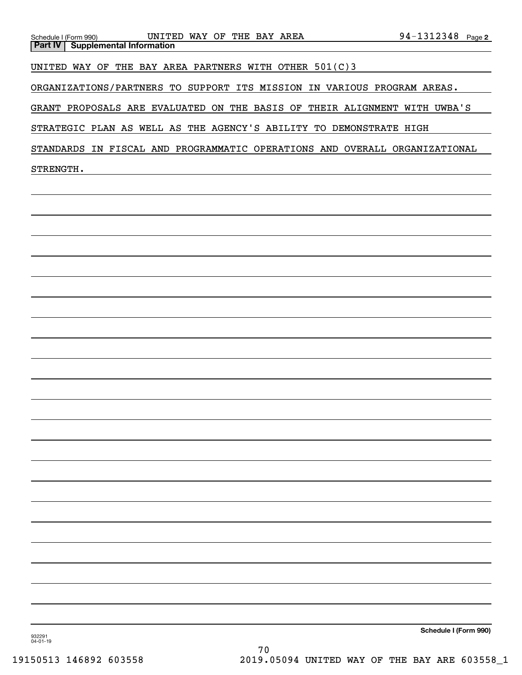| UNITED WAY OF THE BAY AREA<br>Schedule I (Form 990)<br><b>Supplemental Information</b><br><b>Part IV</b> | 94-1312348 Page 2     |
|----------------------------------------------------------------------------------------------------------|-----------------------|
|                                                                                                          |                       |
| UNITED WAY OF THE BAY AREA PARTNERS WITH OTHER 501(C)3                                                   |                       |
| ORGANIZATIONS/PARTNERS TO SUPPORT ITS MISSION IN VARIOUS PROGRAM AREAS.                                  |                       |
| GRANT PROPOSALS ARE EVALUATED ON THE BASIS OF THEIR ALIGNMENT WITH UWBA'S                                |                       |
| STRATEGIC PLAN AS WELL AS THE AGENCY'S ABILITY TO DEMONSTRATE HIGH                                       |                       |
| STANDARDS IN FISCAL AND PROGRAMMATIC OPERATIONS AND OVERALL ORGANIZATIONAL                               |                       |
| STRENGTH.                                                                                                |                       |
|                                                                                                          |                       |
|                                                                                                          |                       |
|                                                                                                          |                       |
|                                                                                                          |                       |
|                                                                                                          |                       |
|                                                                                                          |                       |
|                                                                                                          |                       |
|                                                                                                          |                       |
|                                                                                                          |                       |
|                                                                                                          |                       |
|                                                                                                          |                       |
|                                                                                                          |                       |
|                                                                                                          |                       |
|                                                                                                          |                       |
|                                                                                                          |                       |
|                                                                                                          |                       |
|                                                                                                          |                       |
|                                                                                                          |                       |
|                                                                                                          |                       |
|                                                                                                          |                       |
|                                                                                                          |                       |
|                                                                                                          |                       |
|                                                                                                          | Schedule I (Form 990) |
| 932291<br>$04 - 01 - 19$<br>70                                                                           |                       |
|                                                                                                          |                       |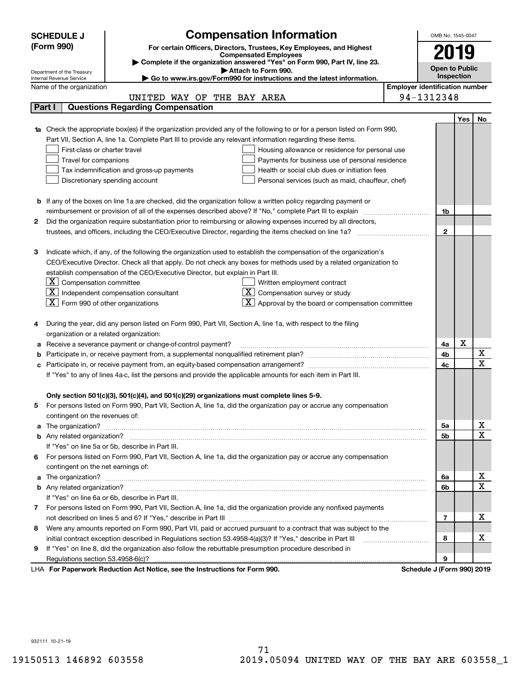|                                                                                                               | <b>SCHEDULE J</b>                                                                                                      | <b>Compensation Information</b>                                                                                                                                                                               |  | OMB No. 1545-0047                     |     |                              |
|---------------------------------------------------------------------------------------------------------------|------------------------------------------------------------------------------------------------------------------------|---------------------------------------------------------------------------------------------------------------------------------------------------------------------------------------------------------------|--|---------------------------------------|-----|------------------------------|
|                                                                                                               | (Form 990)                                                                                                             |                                                                                                                                                                                                               |  |                                       |     |                              |
|                                                                                                               | For certain Officers, Directors, Trustees, Key Employees, and Highest<br><b>Compensated Employees</b>                  |                                                                                                                                                                                                               |  | 2019                                  |     |                              |
|                                                                                                               |                                                                                                                        | Complete if the organization answered "Yes" on Form 990, Part IV, line 23.                                                                                                                                    |  | <b>Open to Public</b>                 |     |                              |
|                                                                                                               | Department of the Treasury<br>Internal Revenue Service                                                                 | Attach to Form 990.<br>Go to www.irs.gov/Form990 for instructions and the latest information.                                                                                                                 |  | Inspection                            |     |                              |
|                                                                                                               | Name of the organization                                                                                               |                                                                                                                                                                                                               |  | <b>Employer identification number</b> |     |                              |
| 94-1312348<br>UNITED WAY OF THE BAY AREA                                                                      |                                                                                                                        |                                                                                                                                                                                                               |  |                                       |     |                              |
|                                                                                                               | <b>Questions Regarding Compensation</b><br>Part I                                                                      |                                                                                                                                                                                                               |  |                                       |     |                              |
|                                                                                                               |                                                                                                                        |                                                                                                                                                                                                               |  |                                       | Yes | No                           |
|                                                                                                               |                                                                                                                        | <b>1a</b> Check the appropriate box(es) if the organization provided any of the following to or for a person listed on Form 990,                                                                              |  |                                       |     |                              |
| Part VII, Section A, line 1a. Complete Part III to provide any relevant information regarding these items.    |                                                                                                                        |                                                                                                                                                                                                               |  |                                       |     |                              |
|                                                                                                               | First-class or charter travel<br>Housing allowance or residence for personal use                                       |                                                                                                                                                                                                               |  |                                       |     |                              |
|                                                                                                               | Travel for companions<br>Payments for business use of personal residence                                               |                                                                                                                                                                                                               |  |                                       |     |                              |
|                                                                                                               | Tax indemnification and gross-up payments<br>Health or social club dues or initiation fees                             |                                                                                                                                                                                                               |  |                                       |     |                              |
|                                                                                                               | Discretionary spending account<br>Personal services (such as maid, chauffeur, chef)                                    |                                                                                                                                                                                                               |  |                                       |     |                              |
|                                                                                                               |                                                                                                                        |                                                                                                                                                                                                               |  |                                       |     |                              |
|                                                                                                               | <b>b</b> If any of the boxes on line 1a are checked, did the organization follow a written policy regarding payment or |                                                                                                                                                                                                               |  |                                       |     |                              |
|                                                                                                               |                                                                                                                        |                                                                                                                                                                                                               |  | 1b                                    |     |                              |
| 2                                                                                                             | Did the organization require substantiation prior to reimbursing or allowing expenses incurred by all directors,       |                                                                                                                                                                                                               |  |                                       |     |                              |
|                                                                                                               |                                                                                                                        |                                                                                                                                                                                                               |  | $\overline{2}$                        |     |                              |
|                                                                                                               |                                                                                                                        |                                                                                                                                                                                                               |  |                                       |     |                              |
| з                                                                                                             |                                                                                                                        | Indicate which, if any, of the following the organization used to establish the compensation of the organization's                                                                                            |  |                                       |     |                              |
|                                                                                                               | CEO/Executive Director. Check all that apply. Do not check any boxes for methods used by a related organization to     |                                                                                                                                                                                                               |  |                                       |     |                              |
|                                                                                                               |                                                                                                                        | establish compensation of the CEO/Executive Director, but explain in Part III.                                                                                                                                |  |                                       |     |                              |
|                                                                                                               | $ \mathbf{X} $ Compensation committee                                                                                  | Written employment contract                                                                                                                                                                                   |  |                                       |     |                              |
|                                                                                                               |                                                                                                                        | $X$ Independent compensation consultant<br>Compensation survey or study                                                                                                                                       |  |                                       |     |                              |
|                                                                                                               | $ \mathbf{X} $ Form 990 of other organizations                                                                         | Approval by the board or compensation committee                                                                                                                                                               |  |                                       |     |                              |
|                                                                                                               |                                                                                                                        |                                                                                                                                                                                                               |  |                                       |     |                              |
|                                                                                                               |                                                                                                                        | During the year, did any person listed on Form 990, Part VII, Section A, line 1a, with respect to the filing                                                                                                  |  |                                       |     |                              |
|                                                                                                               | organization or a related organization:                                                                                |                                                                                                                                                                                                               |  |                                       |     |                              |
| а                                                                                                             |                                                                                                                        | Receive a severance payment or change-of-control payment?                                                                                                                                                     |  | 4a                                    | X   |                              |
|                                                                                                               |                                                                                                                        |                                                                                                                                                                                                               |  | 4b                                    |     | X<br>$\overline{\mathbf{x}}$ |
|                                                                                                               |                                                                                                                        |                                                                                                                                                                                                               |  | 4c                                    |     |                              |
| If "Yes" to any of lines 4a-c, list the persons and provide the applicable amounts for each item in Part III. |                                                                                                                        |                                                                                                                                                                                                               |  |                                       |     |                              |
|                                                                                                               |                                                                                                                        |                                                                                                                                                                                                               |  |                                       |     |                              |
| 5                                                                                                             |                                                                                                                        | Only section 501(c)(3), 501(c)(4), and 501(c)(29) organizations must complete lines 5-9.<br>For persons listed on Form 990, Part VII, Section A, line 1a, did the organization pay or accrue any compensation |  |                                       |     |                              |
|                                                                                                               | contingent on the revenues of:                                                                                         |                                                                                                                                                                                                               |  |                                       |     |                              |
|                                                                                                               |                                                                                                                        |                                                                                                                                                                                                               |  | 5a                                    |     | x                            |
|                                                                                                               |                                                                                                                        |                                                                                                                                                                                                               |  | 5b                                    |     | $\overline{\mathbf{x}}$      |
|                                                                                                               |                                                                                                                        | If "Yes" on line 5a or 5b, describe in Part III.                                                                                                                                                              |  |                                       |     |                              |
|                                                                                                               |                                                                                                                        | 6 For persons listed on Form 990, Part VII, Section A, line 1a, did the organization pay or accrue any compensation                                                                                           |  |                                       |     |                              |
|                                                                                                               | contingent on the net earnings of:                                                                                     |                                                                                                                                                                                                               |  |                                       |     |                              |
|                                                                                                               |                                                                                                                        |                                                                                                                                                                                                               |  | 6a                                    |     | x                            |
|                                                                                                               |                                                                                                                        |                                                                                                                                                                                                               |  | 6b                                    |     | $\overline{\mathbf{x}}$      |
|                                                                                                               |                                                                                                                        | If "Yes" on line 6a or 6b, describe in Part III.                                                                                                                                                              |  |                                       |     |                              |
|                                                                                                               |                                                                                                                        | 7 For persons listed on Form 990, Part VII, Section A, line 1a, did the organization provide any nonfixed payments                                                                                            |  |                                       |     |                              |
|                                                                                                               |                                                                                                                        |                                                                                                                                                                                                               |  | 7                                     |     | х                            |
| 8                                                                                                             |                                                                                                                        | Were any amounts reported on Form 990, Part VII, paid or accrued pursuant to a contract that was subject to the                                                                                               |  |                                       |     |                              |
|                                                                                                               |                                                                                                                        |                                                                                                                                                                                                               |  | 8                                     |     | х                            |
| 9                                                                                                             |                                                                                                                        | If "Yes" on line 8, did the organization also follow the rebuttable presumption procedure described in                                                                                                        |  |                                       |     |                              |
|                                                                                                               |                                                                                                                        |                                                                                                                                                                                                               |  | 9                                     |     |                              |
|                                                                                                               |                                                                                                                        | LHA For Paperwork Reduction Act Notice, see the Instructions for Form 990.                                                                                                                                    |  | Schedule J (Form 990) 2019            |     |                              |

932111 10-21-19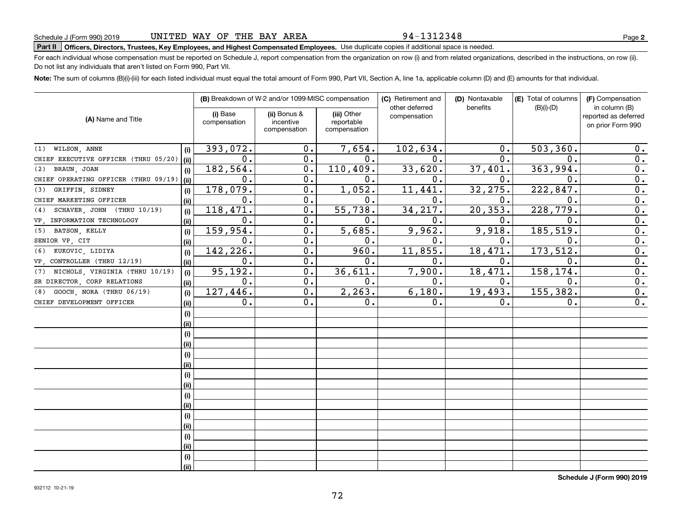### 94-1312348

**2**

# **Part II Officers, Directors, Trustees, Key Employees, and Highest Compensated Employees.**  Schedule J (Form 990) 2019 Page Use duplicate copies if additional space is needed.

For each individual whose compensation must be reported on Schedule J, report compensation from the organization on row (i) and from related organizations, described in the instructions, on row (ii). Do not list any individuals that aren't listed on Form 990, Part VII.

**Note:**  The sum of columns (B)(i)-(iii) for each listed individual must equal the total amount of Form 990, Part VII, Section A, line 1a, applicable column (D) and (E) amounts for that individual.

|                                       |      |                          | (B) Breakdown of W-2 and/or 1099-MISC compensation |                                           | (C) Retirement and             | (D) Nontaxable | (E) Total of columns | (F) Compensation                                           |
|---------------------------------------|------|--------------------------|----------------------------------------------------|-------------------------------------------|--------------------------------|----------------|----------------------|------------------------------------------------------------|
| (A) Name and Title                    |      | (i) Base<br>compensation | (ii) Bonus &<br>incentive<br>compensation          | (iii) Other<br>reportable<br>compensation | other deferred<br>compensation | benefits       | $(B)(i)-(D)$         | in column (B)<br>reported as deferred<br>on prior Form 990 |
| WILSON, ANNE<br>(1)                   | (i)  | 393,072.                 | 0.                                                 | 7,654.                                    | 102,634.                       | 0.             | 503, 360.            | 0.                                                         |
| CHIEF EXECUTIVE OFFICER (THRU 05/20)  | (ii) | 0.                       | 0.                                                 | 0.                                        | 0.                             | 0.             | $\mathbf 0$ .        | 0.                                                         |
| BRAUN, JOAN<br>(2)                    | (i)  | 182, 564.                | 0.                                                 | 110,409.                                  | 33,620.                        | 37,401.        | 363,994.             | 0.                                                         |
| CHIEF OPERATING OFFICER (THRU 09/19)  | (ii) | 0.                       | 0.                                                 | 0.                                        | 0.                             | $\mathbf 0$ .  | $\mathbf 0$ .        | 0.                                                         |
| GRIFFIN, SIDNEY<br>(3)                | (i)  | 178,079.                 | 0.                                                 | 1,052.                                    | 11,441.                        | 32,275.        | 222,847.             | 0.                                                         |
| CHIEF MARKETING OFFICER               | (ii) | 0.                       | 0.                                                 | 0.                                        | $\mathbf 0$ .                  | 0.             | 0.                   | 0.                                                         |
| SCHAVER, JOHN (THRU 10/19)<br>(4)     | (i)  | 118,471.                 | 0.                                                 | 55,738.                                   | 34,217.                        | 20, 353.       | 228,779.             | 0.                                                         |
| VP, INFORMATION TECHNOLOGY            | (ii) | $\mathbf 0$ .            | 0.                                                 | 0.                                        | $\mathbf 0$ .                  | 0.             | $\mathbf 0$ .        | 0.                                                         |
| BATSON, KELLY<br>(5)                  | (i)  | 159,954.                 | 0.                                                 | 5,685.                                    | 9,962.                         | 9,918.         | 185,519.             | $\overline{0}$ .                                           |
| SENIOR VP, CIT                        | (ii) | 0.                       | $\mathbf 0$ .                                      | 0.                                        | 0.                             | $\mathbf 0$ .  | $\mathbf{0}$         | $\overline{0}$ .                                           |
| KUKOVIC, LIDIYA<br>(6)                | (i)  | 142,226.                 | 0.                                                 | 960.                                      | 11,855.                        | 18,471.        | 173,512.             | 0.                                                         |
| VP, CONTROLLER (THRU 12/19)           | (ii) | 0.                       | 0.                                                 | 0.                                        | 0.                             | 0.             | $\mathbf 0$ .        | 0.                                                         |
| NICHOLS, VIRGINIA (THRU 10/19)<br>(7) | (i)  | 95, 192.                 | 0.                                                 | 36,611.                                   | 7,900.                         | 18,471.        | 158,174.             | 0.                                                         |
| SR DIRECTOR, CORP RELATIONS           | (ii) | 0.                       | 0.                                                 | 0.                                        | 0.                             | 0.             | $\mathbf 0$ .        | 0.                                                         |
| GOOCH, NORA (THRU 06/19)<br>(8)       | (i)  | 127,446.                 | 0.                                                 | 2, 263.                                   | 6,180.                         | 19,493.        | 155,382.             | 0.                                                         |
| CHIEF DEVELOPMENT OFFICER             | (ii) | 0.                       | 0.                                                 | 0.                                        | 0.                             | 0.             | 0.                   | 0.                                                         |
|                                       | (i)  |                          |                                                    |                                           |                                |                |                      |                                                            |
|                                       | (ii) |                          |                                                    |                                           |                                |                |                      |                                                            |
|                                       | (i)  |                          |                                                    |                                           |                                |                |                      |                                                            |
|                                       | (ii) |                          |                                                    |                                           |                                |                |                      |                                                            |
|                                       | (i)  |                          |                                                    |                                           |                                |                |                      |                                                            |
|                                       | (ii) |                          |                                                    |                                           |                                |                |                      |                                                            |
|                                       | (i)  |                          |                                                    |                                           |                                |                |                      |                                                            |
|                                       | (ii) |                          |                                                    |                                           |                                |                |                      |                                                            |
|                                       | (i)  |                          |                                                    |                                           |                                |                |                      |                                                            |
|                                       | (ii) |                          |                                                    |                                           |                                |                |                      |                                                            |
|                                       | (i)  |                          |                                                    |                                           |                                |                |                      |                                                            |
|                                       | (ii) |                          |                                                    |                                           |                                |                |                      |                                                            |
|                                       | (i)  |                          |                                                    |                                           |                                |                |                      |                                                            |
|                                       | (ii) |                          |                                                    |                                           |                                |                |                      |                                                            |
|                                       | (i)  |                          |                                                    |                                           |                                |                |                      |                                                            |
|                                       | (ii) |                          |                                                    |                                           |                                |                |                      |                                                            |

**Schedule J (Form 990) 2019**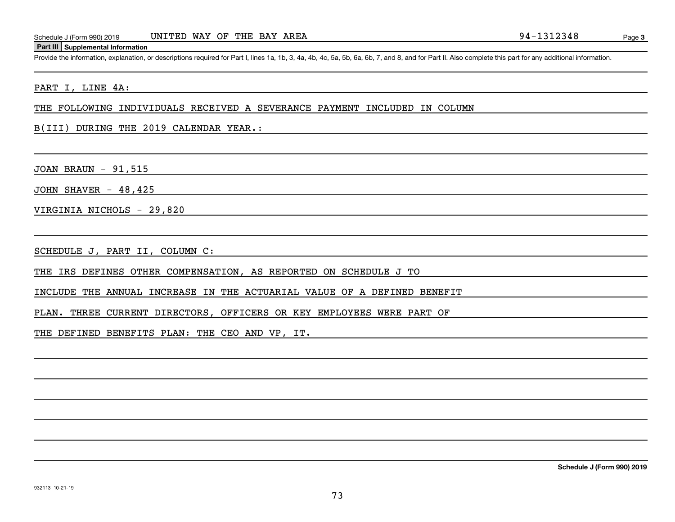#### **Part III Supplemental Information**

Schedule J (Form 990) 2019 UNITED WAY OF THE BAY AREA<br>
Part III Supplemental Information<br>
Provide the information, explanation, or descriptions required for Part I, lines 1a, 1b, 3, 4a, 4b, 4c, 5a, 5b, 6a, 6b, 7, and 8, an

### PART I, LINE 4A:

THE FOLLOWING INDIVIDUALS RECEIVED A SEVERANCE PAYMENT INCLUDED IN COLUMN

B(III) DURING THE 2019 CALENDAR YEAR.:

JOAN BRAUN - 91,515

JOHN SHAVER  $-48,425$ 

VIRGINIA NICHOLS - 29,820

SCHEDULE J, PART II, COLUMN C:

THE IRS DEFINES OTHER COMPENSATION, AS REPORTED ON SCHEDULE J TO

INCLUDE THE ANNUAL INCREASE IN THE ACTUARIAL VALUE OF A DEFINED BENEFIT

PLAN. THREE CURRENT DIRECTORS, OFFICERS OR KEY EMPLOYEES WERE PART OF

THE DEFINED BENEFITS PLAN: THE CEO AND VP, IT.

**Schedule J (Form 990) 2019**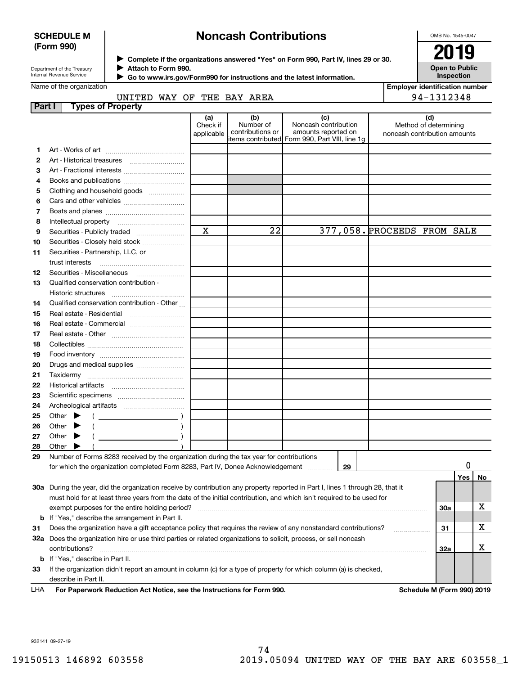## **SCHEDULE M (Form 990)**

# **Noncash Contributions**

OMB No. 1545-0047

| Department of the Treasurv |
|----------------------------|
| Internal Revenue Service   |

**Complete if the organizations answered "Yes" on Form 990, Part IV, lines 29 or 30.** <sup>J</sup>**2019 Attach to Form 990.** J

**Open to Public Inspection**

|  | Jamo of the organization |  |
|--|--------------------------|--|

 **Go to www.irs.gov/Form990 for instructions and the latest information.** J

| Name of the organization |                                                                                                                                |                        |                  |                                                | <b>Employer identification number</b> |                              |                       |     |    |
|--------------------------|--------------------------------------------------------------------------------------------------------------------------------|------------------------|------------------|------------------------------------------------|---------------------------------------|------------------------------|-----------------------|-----|----|
|                          | UNITED WAY OF THE BAY AREA                                                                                                     |                        |                  |                                                |                                       |                              | 94-1312348            |     |    |
| Part I                   | <b>Types of Property</b>                                                                                                       |                        |                  |                                                |                                       |                              |                       |     |    |
|                          |                                                                                                                                | (a)                    | (b)<br>Number of | (c)                                            |                                       |                              | (d)                   |     |    |
|                          |                                                                                                                                | Check if<br>applicable | contributions or | Noncash contribution<br>amounts reported on    |                                       | noncash contribution amounts | Method of determining |     |    |
|                          |                                                                                                                                |                        |                  | items contributed Form 990, Part VIII, line 1g |                                       |                              |                       |     |    |
| 1                        |                                                                                                                                |                        |                  |                                                |                                       |                              |                       |     |    |
| 2                        |                                                                                                                                |                        |                  |                                                |                                       |                              |                       |     |    |
| 3                        |                                                                                                                                |                        |                  |                                                |                                       |                              |                       |     |    |
| 4                        |                                                                                                                                |                        |                  |                                                |                                       |                              |                       |     |    |
| 5                        | Clothing and household goods                                                                                                   |                        |                  |                                                |                                       |                              |                       |     |    |
| 6                        |                                                                                                                                |                        |                  |                                                |                                       |                              |                       |     |    |
| 7                        |                                                                                                                                |                        |                  |                                                |                                       |                              |                       |     |    |
| 8                        |                                                                                                                                |                        |                  |                                                |                                       |                              |                       |     |    |
| 9                        |                                                                                                                                | $\mathbf X$            | 22               | 377,058. PROCEEDS FROM SALE                    |                                       |                              |                       |     |    |
| 10                       | Securities - Closely held stock                                                                                                |                        |                  |                                                |                                       |                              |                       |     |    |
| 11                       | Securities - Partnership, LLC, or                                                                                              |                        |                  |                                                |                                       |                              |                       |     |    |
|                          |                                                                                                                                |                        |                  |                                                |                                       |                              |                       |     |    |
| 12                       | Securities - Miscellaneous                                                                                                     |                        |                  |                                                |                                       |                              |                       |     |    |
| 13                       | Qualified conservation contribution -                                                                                          |                        |                  |                                                |                                       |                              |                       |     |    |
|                          | Historic structures                                                                                                            |                        |                  |                                                |                                       |                              |                       |     |    |
| 14                       | Qualified conservation contribution - Other                                                                                    |                        |                  |                                                |                                       |                              |                       |     |    |
| 15                       |                                                                                                                                |                        |                  |                                                |                                       |                              |                       |     |    |
| 16                       |                                                                                                                                |                        |                  |                                                |                                       |                              |                       |     |    |
| 17                       |                                                                                                                                |                        |                  |                                                |                                       |                              |                       |     |    |
| 18                       |                                                                                                                                |                        |                  |                                                |                                       |                              |                       |     |    |
| 19                       |                                                                                                                                |                        |                  |                                                |                                       |                              |                       |     |    |
| 20                       |                                                                                                                                |                        |                  |                                                |                                       |                              |                       |     |    |
| 21                       |                                                                                                                                |                        |                  |                                                |                                       |                              |                       |     |    |
| 22                       |                                                                                                                                |                        |                  |                                                |                                       |                              |                       |     |    |
| 23                       |                                                                                                                                |                        |                  |                                                |                                       |                              |                       |     |    |
| 24                       |                                                                                                                                |                        |                  |                                                |                                       |                              |                       |     |    |
| 25                       | Other $\blacktriangleright$<br>$\left($ $\right)$                                                                              |                        |                  |                                                |                                       |                              |                       |     |    |
| 26                       | Other $\blacktriangleright$                                                                                                    |                        |                  |                                                |                                       |                              |                       |     |    |
| 27                       | $\overline{\phantom{a}}$ )<br>Other $\blacktriangleright$                                                                      |                        |                  |                                                |                                       |                              |                       |     |    |
| 28                       | Other                                                                                                                          |                        |                  |                                                |                                       |                              |                       |     |    |
| 29                       | Number of Forms 8283 received by the organization during the tax year for contributions                                        |                        |                  |                                                |                                       |                              |                       |     |    |
|                          | for which the organization completed Form 8283, Part IV, Donee Acknowledgement                                                 |                        |                  | 29                                             |                                       |                              |                       | 0   |    |
|                          |                                                                                                                                |                        |                  |                                                |                                       |                              |                       | Yes | No |
|                          | 30a During the year, did the organization receive by contribution any property reported in Part I, lines 1 through 28, that it |                        |                  |                                                |                                       |                              |                       |     |    |
|                          | must hold for at least three years from the date of the initial contribution, and which isn't required to be used for          |                        |                  |                                                |                                       |                              |                       |     |    |
|                          |                                                                                                                                |                        |                  |                                                |                                       |                              | <b>30a</b>            |     | х  |
|                          | <b>b</b> If "Yes," describe the arrangement in Part II.                                                                        |                        |                  |                                                |                                       |                              |                       |     |    |
| 31                       | Does the organization have a gift acceptance policy that requires the review of any nonstandard contributions?                 |                        |                  |                                                |                                       | .                            | 31                    |     | х  |
|                          | 32a Does the organization hire or use third parties or related organizations to solicit, process, or sell noncash              |                        |                  |                                                |                                       |                              |                       |     |    |
|                          | contributions?                                                                                                                 |                        |                  |                                                |                                       |                              | 32a                   |     | х  |
|                          | <b>b</b> If "Yes," describe in Part II.                                                                                        |                        |                  |                                                |                                       |                              |                       |     |    |
| 33                       | If the organization didn't report an amount in column (c) for a type of property for which column (a) is checked,              |                        |                  |                                                |                                       |                              |                       |     |    |
|                          | describe in Part II.                                                                                                           |                        |                  |                                                |                                       |                              |                       |     |    |
|                          |                                                                                                                                |                        |                  |                                                |                                       |                              |                       |     |    |

**For Paperwork Reduction Act Notice, see the Instructions for Form 990. Schedule M (Form 990) 2019** LHA

932141 09-27-19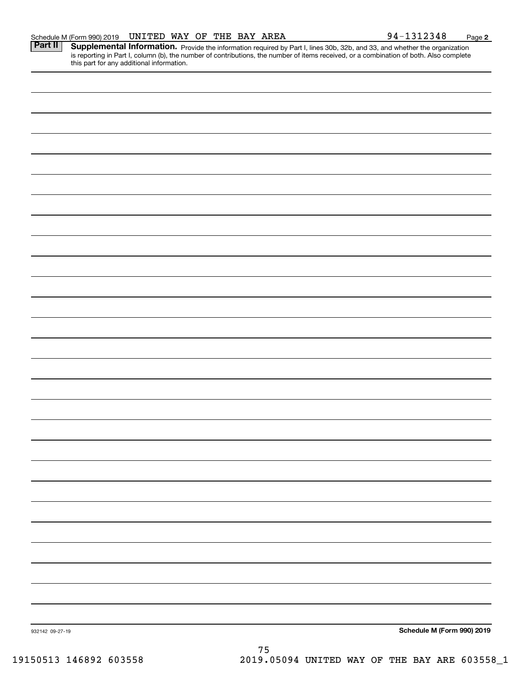Part II | Supplemental Information. Provide the information required by Part I, lines 30b, 32b, and 33, and whether the organization is reporting in Part I, column (b), the number of contributions, the number of items received, or a combination of both. Also complete this part for any additional information.

932142 09-27-19 **Schedule M (Form 990) 2019** 75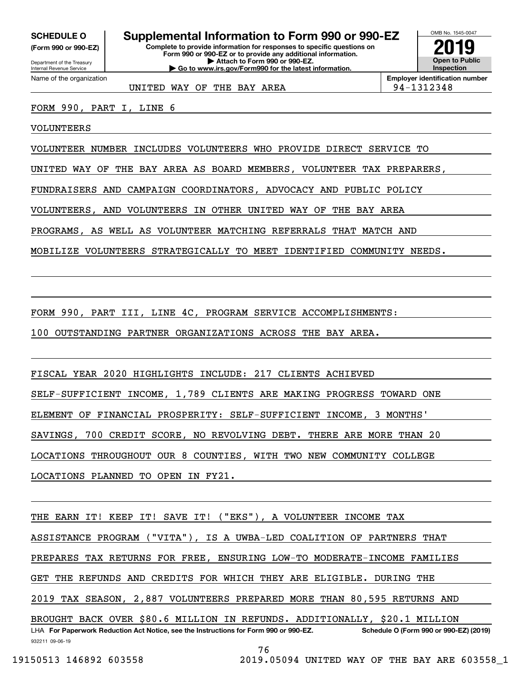**(Form 990 or 990-EZ)**

Department of the Treasury Internal Revenue Service Name of the organization

# **SCHEDULE O Supplemental Information to Form 990 or 990-EZ**

**Complete to provide information for responses to specific questions on Form 990 or 990-EZ or to provide any additional information. | Attach to Form 990 or 990-EZ. | Go to www.irs.gov/Form990 for the latest information.**



**Employer identification number**

UNITED WAY OF THE BAY AREA **194-1312348** 

FORM 990, PART I, LINE 6

VOLUNTEERS

VOLUNTEER NUMBER INCLUDES VOLUNTEERS WHO PROVIDE DIRECT SERVICE TO

UNITED WAY OF THE BAY AREA AS BOARD MEMBERS, VOLUNTEER TAX PREPARERS,

FUNDRAISERS AND CAMPAIGN COORDINATORS, ADVOCACY AND PUBLIC POLICY

VOLUNTEERS, AND VOLUNTEERS IN OTHER UNITED WAY OF THE BAY AREA

PROGRAMS, AS WELL AS VOLUNTEER MATCHING REFERRALS THAT MATCH AND

MOBILIZE VOLUNTEERS STRATEGICALLY TO MEET IDENTIFIED COMMUNITY NEEDS.

FORM 990, PART III, LINE 4C, PROGRAM SERVICE ACCOMPLISHMENTS:

100 OUTSTANDING PARTNER ORGANIZATIONS ACROSS THE BAY AREA.

FISCAL YEAR 2020 HIGHLIGHTS INCLUDE: 217 CLIENTS ACHIEVED

SELF-SUFFICIENT INCOME, 1,789 CLIENTS ARE MAKING PROGRESS TOWARD ONE

ELEMENT OF FINANCIAL PROSPERITY: SELF-SUFFICIENT INCOME, 3 MONTHS'

SAVINGS, 700 CREDIT SCORE, NO REVOLVING DEBT. THERE ARE MORE THAN 20

LOCATIONS THROUGHOUT OUR 8 COUNTIES, WITH TWO NEW COMMUNITY COLLEGE

LOCATIONS PLANNED TO OPEN IN FY21.

THE EARN IT! KEEP IT! SAVE IT! ("EKS"), A VOLUNTEER INCOME TAX

ASSISTANCE PROGRAM ("VITA"), IS A UWBA-LED COALITION OF PARTNERS THAT

PREPARES TAX RETURNS FOR FREE, ENSURING LOW-TO MODERATE-INCOME FAMILIES

GET THE REFUNDS AND CREDITS FOR WHICH THEY ARE ELIGIBLE. DURING THE

2019 TAX SEASON, 2,887 VOLUNTEERS PREPARED MORE THAN 80,595 RETURNS AND

932211 09-06-19 LHA For Paperwork Reduction Act Notice, see the Instructions for Form 990 or 990-EZ. Schedule O (Form 990 or 990-EZ) (2019) BROUGHT BACK OVER \$80.6 MILLION IN REFUNDS. ADDITIONALLY, \$20.1 MILLION

76

 <sup>19150513 146892 603558 2019.05094</sup> UNITED WAY OF THE BAY ARE 603558\_1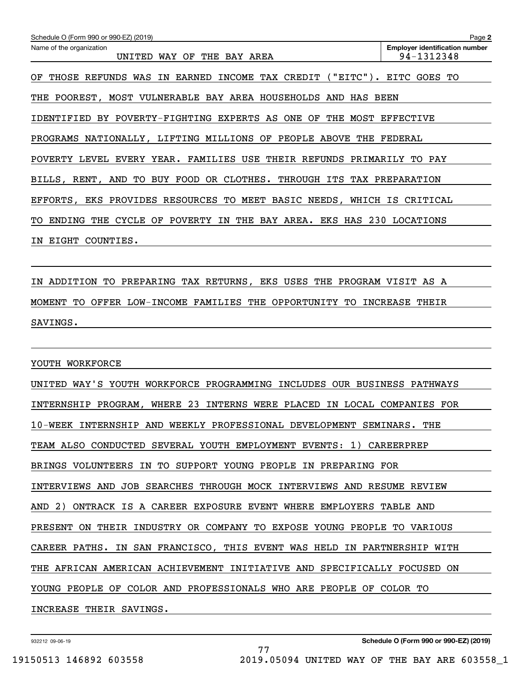| Schedule O (Form 990 or 990-EZ) (2019)                                       | Page 2                                              |
|------------------------------------------------------------------------------|-----------------------------------------------------|
| Name of the organization<br>UNITED WAY OF THE BAY AREA                       | <b>Employer identification number</b><br>94-1312348 |
| OF THOSE REFUNDS WAS IN EARNED INCOME TAX CREDIT ("EITC"). EITC GOES TO      |                                                     |
| THE POOREST, MOST VULNERABLE BAY AREA HOUSEHOLDS AND HAS BEEN                |                                                     |
| IDENTIFIED BY POVERTY-FIGHTING EXPERTS AS ONE OF THE MOST EFFECTIVE          |                                                     |
| PROGRAMS NATIONALLY, LIFTING MILLIONS OF PEOPLE ABOVE THE FEDERAL            |                                                     |
| POVERTY LEVEL EVERY YEAR. FAMILIES USE THEIR REFUNDS PRIMARILY TO PAY        |                                                     |
| BILLS, RENT, AND TO BUY FOOD OR CLOTHES. THROUGH ITS TAX PREPARATION         |                                                     |
| EFFORTS, EKS PROVIDES RESOURCES TO MEET BASIC NEEDS, WHICH IS CRITICAL       |                                                     |
| THE CYCLE OF POVERTY IN THE BAY AREA. EKS HAS 230 LOCATIONS<br>ENDING<br>TO. |                                                     |
| EIGHT COUNTIES.<br>IN.                                                       |                                                     |
|                                                                              |                                                     |
|                                                                              |                                                     |

IN ADDITION TO PREPARING TAX RETURNS, EKS USES THE PROGRAM VISIT AS A MOMENT TO OFFER LOW-INCOME FAMILIES THE OPPORTUNITY TO INCREASE THEIR SAVINGS.

YOUTH WORKFORCE

UNITED WAY'S YOUTH WORKFORCE PROGRAMMING INCLUDES OUR BUSINESS PATHWAYS INTERNSHIP PROGRAM, WHERE 23 INTERNS WERE PLACED IN LOCAL COMPANIES FOR 10-WEEK INTERNSHIP AND WEEKLY PROFESSIONAL DEVELOPMENT SEMINARS. THE TEAM ALSO CONDUCTED SEVERAL YOUTH EMPLOYMENT EVENTS: 1) CAREERPREP BRINGS VOLUNTEERS IN TO SUPPORT YOUNG PEOPLE IN PREPARING FOR INTERVIEWS AND JOB SEARCHES THROUGH MOCK INTERVIEWS AND RESUME REVIEW AND 2) ONTRACK IS A CAREER EXPOSURE EVENT WHERE EMPLOYERS TABLE AND PRESENT ON THEIR INDUSTRY OR COMPANY TO EXPOSE YOUNG PEOPLE TO VARIOUS CAREER PATHS. IN SAN FRANCISCO, THIS EVENT WAS HELD IN PARTNERSHIP WITH THE AFRICAN AMERICAN ACHIEVEMENT INITIATIVE AND SPECIFICALLY FOCUSED ON YOUNG PEOPLE OF COLOR AND PROFESSIONALS WHO ARE PEOPLE OF COLOR TO INCREASE THEIR SAVINGS.

77

932212 09-06-19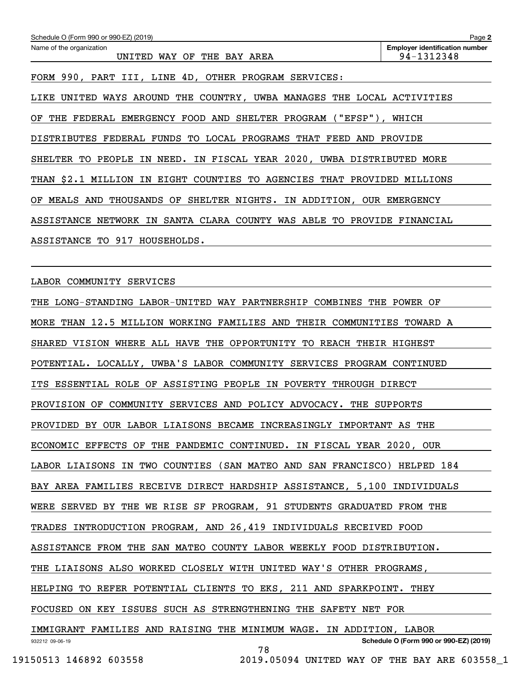| Schedule O (Form 990 or 990-EZ) (2019)                                  | Page 2                                              |
|-------------------------------------------------------------------------|-----------------------------------------------------|
| Name of the organization<br>UNITED WAY OF THE BAY AREA                  | <b>Employer identification number</b><br>94-1312348 |
| FORM 990, PART III, LINE 4D, OTHER PROGRAM SERVICES:                    |                                                     |
| LIKE UNITED WAYS AROUND THE COUNTRY, UWBA MANAGES THE LOCAL ACTIVITIES  |                                                     |
| THE FEDERAL EMERGENCY FOOD AND SHELTER PROGRAM ("EFSP"), WHICH<br>OF.   |                                                     |
| DISTRIBUTES FEDERAL FUNDS TO LOCAL PROGRAMS THAT FEED AND PROVIDE       |                                                     |
| SHELTER TO PEOPLE IN NEED. IN FISCAL YEAR 2020, UWBA DISTRIBUTED MORE   |                                                     |
| THAN \$2.1 MILLION IN EIGHT COUNTIES TO AGENCIES THAT PROVIDED MILLIONS |                                                     |
| OF MEALS AND THOUSANDS OF SHELTER NIGHTS. IN ADDITION, OUR EMERGENCY    |                                                     |
| ASSISTANCE NETWORK IN SANTA CLARA COUNTY WAS ABLE TO PROVIDE FINANCIAL  |                                                     |
| ASSISTANCE TO 917 HOUSEHOLDS.                                           |                                                     |
|                                                                         |                                                     |
| LABOR COMMUNITY SERVICES                                                |                                                     |
| THE LONG-STANDING LABOR-UNITED WAY PARTNERSHIP COMBINES THE POWER OF    |                                                     |
| MORE THAN 12.5 MILLION WORKING FAMILIES AND THEIR COMMUNITIES TOWARD A  |                                                     |
| SHARED VISION WHERE ALL HAVE THE OPPORTUNITY TO REACH THEIR HIGHEST     |                                                     |
| POTENTIAL. LOCALLY, UWBA'S LABOR COMMUNITY SERVICES PROGRAM CONTINUED   |                                                     |
| ITS ESSENTIAL ROLE OF ASSISTING PEOPLE IN POVERTY THROUGH DIRECT        |                                                     |
| PROVISION OF COMMUNITY SERVICES AND POLICY ADVOCACY. THE SUPPORTS       |                                                     |
| PROVIDED BY OUR LABOR LIAISONS BECAME INCREASINGLY IMPORTANT AS THE     |                                                     |
| ECONOMIC EFFECTS OF THE PANDEMIC CONTINUED. IN FISCAL YEAR 2020, OUR    |                                                     |
| LABOR LIAISONS IN TWO COUNTIES (SAN MATEO AND SAN FRANCISCO) HELPED 184 |                                                     |

BAY AREA FAMILIES RECEIVE DIRECT HARDSHIP ASSISTANCE, 5,100 INDIVIDUALS

WERE SERVED BY THE WE RISE SF PROGRAM, 91 STUDENTS GRADUATED FROM THE

TRADES INTRODUCTION PROGRAM, AND 26,419 INDIVIDUALS RECEIVED FOOD

ASSISTANCE FROM THE SAN MATEO COUNTY LABOR WEEKLY FOOD DISTRIBUTION.

THE LIAISONS ALSO WORKED CLOSELY WITH UNITED WAY'S OTHER PROGRAMS,

HELPING TO REFER POTENTIAL CLIENTS TO EKS, 211 AND SPARKPOINT. THEY

FOCUSED ON KEY ISSUES SUCH AS STRENGTHENING THE SAFETY NET FOR

932212 09-06-19 **Schedule O (Form 990 or 990-EZ) (2019)** IMMIGRANT FAMILIES AND RAISING THE MINIMUM WAGE. IN ADDITION, LABOR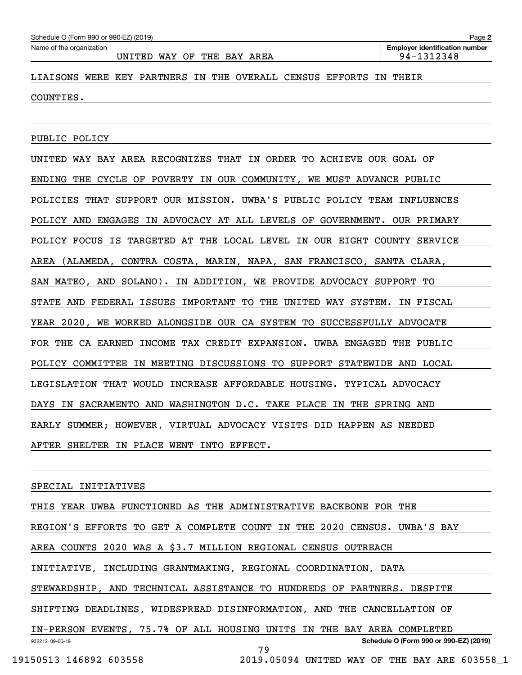**2**

### LIAISONS WERE KEY PARTNERS IN THE OVERALL CENSUS EFFORTS IN THEIR

COUNTIES.

PUBLIC POLICY

UNITED WAY BAY AREA RECOGNIZES THAT IN ORDER TO ACHIEVE OUR GOAL OF ENDING THE CYCLE OF POVERTY IN OUR COMMUNITY, WE MUST ADVANCE PUBLIC POLICIES THAT SUPPORT OUR MISSION. UWBA'S PUBLIC POLICY TEAM INFLUENCES POLICY AND ENGAGES IN ADVOCACY AT ALL LEVELS OF GOVERNMENT. OUR PRIMARY POLICY FOCUS IS TARGETED AT THE LOCAL LEVEL IN OUR EIGHT COUNTY SERVICE AREA (ALAMEDA, CONTRA COSTA, MARIN, NAPA, SAN FRANCISCO, SANTA CLARA, SAN MATEO, AND SOLANO). IN ADDITION, WE PROVIDE ADVOCACY SUPPORT TO STATE AND FEDERAL ISSUES IMPORTANT TO THE UNITED WAY SYSTEM. IN FISCAL YEAR 2020, WE WORKED ALONGSIDE OUR CA SYSTEM TO SUCCESSFULLY ADVOCATE FOR THE CA EARNED INCOME TAX CREDIT EXPANSION. UWBA ENGAGED THE PUBLIC POLICY COMMITTEE IN MEETING DISCUSSIONS TO SUPPORT STATEWIDE AND LOCAL LEGISLATION THAT WOULD INCREASE AFFORDABLE HOUSING. TYPICAL ADVOCACY DAYS IN SACRAMENTO AND WASHINGTON D.C. TAKE PLACE IN THE SPRING AND EARLY SUMMER; HOWEVER, VIRTUAL ADVOCACY VISITS DID HAPPEN AS NEEDED AFTER SHELTER IN PLACE WENT INTO EFFECT.

#### SPECIAL INITIATIVES

932212 09-06-19 **Schedule O (Form 990 or 990-EZ) (2019)** THIS YEAR UWBA FUNCTIONED AS THE ADMINISTRATIVE BACKBONE FOR THE REGION'S EFFORTS TO GET A COMPLETE COUNT IN THE 2020 CENSUS. UWBA'S BAY AREA COUNTS 2020 WAS A \$3.7 MILLION REGIONAL CENSUS OUTREACH INITIATIVE, INCLUDING GRANTMAKING, REGIONAL COORDINATION, DATA STEWARDSHIP, AND TECHNICAL ASSISTANCE TO HUNDREDS OF PARTNERS. DESPITE SHIFTING DEADLINES, WIDESPREAD DISINFORMATION, AND THE CANCELLATION OF IN-PERSON EVENTS, 75.7% OF ALL HOUSING UNITS IN THE BAY AREA COMPLETED 79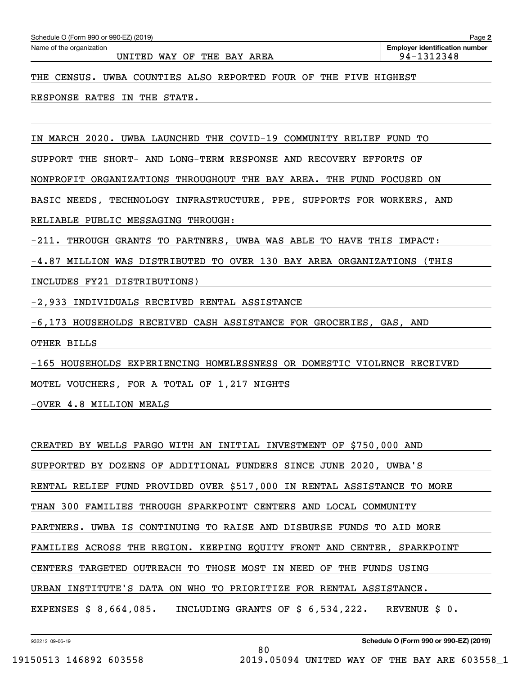|  | Schedule O (Form 990 or 990-EZ) (2019) |  |
|--|----------------------------------------|--|
|--|----------------------------------------|--|

UNITED WAY OF THE BAY AREA  $\vert$  94-1312348

THE CENSUS. UWBA COUNTIES ALSO REPORTED FOUR OF THE FIVE HIGHEST

RESPONSE RATES IN THE STATE.

IN MARCH 2020. UWBA LAUNCHED THE COVID-19 COMMUNITY RELIEF FUND TO

SUPPORT THE SHORT- AND LONG-TERM RESPONSE AND RECOVERY EFFORTS OF

NONPROFIT ORGANIZATIONS THROUGHOUT THE BAY AREA. THE FUND FOCUSED ON

BASIC NEEDS, TECHNOLOGY INFRASTRUCTURE, PPE, SUPPORTS FOR WORKERS, AND

RELIABLE PUBLIC MESSAGING THROUGH:

-211. THROUGH GRANTS TO PARTNERS, UWBA WAS ABLE TO HAVE THIS IMPACT:

-4.87 MILLION WAS DISTRIBUTED TO OVER 130 BAY AREA ORGANIZATIONS (THIS

INCLUDES FY21 DISTRIBUTIONS)

-2,933 INDIVIDUALS RECEIVED RENTAL ASSISTANCE

-6,173 HOUSEHOLDS RECEIVED CASH ASSISTANCE FOR GROCERIES, GAS, AND

OTHER BILLS

-165 HOUSEHOLDS EXPERIENCING HOMELESSNESS OR DOMESTIC VIOLENCE RECEIVED

MOTEL VOUCHERS, FOR A TOTAL OF 1,217 NIGHTS

-OVER 4.8 MILLION MEALS

CREATED BY WELLS FARGO WITH AN INITIAL INVESTMENT OF \$750,000 AND SUPPORTED BY DOZENS OF ADDITIONAL FUNDERS SINCE JUNE 2020, UWBA'S RENTAL RELIEF FUND PROVIDED OVER \$517,000 IN RENTAL ASSISTANCE TO MORE THAN 300 FAMILIES THROUGH SPARKPOINT CENTERS AND LOCAL COMMUNITY PARTNERS. UWBA IS CONTINUING TO RAISE AND DISBURSE FUNDS TO AID MORE FAMILIES ACROSS THE REGION. KEEPING EQUITY FRONT AND CENTER, SPARKPOINT CENTERS TARGETED OUTREACH TO THOSE MOST IN NEED OF THE FUNDS USING URBAN INSTITUTE'S DATA ON WHO TO PRIORITIZE FOR RENTAL ASSISTANCE. EXPENSES \$ 8,664,085. INCLUDING GRANTS OF \$ 6,534,222. REVENUE \$ 0.

80

932212 09-06-19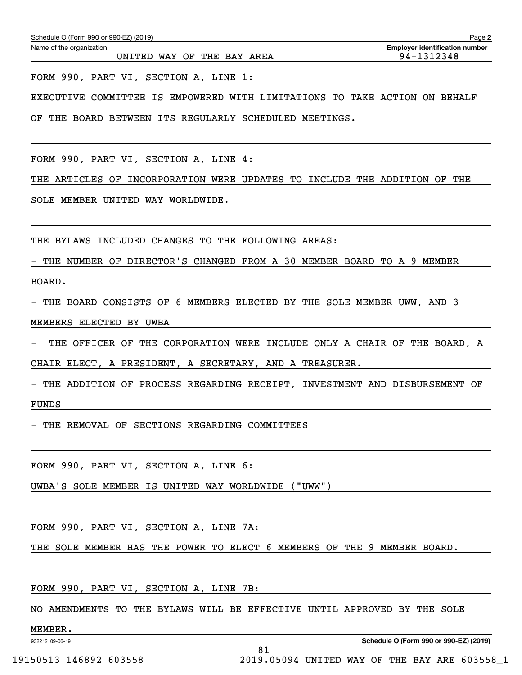UNITED WAY OF THE BAY AREA  $\vert$  94-1312348

FORM 990, PART VI, SECTION A, LINE 1:

EXECUTIVE COMMITTEE IS EMPOWERED WITH LIMITATIONS TO TAKE ACTION ON BEHALF

OF THE BOARD BETWEEN ITS REGULARLY SCHEDULED MEETINGS.

FORM 990, PART VI, SECTION A, LINE 4:

THE ARTICLES OF INCORPORATION WERE UPDATES TO INCLUDE THE ADDITION OF THE

SOLE MEMBER UNITED WAY WORLDWIDE.

THE BYLAWS INCLUDED CHANGES TO THE FOLLOWING AREAS:

- THE NUMBER OF DIRECTOR'S CHANGED FROM A 30 MEMBER BOARD TO A 9 MEMBER

BOARD.

- THE BOARD CONSISTS OF 6 MEMBERS ELECTED BY THE SOLE MEMBER UWW, AND 3

MEMBERS ELECTED BY UWBA

THE OFFICER OF THE CORPORATION WERE INCLUDE ONLY A CHAIR OF THE BOARD, A

CHAIR ELECT, A PRESIDENT, A SECRETARY, AND A TREASURER.

- THE ADDITION OF PROCESS REGARDING RECEIPT, INVESTMENT AND DISBURSEMENT OF FUNDS

THE REMOVAL OF SECTIONS REGARDING COMMITTEES

FORM 990, PART VI, SECTION A, LINE 6:

UWBA'S SOLE MEMBER IS UNITED WAY WORLDWIDE ("UWW")

FORM 990, PART VI, SECTION A, LINE 7A:

THE SOLE MEMBER HAS THE POWER TO ELECT 6 MEMBERS OF THE 9 MEMBER BOARD.

FORM 990, PART VI, SECTION A, LINE 7B:

NO AMENDMENTS TO THE BYLAWS WILL BE EFFECTIVE UNTIL APPROVED BY THE SOLE

81

MEMBER.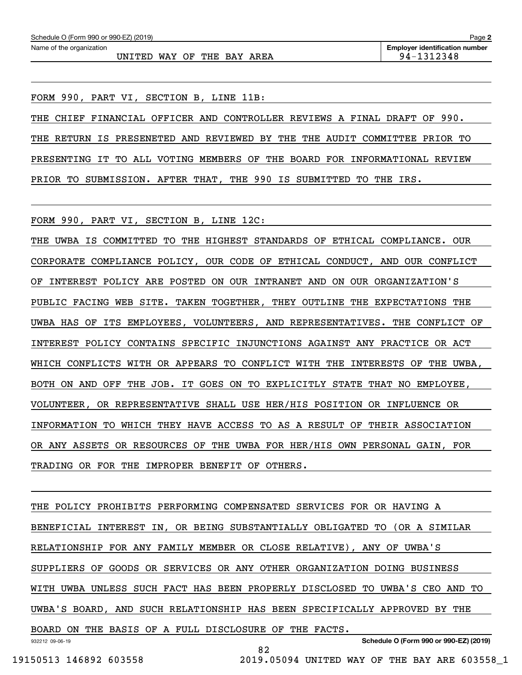**2**

FORM 990, PART VI, SECTION B, LINE 11B:

THE CHIEF FINANCIAL OFFICER AND CONTROLLER REVIEWS A FINAL DRAFT OF 990. THE RETURN IS PRESENETED AND REVIEWED BY THE THE AUDIT COMMITTEE PRIOR TO PRESENTING IT TO ALL VOTING MEMBERS OF THE BOARD FOR INFORMATIONAL REVIEW PRIOR TO SUBMISSION. AFTER THAT, THE 990 IS SUBMITTED TO THE IRS.

FORM 990, PART VI, SECTION B, LINE 12C:

THE UWBA IS COMMITTED TO THE HIGHEST STANDARDS OF ETHICAL COMPLIANCE. OUR CORPORATE COMPLIANCE POLICY, OUR CODE OF ETHICAL CONDUCT, AND OUR CONFLICT OF INTEREST POLICY ARE POSTED ON OUR INTRANET AND ON OUR ORGANIZATION'S PUBLIC FACING WEB SITE. TAKEN TOGETHER, THEY OUTLINE THE EXPECTATIONS THE UWBA HAS OF ITS EMPLOYEES, VOLUNTEERS, AND REPRESENTATIVES. THE CONFLICT OF INTEREST POLICY CONTAINS SPECIFIC INJUNCTIONS AGAINST ANY PRACTICE OR ACT WHICH CONFLICTS WITH OR APPEARS TO CONFLICT WITH THE INTERESTS OF THE UWBA, BOTH ON AND OFF THE JOB. IT GOES ON TO EXPLICITLY STATE THAT NO EMPLOYEE, VOLUNTEER, OR REPRESENTATIVE SHALL USE HER/HIS POSITION OR INFLUENCE OR INFORMATION TO WHICH THEY HAVE ACCESS TO AS A RESULT OF THEIR ASSOCIATION OR ANY ASSETS OR RESOURCES OF THE UWBA FOR HER/HIS OWN PERSONAL GAIN, FOR TRADING OR FOR THE IMPROPER BENEFIT OF OTHERS.

932212 09-06-19 THE POLICY PROHIBITS PERFORMING COMPENSATED SERVICES FOR OR HAVING A BENEFICIAL INTEREST IN, OR BEING SUBSTANTIALLY OBLIGATED TO (OR A SIMILAR RELATIONSHIP FOR ANY FAMILY MEMBER OR CLOSE RELATIVE), ANY OF UWBA'S SUPPLIERS OF GOODS OR SERVICES OR ANY OTHER ORGANIZATION DOING BUSINESS WITH UWBA UNLESS SUCH FACT HAS BEEN PROPERLY DISCLOSED TO UWBA'S CEO AND TO UWBA'S BOARD, AND SUCH RELATIONSHIP HAS BEEN SPECIFICALLY APPROVED BY THE BOARD ON THE BASIS OF A FULL DISCLOSURE OF THE FACTS.

82

**Schedule O (Form 990 or 990-EZ) (2019)**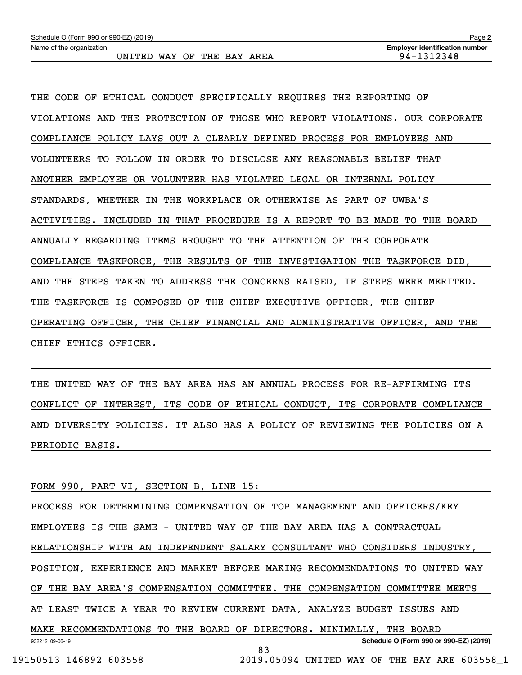| Schedule O (Form 990 or 990-EZ) (2019) | Page 2                                |
|----------------------------------------|---------------------------------------|
| Name of the organization               | <b>Emplover identification number</b> |
| WAY OF THE BAY AREA<br>UNITED          | 94-1312348                            |

THE CODE OF ETHICAL CONDUCT SPECIFICALLY REQUIRES THE REPORTING OF VIOLATIONS AND THE PROTECTION OF THOSE WHO REPORT VIOLATIONS. OUR CORPORATE COMPLIANCE POLICY LAYS OUT A CLEARLY DEFINED PROCESS FOR EMPLOYEES AND VOLUNTEERS TO FOLLOW IN ORDER TO DISCLOSE ANY REASONABLE BELIEF THAT ANOTHER EMPLOYEE OR VOLUNTEER HAS VIOLATED LEGAL OR INTERNAL POLICY STANDARDS, WHETHER IN THE WORKPLACE OR OTHERWISE AS PART OF UWBA'S ACTIVITIES. INCLUDED IN THAT PROCEDURE IS A REPORT TO BE MADE TO THE BOARD ANNUALLY REGARDING ITEMS BROUGHT TO THE ATTENTION OF THE CORPORATE COMPLIANCE TASKFORCE, THE RESULTS OF THE INVESTIGATION THE TASKFORCE DID, AND THE STEPS TAKEN TO ADDRESS THE CONCERNS RAISED, IF STEPS WERE MERITED. THE TASKFORCE IS COMPOSED OF THE CHIEF EXECUTIVE OFFICER, THE CHIEF OPERATING OFFICER, THE CHIEF FINANCIAL AND ADMINISTRATIVE OFFICER, AND THE CHIEF ETHICS OFFICER.

THE UNITED WAY OF THE BAY AREA HAS AN ANNUAL PROCESS FOR RE-AFFIRMING ITS CONFLICT OF INTEREST, ITS CODE OF ETHICAL CONDUCT, ITS CORPORATE COMPLIANCE AND DIVERSITY POLICIES. IT ALSO HAS A POLICY OF REVIEWING THE POLICIES ON A PERIODIC BASIS.

FORM 990, PART VI, SECTION B, LINE 15:

932212 09-06-19 **Schedule O (Form 990 or 990-EZ) (2019)** PROCESS FOR DETERMINING COMPENSATION OF TOP MANAGEMENT AND OFFICERS/KEY EMPLOYEES IS THE SAME - UNITED WAY OF THE BAY AREA HAS A CONTRACTUAL RELATIONSHIP WITH AN INDEPENDENT SALARY CONSULTANT WHO CONSIDERS INDUSTRY, POSITION, EXPERIENCE AND MARKET BEFORE MAKING RECOMMENDATIONS TO UNITED WAY OF THE BAY AREA'S COMPENSATION COMMITTEE. THE COMPENSATION COMMITTEE MEETS AT LEAST TWICE A YEAR TO REVIEW CURRENT DATA, ANALYZE BUDGET ISSUES AND MAKE RECOMMENDATIONS TO THE BOARD OF DIRECTORS. MINIMALLY, THE BOARD 83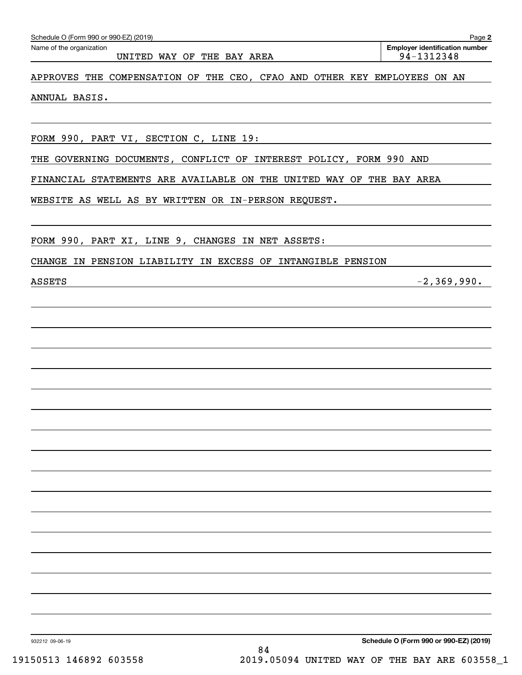| Schedule O (Form 990 or 990-EZ) (2019)                                   | Page 2                                              |
|--------------------------------------------------------------------------|-----------------------------------------------------|
| Name of the organization<br>UNITED WAY OF THE BAY AREA                   | <b>Employer identification number</b><br>94-1312348 |
| APPROVES THE COMPENSATION OF THE CEO, CFAO AND OTHER KEY EMPLOYEES ON AN |                                                     |
| ANNUAL BASIS.                                                            |                                                     |
|                                                                          |                                                     |
| FORM 990, PART VI, SECTION C, LINE 19:                                   |                                                     |
| GOVERNING DOCUMENTS, CONFLICT OF INTEREST POLICY, FORM 990 AND<br>THE    |                                                     |
| FINANCIAL STATEMENTS ARE AVAILABLE ON THE UNITED WAY OF THE BAY AREA     |                                                     |
| WEBSITE AS WELL AS BY WRITTEN OR IN-PERSON REQUEST.                      |                                                     |
| FORM 990, PART XI, LINE 9, CHANGES IN NET ASSETS:                        |                                                     |
| CHANGE IN PENSION LIABILITY IN EXCESS OF INTANGIBLE PENSION              |                                                     |
| <b>ASSETS</b>                                                            | $-2, 369, 990.$                                     |
|                                                                          |                                                     |
|                                                                          |                                                     |
|                                                                          |                                                     |
|                                                                          |                                                     |
|                                                                          |                                                     |
|                                                                          |                                                     |
|                                                                          |                                                     |
|                                                                          |                                                     |
|                                                                          |                                                     |
|                                                                          |                                                     |
|                                                                          |                                                     |
|                                                                          |                                                     |
|                                                                          |                                                     |
|                                                                          |                                                     |
|                                                                          |                                                     |
|                                                                          |                                                     |
|                                                                          |                                                     |
| 932212 09-06-19<br>84                                                    | Schedule O (Form 990 or 990-EZ) (2019)              |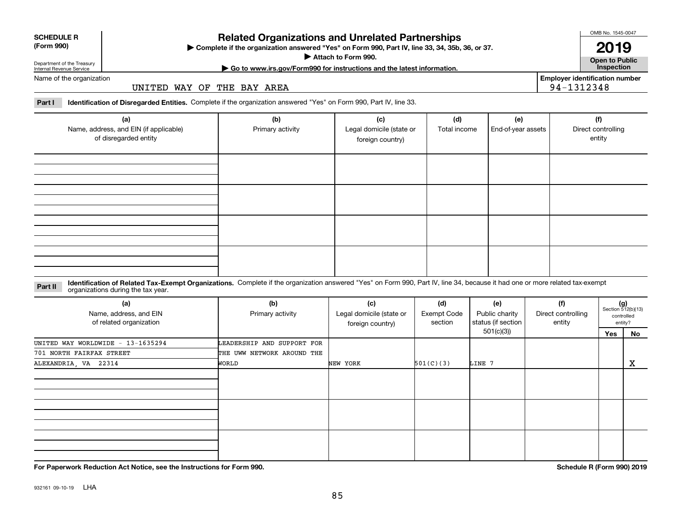**For Paperwork Reduction Act Notice, see the Instructions for Form 990. Schedule R (Form 990) 2019**

## **Related Organizations and Unrelated Partnerships**

**Complete if the organization answered "Yes" on Form 990, Part IV, line 33, 34, 35b, 36, or 37.** |

**Attach to Form 990.**  |

**Open to Public 2019**

Department of the Treasury Internal Revenue Service Name of the organization

## UNITED WAY OF THE BAY AREA

**Part I Identification of Disregarded Entities.**  Complete if the organization answered "Yes" on Form 990, Part IV, line 33.

| (a)<br>Name, address, and EIN (if applicable)<br>of disregarded entity | (b)<br>Primary activity | (c)<br>Legal domicile (state or<br>foreign country) | (d)<br>Total income | (e)<br>End-of-year assets | (f)<br>Direct controlling<br>entity |
|------------------------------------------------------------------------|-------------------------|-----------------------------------------------------|---------------------|---------------------------|-------------------------------------|
|                                                                        |                         |                                                     |                     |                           |                                     |
|                                                                        |                         |                                                     |                     |                           |                                     |
|                                                                        |                         |                                                     |                     |                           |                                     |
|                                                                        |                         |                                                     |                     |                           |                                     |

**Identification of Related Tax-Exempt Organizations.** Complete if the organization answered "Yes" on Form 990, Part IV, line 34, because it had one or more related tax-exempt **Part II** organizations during the tax year.

| (a)<br>Name, address, and EIN<br>of related organization | (b)<br>Primary activity    | (c)<br>Legal domicile (state or<br>foreign country) | (d)<br><b>Exempt Code</b><br>section | (e)<br>Public charity<br>status (if section | (f)<br>Direct controlling<br>entity | $(g)$<br>Section 512(b)(13)<br>controlled<br>entity? |    |
|----------------------------------------------------------|----------------------------|-----------------------------------------------------|--------------------------------------|---------------------------------------------|-------------------------------------|------------------------------------------------------|----|
|                                                          |                            |                                                     |                                      | 501(c)(3))                                  |                                     | Yes                                                  | No |
| UNITED WAY WORLDWIDE - 13-1635294                        | LEADERSHIP AND SUPPORT FOR |                                                     |                                      |                                             |                                     |                                                      |    |
| 701 NORTH FAIRFAX STREET                                 | THE UWW NETWORK AROUND THE |                                                     |                                      |                                             |                                     |                                                      |    |
| ALEXANDRIA, VA 22314                                     | WORLD                      | NEW YORK                                            | 501(C)(3)                            | LINE 7                                      |                                     |                                                      | X  |
|                                                          |                            |                                                     |                                      |                                             |                                     |                                                      |    |
|                                                          |                            |                                                     |                                      |                                             |                                     |                                                      |    |
|                                                          |                            |                                                     |                                      |                                             |                                     |                                                      |    |

# **SCHEDULE R**

**(Form 990)**

**| Go to www.irs.gov/Form990 for instructions and the latest information. Inspection**

**Employer identification number** 94-1312348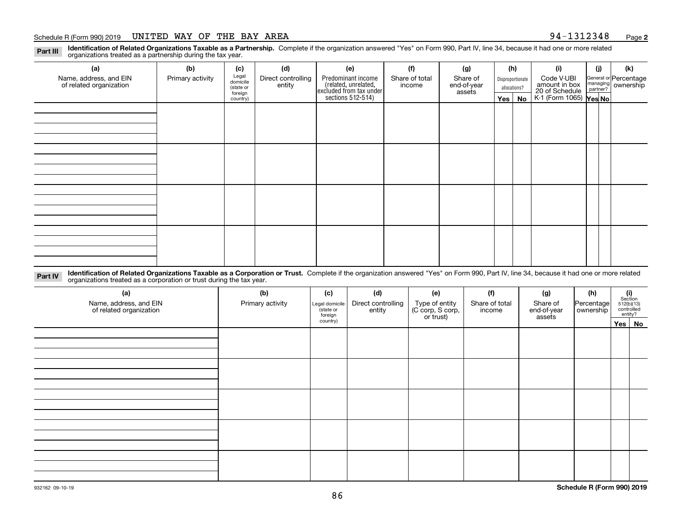#### Schedule R (Form 990) 2019 UNITED WAY OF THE BAY AREA 9 $\rm 4\mathrm{-}1312348$  Page

**2**

**Identification of Related Organizations Taxable as a Partnership.** Complete if the organization answered "Yes" on Form 990, Part IV, line 34, because it had one or more related **Part III** organizations treated as a partnership during the tax year.

| (a)                                               | (b)              | (c)                  | (d)                          | (e)                                                                 | (f)                      | (g)                     |                  | (h)          | (i)                                                       | (j) | (k)                                                     |
|---------------------------------------------------|------------------|----------------------|------------------------------|---------------------------------------------------------------------|--------------------------|-------------------------|------------------|--------------|-----------------------------------------------------------|-----|---------------------------------------------------------|
| Name, address, and EIN<br>of related organization | Primary activity | Legal<br>domicile    | Direct controlling<br>entity | Predominant income                                                  | Share of total<br>income | Share of<br>end-of-year | Disproportionate |              | Code V-UBI                                                |     | General or Percentage<br>managing ownership<br>partner? |
|                                                   |                  | (state or<br>foreign |                              |                                                                     |                          | assets                  |                  | allocations? |                                                           |     |                                                         |
|                                                   |                  | country)             |                              | related, unrelated,<br>excluded from tax under<br>sections 512-514) |                          |                         | Yes   No         |              | amount in box<br>20 of Schedule<br>K-1 (Form 1065) Yes No |     |                                                         |
|                                                   |                  |                      |                              |                                                                     |                          |                         |                  |              |                                                           |     |                                                         |
|                                                   |                  |                      |                              |                                                                     |                          |                         |                  |              |                                                           |     |                                                         |
|                                                   |                  |                      |                              |                                                                     |                          |                         |                  |              |                                                           |     |                                                         |
|                                                   |                  |                      |                              |                                                                     |                          |                         |                  |              |                                                           |     |                                                         |
|                                                   |                  |                      |                              |                                                                     |                          |                         |                  |              |                                                           |     |                                                         |
|                                                   |                  |                      |                              |                                                                     |                          |                         |                  |              |                                                           |     |                                                         |
|                                                   |                  |                      |                              |                                                                     |                          |                         |                  |              |                                                           |     |                                                         |
|                                                   |                  |                      |                              |                                                                     |                          |                         |                  |              |                                                           |     |                                                         |
|                                                   |                  |                      |                              |                                                                     |                          |                         |                  |              |                                                           |     |                                                         |
|                                                   |                  |                      |                              |                                                                     |                          |                         |                  |              |                                                           |     |                                                         |
|                                                   |                  |                      |                              |                                                                     |                          |                         |                  |              |                                                           |     |                                                         |
|                                                   |                  |                      |                              |                                                                     |                          |                         |                  |              |                                                           |     |                                                         |
|                                                   |                  |                      |                              |                                                                     |                          |                         |                  |              |                                                           |     |                                                         |
|                                                   |                  |                      |                              |                                                                     |                          |                         |                  |              |                                                           |     |                                                         |
|                                                   |                  |                      |                              |                                                                     |                          |                         |                  |              |                                                           |     |                                                         |
|                                                   |                  |                      |                              |                                                                     |                          |                         |                  |              |                                                           |     |                                                         |
|                                                   |                  |                      |                              |                                                                     |                          |                         |                  |              |                                                           |     |                                                         |

**Identification of Related Organizations Taxable as a Corporation or Trust.** Complete if the organization answered "Yes" on Form 990, Part IV, line 34, because it had one or more related **Part IV** organizations treated as a corporation or trust during the tax year.

| (a)<br>Name, address, and EIN<br>of related organization | (b)<br>Primary activity | (c)<br>Legal domicile<br>(state or<br>foreign | (d)<br>Direct controlling<br>entity | (e)<br>Type of entity<br>(C corp, S corp,<br>or trust) | (f)<br>Share of total<br>income | (g)<br>Share of<br>end-of-year<br>assets | (h)<br>Percentage<br>ownership | $\begin{array}{c} \textbf{(i)}\\ \text{Section}\\ 512 \text{(b)} \text{(13)}\\ \text{controlled}\\ \text{entity?} \end{array}$ |
|----------------------------------------------------------|-------------------------|-----------------------------------------------|-------------------------------------|--------------------------------------------------------|---------------------------------|------------------------------------------|--------------------------------|--------------------------------------------------------------------------------------------------------------------------------|
|                                                          |                         | country)                                      |                                     |                                                        |                                 |                                          |                                | Yes No                                                                                                                         |
|                                                          |                         |                                               |                                     |                                                        |                                 |                                          |                                |                                                                                                                                |
|                                                          |                         |                                               |                                     |                                                        |                                 |                                          |                                |                                                                                                                                |
|                                                          |                         |                                               |                                     |                                                        |                                 |                                          |                                |                                                                                                                                |
|                                                          |                         |                                               |                                     |                                                        |                                 |                                          |                                |                                                                                                                                |
|                                                          |                         |                                               |                                     |                                                        |                                 |                                          |                                |                                                                                                                                |
|                                                          |                         |                                               |                                     |                                                        |                                 |                                          |                                |                                                                                                                                |
|                                                          |                         |                                               |                                     |                                                        |                                 |                                          |                                |                                                                                                                                |
|                                                          |                         |                                               |                                     |                                                        |                                 |                                          |                                |                                                                                                                                |
|                                                          |                         |                                               |                                     |                                                        |                                 |                                          |                                |                                                                                                                                |
|                                                          |                         |                                               |                                     |                                                        |                                 |                                          |                                |                                                                                                                                |
|                                                          |                         |                                               |                                     |                                                        |                                 |                                          |                                |                                                                                                                                |
|                                                          |                         |                                               |                                     |                                                        |                                 |                                          |                                |                                                                                                                                |
|                                                          |                         |                                               |                                     |                                                        |                                 |                                          |                                |                                                                                                                                |
|                                                          |                         |                                               |                                     |                                                        |                                 |                                          |                                |                                                                                                                                |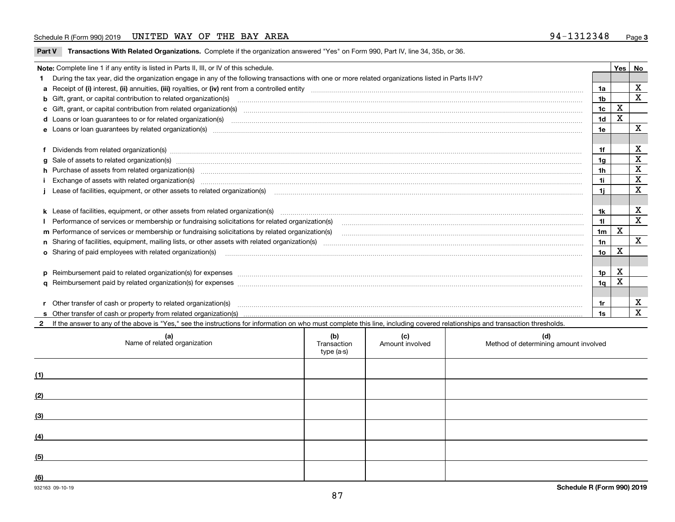### Schedule R (Form 990) 2019 UNITED WAY OF THE BAY AREA 9 $\rm 4\mathrm{-}1312348$  Page

**Part V** T**ransactions With Related Organizations.** Complete if the organization answered "Yes" on Form 990, Part IV, line 34, 35b, or 36.

| Note: Complete line 1 if any entity is listed in Parts II, III, or IV of this schedule.                                                                                                                                        |                | Yes | No           |
|--------------------------------------------------------------------------------------------------------------------------------------------------------------------------------------------------------------------------------|----------------|-----|--------------|
| During the tax year, did the organization engage in any of the following transactions with one or more related organizations listed in Parts II-IV?                                                                            |                |     |              |
|                                                                                                                                                                                                                                | 1a             |     | X            |
| <b>b</b> Gift, grant, or capital contribution to related organization(s)                                                                                                                                                       | 1 <sub>b</sub> |     | X            |
| c Gift, grant, or capital contribution from related organization(s) material contracts and contribution from related organization(s) material contents and contribution from related organization(s) material contents and con | 1c             | X   |              |
|                                                                                                                                                                                                                                | 1 <sub>d</sub> | X   |              |
|                                                                                                                                                                                                                                | 1e             |     | X            |
|                                                                                                                                                                                                                                |                |     |              |
| Dividends from related organization(s) manufactured and contract and contract or produced and contract and contract and contract and contract and contract and contract and contract and contract and contract and contract an | 1f             |     | х            |
| g Sale of assets to related organization(s) www.assettion.com/www.assettion.com/www.assettion.com/www.assettion.com/www.assettion.com/www.assettion.com/www.assettion.com/www.assettion.com/www.assettion.com/www.assettion.co | 1g             |     | X            |
| h Purchase of assets from related organization(s) manufactured content to content the content of the content of the content of the content of the content of the content of the content of the content of the content of the c | 1h             |     | X            |
| Exchange of assets with related organization(s) www.assettion.com/www.assettion.com/www.assettion.com/www.assettion.com/www.assettion.com/www.assettion.com/www.assettion.com/www.assettion.com/www.assettion.com/www.assettio | 1i.            |     | $\mathbf x$  |
| Lease of facilities, equipment, or other assets to related organization(s) manufactured content and content and content and content and content and content and content and content and content and content and content and co | 1i.            |     | X            |
|                                                                                                                                                                                                                                |                |     |              |
| k Lease of facilities, equipment, or other assets from related organization(s) manufaction content and the manufacture of facilities, equipment, or other assets from related organization(s) manufaction manufacture manufact | 1k             |     | х            |
|                                                                                                                                                                                                                                | 11             |     | $\mathbf X$  |
| m Performance of services or membership or fundraising solicitations by related organization(s)                                                                                                                                | 1 <sub>m</sub> | X   |              |
|                                                                                                                                                                                                                                | 1n             |     | $\mathbf{x}$ |
| <b>o</b> Sharing of paid employees with related organization(s)                                                                                                                                                                | 1o             | X   |              |
|                                                                                                                                                                                                                                |                |     |              |
|                                                                                                                                                                                                                                | 1p             | X   |              |
|                                                                                                                                                                                                                                | 1q             | X   |              |
|                                                                                                                                                                                                                                |                |     |              |
| Other transfer of cash or property to related organization(s)                                                                                                                                                                  | 1r             |     | х            |
|                                                                                                                                                                                                                                | 1s             |     | $\mathbf{x}$ |
| 2 If the answer to any of the above is "Yes," see the instructions for information on who must complete this line, including covered relationships and transaction thresholds.                                                 |                |     |              |

| (a)<br>Name of related organization | (b)<br>Transaction<br>type (a-s) | (c)<br>Amount involved | (d)<br>Method of determining amount involved |
|-------------------------------------|----------------------------------|------------------------|----------------------------------------------|
| (1)                                 |                                  |                        |                                              |
| (2)                                 |                                  |                        |                                              |
| (3)                                 |                                  |                        |                                              |
| (4)                                 |                                  |                        |                                              |
| (5)                                 |                                  |                        |                                              |
| (6)                                 |                                  |                        |                                              |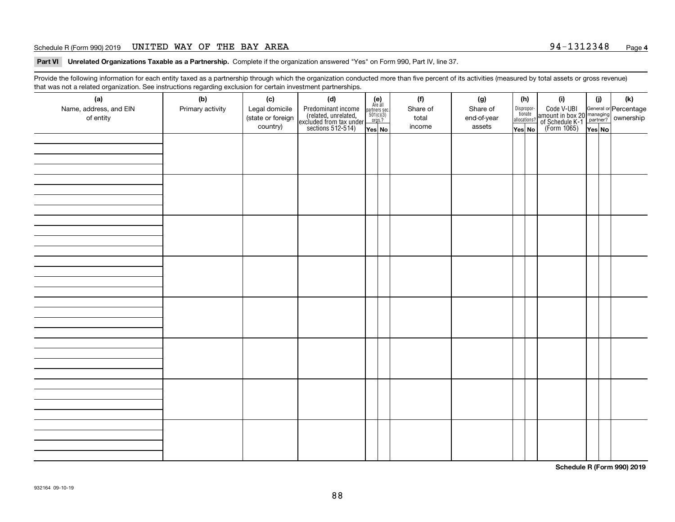### Schedule R (Form 990) 2019 UNITED WAY OF THE BAY AREA 9 $\rm 4\mathrm{-}1312348$  Page

**Part VI Unrelated Organizations Taxable as a Partnership. Complete if the organization answered "Yes" on Form 990, Part IV, line 37.** 

Provide the following information for each entity taxed as a partnership through which the organization conducted more than five percent of its activities (measured by total assets or gross revenue) that was not a related organization. See instructions regarding exclusion for certain investment partnerships.

| ັ                      | ັ<br>ັ           |                   |                                                                                            |                                      |  |          |             |  |                                       |                                                                                              |        |     |
|------------------------|------------------|-------------------|--------------------------------------------------------------------------------------------|--------------------------------------|--|----------|-------------|--|---------------------------------------|----------------------------------------------------------------------------------------------|--------|-----|
| (a)                    | (b)              | (c)               | (d)                                                                                        | (e)<br>Are all                       |  | (f)      | (g)         |  | (h)                                   | (i)                                                                                          | (i)    | (k) |
| Name, address, and EIN | Primary activity | Legal domicile    | Predominant income<br>(related, unrelated,<br>excluded from tax under<br>sections 512-514) | partners sec.<br>501(c)(3)<br>orgs.? |  | Share of | Share of    |  | Dispropor-<br>tionate<br>allocations? | Code V-UBI<br>amount in box 20 managing<br>of Schedule K-1 partner?<br>(Form 1065)<br>ves No |        |     |
| of entity              |                  | (state or foreign |                                                                                            |                                      |  | total    | end-of-year |  |                                       |                                                                                              |        |     |
|                        |                  | country)          |                                                                                            | Yes No                               |  | income   | assets      |  | Yes No                                |                                                                                              | Yes No |     |
|                        |                  |                   |                                                                                            |                                      |  |          |             |  |                                       |                                                                                              |        |     |
|                        |                  |                   |                                                                                            |                                      |  |          |             |  |                                       |                                                                                              |        |     |
|                        |                  |                   |                                                                                            |                                      |  |          |             |  |                                       |                                                                                              |        |     |
|                        |                  |                   |                                                                                            |                                      |  |          |             |  |                                       |                                                                                              |        |     |
|                        |                  |                   |                                                                                            |                                      |  |          |             |  |                                       |                                                                                              |        |     |
|                        |                  |                   |                                                                                            |                                      |  |          |             |  |                                       |                                                                                              |        |     |
|                        |                  |                   |                                                                                            |                                      |  |          |             |  |                                       |                                                                                              |        |     |
|                        |                  |                   |                                                                                            |                                      |  |          |             |  |                                       |                                                                                              |        |     |
|                        |                  |                   |                                                                                            |                                      |  |          |             |  |                                       |                                                                                              |        |     |
|                        |                  |                   |                                                                                            |                                      |  |          |             |  |                                       |                                                                                              |        |     |
|                        |                  |                   |                                                                                            |                                      |  |          |             |  |                                       |                                                                                              |        |     |
|                        |                  |                   |                                                                                            |                                      |  |          |             |  |                                       |                                                                                              |        |     |
|                        |                  |                   |                                                                                            |                                      |  |          |             |  |                                       |                                                                                              |        |     |
|                        |                  |                   |                                                                                            |                                      |  |          |             |  |                                       |                                                                                              |        |     |
|                        |                  |                   |                                                                                            |                                      |  |          |             |  |                                       |                                                                                              |        |     |
|                        |                  |                   |                                                                                            |                                      |  |          |             |  |                                       |                                                                                              |        |     |
|                        |                  |                   |                                                                                            |                                      |  |          |             |  |                                       |                                                                                              |        |     |
|                        |                  |                   |                                                                                            |                                      |  |          |             |  |                                       |                                                                                              |        |     |
|                        |                  |                   |                                                                                            |                                      |  |          |             |  |                                       |                                                                                              |        |     |
|                        |                  |                   |                                                                                            |                                      |  |          |             |  |                                       |                                                                                              |        |     |
|                        |                  |                   |                                                                                            |                                      |  |          |             |  |                                       |                                                                                              |        |     |
|                        |                  |                   |                                                                                            |                                      |  |          |             |  |                                       |                                                                                              |        |     |
|                        |                  |                   |                                                                                            |                                      |  |          |             |  |                                       |                                                                                              |        |     |
|                        |                  |                   |                                                                                            |                                      |  |          |             |  |                                       |                                                                                              |        |     |
|                        |                  |                   |                                                                                            |                                      |  |          |             |  |                                       |                                                                                              |        |     |
|                        |                  |                   |                                                                                            |                                      |  |          |             |  |                                       |                                                                                              |        |     |
|                        |                  |                   |                                                                                            |                                      |  |          |             |  |                                       |                                                                                              |        |     |
|                        |                  |                   |                                                                                            |                                      |  |          |             |  |                                       |                                                                                              |        |     |
|                        |                  |                   |                                                                                            |                                      |  |          |             |  |                                       |                                                                                              |        |     |
|                        |                  |                   |                                                                                            |                                      |  |          |             |  |                                       |                                                                                              |        |     |
|                        |                  |                   |                                                                                            |                                      |  |          |             |  |                                       |                                                                                              |        |     |
|                        |                  |                   |                                                                                            |                                      |  |          |             |  |                                       |                                                                                              |        |     |
|                        |                  |                   |                                                                                            |                                      |  |          |             |  |                                       |                                                                                              |        |     |
|                        |                  |                   |                                                                                            |                                      |  |          |             |  |                                       |                                                                                              |        |     |
|                        |                  |                   |                                                                                            |                                      |  |          |             |  |                                       |                                                                                              |        |     |
|                        |                  |                   |                                                                                            |                                      |  |          |             |  |                                       |                                                                                              |        |     |

**Schedule R (Form 990) 2019**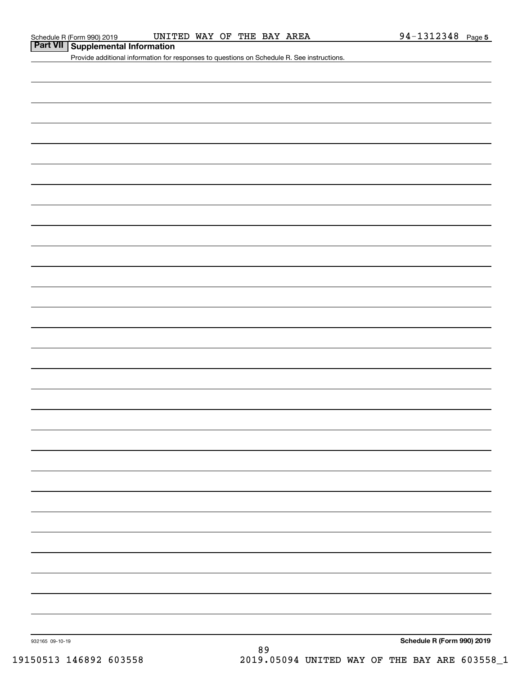## **Part VII Supplemental Information**

Provide additional information for responses to questions on Schedule R. See instructions.

932165 09-10-19